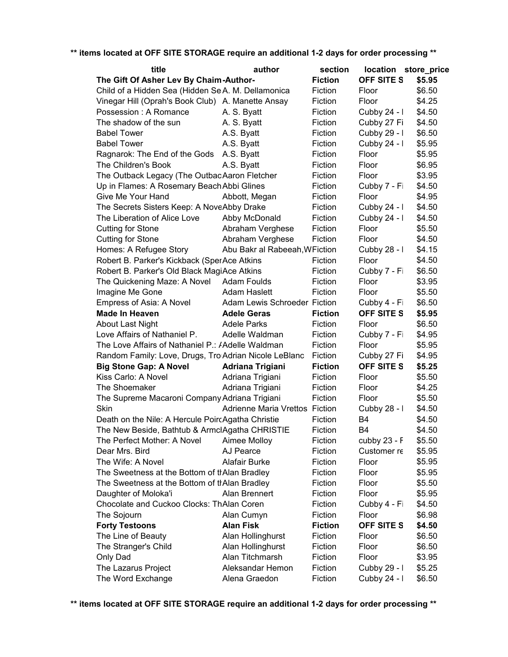| title                                                    | author                         | section        | location store_price |        |
|----------------------------------------------------------|--------------------------------|----------------|----------------------|--------|
| The Gift Of Asher Lev By Chaim-Author-                   |                                | <b>Fiction</b> | OFF SITE S           | \$5.95 |
| Child of a Hidden Sea (Hidden SeA. M. Dellamonica        |                                | Fiction        | Floor                | \$6.50 |
| Vinegar Hill (Oprah's Book Club) A. Manette Ansay        |                                | Fiction        | Floor                | \$4.25 |
| Possession: A Romance                                    | A. S. Byatt                    | Fiction        | Cubby 24 - I         | \$4.50 |
| The shadow of the sun                                    | A. S. Byatt                    | Fiction        | Cubby 27 Fi          | \$4.50 |
| <b>Babel Tower</b>                                       | A.S. Byatt                     | Fiction        | Cubby 29 - I         | \$6.50 |
| <b>Babel Tower</b>                                       | A.S. Byatt                     | Fiction        | Cubby 24 - I         | \$5.95 |
| Ragnarok: The End of the Gods                            | A.S. Byatt                     | Fiction        | Floor                | \$5.95 |
| The Children's Book                                      | A.S. Byatt                     | Fiction        | Floor                | \$6.95 |
| The Outback Legacy (The OutbacAaron Fletcher             |                                | Fiction        | Floor                | \$3.95 |
| Up in Flames: A Rosemary Beach Abbi Glines               |                                | Fiction        | Cubby 7 - Fi         | \$4.50 |
| Give Me Your Hand                                        | Abbott, Megan                  | Fiction        | Floor                | \$4.95 |
| The Secrets Sisters Keep: A NoveAbby Drake               |                                | Fiction        | Cubby 24 - I         | \$4.50 |
| The Liberation of Alice Love                             | Abby McDonald                  | Fiction        | Cubby 24 - I         | \$4.50 |
| <b>Cutting for Stone</b>                                 | Abraham Verghese               | Fiction        | Floor                | \$5.50 |
| <b>Cutting for Stone</b>                                 | Abraham Verghese               | Fiction        | Floor                | \$4.50 |
| Homes: A Refugee Story                                   | Abu Bakr al Rabeeah, WFiction  |                | Cubby 28 - I         | \$4.15 |
| Robert B. Parker's Kickback (SperAce Atkins              |                                | Fiction        | Floor                | \$4.50 |
| Robert B. Parker's Old Black MagiAce Atkins              |                                | Fiction        | Cubby 7 - Fi         | \$6.50 |
| The Quickening Maze: A Novel Adam Foulds                 |                                | Fiction        | Floor                | \$3.95 |
| Imagine Me Gone                                          | <b>Adam Haslett</b>            | Fiction        | Floor                | \$5.50 |
| Empress of Asia: A Novel                                 | Adam Lewis Schroeder Fiction   |                | Cubby 4 - Fi         | \$6.50 |
| <b>Made In Heaven</b>                                    | <b>Adele Geras</b>             | <b>Fiction</b> | <b>OFF SITE S</b>    | \$5.95 |
| <b>About Last Night</b>                                  | <b>Adele Parks</b>             | Fiction        | Floor                | \$6.50 |
| Love Affairs of Nathaniel P.                             | Adelle Waldman                 | Fiction        | Cubby 7 - Fi         | \$4.95 |
| The Love Affairs of Nathaniel P.: <i>A</i> delle Waldman |                                | Fiction        | Floor                | \$5.95 |
| Random Family: Love, Drugs, Tro Adrian Nicole LeBlanc    |                                | Fiction        | Cubby 27 Fi          | \$4.95 |
| <b>Big Stone Gap: A Novel</b>                            | <b>Adriana Trigiani</b>        | <b>Fiction</b> | <b>OFF SITE S</b>    | \$5.25 |
| Kiss Carlo: A Novel                                      | Adriana Trigiani               | Fiction        | Floor                | \$5.50 |
| The Shoemaker                                            | Adriana Trigiani               | Fiction        | Floor                | \$4.25 |
| The Supreme Macaroni Company Adriana Trigiani            |                                | Fiction        | Floor                | \$5.50 |
| Skin                                                     | Adrienne Maria Vrettos Fiction |                | Cubby 28 - I         | \$4.50 |
| Death on the Nile: A Hercule PoircAgatha Christie        |                                | Fiction        | B4                   | \$4.50 |
| The New Beside, Bathtub & ArmclAgatha CHRISTIE           |                                | Fiction        | <b>B4</b>            | \$4.50 |
| The Perfect Mother: A Novel                              | Aimee Molloy                   | Fiction        | cubby 23 - F         | \$5.50 |
| Dear Mrs. Bird                                           | AJ Pearce                      | Fiction        | Customer re          | \$5.95 |
| The Wife: A Novel                                        | <b>Alafair Burke</b>           | Fiction        | Floor                | \$5.95 |
| The Sweetness at the Bottom of thAlan Bradley            |                                | Fiction        | Floor                | \$5.95 |
| The Sweetness at the Bottom of thAlan Bradley            |                                | Fiction        | Floor                | \$5.50 |
| Daughter of Moloka'i                                     | Alan Brennert                  | Fiction        | Floor                | \$5.95 |
| Chocolate and Cuckoo Clocks: ThAlan Coren                |                                | Fiction        | Cubby 4 - Fi         | \$4.50 |
| The Sojourn                                              | Alan Cumyn                     | Fiction        | Floor                | \$6.98 |
| <b>Forty Testoons</b>                                    | <b>Alan Fisk</b>               | <b>Fiction</b> | OFF SITE S           | \$4.50 |
| The Line of Beauty                                       | Alan Hollinghurst              | Fiction        | Floor                | \$6.50 |
| The Stranger's Child                                     | Alan Hollinghurst              | Fiction        | Floor                | \$6.50 |
| Only Dad                                                 | Alan Titchmarsh                | Fiction        | Floor                | \$3.95 |
| The Lazarus Project                                      | Aleksandar Hemon               | Fiction        | Cubby 29 - I         | \$5.25 |
| The Word Exchange                                        | Alena Graedon                  | Fiction        | Cubby 24 - I         | \$6.50 |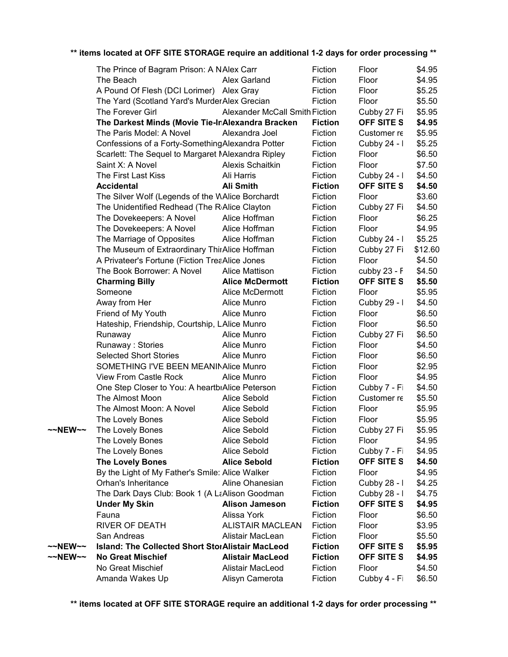| ** items located at OFF SITE STORAGE require an additional 1-2 days for order processing ** |  |
|---------------------------------------------------------------------------------------------|--|
|---------------------------------------------------------------------------------------------|--|

| The Prince of Bagram Prison: A NAlex Carr<br>Fiction<br>Floor<br>Floor<br>Fiction<br>The Beach<br>Alex Garland<br>A Pound Of Flesh (DCI Lorimer) Alex Gray<br>Fiction<br>Floor<br>The Yard (Scotland Yard's Murder Alex Grecian<br>Fiction<br>Floor<br>The Forever Girl<br><b>Alexander McCall Smith Fiction</b><br>Cubby 27 Fi<br>The Darkest Minds (Movie Tie-InAlexandra Bracken<br>OFF SITE S<br><b>Fiction</b><br>Fiction<br>The Paris Model: A Novel<br>Alexandra Joel<br>Customer re<br>Confessions of a Forty-SomethingAlexandra Potter<br>Fiction<br>Cubby 24 - I<br>Scarlett: The Sequel to Margaret Malexandra Ripley<br>Fiction<br>Floor<br>Saint X: A Novel<br>Floor<br>Alexis Schaitkin<br>Fiction<br>The First Last Kiss<br>Ali Harris<br>Fiction<br>Cubby 24 - I<br>OFF SITE S<br><b>Accidental</b><br>Ali Smith<br><b>Fiction</b><br>The Silver Wolf (Legends of the WAlice Borchardt<br>Fiction<br>Floor<br>The Unidentified Redhead (The RAlice Clayton<br>Fiction<br>Cubby 27 Fi<br>The Dovekeepers: A Novel<br>Alice Hoffman<br>Fiction<br>Floor<br>Floor<br>The Dovekeepers: A Novel<br>Alice Hoffman<br>Fiction<br>The Marriage of Opposites<br>Fiction<br>Cubby 24 - I<br>Alice Hoffman<br>The Museum of Extraordinary ThirAlice Hoffman<br>Fiction<br>Cubby 27 Fi<br>A Privateer's Fortune (Fiction TreaAlice Jones<br>Floor<br>Fiction<br>The Book Borrower: A Novel<br><b>Alice Mattison</b><br>Fiction<br>cubby $23 - F$<br><b>Charming Billy</b><br><b>Alice McDermott</b><br><b>Fiction</b><br>OFF SITE S<br>Someone<br>Alice McDermott<br>Fiction<br>Floor<br>Away from Her<br>Alice Munro<br>Fiction<br>Cubby 29 - I<br>Floor<br>Friend of My Youth<br>Alice Munro<br>Fiction<br>Floor<br>Hateship, Friendship, Courtship, LAlice Munro<br>Fiction<br>Alice Munro<br>Fiction<br>Runaway<br>Cubby 27 Fi<br>Runaway: Stories<br>Alice Munro<br>Fiction<br>Floor<br>Floor<br><b>Selected Short Stories</b><br>Fiction<br>Alice Munro<br>SOMETHING I'VE BEEN MEANINAlice Munro<br>Floor<br>Fiction<br>Floor<br>View From Castle Rock<br>Fiction<br>Alice Munro<br>One Step Closer to You: A heartbiAlice Peterson<br>Fiction<br>Cubby 7 - Fi<br>The Almost Moon<br><b>Alice Sebold</b><br>Fiction<br>Customer re<br>The Almost Moon: A Novel<br>Alice Sebold<br>Floor<br>Fiction<br>The Lovely Bones<br>Alice Sebold<br>Fiction<br>Floor<br>The Lovely Bones<br>Alice Sebold<br>Fiction<br>Cubby 27 Fi<br>~~NEW~~<br>Alice Sebold<br>The Lovely Bones<br>Fiction<br>Floor<br>Cubby 7 - Fi<br>The Lovely Bones<br>Alice Sebold<br>Fiction<br><b>The Lovely Bones</b><br><b>Alice Sebold</b><br><b>Fiction</b><br>OFF SITE S<br>By the Light of My Father's Smile: Alice Walker<br>Fiction<br>Floor<br>Cubby 28 - I<br>Orhan's Inheritance<br>Fiction<br>Aline Ohanesian<br>The Dark Days Club: Book 1 (A LaAlison Goodman<br>Fiction<br>Cubby 28 - I<br><b>OFF SITE S</b><br><b>Under My Skin</b><br><b>Alison Jameson</b><br><b>Fiction</b><br>Fauna<br>Alissa York<br>Fiction<br>Floor<br><b>RIVER OF DEATH</b><br><b>ALISTAIR MACLEAN</b><br>Fiction<br>Floor<br>San Andreas<br>Alistair MacLean<br>Fiction<br>Floor<br><b>Island: The Collected Short StorAlistair MacLeod</b><br><b>Fiction</b><br>OFF SITE S<br>~~NEW~~<br>~~NEW~~<br><b>No Great Mischief</b><br><b>Alistair MacLeod</b><br><b>Fiction</b><br>OFF SITE S<br>No Great Mischief<br>Alistair MacLeod<br>Fiction<br>Floor |                 |                 |         |              |         |
|-------------------------------------------------------------------------------------------------------------------------------------------------------------------------------------------------------------------------------------------------------------------------------------------------------------------------------------------------------------------------------------------------------------------------------------------------------------------------------------------------------------------------------------------------------------------------------------------------------------------------------------------------------------------------------------------------------------------------------------------------------------------------------------------------------------------------------------------------------------------------------------------------------------------------------------------------------------------------------------------------------------------------------------------------------------------------------------------------------------------------------------------------------------------------------------------------------------------------------------------------------------------------------------------------------------------------------------------------------------------------------------------------------------------------------------------------------------------------------------------------------------------------------------------------------------------------------------------------------------------------------------------------------------------------------------------------------------------------------------------------------------------------------------------------------------------------------------------------------------------------------------------------------------------------------------------------------------------------------------------------------------------------------------------------------------------------------------------------------------------------------------------------------------------------------------------------------------------------------------------------------------------------------------------------------------------------------------------------------------------------------------------------------------------------------------------------------------------------------------------------------------------------------------------------------------------------------------------------------------------------------------------------------------------------------------------------------------------------------------------------------------------------------------------------------------------------------------------------------------------------------------------------------------------------------------------------------------------------------------------------------------------------------------------------------------------------------------------------------------------------------------------------------------------------------------------------------------------------------------------------------------------------------------------------------------------------------------------------------------------------------------------------------------------------|-----------------|-----------------|---------|--------------|---------|
|                                                                                                                                                                                                                                                                                                                                                                                                                                                                                                                                                                                                                                                                                                                                                                                                                                                                                                                                                                                                                                                                                                                                                                                                                                                                                                                                                                                                                                                                                                                                                                                                                                                                                                                                                                                                                                                                                                                                                                                                                                                                                                                                                                                                                                                                                                                                                                                                                                                                                                                                                                                                                                                                                                                                                                                                                                                                                                                                                                                                                                                                                                                                                                                                                                                                                                                                                                                                                         |                 |                 |         |              | \$4.95  |
|                                                                                                                                                                                                                                                                                                                                                                                                                                                                                                                                                                                                                                                                                                                                                                                                                                                                                                                                                                                                                                                                                                                                                                                                                                                                                                                                                                                                                                                                                                                                                                                                                                                                                                                                                                                                                                                                                                                                                                                                                                                                                                                                                                                                                                                                                                                                                                                                                                                                                                                                                                                                                                                                                                                                                                                                                                                                                                                                                                                                                                                                                                                                                                                                                                                                                                                                                                                                                         |                 |                 |         |              | \$4.95  |
|                                                                                                                                                                                                                                                                                                                                                                                                                                                                                                                                                                                                                                                                                                                                                                                                                                                                                                                                                                                                                                                                                                                                                                                                                                                                                                                                                                                                                                                                                                                                                                                                                                                                                                                                                                                                                                                                                                                                                                                                                                                                                                                                                                                                                                                                                                                                                                                                                                                                                                                                                                                                                                                                                                                                                                                                                                                                                                                                                                                                                                                                                                                                                                                                                                                                                                                                                                                                                         |                 |                 |         |              | \$5.25  |
|                                                                                                                                                                                                                                                                                                                                                                                                                                                                                                                                                                                                                                                                                                                                                                                                                                                                                                                                                                                                                                                                                                                                                                                                                                                                                                                                                                                                                                                                                                                                                                                                                                                                                                                                                                                                                                                                                                                                                                                                                                                                                                                                                                                                                                                                                                                                                                                                                                                                                                                                                                                                                                                                                                                                                                                                                                                                                                                                                                                                                                                                                                                                                                                                                                                                                                                                                                                                                         |                 |                 |         |              | \$5.50  |
|                                                                                                                                                                                                                                                                                                                                                                                                                                                                                                                                                                                                                                                                                                                                                                                                                                                                                                                                                                                                                                                                                                                                                                                                                                                                                                                                                                                                                                                                                                                                                                                                                                                                                                                                                                                                                                                                                                                                                                                                                                                                                                                                                                                                                                                                                                                                                                                                                                                                                                                                                                                                                                                                                                                                                                                                                                                                                                                                                                                                                                                                                                                                                                                                                                                                                                                                                                                                                         |                 |                 |         |              | \$5.95  |
|                                                                                                                                                                                                                                                                                                                                                                                                                                                                                                                                                                                                                                                                                                                                                                                                                                                                                                                                                                                                                                                                                                                                                                                                                                                                                                                                                                                                                                                                                                                                                                                                                                                                                                                                                                                                                                                                                                                                                                                                                                                                                                                                                                                                                                                                                                                                                                                                                                                                                                                                                                                                                                                                                                                                                                                                                                                                                                                                                                                                                                                                                                                                                                                                                                                                                                                                                                                                                         |                 |                 |         |              | \$4.95  |
|                                                                                                                                                                                                                                                                                                                                                                                                                                                                                                                                                                                                                                                                                                                                                                                                                                                                                                                                                                                                                                                                                                                                                                                                                                                                                                                                                                                                                                                                                                                                                                                                                                                                                                                                                                                                                                                                                                                                                                                                                                                                                                                                                                                                                                                                                                                                                                                                                                                                                                                                                                                                                                                                                                                                                                                                                                                                                                                                                                                                                                                                                                                                                                                                                                                                                                                                                                                                                         |                 |                 |         |              | \$5.95  |
|                                                                                                                                                                                                                                                                                                                                                                                                                                                                                                                                                                                                                                                                                                                                                                                                                                                                                                                                                                                                                                                                                                                                                                                                                                                                                                                                                                                                                                                                                                                                                                                                                                                                                                                                                                                                                                                                                                                                                                                                                                                                                                                                                                                                                                                                                                                                                                                                                                                                                                                                                                                                                                                                                                                                                                                                                                                                                                                                                                                                                                                                                                                                                                                                                                                                                                                                                                                                                         |                 |                 |         |              | \$5.25  |
|                                                                                                                                                                                                                                                                                                                                                                                                                                                                                                                                                                                                                                                                                                                                                                                                                                                                                                                                                                                                                                                                                                                                                                                                                                                                                                                                                                                                                                                                                                                                                                                                                                                                                                                                                                                                                                                                                                                                                                                                                                                                                                                                                                                                                                                                                                                                                                                                                                                                                                                                                                                                                                                                                                                                                                                                                                                                                                                                                                                                                                                                                                                                                                                                                                                                                                                                                                                                                         |                 |                 |         |              | \$6.50  |
|                                                                                                                                                                                                                                                                                                                                                                                                                                                                                                                                                                                                                                                                                                                                                                                                                                                                                                                                                                                                                                                                                                                                                                                                                                                                                                                                                                                                                                                                                                                                                                                                                                                                                                                                                                                                                                                                                                                                                                                                                                                                                                                                                                                                                                                                                                                                                                                                                                                                                                                                                                                                                                                                                                                                                                                                                                                                                                                                                                                                                                                                                                                                                                                                                                                                                                                                                                                                                         |                 |                 |         |              | \$7.50  |
|                                                                                                                                                                                                                                                                                                                                                                                                                                                                                                                                                                                                                                                                                                                                                                                                                                                                                                                                                                                                                                                                                                                                                                                                                                                                                                                                                                                                                                                                                                                                                                                                                                                                                                                                                                                                                                                                                                                                                                                                                                                                                                                                                                                                                                                                                                                                                                                                                                                                                                                                                                                                                                                                                                                                                                                                                                                                                                                                                                                                                                                                                                                                                                                                                                                                                                                                                                                                                         |                 |                 |         |              | \$4.50  |
|                                                                                                                                                                                                                                                                                                                                                                                                                                                                                                                                                                                                                                                                                                                                                                                                                                                                                                                                                                                                                                                                                                                                                                                                                                                                                                                                                                                                                                                                                                                                                                                                                                                                                                                                                                                                                                                                                                                                                                                                                                                                                                                                                                                                                                                                                                                                                                                                                                                                                                                                                                                                                                                                                                                                                                                                                                                                                                                                                                                                                                                                                                                                                                                                                                                                                                                                                                                                                         |                 |                 |         |              | \$4.50  |
|                                                                                                                                                                                                                                                                                                                                                                                                                                                                                                                                                                                                                                                                                                                                                                                                                                                                                                                                                                                                                                                                                                                                                                                                                                                                                                                                                                                                                                                                                                                                                                                                                                                                                                                                                                                                                                                                                                                                                                                                                                                                                                                                                                                                                                                                                                                                                                                                                                                                                                                                                                                                                                                                                                                                                                                                                                                                                                                                                                                                                                                                                                                                                                                                                                                                                                                                                                                                                         |                 |                 |         |              | \$3.60  |
|                                                                                                                                                                                                                                                                                                                                                                                                                                                                                                                                                                                                                                                                                                                                                                                                                                                                                                                                                                                                                                                                                                                                                                                                                                                                                                                                                                                                                                                                                                                                                                                                                                                                                                                                                                                                                                                                                                                                                                                                                                                                                                                                                                                                                                                                                                                                                                                                                                                                                                                                                                                                                                                                                                                                                                                                                                                                                                                                                                                                                                                                                                                                                                                                                                                                                                                                                                                                                         |                 |                 |         |              | \$4.50  |
|                                                                                                                                                                                                                                                                                                                                                                                                                                                                                                                                                                                                                                                                                                                                                                                                                                                                                                                                                                                                                                                                                                                                                                                                                                                                                                                                                                                                                                                                                                                                                                                                                                                                                                                                                                                                                                                                                                                                                                                                                                                                                                                                                                                                                                                                                                                                                                                                                                                                                                                                                                                                                                                                                                                                                                                                                                                                                                                                                                                                                                                                                                                                                                                                                                                                                                                                                                                                                         |                 |                 |         |              | \$6.25  |
|                                                                                                                                                                                                                                                                                                                                                                                                                                                                                                                                                                                                                                                                                                                                                                                                                                                                                                                                                                                                                                                                                                                                                                                                                                                                                                                                                                                                                                                                                                                                                                                                                                                                                                                                                                                                                                                                                                                                                                                                                                                                                                                                                                                                                                                                                                                                                                                                                                                                                                                                                                                                                                                                                                                                                                                                                                                                                                                                                                                                                                                                                                                                                                                                                                                                                                                                                                                                                         |                 |                 |         |              | \$4.95  |
|                                                                                                                                                                                                                                                                                                                                                                                                                                                                                                                                                                                                                                                                                                                                                                                                                                                                                                                                                                                                                                                                                                                                                                                                                                                                                                                                                                                                                                                                                                                                                                                                                                                                                                                                                                                                                                                                                                                                                                                                                                                                                                                                                                                                                                                                                                                                                                                                                                                                                                                                                                                                                                                                                                                                                                                                                                                                                                                                                                                                                                                                                                                                                                                                                                                                                                                                                                                                                         |                 |                 |         |              | \$5.25  |
|                                                                                                                                                                                                                                                                                                                                                                                                                                                                                                                                                                                                                                                                                                                                                                                                                                                                                                                                                                                                                                                                                                                                                                                                                                                                                                                                                                                                                                                                                                                                                                                                                                                                                                                                                                                                                                                                                                                                                                                                                                                                                                                                                                                                                                                                                                                                                                                                                                                                                                                                                                                                                                                                                                                                                                                                                                                                                                                                                                                                                                                                                                                                                                                                                                                                                                                                                                                                                         |                 |                 |         |              | \$12.60 |
|                                                                                                                                                                                                                                                                                                                                                                                                                                                                                                                                                                                                                                                                                                                                                                                                                                                                                                                                                                                                                                                                                                                                                                                                                                                                                                                                                                                                                                                                                                                                                                                                                                                                                                                                                                                                                                                                                                                                                                                                                                                                                                                                                                                                                                                                                                                                                                                                                                                                                                                                                                                                                                                                                                                                                                                                                                                                                                                                                                                                                                                                                                                                                                                                                                                                                                                                                                                                                         |                 |                 |         |              | \$4.50  |
|                                                                                                                                                                                                                                                                                                                                                                                                                                                                                                                                                                                                                                                                                                                                                                                                                                                                                                                                                                                                                                                                                                                                                                                                                                                                                                                                                                                                                                                                                                                                                                                                                                                                                                                                                                                                                                                                                                                                                                                                                                                                                                                                                                                                                                                                                                                                                                                                                                                                                                                                                                                                                                                                                                                                                                                                                                                                                                                                                                                                                                                                                                                                                                                                                                                                                                                                                                                                                         |                 |                 |         |              | \$4.50  |
|                                                                                                                                                                                                                                                                                                                                                                                                                                                                                                                                                                                                                                                                                                                                                                                                                                                                                                                                                                                                                                                                                                                                                                                                                                                                                                                                                                                                                                                                                                                                                                                                                                                                                                                                                                                                                                                                                                                                                                                                                                                                                                                                                                                                                                                                                                                                                                                                                                                                                                                                                                                                                                                                                                                                                                                                                                                                                                                                                                                                                                                                                                                                                                                                                                                                                                                                                                                                                         |                 |                 |         |              | \$5.50  |
|                                                                                                                                                                                                                                                                                                                                                                                                                                                                                                                                                                                                                                                                                                                                                                                                                                                                                                                                                                                                                                                                                                                                                                                                                                                                                                                                                                                                                                                                                                                                                                                                                                                                                                                                                                                                                                                                                                                                                                                                                                                                                                                                                                                                                                                                                                                                                                                                                                                                                                                                                                                                                                                                                                                                                                                                                                                                                                                                                                                                                                                                                                                                                                                                                                                                                                                                                                                                                         |                 |                 |         |              | \$5.95  |
|                                                                                                                                                                                                                                                                                                                                                                                                                                                                                                                                                                                                                                                                                                                                                                                                                                                                                                                                                                                                                                                                                                                                                                                                                                                                                                                                                                                                                                                                                                                                                                                                                                                                                                                                                                                                                                                                                                                                                                                                                                                                                                                                                                                                                                                                                                                                                                                                                                                                                                                                                                                                                                                                                                                                                                                                                                                                                                                                                                                                                                                                                                                                                                                                                                                                                                                                                                                                                         |                 |                 |         |              | \$4.50  |
|                                                                                                                                                                                                                                                                                                                                                                                                                                                                                                                                                                                                                                                                                                                                                                                                                                                                                                                                                                                                                                                                                                                                                                                                                                                                                                                                                                                                                                                                                                                                                                                                                                                                                                                                                                                                                                                                                                                                                                                                                                                                                                                                                                                                                                                                                                                                                                                                                                                                                                                                                                                                                                                                                                                                                                                                                                                                                                                                                                                                                                                                                                                                                                                                                                                                                                                                                                                                                         |                 |                 |         |              | \$6.50  |
|                                                                                                                                                                                                                                                                                                                                                                                                                                                                                                                                                                                                                                                                                                                                                                                                                                                                                                                                                                                                                                                                                                                                                                                                                                                                                                                                                                                                                                                                                                                                                                                                                                                                                                                                                                                                                                                                                                                                                                                                                                                                                                                                                                                                                                                                                                                                                                                                                                                                                                                                                                                                                                                                                                                                                                                                                                                                                                                                                                                                                                                                                                                                                                                                                                                                                                                                                                                                                         |                 |                 |         |              | \$6.50  |
|                                                                                                                                                                                                                                                                                                                                                                                                                                                                                                                                                                                                                                                                                                                                                                                                                                                                                                                                                                                                                                                                                                                                                                                                                                                                                                                                                                                                                                                                                                                                                                                                                                                                                                                                                                                                                                                                                                                                                                                                                                                                                                                                                                                                                                                                                                                                                                                                                                                                                                                                                                                                                                                                                                                                                                                                                                                                                                                                                                                                                                                                                                                                                                                                                                                                                                                                                                                                                         |                 |                 |         |              | \$6.50  |
|                                                                                                                                                                                                                                                                                                                                                                                                                                                                                                                                                                                                                                                                                                                                                                                                                                                                                                                                                                                                                                                                                                                                                                                                                                                                                                                                                                                                                                                                                                                                                                                                                                                                                                                                                                                                                                                                                                                                                                                                                                                                                                                                                                                                                                                                                                                                                                                                                                                                                                                                                                                                                                                                                                                                                                                                                                                                                                                                                                                                                                                                                                                                                                                                                                                                                                                                                                                                                         |                 |                 |         |              | \$4.50  |
|                                                                                                                                                                                                                                                                                                                                                                                                                                                                                                                                                                                                                                                                                                                                                                                                                                                                                                                                                                                                                                                                                                                                                                                                                                                                                                                                                                                                                                                                                                                                                                                                                                                                                                                                                                                                                                                                                                                                                                                                                                                                                                                                                                                                                                                                                                                                                                                                                                                                                                                                                                                                                                                                                                                                                                                                                                                                                                                                                                                                                                                                                                                                                                                                                                                                                                                                                                                                                         |                 |                 |         |              | \$6.50  |
|                                                                                                                                                                                                                                                                                                                                                                                                                                                                                                                                                                                                                                                                                                                                                                                                                                                                                                                                                                                                                                                                                                                                                                                                                                                                                                                                                                                                                                                                                                                                                                                                                                                                                                                                                                                                                                                                                                                                                                                                                                                                                                                                                                                                                                                                                                                                                                                                                                                                                                                                                                                                                                                                                                                                                                                                                                                                                                                                                                                                                                                                                                                                                                                                                                                                                                                                                                                                                         |                 |                 |         |              | \$2.95  |
|                                                                                                                                                                                                                                                                                                                                                                                                                                                                                                                                                                                                                                                                                                                                                                                                                                                                                                                                                                                                                                                                                                                                                                                                                                                                                                                                                                                                                                                                                                                                                                                                                                                                                                                                                                                                                                                                                                                                                                                                                                                                                                                                                                                                                                                                                                                                                                                                                                                                                                                                                                                                                                                                                                                                                                                                                                                                                                                                                                                                                                                                                                                                                                                                                                                                                                                                                                                                                         |                 |                 |         |              | \$4.95  |
|                                                                                                                                                                                                                                                                                                                                                                                                                                                                                                                                                                                                                                                                                                                                                                                                                                                                                                                                                                                                                                                                                                                                                                                                                                                                                                                                                                                                                                                                                                                                                                                                                                                                                                                                                                                                                                                                                                                                                                                                                                                                                                                                                                                                                                                                                                                                                                                                                                                                                                                                                                                                                                                                                                                                                                                                                                                                                                                                                                                                                                                                                                                                                                                                                                                                                                                                                                                                                         |                 |                 |         |              | \$4.50  |
|                                                                                                                                                                                                                                                                                                                                                                                                                                                                                                                                                                                                                                                                                                                                                                                                                                                                                                                                                                                                                                                                                                                                                                                                                                                                                                                                                                                                                                                                                                                                                                                                                                                                                                                                                                                                                                                                                                                                                                                                                                                                                                                                                                                                                                                                                                                                                                                                                                                                                                                                                                                                                                                                                                                                                                                                                                                                                                                                                                                                                                                                                                                                                                                                                                                                                                                                                                                                                         |                 |                 |         |              | \$5.50  |
|                                                                                                                                                                                                                                                                                                                                                                                                                                                                                                                                                                                                                                                                                                                                                                                                                                                                                                                                                                                                                                                                                                                                                                                                                                                                                                                                                                                                                                                                                                                                                                                                                                                                                                                                                                                                                                                                                                                                                                                                                                                                                                                                                                                                                                                                                                                                                                                                                                                                                                                                                                                                                                                                                                                                                                                                                                                                                                                                                                                                                                                                                                                                                                                                                                                                                                                                                                                                                         |                 |                 |         |              | \$5.95  |
|                                                                                                                                                                                                                                                                                                                                                                                                                                                                                                                                                                                                                                                                                                                                                                                                                                                                                                                                                                                                                                                                                                                                                                                                                                                                                                                                                                                                                                                                                                                                                                                                                                                                                                                                                                                                                                                                                                                                                                                                                                                                                                                                                                                                                                                                                                                                                                                                                                                                                                                                                                                                                                                                                                                                                                                                                                                                                                                                                                                                                                                                                                                                                                                                                                                                                                                                                                                                                         |                 |                 |         |              | \$5.95  |
|                                                                                                                                                                                                                                                                                                                                                                                                                                                                                                                                                                                                                                                                                                                                                                                                                                                                                                                                                                                                                                                                                                                                                                                                                                                                                                                                                                                                                                                                                                                                                                                                                                                                                                                                                                                                                                                                                                                                                                                                                                                                                                                                                                                                                                                                                                                                                                                                                                                                                                                                                                                                                                                                                                                                                                                                                                                                                                                                                                                                                                                                                                                                                                                                                                                                                                                                                                                                                         |                 |                 |         |              | \$5.95  |
|                                                                                                                                                                                                                                                                                                                                                                                                                                                                                                                                                                                                                                                                                                                                                                                                                                                                                                                                                                                                                                                                                                                                                                                                                                                                                                                                                                                                                                                                                                                                                                                                                                                                                                                                                                                                                                                                                                                                                                                                                                                                                                                                                                                                                                                                                                                                                                                                                                                                                                                                                                                                                                                                                                                                                                                                                                                                                                                                                                                                                                                                                                                                                                                                                                                                                                                                                                                                                         |                 |                 |         |              | \$4.95  |
|                                                                                                                                                                                                                                                                                                                                                                                                                                                                                                                                                                                                                                                                                                                                                                                                                                                                                                                                                                                                                                                                                                                                                                                                                                                                                                                                                                                                                                                                                                                                                                                                                                                                                                                                                                                                                                                                                                                                                                                                                                                                                                                                                                                                                                                                                                                                                                                                                                                                                                                                                                                                                                                                                                                                                                                                                                                                                                                                                                                                                                                                                                                                                                                                                                                                                                                                                                                                                         |                 |                 |         |              | \$4.95  |
|                                                                                                                                                                                                                                                                                                                                                                                                                                                                                                                                                                                                                                                                                                                                                                                                                                                                                                                                                                                                                                                                                                                                                                                                                                                                                                                                                                                                                                                                                                                                                                                                                                                                                                                                                                                                                                                                                                                                                                                                                                                                                                                                                                                                                                                                                                                                                                                                                                                                                                                                                                                                                                                                                                                                                                                                                                                                                                                                                                                                                                                                                                                                                                                                                                                                                                                                                                                                                         |                 |                 |         |              | \$4.50  |
|                                                                                                                                                                                                                                                                                                                                                                                                                                                                                                                                                                                                                                                                                                                                                                                                                                                                                                                                                                                                                                                                                                                                                                                                                                                                                                                                                                                                                                                                                                                                                                                                                                                                                                                                                                                                                                                                                                                                                                                                                                                                                                                                                                                                                                                                                                                                                                                                                                                                                                                                                                                                                                                                                                                                                                                                                                                                                                                                                                                                                                                                                                                                                                                                                                                                                                                                                                                                                         |                 |                 |         |              | \$4.95  |
|                                                                                                                                                                                                                                                                                                                                                                                                                                                                                                                                                                                                                                                                                                                                                                                                                                                                                                                                                                                                                                                                                                                                                                                                                                                                                                                                                                                                                                                                                                                                                                                                                                                                                                                                                                                                                                                                                                                                                                                                                                                                                                                                                                                                                                                                                                                                                                                                                                                                                                                                                                                                                                                                                                                                                                                                                                                                                                                                                                                                                                                                                                                                                                                                                                                                                                                                                                                                                         |                 |                 |         |              | \$4.25  |
|                                                                                                                                                                                                                                                                                                                                                                                                                                                                                                                                                                                                                                                                                                                                                                                                                                                                                                                                                                                                                                                                                                                                                                                                                                                                                                                                                                                                                                                                                                                                                                                                                                                                                                                                                                                                                                                                                                                                                                                                                                                                                                                                                                                                                                                                                                                                                                                                                                                                                                                                                                                                                                                                                                                                                                                                                                                                                                                                                                                                                                                                                                                                                                                                                                                                                                                                                                                                                         |                 |                 |         |              | \$4.75  |
|                                                                                                                                                                                                                                                                                                                                                                                                                                                                                                                                                                                                                                                                                                                                                                                                                                                                                                                                                                                                                                                                                                                                                                                                                                                                                                                                                                                                                                                                                                                                                                                                                                                                                                                                                                                                                                                                                                                                                                                                                                                                                                                                                                                                                                                                                                                                                                                                                                                                                                                                                                                                                                                                                                                                                                                                                                                                                                                                                                                                                                                                                                                                                                                                                                                                                                                                                                                                                         |                 |                 |         |              | \$4.95  |
|                                                                                                                                                                                                                                                                                                                                                                                                                                                                                                                                                                                                                                                                                                                                                                                                                                                                                                                                                                                                                                                                                                                                                                                                                                                                                                                                                                                                                                                                                                                                                                                                                                                                                                                                                                                                                                                                                                                                                                                                                                                                                                                                                                                                                                                                                                                                                                                                                                                                                                                                                                                                                                                                                                                                                                                                                                                                                                                                                                                                                                                                                                                                                                                                                                                                                                                                                                                                                         |                 |                 |         |              | \$6.50  |
|                                                                                                                                                                                                                                                                                                                                                                                                                                                                                                                                                                                                                                                                                                                                                                                                                                                                                                                                                                                                                                                                                                                                                                                                                                                                                                                                                                                                                                                                                                                                                                                                                                                                                                                                                                                                                                                                                                                                                                                                                                                                                                                                                                                                                                                                                                                                                                                                                                                                                                                                                                                                                                                                                                                                                                                                                                                                                                                                                                                                                                                                                                                                                                                                                                                                                                                                                                                                                         |                 |                 |         |              | \$3.95  |
|                                                                                                                                                                                                                                                                                                                                                                                                                                                                                                                                                                                                                                                                                                                                                                                                                                                                                                                                                                                                                                                                                                                                                                                                                                                                                                                                                                                                                                                                                                                                                                                                                                                                                                                                                                                                                                                                                                                                                                                                                                                                                                                                                                                                                                                                                                                                                                                                                                                                                                                                                                                                                                                                                                                                                                                                                                                                                                                                                                                                                                                                                                                                                                                                                                                                                                                                                                                                                         |                 |                 |         |              | \$5.50  |
|                                                                                                                                                                                                                                                                                                                                                                                                                                                                                                                                                                                                                                                                                                                                                                                                                                                                                                                                                                                                                                                                                                                                                                                                                                                                                                                                                                                                                                                                                                                                                                                                                                                                                                                                                                                                                                                                                                                                                                                                                                                                                                                                                                                                                                                                                                                                                                                                                                                                                                                                                                                                                                                                                                                                                                                                                                                                                                                                                                                                                                                                                                                                                                                                                                                                                                                                                                                                                         |                 |                 |         |              | \$5.95  |
|                                                                                                                                                                                                                                                                                                                                                                                                                                                                                                                                                                                                                                                                                                                                                                                                                                                                                                                                                                                                                                                                                                                                                                                                                                                                                                                                                                                                                                                                                                                                                                                                                                                                                                                                                                                                                                                                                                                                                                                                                                                                                                                                                                                                                                                                                                                                                                                                                                                                                                                                                                                                                                                                                                                                                                                                                                                                                                                                                                                                                                                                                                                                                                                                                                                                                                                                                                                                                         |                 |                 |         |              | \$4.95  |
|                                                                                                                                                                                                                                                                                                                                                                                                                                                                                                                                                                                                                                                                                                                                                                                                                                                                                                                                                                                                                                                                                                                                                                                                                                                                                                                                                                                                                                                                                                                                                                                                                                                                                                                                                                                                                                                                                                                                                                                                                                                                                                                                                                                                                                                                                                                                                                                                                                                                                                                                                                                                                                                                                                                                                                                                                                                                                                                                                                                                                                                                                                                                                                                                                                                                                                                                                                                                                         |                 |                 |         |              | \$4.50  |
|                                                                                                                                                                                                                                                                                                                                                                                                                                                                                                                                                                                                                                                                                                                                                                                                                                                                                                                                                                                                                                                                                                                                                                                                                                                                                                                                                                                                                                                                                                                                                                                                                                                                                                                                                                                                                                                                                                                                                                                                                                                                                                                                                                                                                                                                                                                                                                                                                                                                                                                                                                                                                                                                                                                                                                                                                                                                                                                                                                                                                                                                                                                                                                                                                                                                                                                                                                                                                         | Amanda Wakes Up | Alisyn Camerota | Fiction | Cubby 4 - Fi | \$6.50  |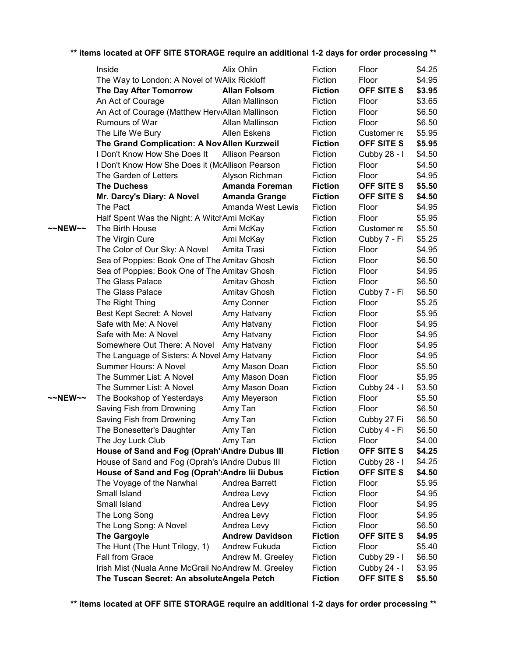| ** items located at OFF SITE STORAGE require an additional 1-2 days for order processing ** |  |
|---------------------------------------------------------------------------------------------|--|
|---------------------------------------------------------------------------------------------|--|

|                   | Inside                                              | Alix Ohlin             | Fiction        | Floor             | \$4.25 |
|-------------------|-----------------------------------------------------|------------------------|----------------|-------------------|--------|
|                   | The Way to London: A Novel of WAlix Rickloff        |                        | Fiction        | Floor             | \$4.95 |
|                   | <b>The Day After Tomorrow</b>                       | <b>Allan Folsom</b>    | <b>Fiction</b> | <b>OFF SITE S</b> | \$3.95 |
|                   | An Act of Courage                                   | Allan Mallinson        | Fiction        | Floor             | \$3.65 |
|                   | An Act of Courage (Matthew HerviAllan Mallinson     |                        | Fiction        | Floor             | \$6.50 |
|                   | Rumours of War                                      | Allan Mallinson        | Fiction        | Floor             | \$6.50 |
|                   | The Life We Bury                                    | <b>Allen Eskens</b>    | Fiction        | Customer re       | \$5.95 |
|                   | The Grand Complication: A Nov Allen Kurzweil        |                        | <b>Fiction</b> | OFF SITE S        | \$5.95 |
|                   | I Don't Know How She Does It                        | <b>Allison Pearson</b> | Fiction        | Cubby 28 - I      | \$4.50 |
|                   | I Don't Know How She Does it (McAllison Pearson     |                        | Fiction        | Floor             | \$4.50 |
|                   | The Garden of Letters                               | Alyson Richman         | Fiction        | Floor             | \$4.95 |
|                   | <b>The Duchess</b>                                  | <b>Amanda Foreman</b>  | <b>Fiction</b> | OFF SITE S        | \$5.50 |
|                   | Mr. Darcy's Diary: A Novel                          | <b>Amanda Grange</b>   | <b>Fiction</b> | <b>OFF SITE S</b> | \$4.50 |
|                   | The Pact                                            | Amanda West Lewis      | Fiction        | Floor             | \$4.95 |
|                   | Half Spent Was the Night: A WitchAmi McKay          |                        | Fiction        | Floor             | \$5.95 |
| ~~NEW~~           | The Birth House                                     | Ami McKay              | Fiction        | Customer re       | \$5.50 |
|                   | The Virgin Cure                                     | Ami McKay              | Fiction        | Cubby 7 - Fi      | \$5.25 |
|                   | The Color of Our Sky: A Novel                       | Amita Trasi            | Fiction        | Floor             | \$4.95 |
|                   | Sea of Poppies: Book One of The Amitav Ghosh        |                        | Fiction        | Floor             | \$6.50 |
|                   | Sea of Poppies: Book One of The Amitav Ghosh        |                        | Fiction        | Floor             | \$4.95 |
|                   | <b>The Glass Palace</b>                             | Amitav Ghosh           | Fiction        | Floor             | \$6.50 |
|                   | <b>The Glass Palace</b>                             | Amitav Ghosh           | Fiction        | Cubby 7 - Fi      | \$6.50 |
|                   | The Right Thing                                     | Amy Conner             | Fiction        | Floor             | \$5.25 |
|                   | Best Kept Secret: A Novel                           | Amy Hatvany            | Fiction        | Floor             | \$5.95 |
|                   | Safe with Me: A Novel                               | Amy Hatvany            | Fiction        | Floor             | \$4.95 |
|                   | Safe with Me: A Novel                               | Amy Hatvany            | Fiction        | Floor             | \$4.95 |
|                   | Somewhere Out There: A Novel                        | Amy Hatvany            | Fiction        | Floor             | \$4.95 |
|                   | The Language of Sisters: A Novel Amy Hatvany        |                        | Fiction        | Floor             | \$4.95 |
|                   | Summer Hours: A Novel                               | Amy Mason Doan         | Fiction        | Floor             | \$5.50 |
|                   | The Summer List: A Novel                            | Amy Mason Doan         | Fiction        | Floor             | \$5.95 |
|                   | The Summer List: A Novel                            | Amy Mason Doan         | Fiction        | Cubby 24 - I      | \$3.50 |
| $\sim$ NEW $\sim$ | The Bookshop of Yesterdays                          | Amy Meyerson           | Fiction        | Floor             | \$5.50 |
|                   | Saving Fish from Drowning                           | Amy Tan                | Fiction        | Floor             | \$6.50 |
|                   | Saving Fish from Drowning                           | Amy Tan                | Fiction        | Cubby 27 Fi       | \$6.50 |
|                   | The Bonesetter's Daughter                           | Amy Tan                | Fiction        | Cubby 4 - Fi      | \$6.50 |
|                   | The Joy Luck Club                                   | Amy Tan                | Fiction        | Floor             | \$4.00 |
|                   | House of Sand and Fog (Oprah': Andre Dubus III      |                        | <b>Fiction</b> | OFF SITE S        | \$4.25 |
|                   | House of Sand and Fog (Oprah's lAndre Dubus III     |                        | Fiction        | Cubby 28 - I      | \$4.25 |
|                   | House of Sand and Fog (Oprah': Andre lii Dubus      |                        | <b>Fiction</b> | <b>OFF SITE S</b> | \$4.50 |
|                   | The Voyage of the Narwhal                           | Andrea Barrett         | Fiction        | Floor             | \$5.95 |
|                   | Small Island                                        | Andrea Levy            | Fiction        | Floor             | \$4.95 |
|                   | Small Island                                        | Andrea Levy            | Fiction        | Floor             | \$4.95 |
|                   | The Long Song                                       | Andrea Levy            | Fiction        | Floor             | \$4.95 |
|                   | The Long Song: A Novel                              | Andrea Levy            | Fiction        | Floor             | \$6.50 |
|                   | <b>The Gargoyle</b>                                 | <b>Andrew Davidson</b> | <b>Fiction</b> | OFF SITE S        | \$4.95 |
|                   | The Hunt (The Hunt Trilogy, 1)                      | Andrew Fukuda          | Fiction        | Floor             | \$5.40 |
|                   | Fall from Grace                                     | Andrew M. Greeley      | Fiction        | Cubby 29 - I      | \$6.50 |
|                   | Irish Mist (Nuala Anne McGrail No Andrew M. Greeley |                        | Fiction        | Cubby 24 - I      | \$3.95 |
|                   | The Tuscan Secret: An absoluteAngela Petch          |                        | <b>Fiction</b> | OFF SITE S        | \$5.50 |
|                   |                                                     |                        |                |                   |        |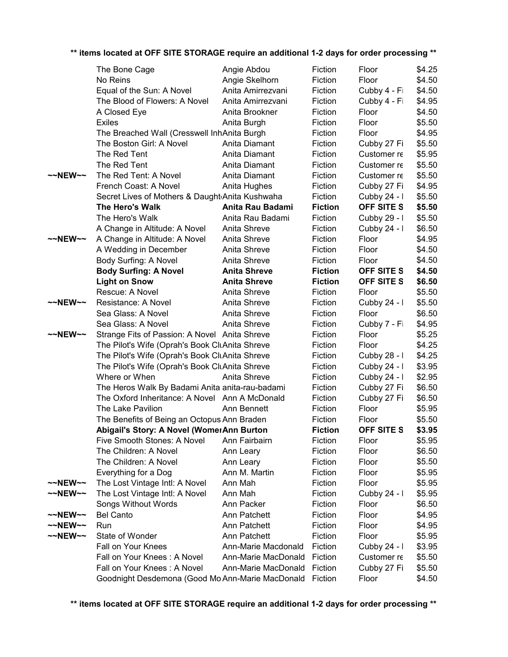|                     | The Bone Cage                                    | Angie Abdou         | Fiction        | Floor             | \$4.25 |
|---------------------|--------------------------------------------------|---------------------|----------------|-------------------|--------|
|                     | No Reins                                         | Angie Skelhorn      | Fiction        | Floor             | \$4.50 |
|                     | Equal of the Sun: A Novel                        | Anita Amirrezvani   | Fiction        | Cubby 4 - Fi      | \$4.50 |
|                     | The Blood of Flowers: A Novel                    | Anita Amirrezvani   | Fiction        | Cubby 4 - Fi      | \$4.95 |
|                     | A Closed Eye                                     | Anita Brookner      | Fiction        | Floor             | \$4.50 |
|                     | <b>Exiles</b>                                    | Anita Burgh         | Fiction        | Floor             | \$5.50 |
|                     | The Breached Wall (Cresswell InhAnita Burgh      |                     | Fiction        | Floor             | \$4.95 |
|                     | The Boston Girl: A Novel                         | Anita Diamant       | Fiction        | Cubby 27 Fi       | \$5.50 |
|                     | The Red Tent                                     | Anita Diamant       | Fiction        | Customer re       | \$5.95 |
|                     | The Red Tent                                     | Anita Diamant       | Fiction        | Customer re       | \$5.50 |
| ~~NEW~~             | The Red Tent: A Novel                            | Anita Diamant       | Fiction        | Customer re       | \$5.50 |
|                     | French Coast: A Novel                            | Anita Hughes        | Fiction        | Cubby 27 Fi       | \$4.95 |
|                     | Secret Lives of Mothers & Daught Anita Kushwaha  |                     | Fiction        | Cubby 24 - I      | \$5.50 |
|                     | The Hero's Walk                                  | Anita Rau Badami    | <b>Fiction</b> | <b>OFF SITE S</b> | \$5.50 |
|                     | The Hero's Walk                                  | Anita Rau Badami    | Fiction        | Cubby 29 - I      | \$5.50 |
|                     | A Change in Altitude: A Novel                    | Anita Shreve        | Fiction        | Cubby 24 - I      | \$6.50 |
| ~~NEW~~             | A Change in Altitude: A Novel                    | Anita Shreve        | Fiction        | Floor             | \$4.95 |
|                     | A Wedding in December                            | Anita Shreve        | Fiction        | Floor             | \$4.50 |
|                     | Body Surfing: A Novel                            | Anita Shreve        | Fiction        | Floor             | \$4.50 |
|                     | <b>Body Surfing: A Novel</b>                     | <b>Anita Shreve</b> | <b>Fiction</b> | OFF SITE S        | \$4.50 |
|                     | <b>Light on Snow</b>                             | <b>Anita Shreve</b> | <b>Fiction</b> | OFF SITE S        | \$6.50 |
|                     | Rescue: A Novel                                  | Anita Shreve        | Fiction        | Floor             | \$5.50 |
| $~\sim$ NEW $~\sim$ | Resistance: A Novel                              | Anita Shreve        | Fiction        | Cubby 24 - I      | \$5.50 |
|                     | Sea Glass: A Novel                               | Anita Shreve        | Fiction        | Floor             | \$6.50 |
|                     | Sea Glass: A Novel                               | Anita Shreve        | Fiction        | Cubby 7 - Fi      | \$4.95 |
| ~~NEW~~             | Strange Fits of Passion: A Novel Anita Shreve    |                     | Fiction        | Floor             | \$5.25 |
|                     | The Pilot's Wife (Oprah's Book CluAnita Shreve   |                     | Fiction        | Floor             | \$4.25 |
|                     | The Pilot's Wife (Oprah's Book CluAnita Shreve   |                     | Fiction        | Cubby 28 - I      | \$4.25 |
|                     | The Pilot's Wife (Oprah's Book CluAnita Shreve   |                     | Fiction        | Cubby 24 - I      | \$3.95 |
|                     | Where or When                                    | Anita Shreve        | Fiction        | Cubby 24 - I      | \$2.95 |
|                     | The Heros Walk By Badami Anita anita-rau-badami  |                     | Fiction        | Cubby 27 Fi       | \$6.50 |
|                     | The Oxford Inheritance: A Novel Ann A McDonald   |                     | Fiction        | Cubby 27 Fi       | \$6.50 |
|                     | The Lake Pavilion                                | Ann Bennett         | Fiction        | Floor             | \$5.95 |
|                     | The Benefits of Being an Octopus Ann Braden      |                     | Fiction        | Floor             | \$5.50 |
|                     | Abigail's Story: A Novel (WomerAnn Burton        |                     | <b>Fiction</b> | <b>OFF SITE S</b> | \$3.95 |
|                     | Five Smooth Stones: A Novel                      | Ann Fairbairn       | Fiction        | Floor             | \$5.95 |
|                     | The Children: A Novel                            | Ann Leary           | Fiction        | Floor             | \$6.50 |
|                     | The Children: A Novel                            | Ann Leary           | Fiction        | Floor             | \$5.50 |
|                     | Everything for a Dog                             | Ann M. Martin       | Fiction        | Floor             | \$5.95 |
| $\sim$ NEW $\sim$   | The Lost Vintage Intl: A Novel                   | Ann Mah             | Fiction        | Floor             | \$5.95 |
| $\sim$ NEW $\sim$   | The Lost Vintage Intl: A Novel                   | Ann Mah             | Fiction        | Cubby 24 - I      | \$5.95 |
|                     | Songs Without Words                              | Ann Packer          | Fiction        | Floor             | \$6.50 |
| $\sim$ NEW $\sim$   | <b>Bel Canto</b>                                 | Ann Patchett        | Fiction        | Floor             | \$4.95 |
| $\sim$ NEW $\sim$   | Run                                              | Ann Patchett        | Fiction        | Floor             | \$4.95 |
| ~~NEW~~             | State of Wonder                                  | Ann Patchett        | Fiction        | Floor             | \$5.95 |
|                     | Fall on Your Knees                               | Ann-Marie Macdonald | Fiction        | Cubby 24 - I      | \$3.95 |
|                     | Fall on Your Knees: A Novel                      | Ann-Marie MacDonald | Fiction        | Customer re       | \$5.50 |
|                     | Fall on Your Knees: A Novel                      | Ann-Marie MacDonald | Fiction        | Cubby 27 Fi       | \$5.50 |
|                     | Goodnight Desdemona (Good Mo Ann-Marie MacDonald |                     | Fiction        | Floor             | \$4.50 |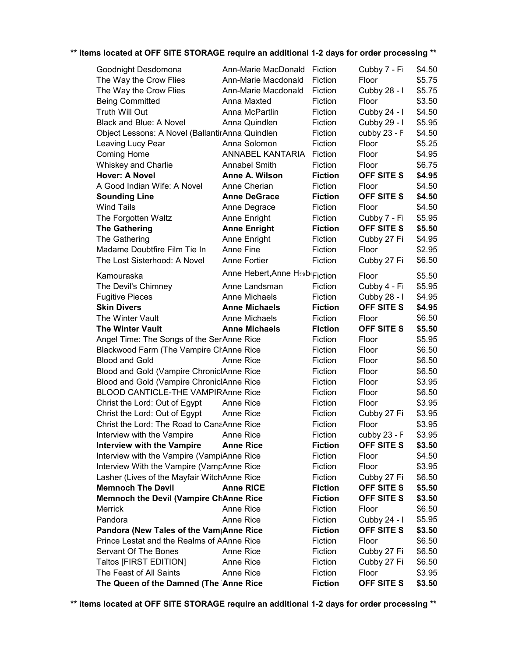| Goodnight Desdomona                             | Ann-Marie MacDonald            | Fiction        | Cubby 7 - Fi      | \$4.50 |
|-------------------------------------------------|--------------------------------|----------------|-------------------|--------|
| The Way the Crow Flies                          | Ann-Marie Macdonald            | Fiction        | Floor             | \$5.75 |
| The Way the Crow Flies                          | Ann-Marie Macdonald            | Fiction        | Cubby 28 - I      | \$5.75 |
| <b>Being Committed</b>                          | Anna Maxted                    | Fiction        | Floor             | \$3.50 |
| Truth Will Out                                  | Anna McPartlin                 | Fiction        | Cubby 24 - I      | \$4.50 |
| Black and Blue: A Novel                         | Anna Quindlen                  | Fiction        | Cubby 29 - I      | \$5.95 |
| Object Lessons: A Novel (BallantirAnna Quindlen |                                | Fiction        | cubby 23 - F      | \$4.50 |
| Leaving Lucy Pear                               | Anna Solomon                   | Fiction        | Floor             | \$5.25 |
| Coming Home                                     | ANNABEL KANTARIA               | Fiction        | Floor             | \$4.95 |
| <b>Whiskey and Charlie</b>                      | <b>Annabel Smith</b>           | Fiction        | Floor             | \$6.75 |
| <b>Hover: A Novel</b>                           | Anne A. Wilson                 | <b>Fiction</b> | <b>OFF SITE S</b> | \$4.95 |
| A Good Indian Wife: A Novel                     | Anne Cherian                   | Fiction        | Floor             | \$4.50 |
| <b>Sounding Line</b>                            | <b>Anne DeGrace</b>            | <b>Fiction</b> | <b>OFF SITE S</b> | \$4.50 |
| <b>Wind Tails</b>                               | Anne Degrace                   | Fiction        | Floor             | \$4.50 |
| The Forgotten Waltz                             | Anne Enright                   | Fiction        | Cubby 7 - Fi      | \$5.95 |
| <b>The Gathering</b>                            | <b>Anne Enright</b>            | <b>Fiction</b> | OFF SITE S        | \$5.50 |
| The Gathering                                   | Anne Enright                   | Fiction        | Cubby 27 Fi       | \$4.95 |
| Madame Doubtfire Film Tie In                    | Anne Fine                      | Fiction        | Floor             | \$2.95 |
| The Lost Sisterhood: A Novel                    | Anne Fortier                   | Fiction        | Cubby 27 Fi       | \$6.50 |
|                                                 |                                |                |                   |        |
| Kamouraska                                      | Anne Hebert, Anne H5ab(Fiction |                | Floor             | \$5.50 |
| The Devil's Chimney                             | Anne Landsman                  | Fiction        | Cubby 4 - Fi      | \$5.95 |
| <b>Fugitive Pieces</b>                          | <b>Anne Michaels</b>           | Fiction        | Cubby 28 - I      | \$4.95 |
| <b>Skin Divers</b>                              | <b>Anne Michaels</b>           | <b>Fiction</b> | <b>OFF SITE S</b> | \$4.95 |
| The Winter Vault                                | Anne Michaels                  | Fiction        | Floor             | \$6.50 |
| <b>The Winter Vault</b>                         | <b>Anne Michaels</b>           | <b>Fiction</b> | <b>OFF SITE S</b> | \$5.50 |
| Angel Time: The Songs of the SerAnne Rice       |                                | Fiction        | Floor             | \$5.95 |
| Blackwood Farm (The Vampire CrAnne Rice         |                                | Fiction        | Floor             | \$6.50 |
| <b>Blood and Gold</b>                           | Anne Rice                      | Fiction        | Floor             | \$6.50 |
| Blood and Gold (Vampire ChroniclAnne Rice       |                                | Fiction        | Floor             | \$6.50 |
| Blood and Gold (Vampire ChroniclAnne Rice       |                                | Fiction        | Floor             | \$3.95 |
| <b>BLOOD CANTICLE-THE VAMPIRAnne Rice</b>       |                                | Fiction        | Floor             | \$6.50 |
| Christ the Lord: Out of Egypt                   | Anne Rice                      | Fiction        | Floor             | \$3.95 |
| Christ the Lord: Out of Egypt                   | Anne Rice                      | Fiction        | Cubby 27 Fi       | \$3.95 |
| Christ the Lord: The Road to CanaAnne Rice      |                                | Fiction        | Floor             | \$3.95 |
| Interview with the Vampire                      | Anne Rice                      | Fiction        | cubby 23 - F      | \$3.95 |
| <b>Interview with the Vampire</b>               | <b>Anne Rice</b>               | <b>Fiction</b> | <b>OFF SITE S</b> | \$3.50 |
| Interview with the Vampire (VampiAnne Rice      |                                | Fiction        | Floor             | \$4.50 |
| Interview With the Vampire (VampAnne Rice       |                                | Fiction        | Floor             | \$3.95 |
| Lasher (Lives of the Mayfair WitchAnne Rice     |                                | Fiction        | Cubby 27 Fi       | \$6.50 |
| <b>Memnoch The Devil</b>                        | <b>Anne RICE</b>               | <b>Fiction</b> | <b>OFF SITE S</b> | \$5.50 |
| <b>Memnoch the Devil (Vampire ChAnne Rice</b>   |                                | <b>Fiction</b> | <b>OFF SITE S</b> | \$3.50 |
| Merrick                                         | Anne Rice                      | Fiction        | Floor             | \$6.50 |
| Pandora                                         | Anne Rice                      | Fiction        | Cubby 24 - I      | \$5.95 |
| Pandora (New Tales of the Vam Anne Rice         |                                | <b>Fiction</b> | OFF SITE S        | \$3.50 |
| Prince Lestat and the Realms of AAnne Rice      |                                | Fiction        | Floor             | \$6.50 |
| Servant Of The Bones                            | Anne Rice                      | Fiction        | Cubby 27 Fi       | \$6.50 |
| Taltos [FIRST EDITION]                          | Anne Rice                      | Fiction        | Cubby 27 Fi       | \$6.50 |
| The Feast of All Saints                         | Anne Rice                      | Fiction        | Floor             | \$3.95 |
| The Queen of the Damned (The Anne Rice          |                                | <b>Fiction</b> | OFF SITE S        | \$3.50 |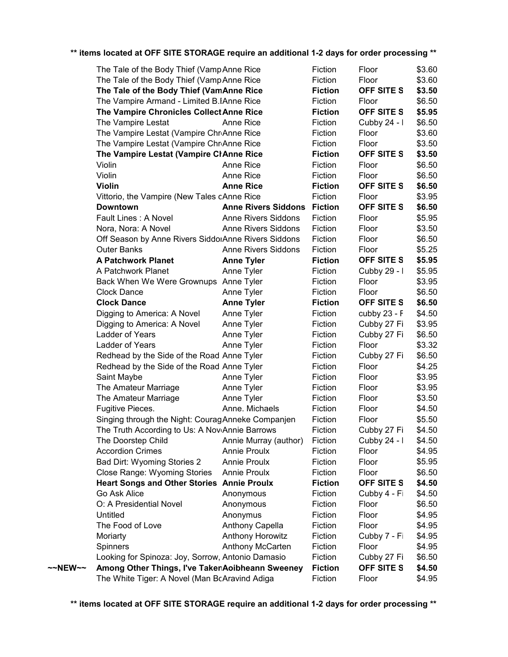|         | The Tale of the Body Thief (Vamp Anne Rice          |                            | Fiction        | Floor        | \$3.60 |
|---------|-----------------------------------------------------|----------------------------|----------------|--------------|--------|
|         | The Tale of the Body Thief (Vamp Anne Rice          |                            | Fiction        | Floor        | \$3.60 |
|         | The Tale of the Body Thief (VamAnne Rice            |                            | <b>Fiction</b> | OFF SITE S   | \$3.50 |
|         | The Vampire Armand - Limited B.IAnne Rice           |                            | Fiction        | Floor        | \$6.50 |
|         | The Vampire Chronicles Collect Anne Rice            |                            | <b>Fiction</b> | OFF SITE S   | \$5.95 |
|         | The Vampire Lestat                                  | Anne Rice                  | Fiction        | Cubby 24 - I | \$6.50 |
|         | The Vampire Lestat (Vampire ChriAnne Rice           |                            | Fiction        | Floor        | \$3.60 |
|         | The Vampire Lestat (Vampire ChriAnne Rice           |                            | Fiction        | Floor        | \$3.50 |
|         | The Vampire Lestat (Vampire ClAnne Rice             |                            | <b>Fiction</b> | OFF SITE S   | \$3.50 |
|         | Violin                                              | Anne Rice                  | Fiction        | Floor        | \$6.50 |
|         | Violin                                              | Anne Rice                  | Fiction        | Floor        | \$6.50 |
|         | <b>Violin</b>                                       | <b>Anne Rice</b>           | <b>Fiction</b> | OFF SITE S   | \$6.50 |
|         | Vittorio, the Vampire (New Tales cAnne Rice         |                            | Fiction        | Floor        | \$3.95 |
|         | <b>Downtown</b>                                     | <b>Anne Rivers Siddons</b> | <b>Fiction</b> | OFF SITE S   | \$6.50 |
|         | Fault Lines: A Novel                                | <b>Anne Rivers Siddons</b> | Fiction        | Floor        | \$5.95 |
|         | Nora, Nora: A Novel                                 | <b>Anne Rivers Siddons</b> | Fiction        | Floor        | \$3.50 |
|         | Off Season by Anne Rivers SiddorAnne Rivers Siddons |                            | Fiction        | Floor        | \$6.50 |
|         | <b>Outer Banks</b>                                  | <b>Anne Rivers Siddons</b> | Fiction        | Floor        | \$5.25 |
|         | <b>A Patchwork Planet</b>                           | <b>Anne Tyler</b>          | <b>Fiction</b> | OFF SITE S   | \$5.95 |
|         | A Patchwork Planet                                  | Anne Tyler                 | Fiction        | Cubby 29 - I | \$5.95 |
|         | Back When We Were Grownups Anne Tyler               |                            | Fiction        | Floor        | \$3.95 |
|         | <b>Clock Dance</b>                                  | Anne Tyler                 | Fiction        | Floor        | \$6.50 |
|         | <b>Clock Dance</b>                                  | <b>Anne Tyler</b>          | <b>Fiction</b> | OFF SITE S   | \$6.50 |
|         | Digging to America: A Novel                         | Anne Tyler                 | Fiction        | cubby 23 - F | \$4.50 |
|         | Digging to America: A Novel                         | Anne Tyler                 | Fiction        | Cubby 27 Fi  | \$3.95 |
|         | Ladder of Years                                     | Anne Tyler                 | Fiction        | Cubby 27 Fi  | \$6.50 |
|         | Ladder of Years                                     | Anne Tyler                 | Fiction        | Floor        | \$3.32 |
|         | Redhead by the Side of the Road Anne Tyler          |                            | Fiction        | Cubby 27 Fi  | \$6.50 |
|         | Redhead by the Side of the Road Anne Tyler          |                            | Fiction        | Floor        | \$4.25 |
|         | Saint Maybe                                         | Anne Tyler                 | Fiction        | Floor        | \$3.95 |
|         | The Amateur Marriage                                | Anne Tyler                 | Fiction        | Floor        | \$3.95 |
|         | The Amateur Marriage                                | Anne Tyler                 | Fiction        | Floor        | \$3.50 |
|         | Fugitive Pieces.                                    | Anne. Michaels             | Fiction        | Floor        | \$4.50 |
|         | Singing through the Night: Courag Anneke Companjen  |                            | Fiction        | Floor        | \$5.50 |
|         | The Truth According to Us: A NoviAnnie Barrows      |                            | Fiction        | Cubby 27 Fi  | \$4.50 |
|         | The Doorstep Child                                  | Annie Murray (author)      | Fiction        | Cubby 24 - I | \$4.50 |
|         | <b>Accordion Crimes</b>                             | <b>Annie Proulx</b>        | Fiction        | Floor        | \$4.95 |
|         | Bad Dirt: Wyoming Stories 2                         | <b>Annie Proulx</b>        | Fiction        | Floor        | \$5.95 |
|         | <b>Close Range: Wyoming Stories</b>                 | Annie Proulx               | Fiction        | Floor        | \$6.50 |
|         | <b>Heart Songs and Other Stories Annie Proulx</b>   |                            | <b>Fiction</b> | OFF SITE S   | \$4.50 |
|         | Go Ask Alice                                        | Anonymous                  | Fiction        | Cubby 4 - Fi | \$4.50 |
|         | O: A Presidential Novel                             | Anonymous                  | Fiction        | Floor        | \$6.50 |
|         | Untitled                                            | Anonymus                   | Fiction        | Floor        | \$4.95 |
|         | The Food of Love                                    | Anthony Capella            | Fiction        | Floor        | \$4.95 |
|         | Moriarty                                            | Anthony Horowitz           | Fiction        | Cubby 7 - Fi | \$4.95 |
|         | Spinners                                            | Anthony McCarten           | Fiction        | Floor        | \$4.95 |
|         | Looking for Spinoza: Joy, Sorrow, Antonio Damasio   |                            | Fiction        | Cubby 27 Fi  | \$6.50 |
| ~~NEW~~ | Among Other Things, I've TakenAoibheann Sweeney     |                            | <b>Fiction</b> | OFF SITE S   | \$4.50 |
|         | The White Tiger: A Novel (Man BcAravind Adiga       |                            | Fiction        | Floor        | \$4.95 |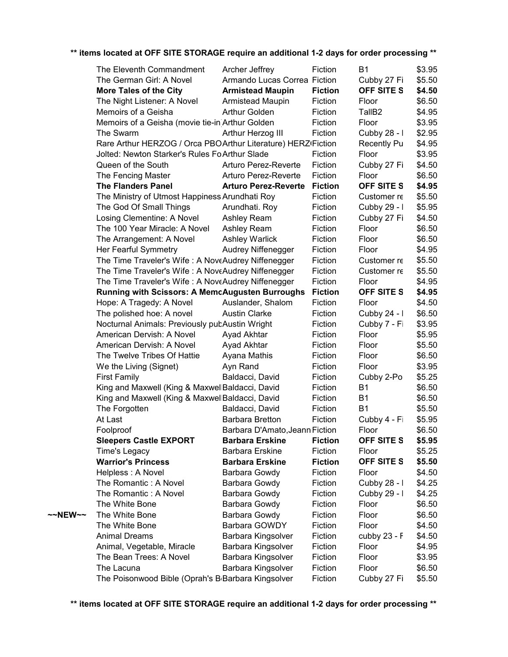|         | The Eleventh Commandment                                        | Archer Jeffrey                 | Fiction                   | <b>B1</b>          | \$3.95 |
|---------|-----------------------------------------------------------------|--------------------------------|---------------------------|--------------------|--------|
|         | The German Girl: A Novel                                        | Armando Lucas Correa Fiction   |                           | Cubby 27 Fi        | \$5.50 |
|         | <b>More Tales of the City</b>                                   | <b>Armistead Maupin</b>        | <b>Fiction</b>            | <b>OFF SITE S</b>  | \$4.50 |
|         | The Night Listener: A Novel                                     | Armistead Maupin               | Fiction                   | Floor              | \$6.50 |
|         | Memoirs of a Geisha                                             | Arthur Golden                  | Fiction                   | TallB <sub>2</sub> | \$4.95 |
|         | Memoirs of a Geisha (movie tie-in)Arthur Golden                 |                                | Fiction                   | Floor              | \$3.95 |
|         | The Swarm                                                       | Arthur Herzog III              | Fiction                   | Cubby 28 - I       | \$2.95 |
|         | Rare Arthur HERZOG / Orca PBOArthur Literature) HERZ Fiction    |                                |                           | <b>Recently Pu</b> | \$4.95 |
|         | Jolted: Newton Starker's Rules Fo Arthur Slade                  |                                | Fiction                   | Floor              | \$3.95 |
|         | Queen of the South                                              | Arturo Perez-Reverte           | Fiction                   | Cubby 27 Fi        | \$4.50 |
|         | The Fencing Master                                              | Arturo Perez-Reverte           | Fiction                   | Floor              | \$6.50 |
|         | <b>The Flanders Panel</b>                                       | <b>Arturo Perez-Reverte</b>    | <b>Fiction</b>            | <b>OFF SITE S</b>  | \$4.95 |
|         | The Ministry of Utmost Happiness Arundhati Roy                  |                                | Fiction                   | Customer re        | \$5.50 |
|         | The God Of Small Things                                         | Arundhati. Roy                 | Fiction                   | Cubby 29 - I       | \$5.95 |
|         | Losing Clementine: A Novel                                      | Ashley Ream                    | Fiction                   | Cubby 27 Fi        | \$4.50 |
|         | The 100 Year Miracle: A Novel                                   | Ashley Ream                    | Fiction                   | Floor              | \$6.50 |
|         | The Arrangement: A Novel                                        | <b>Ashley Warlick</b>          | Fiction                   | Floor              | \$6.50 |
|         | Her Fearful Symmetry                                            | Audrey Niffenegger             | Fiction                   | Floor              | \$4.95 |
|         | The Time Traveler's Wife: A NoveAudrey Niffenegger              |                                | Fiction                   | Customer re        | \$5.50 |
|         | The Time Traveler's Wife: A NoveAudrey Niffenegger              |                                | Fiction                   | Customer re        | \$5.50 |
|         | The Time Traveler's Wife: A NoveAudrey Niffenegger              |                                | Fiction                   | Floor              | \$4.95 |
|         | <b>Running with Scissors: A MemcAugusten Burroughs</b>          |                                | <b>Fiction</b>            | <b>OFF SITE S</b>  | \$4.95 |
|         | Hope: A Tragedy: A Novel                                        | Auslander, Shalom              | Fiction                   | Floor              | \$4.50 |
|         | The polished hoe: A novel                                       | <b>Austin Clarke</b>           | Fiction                   | Cubby 24 - I       | \$6.50 |
|         | Nocturnal Animals: Previously pubAustin Wright                  |                                | Fiction                   | Cubby 7 - Fi       | \$3.95 |
|         | American Dervish: A Novel                                       | Ayad Akhtar                    | Fiction                   | Floor              | \$5.95 |
|         | American Dervish: A Novel                                       | Ayad Akhtar                    | Fiction                   | Floor              | \$5.50 |
|         | The Twelve Tribes Of Hattie                                     |                                | Fiction                   | Floor              | \$6.50 |
|         |                                                                 | Ayana Mathis                   | Fiction                   | Floor              | \$3.95 |
|         | We the Living (Signet)                                          | Ayn Rand<br>Baldacci, David    | Fiction                   |                    | \$5.25 |
|         | <b>First Family</b>                                             |                                | Fiction                   | Cubby 2-Po         | \$6.50 |
|         | King and Maxwell (King & MaxwellBaldacci, David                 |                                |                           | B1<br><b>B1</b>    | \$6.50 |
|         | King and Maxwell (King & MaxwellBaldacci, David                 |                                | Fiction<br>Fiction        | <b>B1</b>          | \$5.50 |
|         | The Forgotten                                                   | Baldacci, David                |                           |                    |        |
|         | At Last                                                         | <b>Barbara Bretton</b>         | Fiction                   | Cubby 4 - Fi       | \$5.95 |
|         | Foolproof                                                       | Barbara D'Amato, Jeann Fiction |                           | Floor              | \$6.50 |
|         | <b>Sleepers Castle EXPORT</b>                                   | <b>Barbara Erskine</b>         | <b>Fiction</b><br>Fiction | <b>OFF SITE S</b>  | \$5.95 |
|         | Time's Legacy                                                   | <b>Barbara Erskine</b>         |                           | Floor              | \$5.25 |
|         | <b>Warrior's Princess</b>                                       | <b>Barbara Erskine</b>         | <b>Fiction</b>            | OFF SITE S         | \$5.50 |
|         | Helpless: A Novel                                               | Barbara Gowdy                  | Fiction                   | Floor              | \$4.50 |
|         | The Romantic: A Novel                                           | Barbara Gowdy                  | Fiction                   | Cubby 28 - I       | \$4.25 |
|         | The Romantic: A Novel                                           | Barbara Gowdy                  | Fiction                   | Cubby 29 - I       | \$4.25 |
|         | The White Bone                                                  | Barbara Gowdy                  | Fiction                   | Floor              | \$6.50 |
| ~~NEW~~ | The White Bone                                                  | Barbara Gowdy                  | Fiction                   | Floor              | \$6.50 |
|         | The White Bone                                                  | Barbara GOWDY                  | Fiction                   | Floor              | \$4.50 |
|         | <b>Animal Dreams</b>                                            | Barbara Kingsolver             | Fiction                   | cubby 23 - F       | \$4.50 |
|         | Animal, Vegetable, Miracle                                      | Barbara Kingsolver             | Fiction                   | Floor              | \$4.95 |
|         | The Bean Trees: A Novel                                         | Barbara Kingsolver             | Fiction                   | Floor              | \$3.95 |
|         | The Lacuna                                                      | Barbara Kingsolver             | Fiction                   | Floor              | \$6.50 |
|         | The Poisonwood Bible (Oprah's B <sub>'</sub> Barbara Kingsolver |                                | Fiction                   | Cubby 27 Fi        | \$5.50 |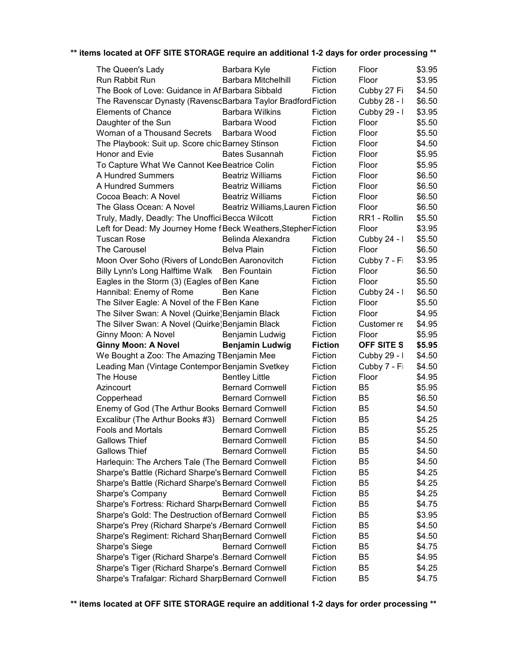| The Queen's Lady                                                | Barbara Kyle                     | Fiction        | Floor          | \$3.95 |
|-----------------------------------------------------------------|----------------------------------|----------------|----------------|--------|
| Run Rabbit Run                                                  | <b>Barbara Mitchelhill</b>       | Fiction        | Floor          | \$3.95 |
| The Book of Love: Guidance in AfBarbara Sibbald                 |                                  | Fiction        | Cubby 27 Fi    | \$4.50 |
| The Ravenscar Dynasty (RavenscBarbara Taylor Bradford Fiction   |                                  |                | Cubby 28 - I   | \$6.50 |
| <b>Elements of Chance</b>                                       | <b>Barbara Wilkins</b>           | Fiction        | Cubby 29 - I   | \$3.95 |
| Daughter of the Sun                                             | Barbara Wood                     | Fiction        | Floor          | \$5.50 |
| Woman of a Thousand Secrets                                     | Barbara Wood                     | Fiction        | Floor          | \$5.50 |
| The Playbook: Suit up. Score chic Barney Stinson                |                                  | Fiction        | Floor          | \$4.50 |
| Honor and Evie                                                  | <b>Bates Susannah</b>            | Fiction        | Floor          | \$5.95 |
| To Capture What We Cannot Kee Beatrice Colin                    |                                  | Fiction        | Floor          | \$5.95 |
| A Hundred Summers                                               | <b>Beatriz Williams</b>          | Fiction        | Floor          | \$6.50 |
| A Hundred Summers                                               | <b>Beatriz Williams</b>          | Fiction        | Floor          | \$6.50 |
| Cocoa Beach: A Novel                                            | <b>Beatriz Williams</b>          | Fiction        | Floor          | \$6.50 |
| The Glass Ocean: A Novel                                        | Beatriz Williams, Lauren Fiction |                | Floor          | \$6.50 |
| Truly, Madly, Deadly: The Unoffici Becca Wilcott                |                                  | Fiction        | RR1 - Rollin   | \$5.50 |
| Left for Dead: My Journey Home f Beck Weathers, Stephen Fiction |                                  |                | Floor          | \$3.95 |
| <b>Tuscan Rose</b>                                              | Belinda Alexandra                | Fiction        | Cubby 24 - I   | \$5.50 |
| The Carousel                                                    | Belva Plain                      | Fiction        | Floor          | \$6.50 |
| Moon Over Soho (Rivers of LondoBen Aaronovitch                  |                                  | Fiction        | Cubby 7 - Fi   | \$3.95 |
| Billy Lynn's Long Halftime Walk Ben Fountain                    |                                  | Fiction        | Floor          | \$6.50 |
| Eagles in the Storm (3) (Eagles of Ben Kane                     |                                  | Fiction        | Floor          | \$5.50 |
| Hannibal: Enemy of Rome                                         | Ben Kane                         | Fiction        | Cubby $24 - 1$ | \$6.50 |
| The Silver Eagle: A Novel of the F Ben Kane                     |                                  | Fiction        | Floor          | \$5.50 |
| The Silver Swan: A Novel (Quirke) Benjamin Black                |                                  | Fiction        | Floor          | \$4.95 |
| The Silver Swan: A Novel (Quirke) Benjamin Black                |                                  | Fiction        | Customer re    | \$4.95 |
| Ginny Moon: A Novel                                             | Benjamin Ludwig                  | Fiction        | Floor          | \$5.95 |
| <b>Ginny Moon: A Novel</b>                                      | <b>Benjamin Ludwig</b>           | <b>Fiction</b> | OFF SITE S     | \$5.95 |
| We Bought a Zoo: The Amazing TBenjamin Mee                      |                                  | Fiction        | Cubby 29 - I   | \$4.50 |
| Leading Man (Vintage Contempor Benjamin Svetkey                 |                                  | Fiction        | Cubby 7 - Fi   | \$4.50 |
| The House                                                       | <b>Bentley Little</b>            | Fiction        | Floor          | \$4.95 |
| Azincourt                                                       | <b>Bernard Cornwell</b>          | Fiction        | B <sub>5</sub> | \$5.95 |
| Copperhead                                                      | <b>Bernard Cornwell</b>          | Fiction        | B <sub>5</sub> | \$6.50 |
| Enemy of God (The Arthur Books Bernard Cornwell                 |                                  | Fiction        | B <sub>5</sub> | \$4.50 |
| Excalibur (The Arthur Books #3) Bernard Cornwell                |                                  | Fiction        | B <sub>5</sub> | \$4.25 |
| <b>Fools and Mortals</b>                                        | <b>Bernard Cornwell</b>          | Fiction        | B <sub>5</sub> | \$5.25 |
| <b>Gallows Thief</b>                                            | <b>Bernard Cornwell</b>          | Fiction        | B <sub>5</sub> | \$4.50 |
| <b>Gallows Thief</b>                                            | <b>Bernard Cornwell</b>          | Fiction        | B <sub>5</sub> | \$4.50 |
| Harlequin: The Archers Tale (The Bernard Cornwell               |                                  | Fiction        | B <sub>5</sub> | \$4.50 |
| Sharpe's Battle (Richard Sharpe's Bernard Cornwell              |                                  | Fiction        | B <sub>5</sub> | \$4.25 |
| Sharpe's Battle (Richard Sharpe's Bernard Cornwell              |                                  | Fiction        | B <sub>5</sub> | \$4.25 |
| Sharpe's Company                                                | <b>Bernard Cornwell</b>          | Fiction        | B <sub>5</sub> | \$4.25 |
| Sharpe's Fortress: Richard Sharp & Bernard Cornwell             |                                  | Fiction        | B <sub>5</sub> | \$4.75 |
| Sharpe's Gold: The Destruction of Bernard Cornwell              |                                  | Fiction        | B <sub>5</sub> | \$3.95 |
| Sharpe's Prey (Richard Sharpe's /Bernard Cornwell               |                                  | Fiction        | B <sub>5</sub> | \$4.50 |
| Sharpe's Regiment: Richard ShartBernard Cornwell                |                                  | Fiction        | B <sub>5</sub> | \$4.50 |
| <b>Sharpe's Siege</b>                                           | <b>Bernard Cornwell</b>          | Fiction        | B <sub>5</sub> | \$4.75 |
| Sharpe's Tiger (Richard Sharpe's Bernard Cornwell               |                                  | Fiction        | B <sub>5</sub> | \$4.95 |
| Sharpe's Tiger (Richard Sharpe's Bernard Cornwell               |                                  | Fiction        | B <sub>5</sub> | \$4.25 |
| Sharpe's Trafalgar: Richard SharpBernard Cornwell               |                                  | Fiction        | B <sub>5</sub> | \$4.75 |
|                                                                 |                                  |                |                |        |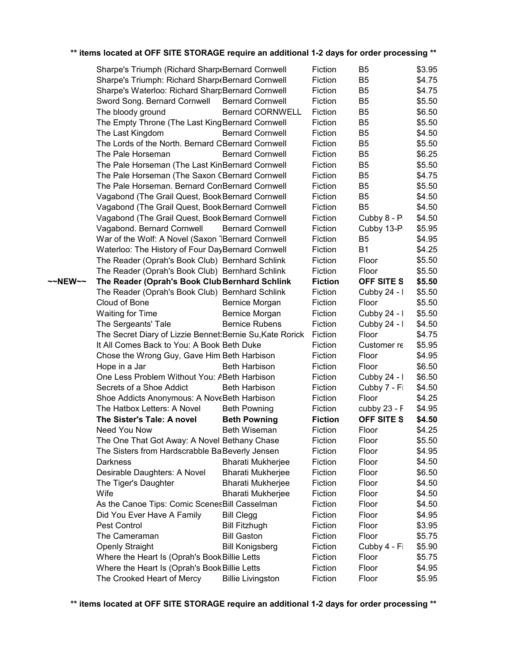| ** items located at OFF SITE STORAGE require an additional 1-2 days for order processing ** |  |  |  |  |
|---------------------------------------------------------------------------------------------|--|--|--|--|
|---------------------------------------------------------------------------------------------|--|--|--|--|

|         | Sharpe's Triumph (Richard Sharp(Bernard Cornwell          |                          | Fiction        | B <sub>5</sub>    | \$3.95 |
|---------|-----------------------------------------------------------|--------------------------|----------------|-------------------|--------|
|         | Sharpe's Triumph: Richard Sharp(Bernard Cornwell          |                          | Fiction        | B <sub>5</sub>    | \$4.75 |
|         | Sharpe's Waterloo: Richard SharpBernard Cornwell          |                          | Fiction        | B <sub>5</sub>    | \$4.75 |
|         | Sword Song. Bernard Cornwell                              | <b>Bernard Cornwell</b>  | Fiction        | B <sub>5</sub>    | \$5.50 |
|         | The bloody ground                                         | <b>Bernard CORNWELL</b>  | Fiction        | B <sub>5</sub>    | \$6.50 |
|         | The Empty Throne (The Last King Bernard Cornwell          |                          | Fiction        | B <sub>5</sub>    | \$5.50 |
|         | The Last Kingdom                                          | <b>Bernard Cornwell</b>  | Fiction        | B <sub>5</sub>    | \$4.50 |
|         | The Lords of the North. Bernard CBernard Cornwell         |                          | Fiction        | B <sub>5</sub>    | \$5.50 |
|         | The Pale Horseman                                         | <b>Bernard Cornwell</b>  | Fiction        | B <sub>5</sub>    | \$6.25 |
|         | The Pale Horseman (The Last KinBernard Cornwell           |                          | Fiction        | B <sub>5</sub>    | \$5.50 |
|         | The Pale Horseman (The Saxon CBernard Cornwell            |                          | Fiction        | B <sub>5</sub>    | \$4.75 |
|         | The Pale Horseman. Bernard CoriBernard Cornwell           |                          | Fiction        | B <sub>5</sub>    | \$5.50 |
|         | Vagabond (The Grail Quest, Book Bernard Cornwell          |                          | Fiction        | B <sub>5</sub>    | \$4.50 |
|         | Vagabond (The Grail Quest, Book Bernard Cornwell          |                          | Fiction        | B <sub>5</sub>    | \$4.50 |
|         | Vagabond (The Grail Quest, Book Bernard Cornwell          |                          | Fiction        | Cubby 8 - P       | \$4.50 |
|         | Vagabond. Bernard Cornwell                                | <b>Bernard Cornwell</b>  | Fiction        | Cubby 13-P        | \$5.95 |
|         | War of the Wolf: A Novel (Saxon 1Bernard Cornwell         |                          | Fiction        | B <sub>5</sub>    | \$4.95 |
|         | Waterloo: The History of Four DayBernard Cornwell         |                          | Fiction        | <b>B1</b>         | \$4.25 |
|         | The Reader (Oprah's Book Club) Bernhard Schlink           |                          | Fiction        | Floor             | \$5.50 |
|         | The Reader (Oprah's Book Club) Bernhard Schlink           |                          | Fiction        | Floor             | \$5.50 |
| ~~NEW~~ | The Reader (Oprah's Book Club Bernhard Schlink            |                          | <b>Fiction</b> | OFF SITE S        | \$5.50 |
|         | The Reader (Oprah's Book Club) Bernhard Schlink           |                          | Fiction        | Cubby 24 - I      | \$5.50 |
|         | Cloud of Bone                                             | Bernice Morgan           | Fiction        | Floor             | \$5.50 |
|         | <b>Waiting for Time</b>                                   | Bernice Morgan           | Fiction        | Cubby 24 - I      | \$5.50 |
|         | The Sergeants' Tale                                       | <b>Bernice Rubens</b>    | Fiction        | Cubby 24 - I      | \$4.50 |
|         | The Secret Diary of Lizzie Bennet: Bernie Su, Kate Rorick |                          | Fiction        | Floor             | \$4.75 |
|         | It All Comes Back to You: A Book Beth Duke                |                          | Fiction        | Customer re       | \$5.95 |
|         | Chose the Wrong Guy, Gave Him Beth Harbison               |                          | Fiction        | Floor             | \$4.95 |
|         | Hope in a Jar                                             | <b>Beth Harbison</b>     | Fiction        | Floor             | \$6.50 |
|         | One Less Problem Without You: ABeth Harbison              |                          | Fiction        | Cubby 24 - I      | \$6.50 |
|         | Secrets of a Shoe Addict                                  | <b>Beth Harbison</b>     | Fiction        | Cubby 7 - Fi      | \$4.50 |
|         | Shoe Addicts Anonymous: A NoveBeth Harbison               |                          | Fiction        | Floor             | \$4.25 |
|         | The Hatbox Letters: A Novel                               | <b>Beth Powning</b>      | Fiction        | cubby 23 - F      | \$4.95 |
|         | The Sister's Tale: A novel                                | <b>Beth Powning</b>      | <b>Fiction</b> | <b>OFF SITE S</b> | \$4.50 |
|         | Need You Now                                              | <b>Beth Wiseman</b>      | Fiction        | Floor             | \$4.25 |
|         | The One That Got Away: A Novel Bethany Chase              |                          | Fiction        | Floor             | \$5.50 |
|         | The Sisters from Hardscrabble BaBeverly Jensen            |                          | Fiction        | Floor             | \$4.95 |
|         | <b>Darkness</b>                                           | <b>Bharati Mukherjee</b> | Fiction        | Floor             | \$4.50 |
|         | Desirable Daughters: A Novel                              | <b>Bharati Mukherjee</b> | Fiction        | Floor             | \$6.50 |
|         | The Tiger's Daughter                                      | <b>Bharati Mukherjee</b> | Fiction        | Floor             | \$4.50 |
|         | Wife                                                      | <b>Bharati Mukherjee</b> | Fiction        | Floor             | \$4.50 |
|         | As the Canoe Tips: Comic ScenesBill Casselman             |                          | Fiction        | Floor             | \$4.50 |
|         | Did You Ever Have A Family                                | <b>Bill Clegg</b>        | Fiction        | Floor             | \$4.95 |
|         | Pest Control                                              | <b>Bill Fitzhugh</b>     | Fiction        | Floor             | \$3.95 |
|         | The Cameraman                                             | <b>Bill Gaston</b>       | Fiction        | Floor             | \$5.75 |
|         |                                                           |                          |                | Cubby 4 - Fi      | \$5.90 |
|         | <b>Openly Straight</b>                                    | <b>Bill Konigsberg</b>   | Fiction        |                   |        |
|         | Where the Heart Is (Oprah's Book Billie Letts             |                          | Fiction        | Floor             | \$5.75 |
|         | Where the Heart Is (Oprah's Book Billie Letts             |                          | Fiction        | Floor             | \$4.95 |
|         | The Crooked Heart of Mercy                                | <b>Billie Livingston</b> | Fiction        | Floor             | \$5.95 |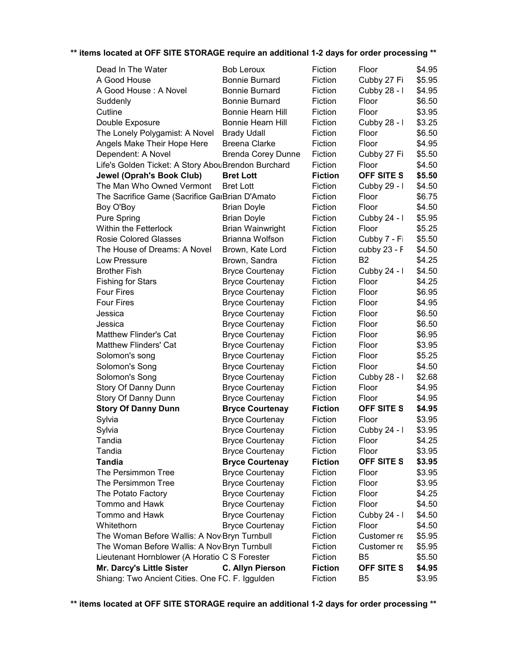| Dead In The Water                                       | <b>Bob Leroux</b>         | Fiction        | Floor          | \$4.95 |
|---------------------------------------------------------|---------------------------|----------------|----------------|--------|
| A Good House                                            | <b>Bonnie Burnard</b>     | Fiction        | Cubby 27 Fi    | \$5.95 |
| A Good House: A Novel                                   | <b>Bonnie Burnard</b>     | Fiction        | Cubby 28 - I   | \$4.95 |
| Suddenly                                                | <b>Bonnie Burnard</b>     | Fiction        | Floor          | \$6.50 |
| Cutline                                                 | Bonnie Hearn Hill         | Fiction        | Floor          | \$3.95 |
| Double Exposure                                         | Bonnie Hearn Hill         | Fiction        | Cubby 28 - I   | \$3.25 |
| The Lonely Polygamist: A Novel                          | <b>Brady Udall</b>        | Fiction        | Floor          | \$6.50 |
| Angels Make Their Hope Here                             | <b>Breena Clarke</b>      | Fiction        | Floor          | \$4.95 |
| Dependent: A Novel                                      | <b>Brenda Corey Dunne</b> | Fiction        | Cubby 27 Fi    | \$5.50 |
| Life's Golden Ticket: A Story AbouBrendon Burchard      |                           | Fiction        | Floor          | \$4.50 |
| <b>Jewel (Oprah's Book Club)</b>                        | <b>Bret Lott</b>          | <b>Fiction</b> | OFF SITE S     | \$5.50 |
| The Man Who Owned Vermont                               | <b>Bret Lott</b>          | Fiction        | Cubby 29 - I   | \$4.50 |
| The Sacrifice Game (Sacrifice GaiBrian D'Amato          |                           | Fiction        | Floor          | \$6.75 |
| Boy O'Boy                                               | <b>Brian Doyle</b>        | Fiction        | Floor          | \$4.50 |
| <b>Pure Spring</b>                                      | <b>Brian Doyle</b>        | Fiction        | Cubby 24 - I   | \$5.95 |
| <b>Within the Fetterlock</b>                            | <b>Brian Wainwright</b>   | Fiction        | Floor          | \$5.25 |
| <b>Rosie Colored Glasses</b>                            | Brianna Wolfson           | Fiction        | Cubby 7 - Fi   | \$5.50 |
| The House of Dreams: A Novel                            | Brown, Kate Lord          | Fiction        | cubby 23 - F   | \$4.50 |
| Low Pressure                                            | Brown, Sandra             | Fiction        | B <sub>2</sub> | \$4.25 |
| <b>Brother Fish</b>                                     | <b>Bryce Courtenay</b>    | Fiction        | Cubby 24 - I   | \$4.50 |
| <b>Fishing for Stars</b>                                | <b>Bryce Courtenay</b>    | Fiction        | Floor          | \$4.25 |
| <b>Four Fires</b>                                       | <b>Bryce Courtenay</b>    | Fiction        | Floor          | \$6.95 |
| <b>Four Fires</b>                                       | <b>Bryce Courtenay</b>    | Fiction        | Floor          | \$4.95 |
| Jessica                                                 | <b>Bryce Courtenay</b>    | Fiction        | Floor          | \$6.50 |
| Jessica                                                 | <b>Bryce Courtenay</b>    | Fiction        | Floor          | \$6.50 |
| <b>Matthew Flinder's Cat</b>                            | <b>Bryce Courtenay</b>    | Fiction        | Floor          | \$6.95 |
| <b>Matthew Flinders' Cat</b>                            | <b>Bryce Courtenay</b>    | Fiction        | Floor          | \$3.95 |
| Solomon's song                                          | <b>Bryce Courtenay</b>    | Fiction        | Floor          | \$5.25 |
| Solomon's Song                                          | <b>Bryce Courtenay</b>    | Fiction        | Floor          | \$4.50 |
| Solomon's Song                                          | <b>Bryce Courtenay</b>    | Fiction        | Cubby 28 - I   | \$2.68 |
| Story Of Danny Dunn                                     | <b>Bryce Courtenay</b>    | Fiction        | Floor          | \$4.95 |
| Story Of Danny Dunn                                     | <b>Bryce Courtenay</b>    | Fiction        | Floor          | \$4.95 |
| <b>Story Of Danny Dunn</b>                              | <b>Bryce Courtenay</b>    | <b>Fiction</b> | OFF SITE S     | \$4.95 |
| Sylvia                                                  | <b>Bryce Courtenay</b>    | Fiction        | Floor          | \$3.95 |
| Sylvia                                                  | <b>Bryce Courtenay</b>    | Fiction        | Cubby 24 - I   | \$3.95 |
| Tandia                                                  | <b>Bryce Courtenay</b>    | Fiction        | Floor          | \$4.25 |
| Tandia                                                  | <b>Bryce Courtenay</b>    | Fiction        | Floor          | \$3.95 |
| <b>Tandia</b>                                           | <b>Bryce Courtenay</b>    | <b>Fiction</b> | OFF SITE S     | \$3.95 |
| The Persimmon Tree                                      | <b>Bryce Courtenay</b>    | Fiction        | Floor          | \$3.95 |
| The Persimmon Tree                                      | <b>Bryce Courtenay</b>    | Fiction        | Floor          | \$3.95 |
| The Potato Factory                                      | <b>Bryce Courtenay</b>    | Fiction        | Floor          | \$4.25 |
| Tommo and Hawk                                          | <b>Bryce Courtenay</b>    | Fiction        | Floor          | \$4.50 |
| Tommo and Hawk                                          | <b>Bryce Courtenay</b>    | Fiction        | Cubby 24 - I   | \$4.50 |
| Whitethorn                                              | <b>Bryce Courtenay</b>    | Fiction        | Floor          | \$4.50 |
| The Woman Before Wallis: A Nov <sub>Bryn</sub> Turnbull |                           | Fiction        | Customer re    | \$5.95 |
| The Woman Before Wallis: A Nov <sub>Bryn</sub> Turnbull |                           | Fiction        | Customer re    | \$5.95 |
| Lieutenant Hornblower (A Horatio C S Forester           |                           | Fiction        | B <sub>5</sub> | \$5.50 |
| Mr. Darcy's Little Sister                               | <b>C. Allyn Pierson</b>   | <b>Fiction</b> | OFF SITE S     | \$4.95 |
| Shiang: Two Ancient Cities. One FC. F. Iggulden         |                           | Fiction        | B <sub>5</sub> | \$3.95 |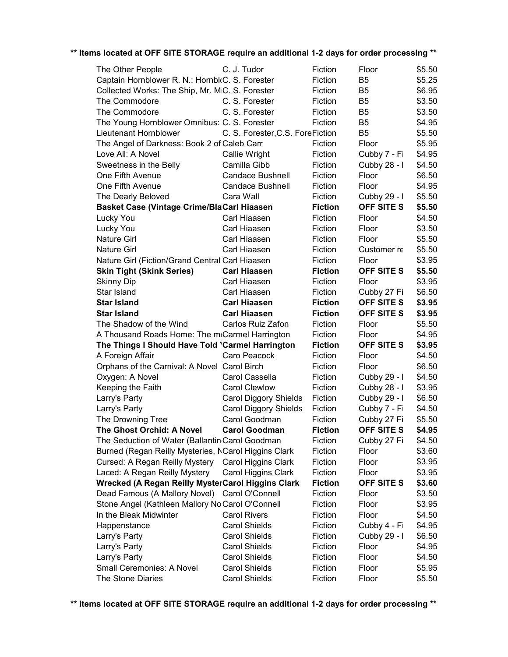| The Other People                                     | C. J. Tudor                      | Fiction        | Floor             | \$5.50 |
|------------------------------------------------------|----------------------------------|----------------|-------------------|--------|
| Captain Hornblower R. N.: HornbloC. S. Forester      |                                  | Fiction        | B <sub>5</sub>    | \$5.25 |
| Collected Works: The Ship, Mr. MiC. S. Forester      |                                  | Fiction        | B <sub>5</sub>    | \$6.95 |
| The Commodore                                        | C. S. Forester                   | Fiction        | B <sub>5</sub>    | \$3.50 |
| The Commodore                                        | C. S. Forester                   | Fiction        | B <sub>5</sub>    | \$3.50 |
| The Young Hornblower Omnibus: C. S. Forester         |                                  | Fiction        | B <sub>5</sub>    | \$4.95 |
| Lieutenant Hornblower                                | C. S. Forester, C.S. ForeFiction |                | B <sub>5</sub>    | \$5.50 |
| The Angel of Darkness: Book 2 of Caleb Carr          |                                  | Fiction        | Floor             | \$5.95 |
| Love All: A Novel                                    | Callie Wright                    | Fiction        | Cubby 7 - Fi      | \$4.95 |
| Sweetness in the Belly                               | Camilla Gibb                     | Fiction        | Cubby 28 - I      | \$4.50 |
| One Fifth Avenue                                     | <b>Candace Bushnell</b>          | Fiction        | Floor             | \$6.50 |
| One Fifth Avenue                                     | Candace Bushnell                 | Fiction        | Floor             | \$4.95 |
| The Dearly Beloved                                   | Cara Wall                        | Fiction        | Cubby 29 - I      | \$5.50 |
| <b>Basket Case (Vintage Crime/BlaCarl Hiaasen</b>    |                                  | <b>Fiction</b> | OFF SITE S        | \$5.50 |
| Lucky You                                            | Carl Hiaasen                     | Fiction        | Floor             | \$4.50 |
| Lucky You                                            | Carl Hiaasen                     | Fiction        | Floor             | \$3.50 |
| <b>Nature Girl</b>                                   | Carl Hiaasen                     | Fiction        | Floor             | \$5.50 |
| <b>Nature Girl</b>                                   | Carl Hiaasen                     | Fiction        | Customer re       | \$5.50 |
| Nature Girl (Fiction/Grand Central Carl Hiaasen      |                                  | Fiction        | Floor             | \$3.95 |
| <b>Skin Tight (Skink Series)</b>                     | <b>Carl Hiaasen</b>              | <b>Fiction</b> | OFF SITE S        | \$5.50 |
| Skinny Dip                                           | Carl Hiaasen                     | Fiction        | Floor             | \$3.95 |
| Star Island                                          | Carl Hiaasen                     | Fiction        | Cubby 27 Fi       | \$6.50 |
| <b>Star Island</b>                                   | <b>Carl Hiaasen</b>              | <b>Fiction</b> | OFF SITE S        | \$3.95 |
| <b>Star Island</b>                                   | <b>Carl Hiaasen</b>              | <b>Fiction</b> | OFF SITE S        | \$3.95 |
| The Shadow of the Wind                               | Carlos Ruiz Zafon                | Fiction        | Floor             | \$5.50 |
| A Thousand Roads Home: The m Carmel Harrington       |                                  | Fiction        | Floor             | \$4.95 |
| The Things I Should Have Told 'Carmel Harrington     |                                  | <b>Fiction</b> | OFF SITE S        | \$3.95 |
| A Foreign Affair                                     | Caro Peacock                     | Fiction        | Floor             | \$4.50 |
| Orphans of the Carnival: A Novel Carol Birch         |                                  | Fiction        | Floor             | \$6.50 |
| Oxygen: A Novel                                      | Carol Cassella                   | Fiction        | Cubby 29 - I      | \$4.50 |
| Keeping the Faith                                    | <b>Carol Clewlow</b>             | Fiction        | Cubby 28 - I      | \$3.95 |
| Larry's Party                                        | <b>Carol Diggory Shields</b>     | Fiction        | Cubby 29 - I      | \$6.50 |
| Larry's Party                                        | Carol Diggory Shields            | Fiction        | Cubby 7 - Fi      | \$4.50 |
| The Drowning Tree                                    | Carol Goodman                    | Fiction        | Cubby 27 Fi       | \$5.50 |
| The Ghost Orchid: A Novel                            | <b>Carol Goodman</b>             | <b>Fiction</b> | <b>OFF SITE S</b> | \$4.95 |
| The Seduction of Water (Ballantin Carol Goodman      |                                  | Fiction        | Cubby 27 Fi       | \$4.50 |
| Burned (Regan Reilly Mysteries, NCarol Higgins Clark |                                  | Fiction        | Floor             | \$3.60 |
| Cursed: A Regan Reilly Mystery                       | Carol Higgins Clark              | Fiction        | Floor             | \$3.95 |
| Laced: A Regan Reilly Mystery                        | Carol Higgins Clark              | Fiction        | Floor             | \$3.95 |
| Wrecked (A Regan Reilly MysterCarol Higgins Clark    |                                  | <b>Fiction</b> | OFF SITE S        | \$3.60 |
| Dead Famous (A Mallory Novel) Carol O'Connell        |                                  | Fiction        | Floor             | \$3.50 |
| Stone Angel (Kathleen Mallory NoCarol O'Connell      |                                  | Fiction        | Floor             | \$3.95 |
| In the Bleak Midwinter                               | <b>Carol Rivers</b>              | Fiction        | Floor             | \$4.50 |
|                                                      | <b>Carol Shields</b>             | Fiction        | Cubby 4 - Fi      | \$4.95 |
| Happenstance                                         | <b>Carol Shields</b>             | Fiction        | Cubby 29 - I      | \$6.50 |
| Larry's Party                                        |                                  |                |                   |        |
| Larry's Party                                        | <b>Carol Shields</b>             | Fiction        | Floor             | \$4.95 |
| Larry's Party                                        | <b>Carol Shields</b>             | Fiction        | Floor             | \$4.50 |
| Small Ceremonies: A Novel                            | <b>Carol Shields</b>             | Fiction        | Floor             | \$5.95 |
| The Stone Diaries                                    | <b>Carol Shields</b>             | Fiction        | Floor             | \$5.50 |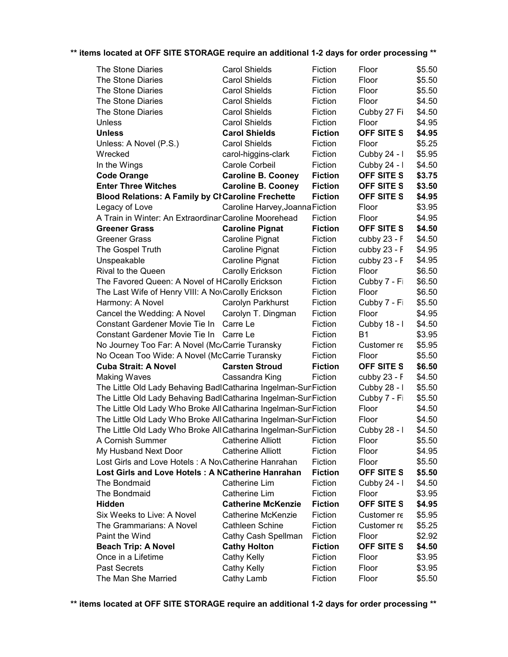| The Stone Diaries                                               | <b>Carol Shields</b>            | Fiction        | Floor             | \$5.50 |
|-----------------------------------------------------------------|---------------------------------|----------------|-------------------|--------|
| The Stone Diaries                                               | <b>Carol Shields</b>            | Fiction        | Floor             | \$5.50 |
| The Stone Diaries                                               | <b>Carol Shields</b>            | Fiction        | Floor             | \$5.50 |
| The Stone Diaries                                               | <b>Carol Shields</b>            | Fiction        | Floor             | \$4.50 |
| The Stone Diaries                                               | <b>Carol Shields</b>            | Fiction        | Cubby 27 Fi       | \$4.50 |
| Unless                                                          | <b>Carol Shields</b>            | Fiction        | Floor             | \$4.95 |
| <b>Unless</b>                                                   | <b>Carol Shields</b>            | <b>Fiction</b> | OFF SITE S        | \$4.95 |
| Unless: A Novel (P.S.)                                          | <b>Carol Shields</b>            | Fiction        | Floor             | \$5.25 |
| Wrecked                                                         | carol-higgins-clark             | Fiction        | Cubby 24 - I      | \$5.95 |
| In the Wings                                                    | Carole Corbeil                  | Fiction        | Cubby 24 - I      | \$4.50 |
| <b>Code Orange</b>                                              | <b>Caroline B. Cooney</b>       | <b>Fiction</b> | <b>OFF SITE S</b> | \$3.75 |
| <b>Enter Three Witches</b>                                      | <b>Caroline B. Cooney</b>       | <b>Fiction</b> | OFF SITE S        | \$3.50 |
| <b>Blood Relations: A Family by CrCaroline Frechette</b>        |                                 | <b>Fiction</b> | OFF SITE S        | \$4.95 |
| Legacy of Love                                                  | Caroline Harvey, Joanna Fiction |                | Floor             | \$3.95 |
| A Train in Winter: An Extraordinar Caroline Moorehead           |                                 | Fiction        | Floor             | \$4.95 |
| <b>Greener Grass</b>                                            | <b>Caroline Pignat</b>          | <b>Fiction</b> | OFF SITE S        | \$4.50 |
| <b>Greener Grass</b>                                            | Caroline Pignat                 | Fiction        | cubby 23 - F      | \$4.50 |
| The Gospel Truth                                                | Caroline Pignat                 | Fiction        | cubby 23 - F      | \$4.95 |
| Unspeakable                                                     | Caroline Pignat                 | Fiction        | cubby 23 - F      | \$4.95 |
| Rival to the Queen                                              | Carolly Erickson                | Fiction        | Floor             | \$6.50 |
| The Favored Queen: A Novel of HCarolly Erickson                 |                                 | Fiction        | Cubby 7 - Fi      | \$6.50 |
| The Last Wife of Henry VIII: A NovCarolly Erickson              |                                 | Fiction        | Floor             | \$6.50 |
| Harmony: A Novel                                                | Carolyn Parkhurst               | Fiction        | Cubby 7 - Fi      | \$5.50 |
| Cancel the Wedding: A Novel                                     | Carolyn T. Dingman              | Fiction        | Floor             | \$4.95 |
| Constant Gardener Movie Tie In Carre Le                         |                                 | Fiction        | Cubby 18 - I      | \$4.50 |
| Constant Gardener Movie Tie In Carre Le                         |                                 | Fiction        | <b>B1</b>         | \$3.95 |
| No Journey Too Far: A Novel (Mc/Carrie Turansky                 |                                 | Fiction        | Customer re       | \$5.95 |
| No Ocean Too Wide: A Novel (McCarrie Turansky                   |                                 | Fiction        | Floor             | \$5.50 |
| <b>Cuba Strait: A Novel</b>                                     | <b>Carsten Stroud</b>           | <b>Fiction</b> | OFF SITE S        | \$6.50 |
| <b>Making Waves</b>                                             | Cassandra King                  | Fiction        | cubby 23 - F      | \$4.50 |
| The Little Old Lady Behaving BadlCatharina Ingelman-SunFiction  |                                 |                | Cubby 28 - I      | \$5.50 |
| The Little Old Lady Behaving BadlCatharina Ingelman-SunFiction  |                                 |                | Cubby 7 - Fi      | \$5.50 |
| The Little Old Lady Who Broke All Catharina Ingelman-SunFiction |                                 |                | Floor             | \$4.50 |
| The Little Old Lady Who Broke All Catharina Ingelman-SunFiction |                                 |                | Floor             | \$4.50 |
| The Little Old Lady Who Broke All Catharina Ingelman-SunFiction |                                 |                | Cubby 28 - I      | \$4.50 |
| A Cornish Summer                                                | <b>Catherine Alliott</b>        | Fiction        | Floor             | \$5.50 |
| My Husband Next Door                                            | <b>Catherine Alliott</b>        | Fiction        | Floor             | \$4.95 |
| Lost Girls and Love Hotels: A NovCatherine Hanrahan             |                                 | Fiction        | Floor             | \$5.50 |
| Lost Girls and Love Hotels: A NCatherine Hanrahan               |                                 | <b>Fiction</b> | OFF SITE S        | \$5.50 |
| The Bondmaid                                                    | Catherine Lim                   | Fiction        | Cubby 24 - I      | \$4.50 |
| The Bondmaid                                                    | Catherine Lim                   | Fiction        | Floor             | \$3.95 |
| <b>Hidden</b>                                                   | <b>Catherine McKenzie</b>       | <b>Fiction</b> | <b>OFF SITE S</b> | \$4.95 |
| Six Weeks to Live: A Novel                                      | Catherine McKenzie              | Fiction        | Customer re       | \$5.95 |
| The Grammarians: A Novel                                        | <b>Cathleen Schine</b>          | Fiction        | Customer re       | \$5.25 |
| Paint the Wind                                                  | Cathy Cash Spellman             | Fiction        | Floor             | \$2.92 |
| <b>Beach Trip: A Novel</b>                                      | <b>Cathy Holton</b>             | <b>Fiction</b> | OFF SITE S        | \$4.50 |
| Once in a Lifetime                                              | Cathy Kelly                     | Fiction        | Floor             | \$3.95 |
| <b>Past Secrets</b>                                             | Cathy Kelly                     | Fiction        | Floor             | \$3.95 |
| The Man She Married                                             | Cathy Lamb                      | Fiction        | Floor             | \$5.50 |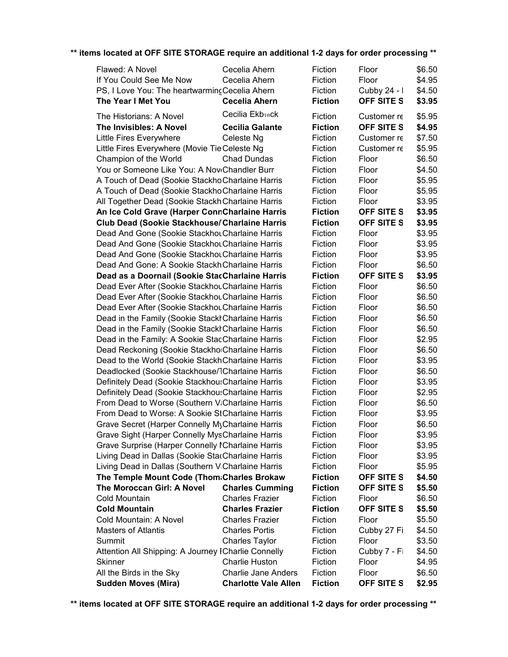| Flawed: A Novel                                     | Cecelia Ahern               | Fiction        | Floor             | \$6.50 |
|-----------------------------------------------------|-----------------------------|----------------|-------------------|--------|
| If You Could See Me Now                             | Cecelia Ahern               | Fiction        | Floor             | \$4.95 |
| PS, I Love You: The heartwarmincCecelia Ahern       |                             | Fiction        | Cubby 24 - I      | \$4.50 |
| The Year I Met You                                  | <b>Cecelia Ahern</b>        | <b>Fiction</b> | OFF SITE S        | \$3.95 |
| The Historians: A Novel                             | Cecilia Ekbsnck             | Fiction        | Customer re       | \$5.95 |
| The Invisibles: A Novel                             | <b>Cecilia Galante</b>      | <b>Fiction</b> | <b>OFF SITE S</b> | \$4.95 |
| Little Fires Everywhere                             | Celeste Ng                  | Fiction        | Customer re       | \$7.50 |
| Little Fires Everywhere (Movie Tie Celeste Ng       |                             | Fiction        | Customer re       | \$5.95 |
| Champion of the World                               | <b>Chad Dundas</b>          | Fiction        | Floor             | \$6.50 |
| You or Someone Like You: A NoviChandler Burr        |                             | Fiction        | Floor             | \$4.50 |
| A Touch of Dead (Sookie Stackho Charlaine Harris    |                             | Fiction        | Floor             | \$5.95 |
| A Touch of Dead (Sookie Stackho Charlaine Harris    |                             | Fiction        | Floor             | \$5.95 |
| All Together Dead (Sookie Stackh Charlaine Harris   |                             | Fiction        | Floor             | \$3.95 |
| An Ice Cold Grave (Harper ConnCharlaine Harris      |                             | <b>Fiction</b> | OFF SITE S        | \$3.95 |
| Club Dead (Sookie Stackhouse/Charlaine Harris       |                             | <b>Fiction</b> | <b>OFF SITE S</b> | \$3.95 |
| Dead And Gone (Sookie Stackhou Charlaine Harris     |                             | Fiction        | Floor             | \$3.95 |
| Dead And Gone (Sookie Stackhou Charlaine Harris     |                             | Fiction        | Floor             | \$3.95 |
| Dead And Gone (Sookie Stackhou Charlaine Harris     |                             | Fiction        | Floor             | \$3.95 |
| Dead And Gone: A Sookie Stackh Charlaine Harris     |                             | Fiction        | Floor             | \$6.50 |
| Dead as a Doornail (Sookie StacCharlaine Harris     |                             | <b>Fiction</b> | OFF SITE S        | \$3.95 |
| Dead Ever After (Sookie StackhouCharlaine Harris    |                             | Fiction        | Floor             | \$6.50 |
| Dead Ever After (Sookie StackhouCharlaine Harris    |                             | Fiction        | Floor             | \$6.50 |
| Dead Ever After (Sookie StackhouCharlaine Harris    |                             | Fiction        | Floor             | \$6.50 |
| Dead in the Family (Sookie StackhCharlaine Harris   |                             | Fiction        | Floor             | \$6.50 |
| Dead in the Family (Sookie Stackh Charlaine Harris  |                             | Fiction        | Floor             | \$6.50 |
| Dead in the Family: A Sookie StacCharlaine Harris   |                             | Fiction        | Floor             | \$2.95 |
| Dead Reckoning (Sookie StackhorCharlaine Harris     |                             | Fiction        | Floor             | \$6.50 |
| Dead to the World (Sookie Stackh Charlaine Harris   |                             | Fiction        | Floor             | \$3.95 |
| Deadlocked (Sookie Stackhouse/7Charlaine Harris     |                             | Fiction        | Floor             | \$6.50 |
| Definitely Dead (Sookie Stackhou: Charlaine Harris  |                             | Fiction        | Floor             | \$3.95 |
| Definitely Dead (Sookie StackhousCharlaine Harris   |                             | Fiction        | Floor             | \$2.95 |
| From Dead to Worse (Southern V:Charlaine Harris     |                             | Fiction        | Floor             | \$6.50 |
| From Dead to Worse: A Sookie StCharlaine Harris     |                             | Fiction        | Floor             | \$3.95 |
| Grave Secret (Harper Connelly MyCharlaine Harris    |                             | Fiction        | Floor             | \$6.50 |
| Grave Sight (Harper Connelly MysCharlaine Harris    |                             | Fiction        | Floor             | \$3.95 |
| Grave Surprise (Harper Connelly ICharlaine Harris   |                             | Fiction        | Floor             | \$3.95 |
| Living Dead in Dallas (Sookie StarCharlaine Harris  |                             | Fiction        | Floor             | \$3.95 |
| Living Dead in Dallas (Southern V:Charlaine Harris  |                             | Fiction        | Floor             | \$5.95 |
| The Temple Mount Code (Thom:Charles Brokaw          |                             | <b>Fiction</b> | OFF SITE S        | \$4.50 |
| The Moroccan Girl: A Novel                          | <b>Charles Cumming</b>      | <b>Fiction</b> | <b>OFF SITE S</b> | \$5.50 |
| Cold Mountain                                       | <b>Charles Frazier</b>      | Fiction        | Floor             | \$6.50 |
| <b>Cold Mountain</b>                                | <b>Charles Frazier</b>      | <b>Fiction</b> | OFF SITE S        | \$5.50 |
| Cold Mountain: A Novel                              | <b>Charles Frazier</b>      | Fiction        | Floor             | \$5.50 |
| <b>Masters of Atlantis</b>                          | <b>Charles Portis</b>       | Fiction        | Cubby 27 Fi       | \$4.50 |
| Summit                                              | <b>Charles Taylor</b>       | Fiction        | Floor             | \$3.50 |
| Attention All Shipping: A Journey ICharlie Connelly |                             | Fiction        | Cubby 7 - Fi      | \$4.50 |
| Skinner                                             | <b>Charlie Huston</b>       | Fiction        | Floor             | \$4.95 |
| All the Birds in the Sky                            | <b>Charlie Jane Anders</b>  | Fiction        | Floor             | \$6.50 |
| <b>Sudden Moves (Mira)</b>                          | <b>Charlotte Vale Allen</b> | <b>Fiction</b> | OFF SITE S        | \$2.95 |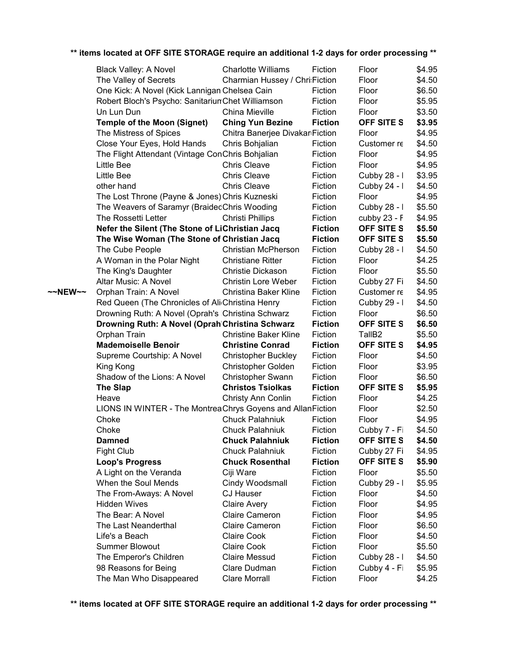|         | <b>Black Valley: A Novel</b>                               | <b>Charlotte Williams</b>       | Fiction        | Floor              | \$4.95 |
|---------|------------------------------------------------------------|---------------------------------|----------------|--------------------|--------|
|         | The Valley of Secrets                                      | Charmian Hussey / Chri:Fiction  |                | Floor              | \$4.50 |
|         | One Kick: A Novel (Kick Lannigan Chelsea Cain              |                                 | Fiction        | Floor              | \$6.50 |
|         | Robert Bloch's Psycho: Sanitarium Chet Williamson          |                                 | Fiction        | Floor              | \$5.95 |
|         | Un Lun Dun                                                 | China Mieville                  | Fiction        | Floor              | \$3.50 |
|         | <b>Temple of the Moon (Signet)</b>                         | <b>Ching Yun Bezine</b>         | <b>Fiction</b> | OFF SITE S         | \$3.95 |
|         | The Mistress of Spices                                     | Chitra Banerjee Divakar Fiction |                | Floor              | \$4.95 |
|         | Close Your Eyes, Hold Hands                                | Chris Bohjalian                 | Fiction        | Customer re        | \$4.50 |
|         | The Flight Attendant (Vintage ConChris Bohjalian           |                                 | Fiction        | Floor              | \$4.95 |
|         | Little Bee                                                 | <b>Chris Cleave</b>             | Fiction        | Floor              | \$4.95 |
|         | Little Bee                                                 | <b>Chris Cleave</b>             | Fiction        | Cubby 28 - I       | \$3.95 |
|         | other hand                                                 | <b>Chris Cleave</b>             | Fiction        | Cubby 24 - I       | \$4.50 |
|         | The Lost Throne (Payne & Jones) Chris Kuzneski             |                                 | Fiction        | Floor              | \$4.95 |
|         | The Weavers of Saramyr (BraidedChris Wooding               |                                 | Fiction        | Cubby 28 - I       | \$5.50 |
|         | The Rossetti Letter                                        | Christi Phillips                | Fiction        | cubby $23 - F$     | \$4.95 |
|         | Nefer the Silent (The Stone of LiChristian Jacq            |                                 | <b>Fiction</b> | <b>OFF SITE S</b>  | \$5.50 |
|         | The Wise Woman (The Stone of Christian Jacq                |                                 | <b>Fiction</b> | OFF SITE S         | \$5.50 |
|         | The Cube People                                            | <b>Christian McPherson</b>      | Fiction        | Cubby 28 - I       | \$4.50 |
|         | A Woman in the Polar Night                                 | <b>Christiane Ritter</b>        | Fiction        | Floor              | \$4.25 |
|         | The King's Daughter                                        | Christie Dickason               | Fiction        | Floor              | \$5.50 |
|         | Altar Music: A Novel                                       | <b>Christin Lore Weber</b>      | Fiction        | Cubby 27 Fi        | \$4.50 |
| ~~NEW~~ | Orphan Train: A Novel                                      | <b>Christina Baker Kline</b>    | Fiction        | Customer re        | \$4.95 |
|         | Red Queen (The Chronicles of Ali Christina Henry           |                                 | Fiction        | Cubby 29 - I       | \$4.50 |
|         | Drowning Ruth: A Novel (Oprah's Christina Schwarz          |                                 | Fiction        | Floor              | \$6.50 |
|         | Drowning Ruth: A Novel (Oprah Christina Schwarz            |                                 | <b>Fiction</b> | <b>OFF SITE S</b>  | \$6.50 |
|         | Orphan Train                                               | <b>Christine Baker Kline</b>    | Fiction        | TallB <sub>2</sub> | \$5.50 |
|         | <b>Mademoiselle Benoir</b>                                 | <b>Christine Conrad</b>         | <b>Fiction</b> | <b>OFF SITE S</b>  | \$4.95 |
|         | Supreme Courtship: A Novel                                 | <b>Christopher Buckley</b>      | Fiction        | Floor              | \$4.50 |
|         | King Kong                                                  | Christopher Golden              | Fiction        | Floor              | \$3.95 |
|         | Shadow of the Lions: A Novel                               | <b>Christopher Swann</b>        | Fiction        | Floor              | \$6.50 |
|         | <b>The Slap</b>                                            | <b>Christos Tsiolkas</b>        | <b>Fiction</b> | <b>OFF SITE S</b>  | \$5.95 |
|         | Heave                                                      | Christy Ann Conlin              | Fiction        | Floor              | \$4.25 |
|         | LIONS IN WINTER - The MontreaChrys Goyens and AllanFiction |                                 |                | Floor              | \$2.50 |
|         | Choke                                                      | <b>Chuck Palahniuk</b>          | Fiction        | Floor              | \$4.95 |
|         | Choke                                                      | <b>Chuck Palahniuk</b>          | Fiction        | Cubby 7 - Fi       | \$4.50 |
|         | <b>Damned</b>                                              | <b>Chuck Palahniuk</b>          | <b>Fiction</b> | OFF SITE S         | \$4.50 |
|         | <b>Fight Club</b>                                          | <b>Chuck Palahniuk</b>          | Fiction        | Cubby 27 Fi        | \$4.95 |
|         | <b>Loop's Progress</b>                                     | <b>Chuck Rosenthal</b>          | <b>Fiction</b> | OFF SITE S         | \$5.90 |
|         | A Light on the Veranda                                     | Ciji Ware                       | Fiction        | Floor              | \$5.50 |
|         | When the Soul Mends                                        | Cindy Woodsmall                 | Fiction        | Cubby 29 - I       | \$5.95 |
|         | The From-Aways: A Novel                                    | CJ Hauser                       | Fiction        | Floor              | \$4.50 |
|         | <b>Hidden Wives</b>                                        | <b>Claire Avery</b>             | Fiction        | Floor              | \$4.95 |
|         | The Bear: A Novel                                          | <b>Claire Cameron</b>           | Fiction        | Floor              | \$4.95 |
|         | The Last Neanderthal                                       | <b>Claire Cameron</b>           | Fiction        | Floor              | \$6.50 |
|         | Life's a Beach                                             | <b>Claire Cook</b>              | Fiction        | Floor              | \$4.50 |
|         | <b>Summer Blowout</b>                                      | <b>Claire Cook</b>              | Fiction        | Floor              | \$5.50 |
|         | The Emperor's Children                                     | <b>Claire Messud</b>            | Fiction        | Cubby 28 - I       | \$4.50 |
|         | 98 Reasons for Being                                       | Clare Dudman                    | Fiction        | Cubby 4 - Fi       | \$5.95 |
|         | The Man Who Disappeared                                    | <b>Clare Morrall</b>            | Fiction        | Floor              | \$4.25 |
|         |                                                            |                                 |                |                    |        |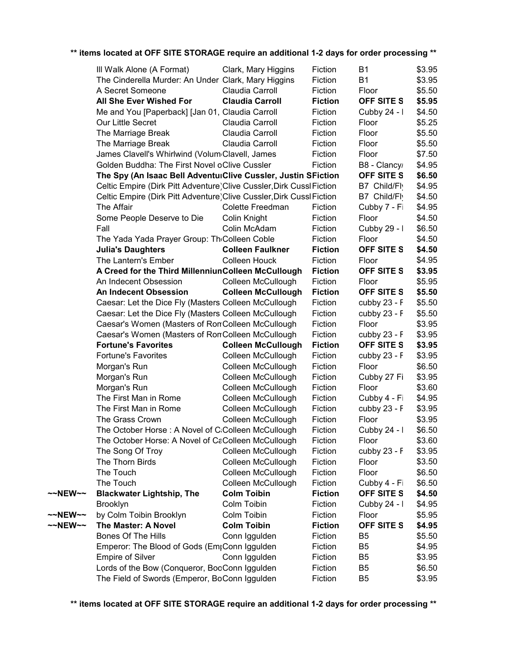|         | III Walk Alone (A Format)                                             | Clark, Mary Higgins       | Fiction        | B1             | \$3.95 |
|---------|-----------------------------------------------------------------------|---------------------------|----------------|----------------|--------|
|         | The Cinderella Murder: An Under Clark, Mary Higgins                   |                           | Fiction        | <b>B1</b>      | \$3.95 |
|         | A Secret Someone                                                      | Claudia Carroll           | Fiction        | Floor          | \$5.50 |
|         | All She Ever Wished For                                               | <b>Claudia Carroll</b>    | <b>Fiction</b> | OFF SITE S     | \$5.95 |
|         | Me and You [Paperback] [Jan 01, Claudia Carroll                       |                           | Fiction        | Cubby 24 - I   | \$4.50 |
|         | Our Little Secret                                                     | Claudia Carroll           | Fiction        | Floor          | \$5.25 |
|         | The Marriage Break                                                    | Claudia Carroll           | Fiction        | Floor          | \$5.50 |
|         | The Marriage Break                                                    | Claudia Carroll           | Fiction        | Floor          | \$5.50 |
|         | James Clavell's Whirlwind (Volum <sub>'Clavell</sub> , James          |                           | Fiction        | Floor          | \$7.50 |
|         | Golden Buddha: The First Novel oClive Cussler                         |                           | Fiction        | B8 - Clancy    | \$4.95 |
|         | The Spy (An Isaac Bell AdventuiClive Cussler, Justin SFiction         |                           |                | OFF SITE S     | \$6.50 |
|         | Celtic Empire (Dirk Pitt Adventure) Clive Cussler, Dirk Cussl Fiction |                           |                | B7 Child/Fl    | \$4.95 |
|         | Celtic Empire (Dirk Pitt Adventure) Clive Cussler, Dirk Cussl Fiction |                           |                | B7 Child/Flv   | \$4.50 |
|         | The Affair                                                            | Colette Freedman          | Fiction        | Cubby 7 - Fi   | \$4.95 |
|         | Some People Deserve to Die                                            | Colin Knight              | Fiction        | Floor          | \$4.50 |
|         | Fall                                                                  | Colin McAdam              | Fiction        | Cubby 29 - I   | \$6.50 |
|         | The Yada Yada Prayer Group: Th <sub>'Colleen Coble</sub>              |                           | Fiction        | Floor          | \$4.50 |
|         | <b>Julia's Daughters</b>                                              | <b>Colleen Faulkner</b>   | <b>Fiction</b> | OFF SITE S     | \$4.50 |
|         | The Lantern's Ember                                                   | <b>Colleen Houck</b>      | Fiction        | Floor          | \$4.95 |
|         | A Creed for the Third MillenniunColleen McCullough                    |                           | <b>Fiction</b> | OFF SITE S     | \$3.95 |
|         | An Indecent Obsession                                                 | Colleen McCullough        | Fiction        | Floor          | \$5.95 |
|         | <b>An Indecent Obsession</b>                                          | <b>Colleen McCullough</b> | <b>Fiction</b> | OFF SITE S     | \$5.50 |
|         | Caesar: Let the Dice Fly (Masters Colleen McCullough                  |                           | Fiction        | cubby $23 - F$ | \$5.50 |
|         | Caesar: Let the Dice Fly (Masters Colleen McCullough                  |                           | Fiction        | cubby 23 - F   | \$5.50 |
|         | Caesar's Women (Masters of RonColleen McCullough                      |                           | Fiction        | Floor          | \$3.95 |
|         | Caesar's Women (Masters of RonColleen McCullough                      |                           | Fiction        | cubby 23 - F   | \$3.95 |
|         | <b>Fortune's Favorites</b>                                            | <b>Colleen McCullough</b> | <b>Fiction</b> | OFF SITE S     | \$3.95 |
|         | <b>Fortune's Favorites</b>                                            | Colleen McCullough        | Fiction        | cubby 23 - F   | \$3.95 |
|         | Morgan's Run                                                          | Colleen McCullough        | Fiction        | Floor          | \$6.50 |
|         | Morgan's Run                                                          | Colleen McCullough        | Fiction        | Cubby 27 Fi    | \$3.95 |
|         | Morgan's Run                                                          | Colleen McCullough        | Fiction        | Floor          | \$3.60 |
|         | The First Man in Rome                                                 | Colleen McCullough        | Fiction        | Cubby 4 - Fi   | \$4.95 |
|         | The First Man in Rome                                                 | Colleen McCullough        | Fiction        | cubby 23 - F   | \$3.95 |
|         | The Grass Crown                                                       | Colleen McCullough        | Fiction        | Floor          | \$3.95 |
|         | The October Horse: A Novel of C:Colleen McCullough                    |                           | Fiction        | Cubby 24 - I   | \$6.50 |
|         | The October Horse: A Novel of CaColleen McCullough                    |                           | Fiction        | Floor          | \$3.60 |
|         | The Song Of Troy                                                      | Colleen McCullough        | Fiction        | cubby 23 - F   | \$3.95 |
|         | The Thorn Birds                                                       | Colleen McCullough        | Fiction        | Floor          | \$3.50 |
|         | The Touch                                                             | Colleen McCullough        | Fiction        | Floor          | \$6.50 |
|         | The Touch                                                             | Colleen McCullough        | Fiction        | Cubby 4 - Fi   | \$6.50 |
| ~~NEW~~ | <b>Blackwater Lightship, The</b>                                      | <b>Colm Toibin</b>        | <b>Fiction</b> | OFF SITE S     | \$4.50 |
|         | <b>Brooklyn</b>                                                       | Colm Toibin               | Fiction        | Cubby 24 - I   | \$4.95 |
| ~~NEW~~ | by Colm Toibin Brooklyn                                               | Colm Toibin               | Fiction        | Floor          | \$5.95 |
| ~~NEW~~ | The Master: A Novel                                                   | <b>Colm Toibin</b>        | <b>Fiction</b> | OFF SITE S     | \$4.95 |
|         | <b>Bones Of The Hills</b>                                             | Conn Iggulden             | Fiction        | B <sub>5</sub> | \$5.50 |
|         | Emperor: The Blood of Gods (Em <sub>i</sub> Conn Iggulden             |                           | Fiction        | B <sub>5</sub> | \$4.95 |
|         | <b>Empire of Silver</b>                                               | Conn Iggulden             | Fiction        | B <sub>5</sub> | \$3.95 |
|         | Lords of the Bow (Conqueror, BooConn Iggulden                         |                           | Fiction        | B <sub>5</sub> | \$6.50 |
|         | The Field of Swords (Emperor, BoConn Iggulden                         |                           | Fiction        | B <sub>5</sub> | \$3.95 |
|         |                                                                       |                           |                |                |        |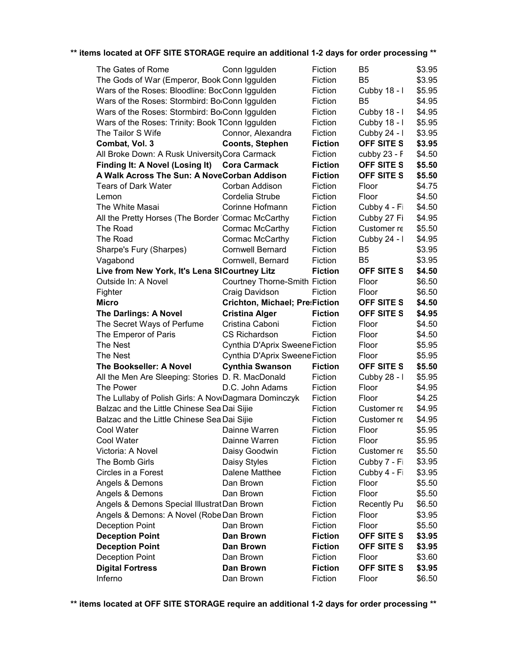| The Gates of Rome                                    | Conn Iggulden                         | Fiction                   | B5                  | \$3.95           |
|------------------------------------------------------|---------------------------------------|---------------------------|---------------------|------------------|
| The Gods of War (Emperor, Book Conn Iggulden         |                                       | Fiction                   | B <sub>5</sub>      | \$3.95           |
| Wars of the Roses: Bloodline: BocConn Iggulden       |                                       | Fiction                   | Cubby 18 - I        | \$5.95           |
| Wars of the Roses: Stormbird: BorConn Iggulden       |                                       | Fiction                   | B <sub>5</sub>      | \$4.95           |
| Wars of the Roses: Stormbird: BorConn Iggulden       |                                       | Fiction                   | Cubby 18 - I        | \$4.95           |
| Wars of the Roses: Trinity: Book TConn Iggulden      |                                       | Fiction                   | Cubby 18 - I        | \$5.95           |
| The Tailor S Wife                                    | Connor, Alexandra                     | Fiction                   | Cubby 24 - I        | \$3.95           |
| Combat, Vol. 3                                       | <b>Coonts, Stephen</b>                | <b>Fiction</b>            | <b>OFF SITE S</b>   | \$3.95           |
| All Broke Down: A Rusk University Cora Carmack       |                                       | Fiction                   | cubby 23 - F        | \$4.50           |
| Finding It: A Novel (Losing It)                      | <b>Cora Carmack</b>                   | <b>Fiction</b>            | <b>OFF SITE S</b>   | \$5.50           |
| A Walk Across The Sun: A NoveCorban Addison          |                                       | <b>Fiction</b>            | <b>OFF SITE S</b>   | \$5.50           |
| <b>Tears of Dark Water</b>                           | Corban Addison                        | Fiction                   | Floor               | \$4.75           |
| Lemon                                                | Cordelia Strube                       | Fiction                   | Floor               | \$4.50           |
| The White Masai                                      | Corinne Hofmann                       | Fiction                   | Cubby 4 - Fi        | \$4.50           |
| All the Pretty Horses (The Border Cormac McCarthy    |                                       | Fiction                   | Cubby 27 Fi         | \$4.95           |
| The Road                                             | Cormac McCarthy                       | Fiction                   | Customer re         | \$5.50           |
| The Road                                             | Cormac McCarthy                       | Fiction                   | Cubby 24 - I        | \$4.95           |
| Sharpe's Fury (Sharpes)                              | <b>Cornwell Bernard</b>               | Fiction                   | B <sub>5</sub>      | \$3.95           |
| Vagabond                                             | Cornwell, Bernard                     | Fiction                   | B <sub>5</sub>      | \$3.95           |
| Live from New York, It's Lena SICourtney Litz        |                                       | <b>Fiction</b>            | OFF SITE S          | \$4.50           |
| Outside In: A Novel                                  | Courtney Thorne-Smith Fiction         |                           | Floor               | \$6.50           |
| Fighter                                              | Craig Davidson                        | Fiction                   | Floor               | \$6.50           |
| <b>Micro</b>                                         | <b>Crichton, Michael; Pre:Fiction</b> |                           | <b>OFF SITE S</b>   | \$4.50           |
| <b>The Darlings: A Novel</b>                         | <b>Cristina Alger</b>                 | <b>Fiction</b>            | <b>OFF SITE S</b>   | \$4.95           |
| The Secret Ways of Perfume                           | Cristina Caboni                       | Fiction                   | Floor               | \$4.50           |
|                                                      | <b>CS Richardson</b>                  |                           |                     |                  |
|                                                      |                                       |                           |                     |                  |
| The Emperor of Paris                                 |                                       | Fiction                   | Floor               | \$4.50           |
| The Nest                                             | Cynthia D'Aprix Sweene Fiction        |                           | Floor               | \$5.95           |
| The Nest                                             | Cynthia D'Aprix Sweene Fiction        |                           | Floor               | \$5.95           |
| The Bookseller: A Novel                              | <b>Cynthia Swanson</b>                | <b>Fiction</b>            | <b>OFF SITE S</b>   | \$5.50           |
| All the Men Are Sleeping: Stories D. R. MacDonald    |                                       | Fiction                   | Cubby 28 - I        | \$5.95           |
| The Power                                            | D.C. John Adams                       | Fiction                   | Floor               | \$4.95           |
| The Lullaby of Polish Girls: A NoveDagmara Dominczyk |                                       | Fiction                   | Floor               | \$4.25           |
| Balzac and the Little Chinese Sea Dai Sijie          |                                       | Fiction                   | Customer re         | \$4.95           |
| Balzac and the Little Chinese Sea Dai Sijie          |                                       | Fiction                   | Customer re         | \$4.95           |
| Cool Water                                           | Dainne Warren                         | Fiction                   | Floor               | \$5.95           |
| Cool Water                                           | Dainne Warren                         | Fiction                   | Floor               | \$5.95           |
| Victoria: A Novel                                    | Daisy Goodwin                         | Fiction                   | Customer re         | \$5.50           |
| The Bomb Girls                                       | Daisy Styles                          | Fiction                   | Cubby 7 - Fi        | \$3.95           |
| Circles in a Forest                                  | Dalene Matthee                        | Fiction                   | Cubby 4 - Fi        | \$3.95           |
| Angels & Demons                                      | Dan Brown                             | Fiction                   | Floor               | \$5.50           |
| Angels & Demons                                      | Dan Brown                             | Fiction                   | Floor               | \$5.50           |
| Angels & Demons Special IllustratDan Brown           |                                       | Fiction                   | <b>Recently Pu</b>  | \$6.50           |
| Angels & Demons: A Novel (Robe Dan Brown             |                                       | Fiction                   | Floor               | \$3.95           |
| <b>Deception Point</b>                               | Dan Brown                             | Fiction                   | Floor               | \$5.50           |
| <b>Deception Point</b>                               | Dan Brown                             | <b>Fiction</b>            | OFF SITE S          | \$3.95           |
| <b>Deception Point</b>                               | Dan Brown                             | <b>Fiction</b>            | OFF SITE S          | \$3.95           |
| <b>Deception Point</b>                               | Dan Brown                             | Fiction                   | Floor               | \$3.60           |
| <b>Digital Fortress</b><br>Inferno                   | Dan Brown<br>Dan Brown                | <b>Fiction</b><br>Fiction | OFF SITE S<br>Floor | \$3.95<br>\$6.50 |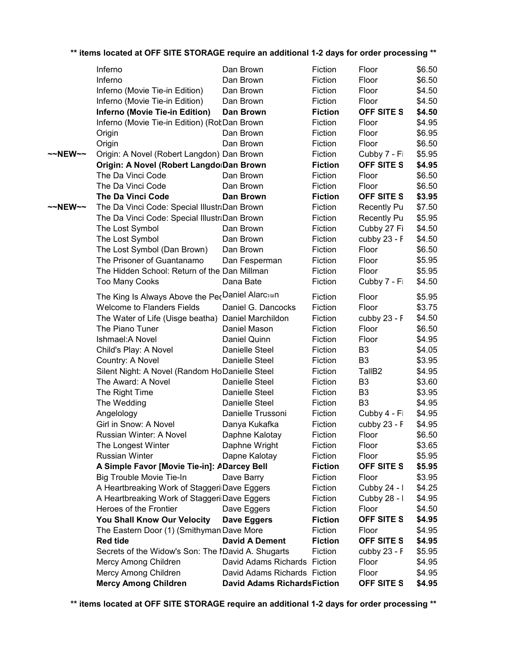| ~~NEW~~<br>$\sim$ NEW $\sim$ | The Da Vinci Code: Special Illustr: Dan Brown<br>The Da Vinci Code: Special Illustr: Dan Brown<br>The Lost Symbol<br>The Lost Symbol<br>The Lost Symbol (Dan Brown)<br>The Prisoner of Guantanamo<br>The Hidden School: Return of the Dan Millman<br><b>Too Many Cooks</b><br>The King Is Always Above the PecDaniel Alarcsan<br><b>Welcome to Flanders Fields</b><br>The Water of Life (Uisge beatha) Daniel Marchildon<br>The Piano Tuner<br>Ishmael: A Novel<br>Child's Play: A Novel<br>Country: A Novel<br>Silent Night: A Novel (Random HoDanielle Steel<br>The Award: A Novel<br>The Right Time<br>The Wedding<br>Angelology<br>Girl in Snow: A Novel<br>Russian Winter: A Novel<br>The Longest Winter<br><b>Russian Winter</b><br>A Simple Favor [Movie Tie-in]: ADarcey Bell | Dan Brown<br>Dan Brown<br>Dan Brown<br>Dan Fesperman<br>Dana Bate<br>Daniel G. Dancocks<br>Daniel Mason<br>Daniel Quinn<br>Danielle Steel<br>Danielle Steel<br>Danielle Steel<br>Danielle Steel<br>Danielle Steel<br>Danielle Trussoni<br>Danya Kukafka<br>Daphne Kalotay<br>Daphne Wright<br>Dapne Kalotay | Fiction<br>Fiction<br>Fiction<br>Fiction<br>Fiction<br>Fiction<br>Fiction<br>Fiction<br>Fiction<br>Fiction<br>Fiction<br>Fiction<br>Fiction<br>Fiction<br>Fiction<br>Fiction<br>Fiction<br>Fiction<br>Fiction<br>Fiction<br>Fiction<br>Fiction<br>Fiction<br><b>Fiction</b> | Cubby 27 Fi<br>cubby 23 - F<br>Floor<br>Floor<br>Floor<br>Cubby 7 - Fi<br>Floor<br>Floor<br>cubby 23 - F<br>Floor<br>Floor<br>B <sub>3</sub><br>B <sub>3</sub><br>TallB <sub>2</sub><br>B <sub>3</sub><br>B <sub>3</sub><br>B <sub>3</sub><br>Cubby 4 - Fi<br>cubby 23 - F<br>Floor<br>Floor<br>Floor<br>OFF SITE S | \$4.50<br>\$4.50<br>\$6.50<br>\$5.95<br>\$5.95<br>\$4.50<br>\$5.95<br>\$3.75<br>\$4.50<br>\$6.50<br>\$4.95<br>\$4.05<br>\$3.95<br>\$4.95<br>\$3.60<br>\$3.95<br>\$4.95<br>\$4.95<br>\$4.95<br>\$6.50<br>\$3.65<br>\$5.95<br>\$5.95 |
|------------------------------|---------------------------------------------------------------------------------------------------------------------------------------------------------------------------------------------------------------------------------------------------------------------------------------------------------------------------------------------------------------------------------------------------------------------------------------------------------------------------------------------------------------------------------------------------------------------------------------------------------------------------------------------------------------------------------------------------------------------------------------------------------------------------------------|-------------------------------------------------------------------------------------------------------------------------------------------------------------------------------------------------------------------------------------------------------------------------------------------------------------|-----------------------------------------------------------------------------------------------------------------------------------------------------------------------------------------------------------------------------------------------------------------------------|---------------------------------------------------------------------------------------------------------------------------------------------------------------------------------------------------------------------------------------------------------------------------------------------------------------------|------------------------------------------------------------------------------------------------------------------------------------------------------------------------------------------------------------------------------------|
|                              |                                                                                                                                                                                                                                                                                                                                                                                                                                                                                                                                                                                                                                                                                                                                                                                       |                                                                                                                                                                                                                                                                                                             |                                                                                                                                                                                                                                                                             |                                                                                                                                                                                                                                                                                                                     |                                                                                                                                                                                                                                    |
|                              |                                                                                                                                                                                                                                                                                                                                                                                                                                                                                                                                                                                                                                                                                                                                                                                       |                                                                                                                                                                                                                                                                                                             |                                                                                                                                                                                                                                                                             |                                                                                                                                                                                                                                                                                                                     |                                                                                                                                                                                                                                    |
|                              |                                                                                                                                                                                                                                                                                                                                                                                                                                                                                                                                                                                                                                                                                                                                                                                       |                                                                                                                                                                                                                                                                                                             |                                                                                                                                                                                                                                                                             |                                                                                                                                                                                                                                                                                                                     |                                                                                                                                                                                                                                    |
|                              |                                                                                                                                                                                                                                                                                                                                                                                                                                                                                                                                                                                                                                                                                                                                                                                       |                                                                                                                                                                                                                                                                                                             |                                                                                                                                                                                                                                                                             |                                                                                                                                                                                                                                                                                                                     |                                                                                                                                                                                                                                    |
|                              |                                                                                                                                                                                                                                                                                                                                                                                                                                                                                                                                                                                                                                                                                                                                                                                       |                                                                                                                                                                                                                                                                                                             |                                                                                                                                                                                                                                                                             |                                                                                                                                                                                                                                                                                                                     |                                                                                                                                                                                                                                    |
|                              |                                                                                                                                                                                                                                                                                                                                                                                                                                                                                                                                                                                                                                                                                                                                                                                       |                                                                                                                                                                                                                                                                                                             |                                                                                                                                                                                                                                                                             |                                                                                                                                                                                                                                                                                                                     |                                                                                                                                                                                                                                    |
|                              |                                                                                                                                                                                                                                                                                                                                                                                                                                                                                                                                                                                                                                                                                                                                                                                       |                                                                                                                                                                                                                                                                                                             |                                                                                                                                                                                                                                                                             |                                                                                                                                                                                                                                                                                                                     |                                                                                                                                                                                                                                    |
|                              |                                                                                                                                                                                                                                                                                                                                                                                                                                                                                                                                                                                                                                                                                                                                                                                       |                                                                                                                                                                                                                                                                                                             |                                                                                                                                                                                                                                                                             |                                                                                                                                                                                                                                                                                                                     |                                                                                                                                                                                                                                    |
|                              |                                                                                                                                                                                                                                                                                                                                                                                                                                                                                                                                                                                                                                                                                                                                                                                       |                                                                                                                                                                                                                                                                                                             |                                                                                                                                                                                                                                                                             |                                                                                                                                                                                                                                                                                                                     |                                                                                                                                                                                                                                    |
|                              |                                                                                                                                                                                                                                                                                                                                                                                                                                                                                                                                                                                                                                                                                                                                                                                       |                                                                                                                                                                                                                                                                                                             |                                                                                                                                                                                                                                                                             |                                                                                                                                                                                                                                                                                                                     |                                                                                                                                                                                                                                    |
|                              |                                                                                                                                                                                                                                                                                                                                                                                                                                                                                                                                                                                                                                                                                                                                                                                       |                                                                                                                                                                                                                                                                                                             |                                                                                                                                                                                                                                                                             |                                                                                                                                                                                                                                                                                                                     |                                                                                                                                                                                                                                    |
|                              |                                                                                                                                                                                                                                                                                                                                                                                                                                                                                                                                                                                                                                                                                                                                                                                       |                                                                                                                                                                                                                                                                                                             |                                                                                                                                                                                                                                                                             |                                                                                                                                                                                                                                                                                                                     |                                                                                                                                                                                                                                    |
|                              |                                                                                                                                                                                                                                                                                                                                                                                                                                                                                                                                                                                                                                                                                                                                                                                       |                                                                                                                                                                                                                                                                                                             |                                                                                                                                                                                                                                                                             |                                                                                                                                                                                                                                                                                                                     |                                                                                                                                                                                                                                    |
|                              |                                                                                                                                                                                                                                                                                                                                                                                                                                                                                                                                                                                                                                                                                                                                                                                       |                                                                                                                                                                                                                                                                                                             |                                                                                                                                                                                                                                                                             |                                                                                                                                                                                                                                                                                                                     |                                                                                                                                                                                                                                    |
|                              |                                                                                                                                                                                                                                                                                                                                                                                                                                                                                                                                                                                                                                                                                                                                                                                       |                                                                                                                                                                                                                                                                                                             |                                                                                                                                                                                                                                                                             |                                                                                                                                                                                                                                                                                                                     |                                                                                                                                                                                                                                    |
|                              |                                                                                                                                                                                                                                                                                                                                                                                                                                                                                                                                                                                                                                                                                                                                                                                       |                                                                                                                                                                                                                                                                                                             |                                                                                                                                                                                                                                                                             |                                                                                                                                                                                                                                                                                                                     |                                                                                                                                                                                                                                    |
|                              |                                                                                                                                                                                                                                                                                                                                                                                                                                                                                                                                                                                                                                                                                                                                                                                       |                                                                                                                                                                                                                                                                                                             |                                                                                                                                                                                                                                                                             |                                                                                                                                                                                                                                                                                                                     |                                                                                                                                                                                                                                    |
|                              |                                                                                                                                                                                                                                                                                                                                                                                                                                                                                                                                                                                                                                                                                                                                                                                       |                                                                                                                                                                                                                                                                                                             |                                                                                                                                                                                                                                                                             |                                                                                                                                                                                                                                                                                                                     |                                                                                                                                                                                                                                    |
|                              |                                                                                                                                                                                                                                                                                                                                                                                                                                                                                                                                                                                                                                                                                                                                                                                       |                                                                                                                                                                                                                                                                                                             |                                                                                                                                                                                                                                                                             |                                                                                                                                                                                                                                                                                                                     |                                                                                                                                                                                                                                    |
|                              |                                                                                                                                                                                                                                                                                                                                                                                                                                                                                                                                                                                                                                                                                                                                                                                       |                                                                                                                                                                                                                                                                                                             |                                                                                                                                                                                                                                                                             |                                                                                                                                                                                                                                                                                                                     |                                                                                                                                                                                                                                    |
|                              |                                                                                                                                                                                                                                                                                                                                                                                                                                                                                                                                                                                                                                                                                                                                                                                       |                                                                                                                                                                                                                                                                                                             |                                                                                                                                                                                                                                                                             |                                                                                                                                                                                                                                                                                                                     |                                                                                                                                                                                                                                    |
|                              |                                                                                                                                                                                                                                                                                                                                                                                                                                                                                                                                                                                                                                                                                                                                                                                       |                                                                                                                                                                                                                                                                                                             |                                                                                                                                                                                                                                                                             |                                                                                                                                                                                                                                                                                                                     |                                                                                                                                                                                                                                    |
|                              |                                                                                                                                                                                                                                                                                                                                                                                                                                                                                                                                                                                                                                                                                                                                                                                       |                                                                                                                                                                                                                                                                                                             |                                                                                                                                                                                                                                                                             |                                                                                                                                                                                                                                                                                                                     |                                                                                                                                                                                                                                    |
|                              |                                                                                                                                                                                                                                                                                                                                                                                                                                                                                                                                                                                                                                                                                                                                                                                       |                                                                                                                                                                                                                                                                                                             |                                                                                                                                                                                                                                                                             | <b>Recently Pu</b>                                                                                                                                                                                                                                                                                                  | \$5.95                                                                                                                                                                                                                             |
|                              |                                                                                                                                                                                                                                                                                                                                                                                                                                                                                                                                                                                                                                                                                                                                                                                       |                                                                                                                                                                                                                                                                                                             | Fiction                                                                                                                                                                                                                                                                     | <b>Recently Pu</b>                                                                                                                                                                                                                                                                                                  | \$7.50                                                                                                                                                                                                                             |
|                              | <b>The Da Vinci Code</b>                                                                                                                                                                                                                                                                                                                                                                                                                                                                                                                                                                                                                                                                                                                                                              | Dan Brown                                                                                                                                                                                                                                                                                                   | <b>Fiction</b>                                                                                                                                                                                                                                                              | OFF SITE S                                                                                                                                                                                                                                                                                                          | \$3.95                                                                                                                                                                                                                             |
|                              | The Da Vinci Code                                                                                                                                                                                                                                                                                                                                                                                                                                                                                                                                                                                                                                                                                                                                                                     | Dan Brown                                                                                                                                                                                                                                                                                                   | Fiction                                                                                                                                                                                                                                                                     | Floor                                                                                                                                                                                                                                                                                                               | \$6.50                                                                                                                                                                                                                             |
|                              | The Da Vinci Code                                                                                                                                                                                                                                                                                                                                                                                                                                                                                                                                                                                                                                                                                                                                                                     | Dan Brown                                                                                                                                                                                                                                                                                                   | Fiction                                                                                                                                                                                                                                                                     | Floor                                                                                                                                                                                                                                                                                                               | \$6.50                                                                                                                                                                                                                             |
|                              | Origin: A Novel (Robert Langdo Dan Brown                                                                                                                                                                                                                                                                                                                                                                                                                                                                                                                                                                                                                                                                                                                                              |                                                                                                                                                                                                                                                                                                             | <b>Fiction</b>                                                                                                                                                                                                                                                              | OFF SITE S                                                                                                                                                                                                                                                                                                          | \$4.95                                                                                                                                                                                                                             |
|                              | Origin: A Novel (Robert Langdon) Dan Brown                                                                                                                                                                                                                                                                                                                                                                                                                                                                                                                                                                                                                                                                                                                                            |                                                                                                                                                                                                                                                                                                             | Fiction                                                                                                                                                                                                                                                                     | Cubby 7 - Fi                                                                                                                                                                                                                                                                                                        | \$5.95                                                                                                                                                                                                                             |
|                              | Origin                                                                                                                                                                                                                                                                                                                                                                                                                                                                                                                                                                                                                                                                                                                                                                                | Dan Brown                                                                                                                                                                                                                                                                                                   | Fiction                                                                                                                                                                                                                                                                     | Floor                                                                                                                                                                                                                                                                                                               | \$6.50                                                                                                                                                                                                                             |
|                              | Origin                                                                                                                                                                                                                                                                                                                                                                                                                                                                                                                                                                                                                                                                                                                                                                                | Dan Brown                                                                                                                                                                                                                                                                                                   | Fiction                                                                                                                                                                                                                                                                     | Floor                                                                                                                                                                                                                                                                                                               | \$6.95                                                                                                                                                                                                                             |
|                              | Inferno (Movie Tie-in Edition) (RotDan Brown                                                                                                                                                                                                                                                                                                                                                                                                                                                                                                                                                                                                                                                                                                                                          |                                                                                                                                                                                                                                                                                                             | Fiction                                                                                                                                                                                                                                                                     | Floor                                                                                                                                                                                                                                                                                                               | \$4.95                                                                                                                                                                                                                             |
|                              | Inferno (Movie Tie-in Edition)                                                                                                                                                                                                                                                                                                                                                                                                                                                                                                                                                                                                                                                                                                                                                        | Dan Brown                                                                                                                                                                                                                                                                                                   | <b>Fiction</b>                                                                                                                                                                                                                                                              | <b>OFF SITE S</b>                                                                                                                                                                                                                                                                                                   | \$4.50                                                                                                                                                                                                                             |
|                              | Inferno (Movie Tie-in Edition)                                                                                                                                                                                                                                                                                                                                                                                                                                                                                                                                                                                                                                                                                                                                                        | Dan Brown                                                                                                                                                                                                                                                                                                   | Fiction                                                                                                                                                                                                                                                                     | Floor                                                                                                                                                                                                                                                                                                               | \$4.50                                                                                                                                                                                                                             |
|                              |                                                                                                                                                                                                                                                                                                                                                                                                                                                                                                                                                                                                                                                                                                                                                                                       | Dan Brown                                                                                                                                                                                                                                                                                                   | Fiction                                                                                                                                                                                                                                                                     | Floor                                                                                                                                                                                                                                                                                                               | \$4.50                                                                                                                                                                                                                             |
|                              | Inferno (Movie Tie-in Edition)                                                                                                                                                                                                                                                                                                                                                                                                                                                                                                                                                                                                                                                                                                                                                        |                                                                                                                                                                                                                                                                                                             | Fiction                                                                                                                                                                                                                                                                     | Floor                                                                                                                                                                                                                                                                                                               | \$6.50                                                                                                                                                                                                                             |
|                              | Inferno<br>Inferno                                                                                                                                                                                                                                                                                                                                                                                                                                                                                                                                                                                                                                                                                                                                                                    | Dan Brown<br>Dan Brown                                                                                                                                                                                                                                                                                      | Fiction                                                                                                                                                                                                                                                                     | Floor                                                                                                                                                                                                                                                                                                               | \$6.50                                                                                                                                                                                                                             |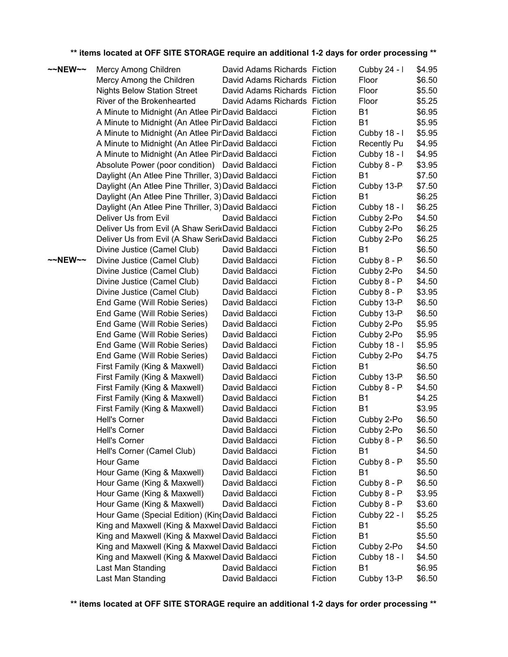| ~~NEW~~ | Mercy Among Children                                | David Adams Richards Fiction |         | Cubby 24 - I       | \$4.95 |
|---------|-----------------------------------------------------|------------------------------|---------|--------------------|--------|
|         | Mercy Among the Children                            | David Adams Richards Fiction |         | Floor              | \$6.50 |
|         | <b>Nights Below Station Street</b>                  | David Adams Richards Fiction |         | Floor              | \$5.50 |
|         | River of the Brokenhearted                          | David Adams Richards Fiction |         | Floor              | \$5.25 |
|         | A Minute to Midnight (An Atlee PinDavid Baldacci    |                              | Fiction | <b>B1</b>          | \$6.95 |
|         | A Minute to Midnight (An Atlee PinDavid Baldacci    |                              | Fiction | <b>B1</b>          | \$5.95 |
|         | A Minute to Midnight (An Atlee PinDavid Baldacci    |                              | Fiction | Cubby 18 - I       | \$5.95 |
|         | A Minute to Midnight (An Atlee PinDavid Baldacci    |                              | Fiction | <b>Recently Pu</b> | \$4.95 |
|         | A Minute to Midnight (An Atlee PinDavid Baldacci    |                              | Fiction | Cubby 18 - I       | \$4.95 |
|         | Absolute Power (poor condition) David Baldacci      |                              | Fiction | Cubby 8 - P        | \$3.95 |
|         | Daylight (An Atlee Pine Thriller, 3) David Baldacci |                              | Fiction | <b>B1</b>          | \$7.50 |
|         | Daylight (An Atlee Pine Thriller, 3) David Baldacci |                              | Fiction | Cubby 13-P         | \$7.50 |
|         | Daylight (An Atlee Pine Thriller, 3) David Baldacci |                              | Fiction | <b>B1</b>          | \$6.25 |
|         | Daylight (An Atlee Pine Thriller, 3) David Baldacci |                              | Fiction | Cubby 18 - I       | \$6.25 |
|         | Deliver Us from Evil                                | David Baldacci               | Fiction | Cubby 2-Po         | \$4.50 |
|         | Deliver Us from Evil (A Shaw SeritDavid Baldacci    |                              | Fiction | Cubby 2-Po         | \$6.25 |
|         | Deliver Us from Evil (A Shaw SeritDavid Baldacci    |                              | Fiction | Cubby 2-Po         | \$6.25 |
|         | Divine Justice (Camel Club)                         | David Baldacci               | Fiction | <b>B1</b>          | \$6.50 |
| ~~NEW~~ | Divine Justice (Camel Club)                         | David Baldacci               | Fiction | Cubby 8 - P        | \$6.50 |
|         | Divine Justice (Camel Club)                         | David Baldacci               | Fiction | Cubby 2-Po         | \$4.50 |
|         | Divine Justice (Camel Club)                         | David Baldacci               | Fiction | Cubby 8 - P        | \$4.50 |
|         | Divine Justice (Camel Club)                         | David Baldacci               | Fiction | Cubby 8 - P        | \$3.95 |
|         | End Game (Will Robie Series)                        | David Baldacci               | Fiction | Cubby 13-P         | \$6.50 |
|         | End Game (Will Robie Series)                        | David Baldacci               | Fiction | Cubby 13-P         | \$6.50 |
|         | End Game (Will Robie Series)                        | David Baldacci               | Fiction | Cubby 2-Po         | \$5.95 |
|         | End Game (Will Robie Series)                        | David Baldacci               | Fiction | Cubby 2-Po         | \$5.95 |
|         | End Game (Will Robie Series)                        | David Baldacci               | Fiction | Cubby 18 - I       | \$5.95 |
|         | End Game (Will Robie Series)                        | David Baldacci               | Fiction | Cubby 2-Po         | \$4.75 |
|         | First Family (King & Maxwell)                       | David Baldacci               | Fiction | <b>B1</b>          | \$6.50 |
|         | First Family (King & Maxwell)                       | David Baldacci               | Fiction | Cubby 13-P         | \$6.50 |
|         | First Family (King & Maxwell)                       | David Baldacci               | Fiction | Cubby 8 - P        | \$4.50 |
|         | First Family (King & Maxwell)                       | David Baldacci               | Fiction | B1                 | \$4.25 |
|         | First Family (King & Maxwell)                       | David Baldacci               | Fiction | <b>B1</b>          | \$3.95 |
|         | <b>Hell's Corner</b>                                | David Baldacci               | Fiction | Cubby 2-Po         | \$6.50 |
|         | <b>Hell's Corner</b>                                | David Baldacci               | Fiction | Cubby 2-Po         | \$6.50 |
|         | Hell's Corner                                       | David Baldacci               | Fiction | Cubby 8 - P        | \$6.50 |
|         | Hell's Corner (Camel Club)                          | David Baldacci               | Fiction | <b>B1</b>          | \$4.50 |
|         | Hour Game                                           | David Baldacci               | Fiction | Cubby 8 - P        | \$5.50 |
|         | Hour Game (King & Maxwell)                          | David Baldacci               | Fiction | <b>B1</b>          | \$6.50 |
|         | Hour Game (King & Maxwell)                          | David Baldacci               | Fiction | Cubby 8 - P        | \$6.50 |
|         | Hour Game (King & Maxwell)                          | David Baldacci               | Fiction | Cubby 8 - P        | \$3.95 |
|         | Hour Game (King & Maxwell)                          | David Baldacci               | Fiction | Cubby 8 - P        | \$3.60 |
|         | Hour Game (Special Edition) (KincDavid Baldacci     |                              | Fiction | Cubby 22 - I       | \$5.25 |
|         | King and Maxwell (King & MaxwellDavid Baldacci      |                              | Fiction | <b>B1</b>          | \$5.50 |
|         | King and Maxwell (King & MaxwellDavid Baldacci      |                              | Fiction | <b>B1</b>          | \$5.50 |
|         | King and Maxwell (King & MaxwellDavid Baldacci      |                              | Fiction | Cubby 2-Po         | \$4.50 |
|         | King and Maxwell (King & MaxwellDavid Baldacci      |                              | Fiction | Cubby 18 - I       | \$4.50 |
|         | Last Man Standing                                   | David Baldacci               | Fiction | <b>B1</b>          | \$6.95 |
|         | Last Man Standing                                   | David Baldacci               | Fiction | Cubby 13-P         | \$6.50 |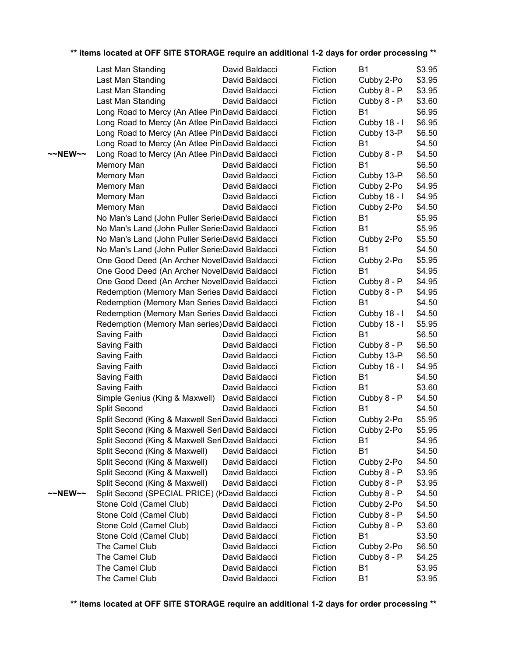|         | Last Man Standing                                | David Baldacci | Fiction | Β1            | \$3.95 |
|---------|--------------------------------------------------|----------------|---------|---------------|--------|
|         | Last Man Standing                                | David Baldacci | Fiction | Cubby 2-Po    | \$3.95 |
|         | Last Man Standing                                | David Baldacci | Fiction | Cubby 8 - P   | \$3.95 |
|         | Last Man Standing                                | David Baldacci | Fiction | Cubby 8 - P   | \$3.60 |
|         | Long Road to Mercy (An Atlee PinDavid Baldacci   |                | Fiction | <b>B1</b>     | \$6.95 |
|         | Long Road to Mercy (An Atlee PinDavid Baldacci   |                | Fiction | Cubby 18 - I  | \$6.95 |
|         | Long Road to Mercy (An Atlee PinDavid Baldacci   |                | Fiction | Cubby 13-P    | \$6.50 |
|         | Long Road to Mercy (An Atlee PinDavid Baldacci   |                | Fiction | <b>B1</b>     | \$4.50 |
| ~~NEW~~ | Long Road to Mercy (An Atlee PinDavid Baldacci   |                | Fiction | Cubby 8 - P   | \$4.50 |
|         | Memory Man                                       | David Baldacci | Fiction | Β1            | \$6.50 |
|         | Memory Man                                       | David Baldacci | Fiction | Cubby 13-P    | \$6.50 |
|         | Memory Man                                       | David Baldacci | Fiction | Cubby 2-Po    | \$4.95 |
|         | Memory Man                                       | David Baldacci | Fiction | Cubby 18 - I  | \$4.95 |
|         | Memory Man                                       | David Baldacci | Fiction | Cubby 2-Po    | \$4.50 |
|         | No Man's Land (John Puller Serie: David Baldacci |                | Fiction | Β1            | \$5.95 |
|         | No Man's Land (John Puller Serie: David Baldacci |                | Fiction | <b>B1</b>     | \$5.95 |
|         | No Man's Land (John Puller Serie:David Baldacci  |                | Fiction | Cubby 2-Po    | \$5.50 |
|         | No Man's Land (John Puller Serie:David Baldacci  |                | Fiction | <b>B1</b>     | \$4.50 |
|         | One Good Deed (An Archer NovelDavid Baldacci     |                | Fiction | Cubby 2-Po    | \$5.95 |
|         | One Good Deed (An Archer NovelDavid Baldacci     |                | Fiction | <b>B1</b>     | \$4.95 |
|         | One Good Deed (An Archer NovelDavid Baldacci     |                | Fiction | Cubby $8 - P$ | \$4.95 |
|         | Redemption (Memory Man Series David Baldacci     |                | Fiction | Cubby 8 - P   | \$4.95 |
|         | Redemption (Memory Man Series David Baldacci     |                | Fiction | Β1            | \$4.50 |
|         | Redemption (Memory Man Series David Baldacci     |                | Fiction | Cubby 18 - I  | \$4.50 |
|         | Redemption (Memory Man series) David Baldacci    |                | Fiction | Cubby 18 - I  | \$5.95 |
|         | Saving Faith                                     | David Baldacci | Fiction | <b>B1</b>     | \$6.50 |
|         | Saving Faith                                     | David Baldacci | Fiction | Cubby 8 - P   | \$6.50 |
|         | Saving Faith                                     | David Baldacci | Fiction | Cubby 13-P    | \$6.50 |
|         | Saving Faith                                     | David Baldacci | Fiction | Cubby 18 - I  | \$4.95 |
|         | Saving Faith                                     | David Baldacci | Fiction | <b>B1</b>     | \$4.50 |
|         | Saving Faith                                     | David Baldacci | Fiction | Β1            | \$3.60 |
|         | Simple Genius (King & Maxwell)                   | David Baldacci | Fiction | Cubby 8 - P   | \$4.50 |
|         | Split Second                                     | David Baldacci | Fiction | <b>B1</b>     | \$4.50 |
|         | Split Second (King & Maxwell SeriDavid Baldacci  |                | Fiction | Cubby 2-Po    | \$5.95 |
|         | Split Second (King & Maxwell SeriDavid Baldacci  |                | Fiction | Cubby 2-Po    | \$5.95 |
|         | Split Second (King & Maxwell SeriDavid Baldacci  |                | Fiction | B1            | \$4.95 |
|         | Split Second (King & Maxwell)                    | David Baldacci | Fiction | <b>B1</b>     | \$4.50 |
|         | Split Second (King & Maxwell)                    | David Baldacci | Fiction | Cubby 2-Po    | \$4.50 |
|         | Split Second (King & Maxwell)                    | David Baldacci | Fiction | Cubby 8 - P   | \$3.95 |
|         | Split Second (King & Maxwell)                    | David Baldacci | Fiction | Cubby 8 - P   | \$3.95 |
| ~~NEW~~ | Split Second (SPECIAL PRICE) (PDavid Baldacci    |                | Fiction | Cubby 8 - P   | \$4.50 |
|         | Stone Cold (Camel Club)                          | David Baldacci | Fiction | Cubby 2-Po    | \$4.50 |
|         | Stone Cold (Camel Club)                          | David Baldacci | Fiction | Cubby 8 - P   | \$4.50 |
|         | Stone Cold (Camel Club)                          | David Baldacci | Fiction | Cubby 8 - P   | \$3.60 |
|         | Stone Cold (Camel Club)                          | David Baldacci | Fiction | <b>B1</b>     | \$3.50 |
|         | The Camel Club                                   | David Baldacci | Fiction | Cubby 2-Po    | \$6.50 |
|         | The Camel Club                                   | David Baldacci | Fiction | Cubby 8 - P   | \$4.25 |
|         | The Camel Club                                   | David Baldacci | Fiction | <b>B1</b>     | \$3.95 |
|         | The Camel Club                                   | David Baldacci | Fiction | <b>B1</b>     | \$3.95 |
|         |                                                  |                |         |               |        |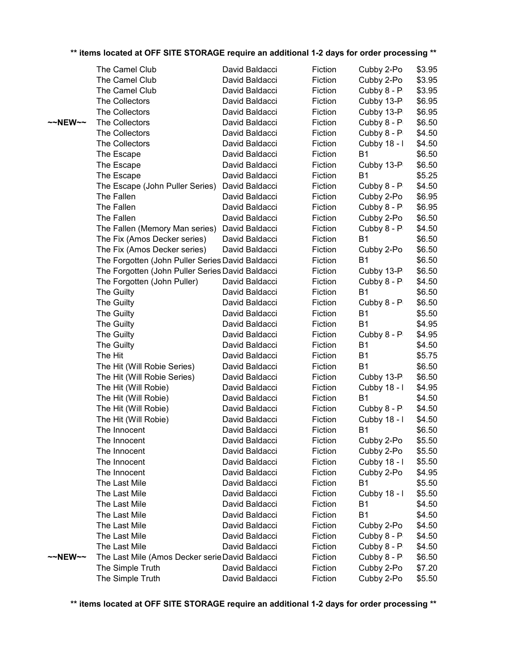|                   | The Camel Club                                   | David Baldacci | Fiction | Cubby 2-Po    | \$3.95 |
|-------------------|--------------------------------------------------|----------------|---------|---------------|--------|
|                   | The Camel Club                                   | David Baldacci | Fiction | Cubby 2-Po    | \$3.95 |
|                   | The Camel Club                                   | David Baldacci | Fiction | Cubby 8 - P   | \$3.95 |
|                   | The Collectors                                   | David Baldacci | Fiction | Cubby 13-P    | \$6.95 |
|                   | The Collectors                                   | David Baldacci | Fiction | Cubby 13-P    | \$6.95 |
| $\sim$ NEW $\sim$ | The Collectors                                   | David Baldacci | Fiction | Cubby 8 - P   | \$6.50 |
|                   | The Collectors                                   | David Baldacci | Fiction | Cubby 8 - P   | \$4.50 |
|                   | The Collectors                                   | David Baldacci | Fiction | Cubby 18 - I  | \$4.50 |
|                   | The Escape                                       | David Baldacci | Fiction | <b>B1</b>     | \$6.50 |
|                   | The Escape                                       | David Baldacci | Fiction | Cubby 13-P    | \$6.50 |
|                   | The Escape                                       | David Baldacci | Fiction | <b>B1</b>     | \$5.25 |
|                   | The Escape (John Puller Series)                  | David Baldacci | Fiction | Cubby 8 - P   | \$4.50 |
|                   | The Fallen                                       | David Baldacci | Fiction | Cubby 2-Po    | \$6.95 |
|                   | The Fallen                                       | David Baldacci | Fiction | Cubby 8 - P   | \$6.95 |
|                   | The Fallen                                       | David Baldacci | Fiction | Cubby 2-Po    | \$6.50 |
|                   | The Fallen (Memory Man series)                   | David Baldacci | Fiction | Cubby 8 - P   | \$4.50 |
|                   | The Fix (Amos Decker series)                     | David Baldacci | Fiction | <b>B1</b>     | \$6.50 |
|                   | The Fix (Amos Decker series)                     | David Baldacci | Fiction | Cubby 2-Po    | \$6.50 |
|                   | The Forgotten (John Puller Series David Baldacci |                | Fiction | <b>B1</b>     | \$6.50 |
|                   | The Forgotten (John Puller Series David Baldacci |                | Fiction | Cubby 13-P    | \$6.50 |
|                   | The Forgotten (John Puller)                      | David Baldacci | Fiction | Cubby 8 - P   | \$4.50 |
|                   | The Guilty                                       | David Baldacci | Fiction | <b>B1</b>     | \$6.50 |
|                   | The Guilty                                       | David Baldacci | Fiction | Cubby 8 - P   | \$6.50 |
|                   | The Guilty                                       | David Baldacci | Fiction | <b>B1</b>     | \$5.50 |
|                   | The Guilty                                       | David Baldacci | Fiction | <b>B1</b>     | \$4.95 |
|                   | The Guilty                                       | David Baldacci | Fiction | Cubby $8 - P$ | \$4.95 |
|                   | The Guilty                                       | David Baldacci | Fiction | <b>B1</b>     | \$4.50 |
|                   | The Hit                                          | David Baldacci | Fiction | <b>B1</b>     | \$5.75 |
|                   | The Hit (Will Robie Series)                      | David Baldacci | Fiction | <b>B1</b>     | \$6.50 |
|                   | The Hit (Will Robie Series)                      | David Baldacci | Fiction | Cubby 13-P    | \$6.50 |
|                   | The Hit (Will Robie)                             | David Baldacci | Fiction | Cubby 18 - I  | \$4.95 |
|                   | The Hit (Will Robie)                             | David Baldacci | Fiction | <b>B1</b>     | \$4.50 |
|                   | The Hit (Will Robie)                             | David Baldacci | Fiction | Cubby 8 - P   | \$4.50 |
|                   | The Hit (Will Robie)                             | David Baldacci | Fiction | Cubby 18 - I  | \$4.50 |
|                   | The Innocent                                     | David Baldacci | Fiction | <b>B1</b>     | \$6.50 |
|                   | The Innocent                                     | David Baldacci | Fiction | Cubby 2-Po    | \$5.50 |
|                   | The Innocent                                     | David Baldacci | Fiction | Cubby 2-Po    | \$5.50 |
|                   | The Innocent                                     | David Baldacci | Fiction | Cubby 18 - I  | \$5.50 |
|                   | The Innocent                                     | David Baldacci | Fiction | Cubby 2-Po    | \$4.95 |
|                   | The Last Mile                                    | David Baldacci | Fiction | <b>B1</b>     | \$5.50 |
|                   | The Last Mile                                    | David Baldacci | Fiction | Cubby 18 - I  | \$5.50 |
|                   | The Last Mile                                    | David Baldacci | Fiction | B1            | \$4.50 |
|                   | The Last Mile                                    | David Baldacci | Fiction | <b>B1</b>     | \$4.50 |
|                   | The Last Mile                                    | David Baldacci | Fiction | Cubby 2-Po    | \$4.50 |
|                   | The Last Mile                                    | David Baldacci | Fiction | Cubby 8 - P   | \$4.50 |
|                   | The Last Mile                                    | David Baldacci | Fiction | Cubby 8 - P   | \$4.50 |
| ~~NEW~~           | The Last Mile (Amos Decker serie David Baldacci  |                | Fiction | Cubby 8 - P   | \$6.50 |
|                   | The Simple Truth                                 | David Baldacci | Fiction | Cubby 2-Po    | \$7.20 |
|                   | The Simple Truth                                 | David Baldacci | Fiction | Cubby 2-Po    | \$5.50 |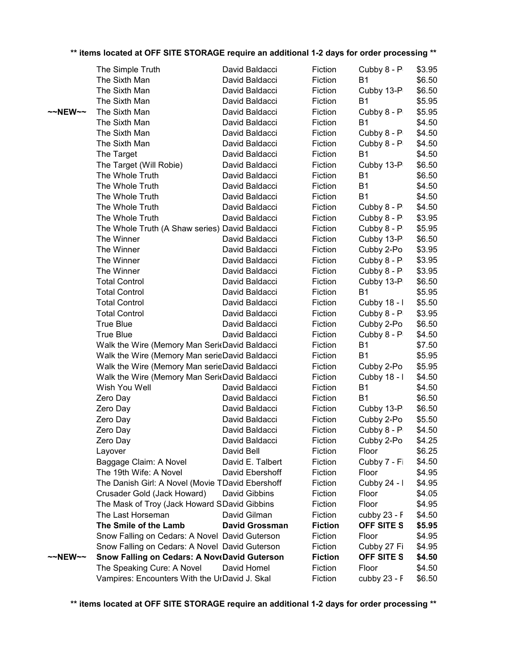|                   | The Simple Truth                                    |            | David Baldacci        | Fiction        | Cubby 8 - P    | \$3.95 |
|-------------------|-----------------------------------------------------|------------|-----------------------|----------------|----------------|--------|
|                   | The Sixth Man                                       |            | David Baldacci        | Fiction        | <b>B1</b>      | \$6.50 |
|                   | The Sixth Man                                       |            | David Baldacci        | Fiction        | Cubby 13-P     | \$6.50 |
|                   | The Sixth Man                                       |            | David Baldacci        | Fiction        | <b>B1</b>      | \$5.95 |
| $\sim$ NEW $\sim$ | The Sixth Man                                       |            | David Baldacci        | Fiction        | Cubby 8 - P    | \$5.95 |
|                   | The Sixth Man                                       |            | David Baldacci        | Fiction        | <b>B1</b>      | \$4.50 |
|                   | The Sixth Man                                       |            | David Baldacci        | Fiction        | Cubby 8 - P    | \$4.50 |
|                   | The Sixth Man                                       |            | David Baldacci        | Fiction        | Cubby 8 - P    | \$4.50 |
|                   | The Target                                          |            | David Baldacci        | Fiction        | <b>B1</b>      | \$4.50 |
|                   | The Target (Will Robie)                             |            | David Baldacci        | Fiction        | Cubby 13-P     | \$6.50 |
|                   | The Whole Truth                                     |            | David Baldacci        | Fiction        | <b>B1</b>      | \$6.50 |
|                   | The Whole Truth                                     |            | David Baldacci        | Fiction        | <b>B1</b>      | \$4.50 |
|                   | The Whole Truth                                     |            | David Baldacci        | Fiction        | <b>B1</b>      | \$4.50 |
|                   | The Whole Truth                                     |            | David Baldacci        | Fiction        | Cubby 8 - P    | \$4.50 |
|                   | The Whole Truth                                     |            | David Baldacci        | Fiction        | Cubby 8 - P    | \$3.95 |
|                   | The Whole Truth (A Shaw series) David Baldacci      |            |                       | Fiction        | Cubby 8 - P    | \$5.95 |
|                   | The Winner                                          |            | David Baldacci        | Fiction        | Cubby 13-P     | \$6.50 |
|                   | The Winner                                          |            | David Baldacci        | Fiction        | Cubby 2-Po     | \$3.95 |
|                   | The Winner                                          |            | David Baldacci        | Fiction        | Cubby 8 - P    | \$3.95 |
|                   | The Winner                                          |            | David Baldacci        | Fiction        | Cubby 8 - P    | \$3.95 |
|                   | <b>Total Control</b>                                |            | David Baldacci        | Fiction        | Cubby 13-P     | \$6.50 |
|                   | <b>Total Control</b>                                |            | David Baldacci        | Fiction        | <b>B1</b>      | \$5.95 |
|                   | <b>Total Control</b>                                |            | David Baldacci        | Fiction        | Cubby 18 - I   | \$5.50 |
|                   | <b>Total Control</b>                                |            | David Baldacci        | Fiction        | Cubby 8 - P    | \$3.95 |
|                   | <b>True Blue</b>                                    |            | David Baldacci        | Fiction        | Cubby 2-Po     | \$6.50 |
|                   | <b>True Blue</b>                                    |            | David Baldacci        | Fiction        | Cubby 8 - P    | \$4.50 |
|                   | Walk the Wire (Memory Man SeritDavid Baldacci       |            |                       | Fiction        | <b>B1</b>      | \$7.50 |
|                   | Walk the Wire (Memory Man serieDavid Baldacci       |            |                       | Fiction        | <b>B1</b>      | \$5.95 |
|                   | Walk the Wire (Memory Man serieDavid Baldacci       |            |                       | Fiction        | Cubby 2-Po     | \$5.95 |
|                   | Walk the Wire (Memory Man SericDavid Baldacci       |            |                       | Fiction        | Cubby 18 - I   | \$4.50 |
|                   | Wish You Well                                       |            | David Baldacci        | Fiction        | <b>B1</b>      | \$4.50 |
|                   | Zero Day                                            |            | David Baldacci        | Fiction        | <b>B1</b>      | \$6.50 |
|                   | Zero Day                                            |            | David Baldacci        | Fiction        | Cubby 13-P     | \$6.50 |
|                   | Zero Day                                            |            | David Baldacci        | Fiction        | Cubby 2-Po     | \$5.50 |
|                   | Zero Day                                            |            | David Baldacci        | Fiction        | Cubby 8 - P    | \$4.50 |
|                   | Zero Day                                            |            | David Baldacci        | Fiction        | Cubby 2-Po     | \$4.25 |
|                   | Layover                                             | David Bell |                       | Fiction        | Floor          | \$6.25 |
|                   | Baggage Claim: A Novel                              |            | David E. Talbert      | Fiction        | Cubby 7 - Fi   | \$4.50 |
|                   | The 19th Wife: A Novel                              |            | David Ebershoff       | Fiction        | Floor          | \$4.95 |
|                   | The Danish Girl: A Novel (Movie TDavid Ebershoff    |            |                       | Fiction        | Cubby 24 - I   | \$4.95 |
|                   | Crusader Gold (Jack Howard)                         |            | David Gibbins         | Fiction        | Floor          | \$4.05 |
|                   | The Mask of Troy (Jack Howard SDavid Gibbins        |            |                       | Fiction        | Floor          | \$4.95 |
|                   | The Last Horseman                                   |            | David Gilman          | Fiction        | cubby 23 - F   | \$4.50 |
|                   | The Smile of the Lamb                               |            | <b>David Grossman</b> | <b>Fiction</b> | OFF SITE S     | \$5.95 |
|                   | Snow Falling on Cedars: A Novel David Guterson      |            |                       | Fiction        | Floor          | \$4.95 |
|                   | Snow Falling on Cedars: A Novel David Guterson      |            |                       | Fiction        | Cubby 27 Fi    | \$4.95 |
| $\sim$ NEW $\sim$ | <b>Snow Falling on Cedars: A NoveDavid Guterson</b> |            |                       | <b>Fiction</b> | OFF SITE S     | \$4.50 |
|                   | The Speaking Cure: A Novel                          |            | David Homel           | Fiction        | Floor          | \$4.50 |
|                   | Vampires: Encounters With the UrDavid J. Skal       |            |                       | Fiction        | cubby $23 - F$ | \$6.50 |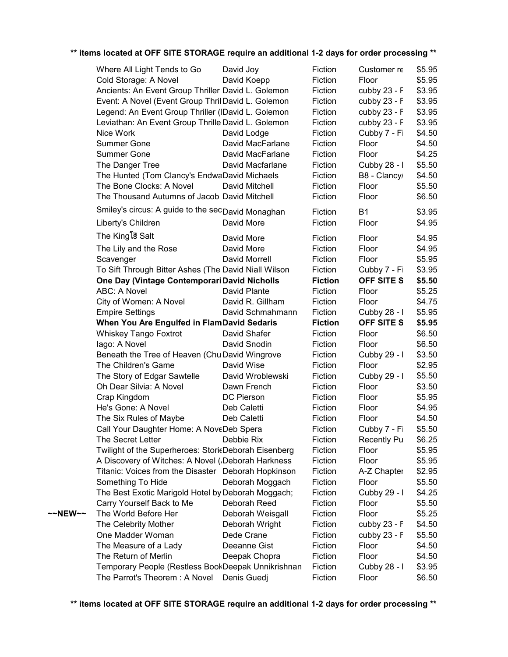|         | Where All Light Tends to Go                          | David Joy        | Fiction        | Customer re        | \$5.95 |
|---------|------------------------------------------------------|------------------|----------------|--------------------|--------|
|         | Cold Storage: A Novel                                | David Koepp      | Fiction        | Floor              | \$5.95 |
|         | Ancients: An Event Group Thriller David L. Golemon   |                  | Fiction        | cubby 23 - F       | \$3.95 |
|         | Event: A Novel (Event Group ThrilDavid L. Golemon    |                  | Fiction        | cubby 23 - F       | \$3.95 |
|         | Legend: An Event Group Thriller (IDavid L. Golemon   |                  | Fiction        | cubby 23 - F       | \$3.95 |
|         | Leviathan: An Event Group Thrille David L. Golemon   |                  | Fiction        | cubby 23 - F       | \$3.95 |
|         | Nice Work                                            | David Lodge      | Fiction        | Cubby 7 - Fi       | \$4.50 |
|         | <b>Summer Gone</b>                                   | David MacFarlane | Fiction        | Floor              | \$4.50 |
|         | <b>Summer Gone</b>                                   | David MacFarlane | Fiction        | Floor              | \$4.25 |
|         | The Danger Tree                                      | David Macfarlane | Fiction        | Cubby 28 - I       | \$5.50 |
|         | The Hunted (Tom Clancy's EndwaDavid Michaels         |                  | Fiction        | B8 - Clancy        | \$4.50 |
|         | The Bone Clocks: A Novel                             | David Mitchell   | Fiction        | Floor              | \$5.50 |
|         | The Thousand Autumns of Jacob David Mitchell         |                  | Fiction        | Floor              | \$6.50 |
|         | Smiley's circus: A guide to the secDavid Monaghan    |                  | Fiction        | <b>B1</b>          | \$3.95 |
|         | Liberty's Children                                   | David More       | Fiction        | Floor              | \$4.95 |
|         | The King is Salt                                     | David More       | Fiction        | Floor              | \$4.95 |
|         | The Lily and the Rose                                | David More       | Fiction        | Floor              | \$4.95 |
|         | Scavenger                                            | David Morrell    | Fiction        | Floor              | \$5.95 |
|         | To Sift Through Bitter Ashes (The David Niall Wilson |                  | Fiction        | Cubby 7 - Fi       | \$3.95 |
|         | One Day (Vintage Contemporari David Nicholls         |                  | <b>Fiction</b> | <b>OFF SITE S</b>  | \$5.50 |
|         | <b>ABC: A Novel</b>                                  | David Plante     | Fiction        | Floor              | \$5.25 |
|         | City of Women: A Novel                               | David R. Gillham | Fiction        | Floor              | \$4.75 |
|         | <b>Empire Settings</b>                               | David Schmahmann | Fiction        | Cubby 28 - I       | \$5.95 |
|         | When You Are Engulfed in FlamDavid Sedaris           |                  | <b>Fiction</b> | <b>OFF SITE S</b>  | \$5.95 |
|         | <b>Whiskey Tango Foxtrot</b>                         | David Shafer     | Fiction        | Floor              | \$6.50 |
|         | lago: A Novel                                        | David Snodin     | Fiction        | Floor              | \$6.50 |
|         | Beneath the Tree of Heaven (Chu David Wingrove       |                  | Fiction        | Cubby 29 - I       | \$3.50 |
|         | The Children's Game                                  | David Wise       | Fiction        | Floor              | \$2.95 |
|         | The Story of Edgar Sawtelle                          | David Wroblewski | Fiction        | Cubby 29 - I       | \$5.50 |
|         | Oh Dear Silvia: A Novel                              | Dawn French      | Fiction        | Floor              | \$3.50 |
|         | Crap Kingdom                                         | DC Pierson       | Fiction        | Floor              | \$5.95 |
|         | He's Gone: A Novel                                   | Deb Caletti      | Fiction        | Floor              | \$4.95 |
|         | The Six Rules of Maybe                               | Deb Caletti      | Fiction        | Floor              | \$4.50 |
|         | Call Your Daughter Home: A NoveDeb Spera             |                  | Fiction        | Cubby 7 - Fi       | \$5.50 |
|         | The Secret Letter                                    | Debbie Rix       | Fiction        | <b>Recently Pu</b> | \$6.25 |
|         | Twilight of the Superheroes: StoricDeborah Eisenberg |                  | Fiction        | Floor              | \$5.95 |
|         | A Discovery of Witches: A Novel (Deborah Harkness    |                  | Fiction        | Floor              | \$5.95 |
|         | Titanic: Voices from the Disaster Deborah Hopkinson  |                  | Fiction        | A-Z Chapter        | \$2.95 |
|         | Something To Hide                                    | Deborah Moggach  | Fiction        | Floor              | \$5.50 |
|         | The Best Exotic Marigold Hotel by Deborah Moggach;   |                  | Fiction        | Cubby 29 - I       | \$4.25 |
|         | Carry Yourself Back to Me                            | Deborah Reed     | Fiction        | Floor              | \$5.50 |
| ~~NEW~~ | The World Before Her                                 | Deborah Weisgall | Fiction        | Floor              | \$5.25 |
|         | The Celebrity Mother                                 | Deborah Wright   | Fiction        | cubby 23 - F       | \$4.50 |
|         | One Madder Woman                                     | Dede Crane       | Fiction        | cubby 23 - F       | \$5.50 |
|         | The Measure of a Lady                                | Deeanne Gist     | Fiction        | Floor              | \$4.50 |
|         | The Return of Merlin                                 | Deepak Chopra    | Fiction        | Floor              | \$4.50 |
|         | Temporary People (Restless BookDeepak Unnikrishnan   |                  | Fiction        | Cubby 28 - I       | \$3.95 |
|         | The Parrot's Theorem: A Novel                        | Denis Guedj      | Fiction        | Floor              | \$6.50 |
|         |                                                      |                  |                |                    |        |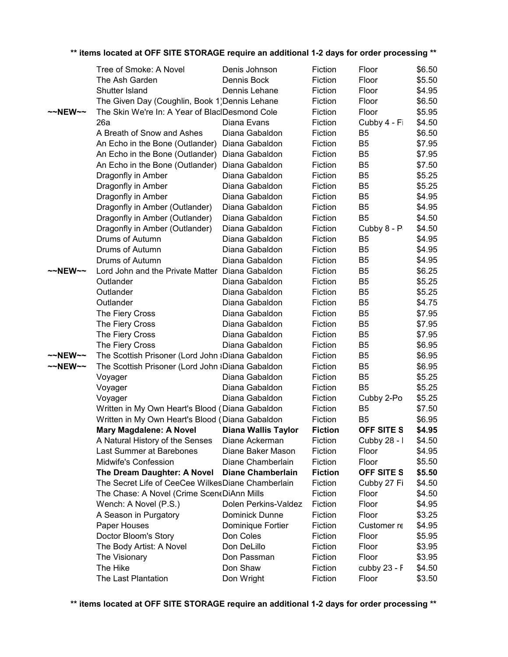|                   | Tree of Smoke: A Novel                            | Denis Johnson        | Fiction        | Floor             | \$6.50 |
|-------------------|---------------------------------------------------|----------------------|----------------|-------------------|--------|
|                   | The Ash Garden                                    | Dennis Bock          | Fiction        | Floor             | \$5.50 |
|                   | Shutter Island                                    | Dennis Lehane        | Fiction        | Floor             | \$4.95 |
|                   | The Given Day (Coughlin, Book 1) Dennis Lehane    |                      | Fiction        | Floor             | \$6.50 |
| $\sim$ NEW $\sim$ | The Skin We're In: A Year of BlacIDesmond Cole    |                      | Fiction        | Floor             | \$5.95 |
|                   | 26a                                               | Diana Evans          | Fiction        | Cubby 4 - Fi      | \$4.50 |
|                   | A Breath of Snow and Ashes                        | Diana Gabaldon       | Fiction        | B <sub>5</sub>    | \$6.50 |
|                   | An Echo in the Bone (Outlander)                   | Diana Gabaldon       | Fiction        | B <sub>5</sub>    | \$7.95 |
|                   | An Echo in the Bone (Outlander) Diana Gabaldon    |                      | Fiction        | B <sub>5</sub>    | \$7.95 |
|                   | An Echo in the Bone (Outlander)                   | Diana Gabaldon       | Fiction        | B <sub>5</sub>    | \$7.50 |
|                   | Dragonfly in Amber                                | Diana Gabaldon       | Fiction        | B <sub>5</sub>    | \$5.25 |
|                   | Dragonfly in Amber                                | Diana Gabaldon       | Fiction        | B <sub>5</sub>    | \$5.25 |
|                   | Dragonfly in Amber                                | Diana Gabaldon       | Fiction        | B <sub>5</sub>    | \$4.95 |
|                   | Dragonfly in Amber (Outlander)                    | Diana Gabaldon       | Fiction        | B <sub>5</sub>    | \$4.95 |
|                   | Dragonfly in Amber (Outlander)                    | Diana Gabaldon       | Fiction        | B <sub>5</sub>    | \$4.50 |
|                   | Dragonfly in Amber (Outlander)                    | Diana Gabaldon       | Fiction        | Cubby 8 - P       | \$4.50 |
|                   | Drums of Autumn                                   | Diana Gabaldon       | Fiction        | B <sub>5</sub>    | \$4.95 |
|                   | Drums of Autumn                                   | Diana Gabaldon       | Fiction        | B <sub>5</sub>    | \$4.95 |
|                   | Drums of Autumn                                   | Diana Gabaldon       | Fiction        | B <sub>5</sub>    | \$4.95 |
|                   | Lord John and the Private Matter Diana Gabaldon   |                      |                | B <sub>5</sub>    |        |
| $\sim$ NEW $\sim$ |                                                   |                      | Fiction        |                   | \$6.25 |
|                   | Outlander                                         | Diana Gabaldon       | Fiction        | B <sub>5</sub>    | \$5.25 |
|                   | Outlander                                         | Diana Gabaldon       | Fiction        | B <sub>5</sub>    | \$5.25 |
|                   | Outlander                                         | Diana Gabaldon       | Fiction        | B <sub>5</sub>    | \$4.75 |
|                   | The Fiery Cross                                   | Diana Gabaldon       | Fiction        | B <sub>5</sub>    | \$7.95 |
|                   | The Fiery Cross                                   | Diana Gabaldon       | Fiction        | B <sub>5</sub>    | \$7.95 |
|                   | The Fiery Cross                                   | Diana Gabaldon       | Fiction        | B <sub>5</sub>    | \$7.95 |
|                   | The Fiery Cross                                   | Diana Gabaldon       | Fiction        | B <sub>5</sub>    | \$6.95 |
| $\sim$ NEW $\sim$ | The Scottish Prisoner (Lord John #Diana Gabaldon  |                      | Fiction        | B <sub>5</sub>    | \$6.95 |
| ~~NEW~~           | The Scottish Prisoner (Lord John #Diana Gabaldon  |                      | Fiction        | B <sub>5</sub>    | \$6.95 |
|                   | Voyager                                           | Diana Gabaldon       | Fiction        | B <sub>5</sub>    | \$5.25 |
|                   | Voyager                                           | Diana Gabaldon       | Fiction        | B <sub>5</sub>    | \$5.25 |
|                   | Voyager                                           | Diana Gabaldon       | Fiction        | Cubby 2-Po        | \$5.25 |
|                   | Written in My Own Heart's Blood (Diana Gabaldon   |                      | Fiction        | B <sub>5</sub>    | \$7.50 |
|                   | Written in My Own Heart's Blood (Diana Gabaldon   |                      | Fiction        | B <sub>5</sub>    | \$6.95 |
|                   | Mary Magdalene: A Novel Diana Wallis Taylor       |                      | <b>Fiction</b> | <b>OFF SITE S</b> | \$4.95 |
|                   | A Natural History of the Senses                   | Diane Ackerman       | Fiction        | Cubby 28 - I      | \$4.50 |
|                   | Last Summer at Barebones                          | Diane Baker Mason    | Fiction        | Floor             | \$4.95 |
|                   | Midwife's Confession                              | Diane Chamberlain    | Fiction        | Floor             | \$5.50 |
|                   | The Dream Daughter: A Novel Diane Chamberlain     |                      | <b>Fiction</b> | OFF SITE S        | \$5.50 |
|                   | The Secret Life of CeeCee WilkesDiane Chamberlain |                      | Fiction        | Cubby 27 Fi       | \$4.50 |
|                   | The Chase: A Novel (Crime SceneDiAnn Mills        |                      | Fiction        | Floor             | \$4.50 |
|                   | Wench: A Novel (P.S.)                             | Dolen Perkins-Valdez | Fiction        | Floor             | \$4.95 |
|                   | A Season in Purgatory                             | Dominick Dunne       | Fiction        | Floor             | \$3.25 |
|                   | Paper Houses                                      | Dominique Fortier    | Fiction        | Customer re       | \$4.95 |
|                   | Doctor Bloom's Story                              | Don Coles            | Fiction        | Floor             | \$5.95 |
|                   | The Body Artist: A Novel                          | Don DeLillo          | Fiction        | Floor             | \$3.95 |
|                   | The Visionary                                     | Don Passman          | Fiction        | Floor             | \$3.95 |
|                   | The Hike                                          | Don Shaw             | Fiction        | cubby 23 - F      | \$4.50 |
|                   | The Last Plantation                               | Don Wright           | Fiction        | Floor             | \$3.50 |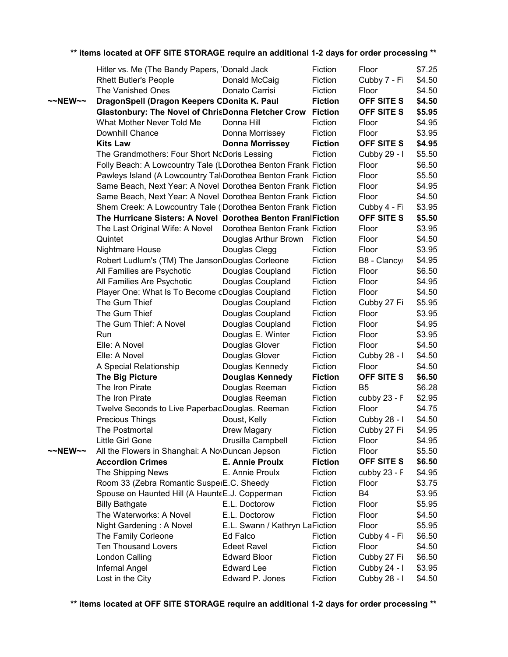|                   | Hitler vs. Me (The Bandy Papers, 'Donald Jack                  |                                 | Fiction                   | Floor             | \$7.25 |
|-------------------|----------------------------------------------------------------|---------------------------------|---------------------------|-------------------|--------|
|                   | <b>Rhett Butler's People</b>                                   | Donald McCaig<br>Donato Carrisi | Fiction                   | Cubby 7 - Fi      | \$4.50 |
|                   | The Vanished Ones                                              |                                 | Fiction                   | Floor             | \$4.50 |
| $\sim$ NEW $\sim$ | DragonSpell (Dragon Keepers CDonita K. Paul                    |                                 | <b>Fiction</b>            | <b>OFF SITE S</b> | \$4.50 |
|                   | <b>Glastonbury: The Novel of ChrisDonna Fletcher Crow</b>      |                                 | <b>Fiction</b><br>Fiction | <b>OFF SITE S</b> | \$5.95 |
|                   | What Mother Never Told Me                                      | Donna Hill                      |                           | Floor             | \$4.95 |
|                   | Downhill Chance                                                | Donna Morrissey                 | Fiction                   | Floor             | \$3.95 |
|                   | <b>Kits Law</b>                                                | <b>Donna Morrissey</b>          | <b>Fiction</b>            | <b>OFF SITE S</b> | \$4.95 |
|                   | The Grandmothers: Four Short NcDoris Lessing                   |                                 | Fiction                   | Cubby 29 - I      | \$5.50 |
|                   | Folly Beach: A Lowcountry Tale (LDorothea Benton Frank Fiction |                                 |                           | Floor             | \$6.50 |
|                   | Pawleys Island (A Lowcountry Tal Dorothea Benton Frank Fiction |                                 |                           | Floor             | \$5.50 |
|                   | Same Beach, Next Year: A Novel Dorothea Benton Frank Fiction   |                                 |                           | Floor             | \$4.95 |
|                   | Same Beach, Next Year: A Novel Dorothea Benton Frank Fiction   |                                 |                           | Floor             | \$4.50 |
|                   | Shem Creek: A Lowcountry Tale (IDorothea Benton Frank Fiction  |                                 |                           | Cubby 4 - Fi      | \$3.95 |
|                   | The Hurricane Sisters: A Novel Dorothea Benton Fran Fiction    |                                 |                           | <b>OFF SITE S</b> | \$5.50 |
|                   | The Last Original Wife: A Novel                                | Dorothea Benton Frank Fiction   |                           | Floor             | \$3.95 |
|                   | Quintet                                                        | Douglas Arthur Brown            | Fiction                   | Floor             | \$4.50 |
|                   | <b>Nightmare House</b>                                         | Douglas Clegg                   | Fiction                   | Floor             | \$3.95 |
|                   | Robert Ludlum's (TM) The JansonDouglas Corleone                |                                 | Fiction                   | B8 - Clancy       | \$4.95 |
|                   | All Families are Psychotic                                     | Douglas Coupland                | Fiction                   | Floor             | \$6.50 |
|                   | All Families Are Psychotic                                     | Douglas Coupland                | Fiction                   | Floor             | \$4.95 |
|                   | Player One: What Is To Become cDouglas Coupland                |                                 | Fiction                   | Floor             | \$4.50 |
|                   | The Gum Thief                                                  | Douglas Coupland                | Fiction                   | Cubby 27 Fi       | \$5.95 |
|                   | The Gum Thief                                                  | Douglas Coupland                | Fiction                   | Floor             | \$3.95 |
|                   | The Gum Thief: A Novel                                         | Douglas Coupland                | Fiction                   | Floor             | \$4.95 |
|                   | Run                                                            | Douglas E. Winter               | Fiction                   | Floor             | \$3.95 |
|                   | Elle: A Novel                                                  | Douglas Glover                  | Fiction                   | Floor             | \$4.50 |
|                   | Elle: A Novel                                                  | Douglas Glover                  | Fiction                   | Cubby 28 - I      | \$4.50 |
|                   | A Special Relationship                                         | Douglas Kennedy                 | Fiction                   | Floor             | \$4.50 |
|                   | <b>The Big Picture</b>                                         | <b>Douglas Kennedy</b>          | <b>Fiction</b>            | <b>OFF SITE S</b> | \$6.50 |
|                   | The Iron Pirate                                                | Douglas Reeman                  | Fiction                   | B <sub>5</sub>    | \$6.28 |
|                   | The Iron Pirate                                                | Douglas Reeman                  | Fiction                   | cubby 23 - F      | \$2.95 |
|                   | Twelve Seconds to Live PaperbacDouglas. Reeman                 |                                 | Fiction                   | Floor             | \$4.75 |
|                   | <b>Precious Things</b>                                         | Doust, Kelly                    | Fiction                   | Cubby 28 - I      | \$4.50 |
|                   | The Postmortal                                                 | Drew Magary                     | Fiction                   | Cubby 27 Fi       | \$4.95 |
|                   | Little Girl Gone                                               | Drusilla Campbell               | Fiction                   | Floor             | \$4.95 |
| $\sim$ NEW $\sim$ | All the Flowers in Shanghai: A No Duncan Jepson                |                                 | Fiction                   | Floor             | \$5.50 |
|                   | <b>Accordion Crimes</b>                                        | <b>E. Annie Proulx</b>          | <b>Fiction</b>            | OFF SITE S        | \$6.50 |
|                   | The Shipping News                                              | E. Annie Proulx                 | Fiction                   | cubby $23 - F$    | \$4.95 |
|                   | Room 33 (Zebra Romantic SusperE.C. Sheedy                      |                                 | Fiction                   | Floor             | \$3.75 |
|                   | Spouse on Haunted Hill (A HaunteE.J. Copperman                 |                                 | Fiction                   | B4                | \$3.95 |
|                   | <b>Billy Bathgate</b>                                          | E.L. Doctorow                   | Fiction                   | Floor             | \$5.95 |
|                   | The Waterworks: A Novel                                        | E.L. Doctorow                   | Fiction                   | Floor             | \$4.50 |
|                   | Night Gardening: A Novel                                       | E.L. Swann / Kathryn LaFiction  |                           | Floor             | \$5.95 |
|                   | The Family Corleone                                            | Ed Falco                        | Fiction                   | Cubby 4 - Fi      | \$6.50 |
|                   | Ten Thousand Lovers                                            | <b>Edeet Ravel</b>              | Fiction                   | Floor             | \$4.50 |
|                   | London Calling                                                 | <b>Edward Bloor</b>             | Fiction                   | Cubby 27 Fi       | \$6.50 |
|                   | Infernal Angel                                                 | <b>Edward Lee</b>               | Fiction                   | Cubby 24 - I      | \$3.95 |
|                   | Lost in the City                                               | Edward P. Jones                 | Fiction                   | Cubby 28 - I      | \$4.50 |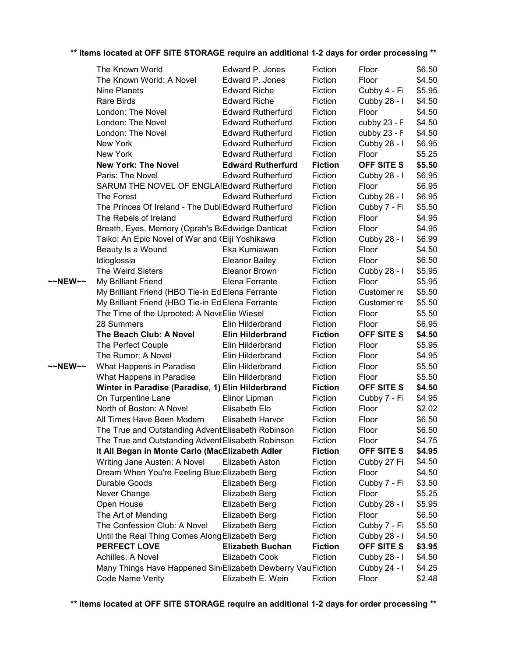|         | The Known World                                              | Edward P. Jones          | Fiction        | Floor             | \$6.50 |
|---------|--------------------------------------------------------------|--------------------------|----------------|-------------------|--------|
|         | The Known World: A Novel                                     | Edward P. Jones          | Fiction        | Floor             | \$4.50 |
|         | Nine Planets                                                 | <b>Edward Riche</b>      | Fiction        | Cubby 4 - Fi      | \$5.95 |
|         | Rare Birds                                                   | <b>Edward Riche</b>      | Fiction        | Cubby 28 - I      | \$4.50 |
|         | London: The Novel                                            | <b>Edward Rutherfurd</b> | Fiction        | Floor             | \$4.50 |
|         | London: The Novel                                            | <b>Edward Rutherfurd</b> | Fiction        | cubby 23 - F      | \$4.50 |
|         | London: The Novel                                            | <b>Edward Rutherfurd</b> | Fiction        | cubby $23 - F$    | \$4.50 |
|         | New York                                                     | <b>Edward Rutherfurd</b> | Fiction        | Cubby 28 - I      | \$6.95 |
|         | New York                                                     | <b>Edward Rutherfurd</b> | Fiction        | Floor             | \$5.25 |
|         | <b>New York: The Novel</b>                                   | <b>Edward Rutherfurd</b> | <b>Fiction</b> | <b>OFF SITE S</b> | \$5.50 |
|         | Paris: The Novel                                             | <b>Edward Rutherfurd</b> | Fiction        | Cubby 28 - I      | \$6.95 |
|         | SARUM THE NOVEL OF ENGLAIEdward Rutherfurd                   |                          | Fiction        | Floor             | \$6.95 |
|         | The Forest                                                   | <b>Edward Rutherfurd</b> | Fiction        | Cubby 28 - I      | \$6.95 |
|         | The Princes Of Ireland - The DubliEdward Rutherfurd          |                          | Fiction        | Cubby 7 - Fi      | \$5.50 |
|         | The Rebels of Ireland                                        | <b>Edward Rutherfurd</b> | Fiction        | Floor             | \$4.95 |
|         | Breath, Eyes, Memory (Oprah's BrEdwidge Danticat             |                          | Fiction        | Floor             | \$4.95 |
|         | Taiko: An Epic Novel of War and (Eiji Yoshikawa              |                          | Fiction        | Cubby 28 - I      | \$6.99 |
|         | Beauty Is a Wound                                            | Eka Kurniawan            | Fiction        | Floor             | \$4.50 |
|         | Idioglossia                                                  | <b>Eleanor Bailey</b>    | Fiction        | Floor             | \$6.50 |
|         | The Weird Sisters                                            | Eleanor Brown            | Fiction        | Cubby 28 - I      | \$5.95 |
| ~~NEW~~ | My Brilliant Friend                                          | Elena Ferrante           | Fiction        | Floor             | \$5.95 |
|         | My Brilliant Friend (HBO Tie-in Ed Elena Ferrante            |                          | Fiction        | Customer re       | \$5.50 |
|         | My Brilliant Friend (HBO Tie-in Ed Elena Ferrante            |                          | Fiction        | Customer re       | \$5.50 |
|         | The Time of the Uprooted: A NoveElie Wiesel                  |                          | Fiction        | Floor             | \$5.50 |
|         | 28 Summers                                                   | Elin Hilderbrand         | Fiction        | Floor             | \$6.95 |
|         | The Beach Club: A Novel                                      | <b>Elin Hilderbrand</b>  | <b>Fiction</b> | OFF SITE S        | \$4.50 |
|         | The Perfect Couple                                           | Elin Hilderbrand         | Fiction        | Floor             | \$5.95 |
|         | The Rumor: A Novel                                           | Elin Hilderbrand         | Fiction        | Floor             | \$4.95 |
| ~~NEW~~ | What Happens in Paradise                                     | Elin Hilderbrand         | Fiction        | Floor             | \$5.50 |
|         | What Happens in Paradise                                     | Elin Hilderbrand         | Fiction        | Floor             | \$5.50 |
|         | Winter in Paradise (Paradise, 1) Elin Hilderbrand            |                          | <b>Fiction</b> | OFF SITE S        | \$4.50 |
|         | On Turpentine Lane                                           | Elinor Lipman            | Fiction        | Cubby 7 - Fi      | \$4.95 |
|         | North of Boston: A Novel                                     | Elisabeth Elo            | Fiction        | Floor             | \$2.02 |
|         | All Times Have Been Modern                                   | Elisabeth Harvor         | Fiction        | Floor             | \$6.50 |
|         | The True and Outstanding Advent Elisabeth Robinson           |                          | Fiction        | Floor             | \$6.50 |
|         | The True and Outstanding Advent Elisabeth Robinson           |                          | Fiction        | Floor             | \$4.75 |
|         | It All Began in Monte Carlo (MacElizabeth Adler              |                          | <b>Fiction</b> | OFF SITE S        | \$4.95 |
|         | Writing Jane Austen: A Novel                                 | Elizabeth Aston          | Fiction        | Cubby 27 Fi       | \$4.50 |
|         | Dream When You're Feeling Blue: Elizabeth Berg               |                          | Fiction        | Floor             | \$4.50 |
|         | Durable Goods                                                | Elizabeth Berg           | Fiction        | Cubby 7 - Fi      | \$3.50 |
|         | Never Change                                                 | Elizabeth Berg           | Fiction        | Floor             | \$5.25 |
|         | Open House                                                   | Elizabeth Berg           | Fiction        | Cubby 28 - I      | \$5.95 |
|         | The Art of Mending                                           | Elizabeth Berg           | Fiction        | Floor             | \$6.50 |
|         | The Confession Club: A Novel                                 | Elizabeth Berg           | Fiction        | Cubby 7 - Fi      | \$5.50 |
|         | Until the Real Thing Comes Along Elizabeth Berg              |                          | Fiction        | Cubby 28 - I      | \$4.50 |
|         | <b>PERFECT LOVE</b>                                          | <b>Elizabeth Buchan</b>  | <b>Fiction</b> | OFF SITE S        | \$3.95 |
|         | Achilles: A Novel                                            | <b>Elizabeth Cook</b>    | Fiction        | Cubby 28 - I      | \$4.50 |
|         | Many Things Have Happened Sin Elizabeth Dewberry Vau Fiction |                          |                | Cubby 24 - I      | \$4.25 |
|         | Code Name Verity                                             | Elizabeth E. Wein        | Fiction        | Floor             | \$2.48 |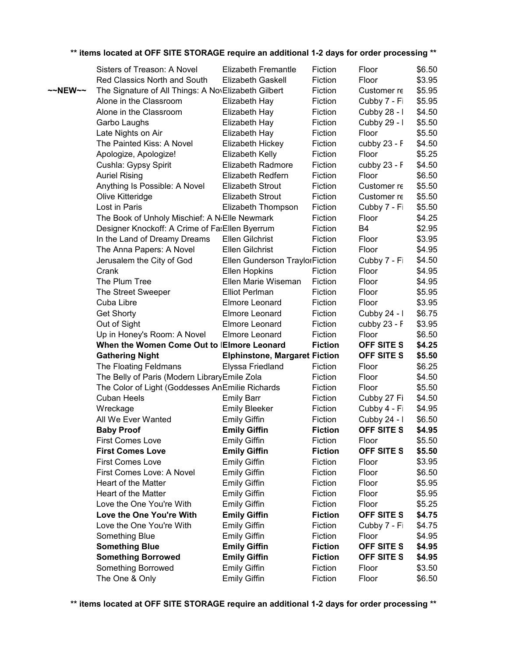|                   | Sisters of Treason: A Novel                                | Elizabeth Fremantle                  | Fiction        | Floor             | \$6.50 |
|-------------------|------------------------------------------------------------|--------------------------------------|----------------|-------------------|--------|
|                   | Red Classics North and South                               | Elizabeth Gaskell                    | Fiction        | Floor             | \$3.95 |
| $\sim$ NEW $\sim$ | The Signature of All Things: A NovElizabeth Gilbert        |                                      | Fiction        | Customer re       | \$5.95 |
|                   | Alone in the Classroom                                     | Elizabeth Hay                        | Fiction        | Cubby 7 - Fi      | \$5.95 |
|                   | Alone in the Classroom                                     | Elizabeth Hay                        | Fiction        | Cubby 28 - I      | \$4.50 |
|                   | Garbo Laughs                                               | Elizabeth Hay                        | Fiction        | Cubby 29 - I      | \$5.50 |
|                   | Late Nights on Air                                         | Elizabeth Hay                        | Fiction        | Floor             | \$5.50 |
|                   | The Painted Kiss: A Novel                                  | Elizabeth Hickey                     | Fiction        | cubby 23 - F      | \$4.50 |
|                   | Apologize, Apologize!                                      | Elizabeth Kelly                      | Fiction        | Floor             | \$5.25 |
|                   | Cushla: Gypsy Spirit                                       | Elizabeth Radmore                    | Fiction        | cubby 23 - F      | \$4.50 |
|                   | <b>Auriel Rising</b>                                       | <b>Elizabeth Redfern</b>             | Fiction        | Floor             | \$6.50 |
|                   | Anything Is Possible: A Novel                              | Elizabeth Strout                     | Fiction        | Customer re       | \$5.50 |
|                   | Olive Kitteridge                                           | <b>Elizabeth Strout</b>              | Fiction        | Customer re       | \$5.50 |
|                   | Lost in Paris                                              | Elizabeth Thompson                   | Fiction        | Cubby 7 - Fi      | \$5.50 |
|                   | The Book of Unholy Mischief: A N <sub>'</sub> Elle Newmark |                                      | Fiction        | Floor             | \$4.25 |
|                   | Designer Knockoff: A Crime of FatEllen Byerrum             |                                      | Fiction        | <b>B4</b>         | \$2.95 |
|                   | In the Land of Dreamy Dreams                               | Ellen Gilchrist                      | Fiction        | Floor             | \$3.95 |
|                   | The Anna Papers: A Novel                                   | Ellen Gilchrist                      | Fiction        | Floor             | \$4.95 |
|                   | Jerusalem the City of God                                  | Ellen Gunderson TraylorFiction       |                | Cubby 7 - Fi      | \$4.50 |
|                   | Crank                                                      | Ellen Hopkins                        | Fiction        | Floor             | \$4.95 |
|                   | The Plum Tree                                              | Ellen Marie Wiseman                  | Fiction        | Floor             | \$4.95 |
|                   | The Street Sweeper                                         | <b>Elliot Perlman</b>                | Fiction        | Floor             | \$5.95 |
|                   | Cuba Libre                                                 | Elmore Leonard                       | Fiction        | Floor             | \$3.95 |
|                   | <b>Get Shorty</b>                                          | Elmore Leonard                       | Fiction        | Cubby 24 - I      | \$6.75 |
|                   | Out of Sight                                               | Elmore Leonard                       | Fiction        | cubby 23 - F      | \$3.95 |
|                   | Up in Honey's Room: A Novel                                | Elmore Leonard                       | Fiction        | Floor             | \$6.50 |
|                   | When the Women Come Out to IEImore Leonard                 |                                      | <b>Fiction</b> | OFF SITE S        | \$4.25 |
|                   | <b>Gathering Night</b>                                     | <b>Elphinstone, Margaret Fiction</b> |                | OFF SITE S        | \$5.50 |
|                   | The Floating Feldmans                                      | Elyssa Friedland                     | Fiction        | Floor             | \$6.25 |
|                   | The Belly of Paris (Modern LibraryEmile Zola               |                                      | Fiction        | Floor             | \$4.50 |
|                   | The Color of Light (Goddesses AnEmilie Richards            |                                      | Fiction        | Floor             | \$5.50 |
|                   | <b>Cuban Heels</b>                                         | <b>Emily Barr</b>                    | Fiction        | Cubby 27 Fi       | \$4.50 |
|                   | Wreckage                                                   | <b>Emily Bleeker</b>                 | Fiction        | Cubby 4 - Fi      | \$4.95 |
|                   | All We Ever Wanted                                         | <b>Emily Giffin</b>                  | Fiction        | Cubby 24 - I      | \$6.50 |
|                   | <b>Baby Proof</b>                                          | <b>Emily Giffin</b>                  | <b>Fiction</b> | OFF SITE S        | \$4.95 |
|                   | <b>First Comes Love</b>                                    | <b>Emily Giffin</b>                  | Fiction        | Floor             | \$5.50 |
|                   | <b>First Comes Love</b>                                    | <b>Emily Giffin</b>                  | <b>Fiction</b> | <b>OFF SITE S</b> | \$5.50 |
|                   | <b>First Comes Love</b>                                    | <b>Emily Giffin</b>                  | Fiction        | Floor             | \$3.95 |
|                   | First Comes Love: A Novel                                  | <b>Emily Giffin</b>                  | Fiction        | Floor             | \$6.50 |
|                   | Heart of the Matter                                        | <b>Emily Giffin</b>                  | Fiction        | Floor             | \$5.95 |
|                   | Heart of the Matter                                        | <b>Emily Giffin</b>                  | Fiction        | Floor             | \$5.95 |
|                   | Love the One You're With                                   | <b>Emily Giffin</b>                  | Fiction        | Floor             | \$5.25 |
|                   | Love the One You're With                                   | <b>Emily Giffin</b>                  | <b>Fiction</b> | <b>OFF SITE S</b> | \$4.75 |
|                   | Love the One You're With                                   | <b>Emily Giffin</b>                  | Fiction        | Cubby 7 - Fi      | \$4.75 |
|                   | Something Blue                                             | <b>Emily Giffin</b>                  | Fiction        | Floor             | \$4.95 |
|                   | <b>Something Blue</b>                                      | <b>Emily Giffin</b>                  | <b>Fiction</b> | OFF SITE S        | \$4.95 |
|                   | <b>Something Borrowed</b>                                  | <b>Emily Giffin</b>                  | <b>Fiction</b> | OFF SITE S        | \$4.95 |
|                   | Something Borrowed                                         | <b>Emily Giffin</b>                  | Fiction        | Floor             | \$3.50 |
|                   | The One & Only                                             | <b>Emily Giffin</b>                  | Fiction        | Floor             | \$6.50 |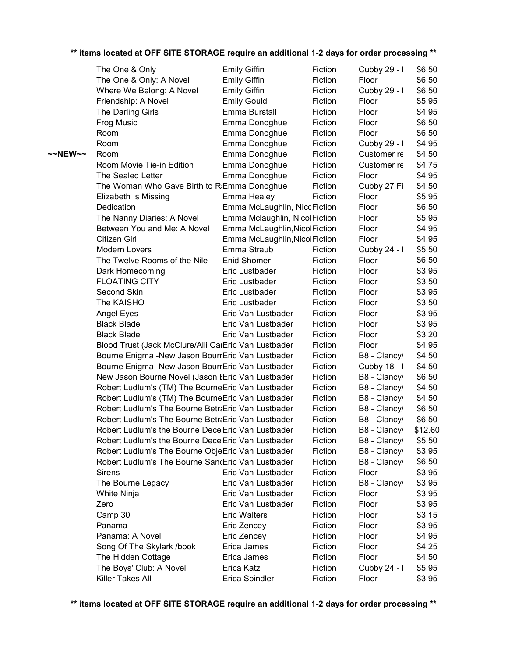|         | The One & Only                                       | <b>Emily Giffin</b>           | Fiction | Cubby 29 - I | \$6.50  |
|---------|------------------------------------------------------|-------------------------------|---------|--------------|---------|
|         | The One & Only: A Novel                              | <b>Emily Giffin</b>           | Fiction | Floor        | \$6.50  |
|         | Where We Belong: A Novel                             | <b>Emily Giffin</b>           | Fiction | Cubby 29 - I | \$6.50  |
|         | Friendship: A Novel                                  | <b>Emily Gould</b>            | Fiction | Floor        | \$5.95  |
|         | The Darling Girls                                    | Emma Burstall                 | Fiction | Floor        | \$4.95  |
|         | Frog Music                                           | Emma Donoghue                 | Fiction | Floor        | \$6.50  |
|         | Room                                                 | Emma Donoghue                 | Fiction | Floor        | \$6.50  |
|         | Room                                                 | Emma Donoghue                 | Fiction | Cubby 29 - I | \$4.95  |
| ~~NEW~~ | Room                                                 | Emma Donoghue                 | Fiction | Customer re  | \$4.50  |
|         | Room Movie Tie-in Edition                            | Emma Donoghue                 | Fiction | Customer re  | \$4.75  |
|         | The Sealed Letter                                    | Emma Donoghue                 | Fiction | Floor        | \$4.95  |
|         | The Woman Who Gave Birth to R Emma Donoghue          |                               | Fiction | Cubby 27 Fi  | \$4.50  |
|         | Elizabeth Is Missing                                 | Emma Healey                   | Fiction | Floor        | \$5.95  |
|         | Dedication                                           | Emma McLaughlin, NiccFiction  |         | Floor        | \$6.50  |
|         | The Nanny Diaries: A Novel                           | Emma Mclaughlin, NicolFiction |         | Floor        | \$5.95  |
|         | Between You and Me: A Novel                          | Emma McLaughlin, NicolFiction |         | Floor        | \$4.95  |
|         | Citizen Girl                                         | Emma McLaughlin, NicolFiction |         | Floor        | \$4.95  |
|         | Modern Lovers                                        | Emma Straub                   | Fiction | Cubby 24 - I | \$5.50  |
|         | The Twelve Rooms of the Nile                         | Enid Shomer                   | Fiction | Floor        | \$6.50  |
|         | Dark Homecoming                                      | Eric Lustbader                | Fiction | Floor        | \$3.95  |
|         | <b>FLOATING CITY</b>                                 | Eric Lustbader                | Fiction | Floor        | \$3.50  |
|         | Second Skin                                          | Eric Lustbader                | Fiction | Floor        | \$3.95  |
|         | The KAISHO                                           | Eric Lustbader                | Fiction | Floor        | \$3.50  |
|         | Angel Eyes                                           | Eric Van Lustbader            | Fiction | Floor        | \$3.95  |
|         | <b>Black Blade</b>                                   | Eric Van Lustbader            | Fiction | Floor        | \$3.95  |
|         | <b>Black Blade</b>                                   | Eric Van Lustbader            | Fiction | Floor        | \$3.20  |
|         | Blood Trust (Jack McClure/Alli CaiEric Van Lustbader |                               | Fiction | Floor        | \$4.95  |
|         | Bourne Enigma - New Jason Bourr Eric Van Lustbader   |                               | Fiction | B8 - Clancy  | \$4.50  |
|         | Bourne Enigma - New Jason Bourr Eric Van Lustbader   |                               | Fiction | Cubby 18 - I | \$4.50  |
|         | New Jason Bourne Novel (Jason IEric Van Lustbader    |                               | Fiction | B8 - Clancy  | \$6.50  |
|         | Robert Ludlum's (TM) The BourneEric Van Lustbader    |                               | Fiction | B8 - Clancy  | \$4.50  |
|         | Robert Ludlum's (TM) The BourneEric Van Lustbader    |                               | Fiction | B8 - Clancy  | \$4.50  |
|         | Robert Ludlum's The Bourne Betra Eric Van Lustbader  |                               | Fiction | B8 - Clancy  | \$6.50  |
|         | Robert Ludlum's The Bourne BetraEric Van Lustbader   |                               | Fiction | B8 - Clancy  | \$6.50  |
|         | Robert Ludlum's the Bourne Dece Eric Van Lustbader   |                               | Fiction | B8 - Clancy  | \$12.60 |
|         | Robert Ludlum's the Bourne Dece Eric Van Lustbader   |                               | Fiction | B8 - Clancy  | \$5.50  |
|         | Robert Ludlum's The Bourne ObjeEric Van Lustbader    |                               | Fiction | B8 - Clancy  | \$3.95  |
|         | Robert Ludlum's The Bourne San(Eric Van Lustbader    |                               | Fiction | B8 - Clancy  | \$6.50  |
|         | <b>Sirens</b>                                        | Eric Van Lustbader            | Fiction | Floor        | \$3.95  |
|         | The Bourne Legacy                                    | Eric Van Lustbader            | Fiction | B8 - Clancy  | \$3.95  |
|         | White Ninja                                          | Eric Van Lustbader            | Fiction | Floor        | \$3.95  |
|         | Zero                                                 | Eric Van Lustbader            | Fiction | Floor        | \$3.95  |
|         | Camp 30                                              | <b>Eric Walters</b>           | Fiction | Floor        | \$3.15  |
|         | Panama                                               | Eric Zencey                   | Fiction | Floor        | \$3.95  |
|         | Panama: A Novel                                      | Eric Zencey                   | Fiction | Floor        | \$4.95  |
|         | Song Of The Skylark /book                            | Erica James                   | Fiction | Floor        | \$4.25  |
|         | The Hidden Cottage                                   | Erica James                   | Fiction | Floor        | \$4.50  |
|         | The Boys' Club: A Novel                              | Erica Katz                    | Fiction | Cubby 24 - I | \$5.95  |
|         | Killer Takes All                                     | Erica Spindler                | Fiction | Floor        | \$3.95  |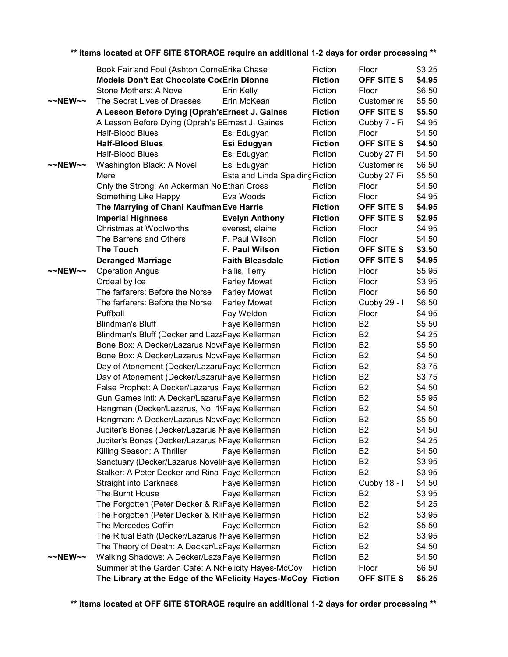|                     | Book Fair and Foul (Ashton CorneErika Chase                  |                                 | Fiction            | Floor             | \$3.25 |
|---------------------|--------------------------------------------------------------|---------------------------------|--------------------|-------------------|--------|
|                     | <b>Models Don't Eat Chocolate CocErin Dionne</b>             |                                 | <b>Fiction</b>     | <b>OFF SITE S</b> | \$4.95 |
|                     | Stone Mothers: A Novel                                       | Erin Kelly                      | Fiction            | Floor             | \$6.50 |
| $~\sim$ NEW $~\sim$ | The Secret Lives of Dresses                                  | Erin McKean                     | Fiction            | Customer re       | \$5.50 |
|                     | A Lesson Before Dying (Oprah's Ernest J. Gaines              |                                 | <b>Fiction</b>     | OFF SITE S        | \$5.50 |
|                     | A Lesson Before Dying (Oprah's EErnest J. Gaines             |                                 | Fiction            | Cubby 7 - Fi      | \$4.95 |
|                     | Half-Blood Blues                                             | Esi Edugyan                     | Fiction            | Floor             | \$4.50 |
|                     | <b>Half-Blood Blues</b>                                      | Esi Edugyan                     | <b>Fiction</b>     | <b>OFF SITE S</b> | \$4.50 |
|                     | Half-Blood Blues                                             | Esi Edugyan                     | Fiction            | Cubby 27 Fi       | \$4.50 |
| $\sim$ NEW $\sim$   | Washington Black: A Novel                                    | Esi Edugyan                     | Fiction            | Customer re       | \$6.50 |
|                     | Mere                                                         | Esta and Linda Spalding Fiction |                    | Cubby 27 Fi       | \$5.50 |
|                     | Only the Strong: An Ackerman No Ethan Cross                  |                                 | Fiction            | Floor             | \$4.50 |
|                     | Something Like Happy                                         | Eva Woods                       | Fiction            | Floor             | \$4.95 |
|                     | The Marrying of Chani Kaufman Eve Harris                     |                                 | <b>Fiction</b>     | OFF SITE S        | \$4.95 |
|                     | <b>Imperial Highness</b>                                     | <b>Fiction</b>                  | OFF SITE S         | \$2.95            |        |
|                     | Christmas at Woolworths                                      | everest, elaine                 | Fiction            | Floor             | \$4.95 |
|                     | The Barrens and Others                                       | F. Paul Wilson                  | Fiction            | Floor             | \$4.50 |
|                     | <b>The Touch</b>                                             | F. Paul Wilson                  | <b>Fiction</b>     | OFF SITE S        | \$3.50 |
|                     | <b>Deranged Marriage</b>                                     | <b>Faith Bleasdale</b>          | <b>Fiction</b>     | <b>OFF SITE S</b> | \$4.95 |
| $\sim$ NEW $\sim$   | <b>Operation Angus</b>                                       | Fallis, Terry                   | Fiction            | Floor             | \$5.95 |
|                     | Ordeal by Ice                                                | <b>Farley Mowat</b>             | Fiction            | Floor             | \$3.95 |
|                     | The farfarers: Before the Norse                              | <b>Farley Mowat</b>             | Fiction            | Floor             | \$6.50 |
|                     | The farfarers: Before the Norse                              | <b>Farley Mowat</b>             | Fiction            | Cubby 29 - I      | \$6.50 |
|                     | Puffball                                                     | Fay Weldon                      | Fiction            | Floor             | \$4.95 |
|                     | <b>Blindman's Bluff</b>                                      | Faye Kellerman                  | Fiction            | <b>B2</b>         | \$5.50 |
|                     | Blindman's Bluff (Decker and LazaFaye Kellerman              |                                 | Fiction            | B <sub>2</sub>    | \$4.25 |
|                     |                                                              |                                 |                    | <b>B2</b>         | \$5.50 |
|                     | Bone Box: A Decker/Lazarus NoveFaye Kellerman                |                                 | Fiction<br>Fiction | <b>B2</b>         |        |
|                     | Bone Box: A Decker/Lazarus NoveFaye Kellerman                |                                 |                    |                   | \$4.50 |
|                     | Day of Atonement (Decker/LazaruFaye Kellerman                |                                 | Fiction            | <b>B2</b>         | \$3.75 |
|                     | Day of Atonement (Decker/LazaruFaye Kellerman                |                                 | Fiction            | <b>B2</b>         | \$3.75 |
|                     | False Prophet: A Decker/Lazarus Faye Kellerman               |                                 | Fiction            | <b>B2</b>         | \$4.50 |
|                     | Gun Games Intl: A Decker/Lazaru Faye Kellerman               |                                 | Fiction            | <b>B2</b>         | \$5.95 |
|                     | Hangman (Decker/Lazarus, No. 19Faye Kellerman                |                                 | Fiction            | <b>B2</b>         | \$4.50 |
|                     | Hangman: A Decker/Lazarus NoveFaye Kellerman                 |                                 | Fiction            | <b>B2</b>         | \$5.50 |
|                     | Jupiter's Bones (Decker/Lazarus NFaye Kellerman              |                                 | Fiction            | B <sub>2</sub>    | \$4.50 |
|                     | Jupiter's Bones (Decker/Lazarus NFaye Kellerman              |                                 | Fiction            | B <sub>2</sub>    | \$4.25 |
|                     | Killing Season: A Thriller                                   | Faye Kellerman                  | Fiction            | B <sub>2</sub>    | \$4.50 |
|                     | Sanctuary (Decker/Lazarus Novel: Faye Kellerman              |                                 | Fiction            | B <sub>2</sub>    | \$3.95 |
|                     | Stalker: A Peter Decker and Rina Faye Kellerman              |                                 | Fiction            | <b>B2</b>         | \$3.95 |
|                     | <b>Straight into Darkness</b>                                | Faye Kellerman                  | Fiction            | Cubby 18 - I      | \$4.50 |
|                     | The Burnt House                                              | Faye Kellerman                  | Fiction            | B <sub>2</sub>    | \$3.95 |
|                     | The Forgotten (Peter Decker & RirFaye Kellerman              |                                 | Fiction            | B <sub>2</sub>    | \$4.25 |
|                     | The Forgotten (Peter Decker & RirFaye Kellerman              |                                 | Fiction            | B <sub>2</sub>    | \$3.95 |
|                     | The Mercedes Coffin                                          | Faye Kellerman                  | Fiction            | B <sub>2</sub>    | \$5.50 |
|                     | The Ritual Bath (Decker/Lazarus Naye Kellerman               |                                 | Fiction            | B <sub>2</sub>    | \$3.95 |
|                     | The Theory of Death: A Decker/LaFaye Kellerman               |                                 | Fiction            | <b>B2</b>         | \$4.50 |
| $~\sim$ NEW $~\sim$ | Walking Shadows: A Decker/Laza Faye Kellerman                |                                 | Fiction            | <b>B2</b>         | \$4.50 |
|                     | Summer at the Garden Cafe: A NoFelicity Hayes-McCoy          |                                 | Fiction            | Floor             | \$6.50 |
|                     | The Library at the Edge of the WFelicity Hayes-McCoy Fiction |                                 |                    | OFF SITE S        | \$5.25 |
|                     |                                                              |                                 |                    |                   |        |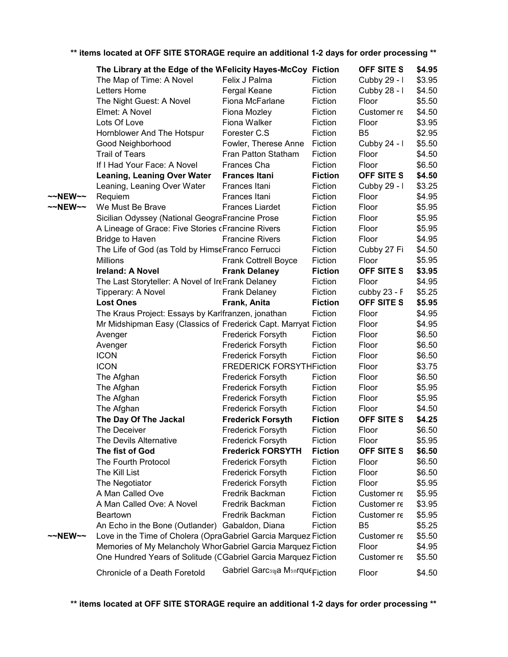|         | The Library at the Edge of the WFelicity Hayes-McCoy Fiction    |                                 |                | <b>OFF SITE S</b> | \$4.95 |
|---------|-----------------------------------------------------------------|---------------------------------|----------------|-------------------|--------|
|         | The Map of Time: A Novel                                        | Felix J Palma                   | Fiction        | Cubby 29 - I      | \$3.95 |
|         | Letters Home                                                    | Fergal Keane                    | Fiction        | Cubby 28 - I      | \$4.50 |
|         | The Night Guest: A Novel                                        | Fiona McFarlane                 | Fiction        | Floor             | \$5.50 |
|         | Elmet: A Novel                                                  | Fiona Mozley                    | Fiction        | Customer re       | \$4.50 |
|         | Lots Of Love                                                    | Fiona Walker                    | Fiction        | Floor             | \$3.95 |
|         |                                                                 | Forester C.S                    | Fiction        | B <sub>5</sub>    | \$2.95 |
|         | Hornblower And The Hotspur<br>Good Neighborhood                 | Fowler, Therese Anne            | Fiction        | Cubby 24 - I      | \$5.50 |
|         | <b>Trail of Tears</b>                                           | Fran Patton Statham             | Fiction        | Floor             | \$4.50 |
|         | If I Had Your Face: A Novel                                     | Frances Cha                     | Fiction        | Floor             | \$6.50 |
|         | <b>Leaning, Leaning Over Water</b>                              | <b>Frances Itani</b>            | <b>Fiction</b> | <b>OFF SITE S</b> | \$4.50 |
|         |                                                                 | Frances Itani                   | Fiction        |                   | \$3.25 |
|         | Leaning, Leaning Over Water                                     |                                 |                | Cubby 29 - I      |        |
| ~~NEW~~ | Requiem                                                         | Frances Itani                   | Fiction        | Floor             | \$4.95 |
| ~~NEW~~ | We Must Be Brave                                                | <b>Frances Liardet</b>          | Fiction        | Floor             | \$5.95 |
|         | Sicilian Odyssey (National GeograFrancine Prose                 |                                 | Fiction        | Floor             | \$5.95 |
|         | A Lineage of Grace: Five Stories cFrancine Rivers               |                                 | Fiction        | Floor             | \$5.95 |
|         | <b>Bridge to Haven</b>                                          | <b>Francine Rivers</b>          | Fiction        | Floor             | \$4.95 |
|         | The Life of God (as Told by HimseFranco Ferrucci                |                                 | Fiction        | Cubby 27 Fi       | \$4.50 |
|         | <b>Millions</b>                                                 | <b>Frank Cottrell Boyce</b>     | Fiction        | Floor             | \$5.95 |
|         | <b>Ireland: A Novel</b>                                         | <b>Frank Delaney</b>            | <b>Fiction</b> | OFF SITE S        | \$3.95 |
|         | The Last Storyteller: A Novel of IreFrank Delaney               |                                 | Fiction        | Floor             | \$4.95 |
|         | Tipperary: A Novel                                              | <b>Frank Delaney</b>            | Fiction        | cubby 23 - F      | \$5.25 |
|         | <b>Lost Ones</b>                                                | Frank, Anita                    | <b>Fiction</b> | <b>OFF SITE S</b> | \$5.95 |
|         | The Kraus Project: Essays by Karlfranzen, jonathan              |                                 | Fiction        | Floor             | \$4.95 |
|         | Mr Midshipman Easy (Classics of Frederick Capt. Marryat Fiction |                                 |                | Floor             | \$4.95 |
|         | Avenger                                                         | Frederick Forsyth               | Fiction        | Floor             | \$6.50 |
|         | Avenger                                                         | Frederick Forsyth               | Fiction        | Floor             | \$6.50 |
|         | <b>ICON</b>                                                     | <b>Frederick Forsyth</b>        | Fiction        | Floor             | \$6.50 |
|         | <b>ICON</b>                                                     | <b>FREDERICK FORSYTHFiction</b> |                | Floor             | \$3.75 |
|         | The Afghan                                                      | Frederick Forsyth               | Fiction        | Floor             | \$6.50 |
|         | The Afghan                                                      | Frederick Forsyth               | Fiction        | Floor             | \$5.95 |
|         | The Afghan                                                      | Frederick Forsyth               | Fiction        | Floor             | \$5.95 |
|         | The Afghan                                                      | Frederick Forsyth               | Fiction        | Floor             | \$4.50 |
|         | The Day Of The Jackal                                           | <b>Frederick Forsyth</b>        | <b>Fiction</b> | OFF SITE S        | \$4.25 |
|         | The Deceiver                                                    | <b>Frederick Forsyth</b>        | Fiction        | Floor             | \$6.50 |
|         | The Devils Alternative                                          | <b>Frederick Forsyth</b>        | Fiction        | Floor             | \$5.95 |
|         | The fist of God                                                 | <b>Frederick FORSYTH</b>        | <b>Fiction</b> | OFF SITE S        | \$6.50 |
|         | The Fourth Protocol                                             | Frederick Forsyth               | Fiction        | Floor             | \$6.50 |
|         | The Kill List                                                   | <b>Frederick Forsyth</b>        | Fiction        | Floor             | \$6.50 |
|         | The Negotiator                                                  | <b>Frederick Forsyth</b>        | Fiction        | Floor             | \$5.95 |
|         | A Man Called Ove                                                | Fredrik Backman                 | Fiction        | Customer re       | \$5.95 |
|         | A Man Called Ove: A Novel                                       | Fredrik Backman                 | Fiction        | Customer re       | \$3.95 |
|         | <b>Beartown</b>                                                 | Fredrik Backman                 | Fiction        | Customer re       | \$5.95 |
|         | An Echo in the Bone (Outlander) Gabaldon, Diana                 |                                 | Fiction        | B <sub>5</sub>    | \$5.25 |
| ~~NEW~~ | Love in the Time of Cholera (OpraGabriel Garcia Marquez Fiction |                                 |                | Customer re       | \$5.50 |
|         | Memories of My Melancholy Whor Gabriel Garcia Marquez Fiction   |                                 |                | Floor             | \$4.95 |
|         | One Hundred Years of Solitude (CGabriel Garcia Marquez Fiction  |                                 |                | Customer re       | \$5.50 |
|         | Chronicle of a Death Foretold                                   | Gabriel Garcsna Msnrque Fiction |                | Floor             | \$4.50 |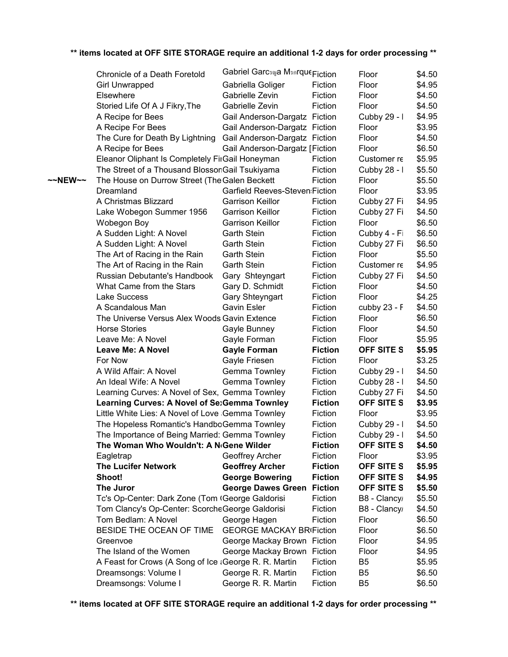|         | Chronicle of a Death Foretold                         | Gabriel Garcsna Msnrque Fiction       |                | Floor             | \$4.50 |
|---------|-------------------------------------------------------|---------------------------------------|----------------|-------------------|--------|
|         | <b>Girl Unwrapped</b>                                 | Gabriella Goliger                     | Fiction        | Floor             | \$4.95 |
|         | Elsewhere                                             | Gabrielle Zevin                       | Fiction        | Floor             | \$4.50 |
|         | Storied Life Of A J Fikry, The                        | Gabrielle Zevin                       | Fiction        | Floor             | \$4.50 |
|         | A Recipe for Bees                                     | Gail Anderson-Dargatz Fiction         |                | Cubby 29 - I      | \$4.95 |
|         | A Recipe For Bees                                     | Gail Anderson-Dargatz Fiction         |                | Floor             | \$3.95 |
|         | The Cure for Death By Lightning                       | Gail Anderson-Dargatz Fiction         |                | Floor             | \$4.50 |
|         | A Recipe for Bees                                     | Gail Anderson-Dargatz [Fiction        |                | Floor             | \$6.50 |
|         | Eleanor Oliphant Is Completely FirGail Honeyman       |                                       | Fiction        | Customer re       | \$5.95 |
|         | The Street of a Thousand BlossonGail Tsukiyama        |                                       | Fiction        | Cubby 28 - I      | \$5.50 |
| ~~NEW~~ | The House on Durrow Street (The Galen Beckett         |                                       | Fiction        | Floor             | \$5.50 |
|         | Dreamland                                             | <b>Garfield Reeves-Steven Fiction</b> |                | Floor             | \$3.95 |
|         | A Christmas Blizzard                                  | <b>Garrison Keillor</b>               | Fiction        | Cubby 27 Fi       | \$4.95 |
|         | Lake Wobegon Summer 1956                              | <b>Garrison Keillor</b>               | Fiction        | Cubby 27 Fi       | \$4.50 |
|         | Wobegon Boy                                           | <b>Garrison Keillor</b>               | Fiction        | Floor             | \$6.50 |
|         | A Sudden Light: A Novel                               | <b>Garth Stein</b>                    | Fiction        | Cubby 4 - Fi      | \$6.50 |
|         | A Sudden Light: A Novel                               | <b>Garth Stein</b>                    | Fiction        | Cubby 27 Fi       | \$6.50 |
|         | The Art of Racing in the Rain                         | <b>Garth Stein</b>                    | Fiction        | Floor             | \$5.50 |
|         | The Art of Racing in the Rain                         | <b>Garth Stein</b>                    | Fiction        | Customer re       | \$4.95 |
|         | Russian Debutante's Handbook                          | Gary Shteyngart                       | Fiction        | Cubby 27 Fi       | \$4.50 |
|         | What Came from the Stars                              | Gary D. Schmidt                       | Fiction        | Floor             | \$4.50 |
|         | Lake Success                                          | Gary Shteyngart                       | Fiction        | Floor             | \$4.25 |
|         | A Scandalous Man                                      | <b>Gavin Esler</b>                    | Fiction        | cubby 23 - F      | \$4.50 |
|         | The Universe Versus Alex Woods Gavin Extence          |                                       | Fiction        | Floor             | \$6.50 |
|         | <b>Horse Stories</b>                                  | Gayle Bunney                          | Fiction        | Floor             | \$4.50 |
|         | Leave Me: A Novel                                     | Gayle Forman                          | Fiction        | Floor             | \$5.95 |
|         | <b>Leave Me: A Novel</b>                              | <b>Gayle Forman</b>                   | <b>Fiction</b> | <b>OFF SITE S</b> | \$5.95 |
|         | For Now                                               | Gayle Friesen                         | Fiction        | Floor             | \$3.25 |
|         | A Wild Affair: A Novel                                | Gemma Townley                         | Fiction        | Cubby 29 - I      | \$4.50 |
|         | An Ideal Wife: A Novel                                | Gemma Townley                         | Fiction        | Cubby 28 - I      | \$4.50 |
|         | Learning Curves: A Novel of Sex, Gemma Townley        |                                       | Fiction        | Cubby 27 Fi       | \$4.50 |
|         | Learning Curves: A Novel of SexGemma Townley          |                                       | <b>Fiction</b> | <b>OFF SITE S</b> | \$3.95 |
|         | Little White Lies: A Novel of Love Gemma Townley      |                                       | Fiction        | Floor             | \$3.95 |
|         | The Hopeless Romantic's HandboGemma Townley           |                                       | Fiction        | Cubby 29 - I      | \$4.50 |
|         | The Importance of Being Married: Gemma Townley        |                                       | Fiction        | Cubby 29 - I      | \$4.50 |
|         | The Woman Who Wouldn't: A N <sub>'</sub> Gene Wilder  |                                       | <b>Fiction</b> | <b>OFF SITE S</b> | \$4.50 |
|         | Eagletrap                                             | Geoffrey Archer                       | Fiction        | Floor             | \$3.95 |
|         | <b>The Lucifer Network</b>                            | <b>Geoffrey Archer</b>                | <b>Fiction</b> | OFF SITE S        | \$5.95 |
|         | Shoot!                                                | <b>George Bowering</b>                | <b>Fiction</b> | OFF SITE S        | \$4.95 |
|         | The Juror                                             | <b>George Dawes Green</b>             | <b>Fiction</b> | <b>OFF SITE S</b> | \$5.50 |
|         | Tc's Op-Center: Dark Zone (Tom (George Galdorisi      |                                       | Fiction        | B8 - Clancy       | \$5.50 |
|         | Tom Clancy's Op-Center: ScorcheGeorge Galdorisi       |                                       | Fiction        | B8 - Clancy       | \$4.50 |
|         | Tom Bedlam: A Novel                                   | George Hagen                          | Fiction        | Floor             | \$6.50 |
|         | BESIDE THE OCEAN OF TIME                              | <b>GEORGE MACKAY BRIFiction</b>       |                | Floor             | \$6.50 |
|         | Greenvoe                                              | George Mackay Brown Fiction           |                | Floor             | \$4.95 |
|         | The Island of the Women                               | George Mackay Brown Fiction           |                | Floor             | \$4.95 |
|         | A Feast for Crows (A Song of Ice ¿George R. R. Martin |                                       | Fiction        | B <sub>5</sub>    | \$5.95 |
|         | Dreamsongs: Volume I                                  | George R. R. Martin                   | Fiction        | B <sub>5</sub>    | \$6.50 |
|         | Dreamsongs: Volume I                                  | George R. R. Martin                   | Fiction        | B <sub>5</sub>    | \$6.50 |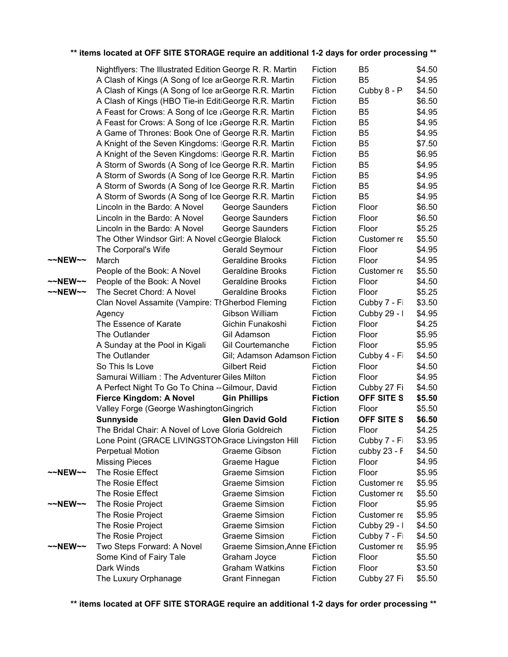|                   | Nightflyers: The Illustrated Edition George R. R. Martin |                               | Fiction        | B5             | \$4.50 |
|-------------------|----------------------------------------------------------|-------------------------------|----------------|----------------|--------|
|                   | A Clash of Kings (A Song of Ice ar George R.R. Martin    |                               | Fiction        | B <sub>5</sub> | \$4.95 |
|                   | A Clash of Kings (A Song of Ice ar George R.R. Martin    |                               | Fiction        | Cubby 8 - P    | \$4.50 |
|                   | A Clash of Kings (HBO Tie-in EditiGeorge R.R. Martin     |                               | Fiction        | B <sub>5</sub> | \$6.50 |
|                   | A Feast for Crows: A Song of Ice a George R.R. Martin    |                               | Fiction        | B <sub>5</sub> | \$4.95 |
|                   | A Feast for Crows: A Song of Ice a George R.R. Martin    |                               | Fiction        | B <sub>5</sub> | \$4.95 |
|                   | A Game of Thrones: Book One of George R.R. Martin        |                               | Fiction        | B <sub>5</sub> | \$4.95 |
|                   | A Knight of the Seven Kingdoms: IGeorge R.R. Martin      |                               | Fiction        | B <sub>5</sub> | \$7.50 |
|                   | A Knight of the Seven Kingdoms: IGeorge R.R. Martin      |                               | Fiction        | B <sub>5</sub> | \$6.95 |
|                   | A Storm of Swords (A Song of Ice George R.R. Martin      |                               | Fiction        | B <sub>5</sub> | \$4.95 |
|                   | A Storm of Swords (A Song of Ice George R.R. Martin      |                               | Fiction        | B <sub>5</sub> | \$4.95 |
|                   | A Storm of Swords (A Song of Ice George R.R. Martin      |                               | Fiction        | B <sub>5</sub> | \$4.95 |
|                   | A Storm of Swords (A Song of Ice George R.R. Martin      |                               | Fiction        | B <sub>5</sub> | \$4.95 |
|                   | Lincoln in the Bardo: A Novel                            | George Saunders               | Fiction        | Floor          | \$6.50 |
|                   | Lincoln in the Bardo: A Novel                            | George Saunders               | Fiction        | Floor          | \$6.50 |
|                   | Lincoln in the Bardo: A Novel                            | George Saunders               | Fiction        | Floor          | \$5.25 |
|                   | The Other Windsor Girl: A Novel oGeorgie Blalock         |                               | Fiction        | Customer re    | \$5.50 |
|                   | The Corporal's Wife                                      | Gerald Seymour                | Fiction        | Floor          | \$4.95 |
| $\sim$ NEW $\sim$ | March                                                    | <b>Geraldine Brooks</b>       | Fiction        | Floor          | \$4.95 |
|                   | People of the Book: A Novel                              | <b>Geraldine Brooks</b>       | Fiction        | Customer re    | \$5.50 |
| ~~NEW~~           | People of the Book: A Novel                              | <b>Geraldine Brooks</b>       | Fiction        | Floor          | \$4.50 |
| ~~NEW~~           | The Secret Chord: A Novel                                | <b>Geraldine Brooks</b>       | Fiction        | Floor          | \$5.25 |
|                   | Clan Novel Assamite (Vampire: TrGherbod Fleming          |                               | Fiction        | Cubby 7 - Fi   | \$3.50 |
|                   | Agency                                                   | Gibson William                | Fiction        | Cubby 29 - I   | \$4.95 |
|                   | The Essence of Karate                                    | Gichin Funakoshi              | Fiction        | Floor          | \$4.25 |
|                   | The Outlander                                            | Gil Adamson                   | Fiction        | Floor          | \$5.95 |
|                   | A Sunday at the Pool in Kigali                           | <b>Gil Courtemanche</b>       | Fiction        | Floor          | \$5.95 |
|                   | The Outlander                                            | Gil; Adamson Adamson Fiction  |                | Cubby 4 - Fi   | \$4.50 |
|                   | So This Is Love                                          | <b>Gilbert Reid</b>           | Fiction        | Floor          | \$4.50 |
|                   | Samurai William: The Adventurer Giles Milton             |                               | Fiction        | Floor          | \$4.95 |
|                   | A Perfect Night To Go To China -- Gilmour, David         |                               | Fiction        | Cubby 27 Fi    | \$4.50 |
|                   | <b>Fierce Kingdom: A Novel</b>                           | <b>Gin Phillips</b>           | <b>Fiction</b> | OFF SITE S     | \$5.50 |
|                   | Valley Forge (George Washington Gingrich                 |                               | Fiction        | Floor          | \$5.50 |
|                   | <b>Sunnyside</b>                                         | <b>Glen David Gold</b>        | <b>Fiction</b> | OFF SITE S     | \$6.50 |
|                   | The Bridal Chair: A Novel of Love Gloria Goldreich       |                               | Fiction        | Floor          | \$4.25 |
|                   | Lone Point (GRACE LIVINGSTONGrace Livingston Hill        |                               | Fiction        | Cubby 7 - Fi   | \$3.95 |
|                   | <b>Perpetual Motion</b>                                  | Graeme Gibson                 | Fiction        | cubby 23 - F   | \$4.50 |
|                   | <b>Missing Pieces</b>                                    | Graeme Hague                  | Fiction        | Floor          | \$4.95 |
| ~~NEW~~           | The Rosie Effect                                         | <b>Graeme Simsion</b>         | Fiction        | Floor          | \$5.95 |
|                   | The Rosie Effect                                         | <b>Graeme Simsion</b>         | Fiction        | Customer re    | \$5.95 |
|                   | The Rosie Effect                                         | <b>Graeme Simsion</b>         | Fiction        | Customer re    | \$5.50 |
| ~~NEW~~           | The Rosie Project                                        | <b>Graeme Simsion</b>         | Fiction        | Floor          | \$5.95 |
|                   | The Rosie Project                                        | <b>Graeme Simsion</b>         | Fiction        | Customer re    | \$5.95 |
|                   | The Rosie Project                                        | <b>Graeme Simsion</b>         | Fiction        | Cubby 29 - I   | \$4.50 |
|                   | The Rosie Project                                        | <b>Graeme Simsion</b>         | Fiction        | Cubby 7 - Fi   | \$4.50 |
| $\sim$ NEW $\sim$ | Two Steps Forward: A Novel                               | Graeme Simsion, Anne EFiction |                | Customer re    | \$5.95 |
|                   | Some Kind of Fairy Tale                                  | Graham Joyce                  | Fiction        | Floor          | \$5.50 |
|                   | Dark Winds                                               | <b>Graham Watkins</b>         | Fiction        | Floor          | \$3.50 |
|                   | The Luxury Orphanage                                     | <b>Grant Finnegan</b>         | Fiction        | Cubby 27 Fi    | \$5.50 |
|                   |                                                          |                               |                |                |        |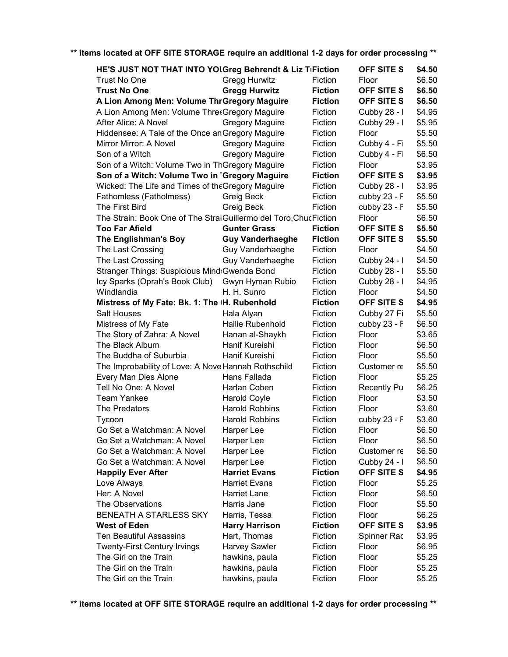| <b>OFF SITE S</b><br>HE'S JUST NOT THAT INTO YOLGreg Behrendt & Liz TiFiction<br>\$4.50 |                         |                |                    |        |
|-----------------------------------------------------------------------------------------|-------------------------|----------------|--------------------|--------|
| Trust No One                                                                            | <b>Gregg Hurwitz</b>    | Fiction        | Floor              | \$6.50 |
| <b>Trust No One</b>                                                                     | <b>Gregg Hurwitz</b>    | <b>Fiction</b> | OFF SITE S         | \$6.50 |
| A Lion Among Men: Volume Thr Gregory Maguire                                            |                         | <b>Fiction</b> | OFF SITE S         | \$6.50 |
| A Lion Among Men: Volume ThreeGregory Maguire                                           |                         | Fiction        | Cubby 28 - I       | \$4.95 |
| After Alice: A Novel                                                                    | <b>Gregory Maguire</b>  | Fiction        | Cubby 29 - I       | \$5.95 |
| Hiddensee: A Tale of the Once an Gregory Maguire                                        |                         | Fiction        | Floor              | \$5.50 |
| Mirror Mirror: A Novel                                                                  | <b>Gregory Maguire</b>  | Fiction        | Cubby 4 - Fi       | \$5.50 |
| Son of a Witch                                                                          | <b>Gregory Maguire</b>  | Fiction        | Cubby 4 - Fi       | \$6.50 |
| Son of a Witch: Volume Two in ThGregory Maguire                                         |                         | Fiction        | Floor              | \$3.95 |
| Son of a Witch: Volume Two in 'Gregory Maguire                                          |                         | <b>Fiction</b> | OFF SITE S         | \$3.95 |
| Wicked: The Life and Times of the Gregory Maguire                                       |                         | Fiction        | Cubby 28 - I       | \$3.95 |
| Fathomless (Fatholmess)                                                                 | Greig Beck              | Fiction        | cubby 23 - F       | \$5.50 |
| The First Bird                                                                          | Greig Beck              | Fiction        | cubby 23 - F       | \$5.50 |
| The Strain: Book One of The StraiGuillermo del Toro, ChucFiction                        |                         |                | Floor              | \$6.50 |
| <b>Too Far Afield</b>                                                                   | <b>Gunter Grass</b>     | <b>Fiction</b> | <b>OFF SITE S</b>  | \$5.50 |
| The Englishman's Boy                                                                    | <b>Guy Vanderhaeghe</b> | <b>Fiction</b> | OFF SITE S         | \$5.50 |
| The Last Crossing                                                                       | Guy Vanderhaeghe        | Fiction        | Floor              | \$4.50 |
| The Last Crossing                                                                       | Guy Vanderhaeghe        | Fiction        | Cubby 24 - I       | \$4.50 |
| Stranger Things: Suspicious Mind: Gwenda Bond                                           |                         | Fiction        | Cubby 28 - I       | \$5.50 |
| Icy Sparks (Oprah's Book Club)                                                          | Gwyn Hyman Rubio        | Fiction        | Cubby 28 - I       | \$4.95 |
| Windlandia                                                                              | H. H. Sunro             | Fiction        | Floor              | \$4.50 |
| Mistress of My Fate: Bk. 1: The <sub>H.</sub> Rubenhold                                 |                         | <b>Fiction</b> | OFF SITE S         | \$4.95 |
| <b>Salt Houses</b>                                                                      | Hala Alyan              | Fiction        | Cubby 27 Fi        | \$5.50 |
| Mistress of My Fate                                                                     | Hallie Rubenhold        | Fiction        | cubby 23 - F       | \$6.50 |
| The Story of Zahra: A Novel                                                             | Hanan al-Shaykh         | Fiction        | Floor              | \$3.65 |
| The Black Album                                                                         | Hanif Kureishi          | Fiction        | Floor              | \$6.50 |
| The Buddha of Suburbia                                                                  | Hanif Kureishi          | Fiction        | Floor              | \$5.50 |
| The Improbability of Love: A Nove Hannah Rothschild                                     |                         | Fiction        | Customer re        | \$5.50 |
| Every Man Dies Alone                                                                    | Hans Fallada            | Fiction        | Floor              | \$5.25 |
| Tell No One: A Novel                                                                    | Harlan Coben            | Fiction        | <b>Recently Pu</b> | \$6.25 |
| <b>Team Yankee</b>                                                                      | <b>Harold Coyle</b>     | Fiction        | Floor              | \$3.50 |
| The Predators                                                                           | <b>Harold Robbins</b>   | Fiction        | Floor              | \$3.60 |
| Tycoon                                                                                  | <b>Harold Robbins</b>   | Fiction        | cubby 23 - F       | \$3.60 |
| Go Set a Watchman: A Novel                                                              | Harper Lee              | Fiction        | Floor              | \$6.50 |
| Go Set a Watchman: A Novel                                                              | Harper Lee              | Fiction        | Floor              | \$6.50 |
| Go Set a Watchman: A Novel                                                              | Harper Lee              | Fiction        | Customer re        | \$6.50 |
| Go Set a Watchman: A Novel                                                              | Harper Lee              | Fiction        | Cubby 24 - I       | \$6.50 |
| <b>Happily Ever After</b>                                                               | <b>Harriet Evans</b>    | <b>Fiction</b> | OFF SITE S         | \$4.95 |
| Love Always                                                                             | <b>Harriet Evans</b>    | Fiction        | Floor              | \$5.25 |
| Her: A Novel                                                                            | <b>Harriet Lane</b>     | Fiction        | Floor              | \$6.50 |
| The Observations                                                                        | Harris Jane             | Fiction        | Floor              | \$5.50 |
| BENEATH A STARLESS SKY                                                                  | Harris, Tessa           | Fiction        | Floor              | \$6.25 |
| <b>West of Eden</b>                                                                     | <b>Harry Harrison</b>   | <b>Fiction</b> | OFF SITE S         | \$3.95 |
| <b>Ten Beautiful Assassins</b>                                                          | Hart, Thomas            | Fiction        | Spinner Rac        | \$3.95 |
| <b>Twenty-First Century Irvings</b>                                                     | <b>Harvey Sawler</b>    | Fiction        | Floor              | \$6.95 |
| The Girl on the Train                                                                   | hawkins, paula          | Fiction        | Floor              | \$5.25 |
| The Girl on the Train                                                                   | hawkins, paula          | Fiction        | Floor              | \$5.25 |
| The Girl on the Train                                                                   | hawkins, paula          | Fiction        | Floor              | \$5.25 |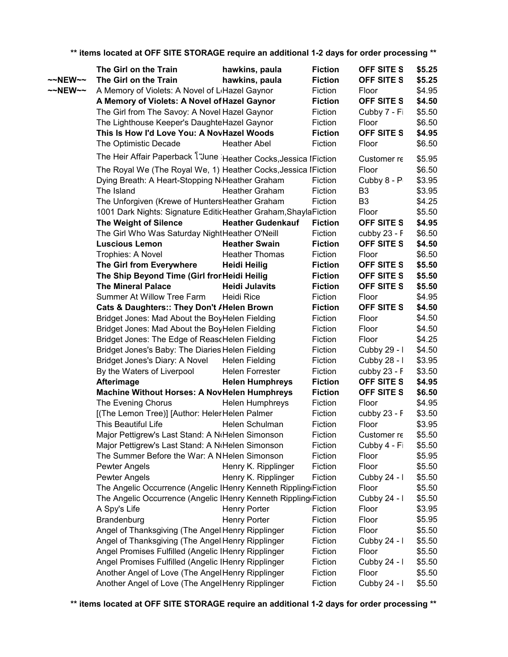**OFF SITE S** \$5.25  $\sim$ NEW $\sim$  The Girl on the Train **bawkins, paula** Fiction OFF SITE S \$5.25 ~~NEW~~ A Memory of Violets: A Novel of L<sub>'</sub>Hazel Gaynor Fiction Floor \$4.95 **OFF SITE S** \$4.50 \$5.50 \$6.50 **OFF SITE S** \$4.95 \$6.50 \$5.95 \$6.50 \$3.95 B3 \$3.95 B3 \$4.25 \$5.50 **OFF SITE S** \$4.95 \$6.50 **OFF SITE S** \$4.50 \$6.50 **OFF SITE S** \$5.50 **OFF SITE S** \$5.50 **OFF SITE S** \$5.50 \$4.95 **OFF SITE S** \$4.50 \$4.50 \$4.50 \$4.25 \$4.50 \$3.95 \$3.50 **OFF SITE S** \$4.95 **OFF SITE S** \$6.50 \$4.95 \$3.50 \$3.95 \$5.50 \$5.50 \$5.95 \$5.50 \$5.50 \$5.50 \$5.50 \$3.95 \$5.95 \$5.50 \$5.50 \$5.50 \$5.50 \$5.50 \$5.50 **The Girl on the Train hawkins, paula Fiction A Memory of Violets: A Novel of Hazel Gaynor Fiction** The Girl from The Savoy: A Novel Hazel Gaynor Fiction Cubby 7 - Fiction The Lighthouse Keeper's DaughteHazel Gaynor Fiction Floor **This Is How I'd Love You: A NovHazel Woods Fiction** The Optimistic Decade **Heather Abel** Fiction Floor The Heir Affair Paperback โ "June Heather Cocks, Jessica I Fiction Customer re The Royal We (The Royal We, 1) Heather Cocks, Jessica I Fiction Floor Dying Breath: A Heart-Stopping N<sub>'</sub>Heather Graham Fiction Cubby 8 - Popular Roman The Island **Heather Graham** Fiction The Unforgiven (Krewe of HuntersHeather Graham Fiction 1001 Dark Nights: Signature EditicHeather Graham,Shayla Fiction Floor **The Weight of Silence Heather Gudenkauf Fiction** The Girl Who Was Saturday NightHeather O'Neill Fiction cubby 23 - F **Luscious Lemon Heather Swain Fiction** Trophies: A Novel **Fiction** Heather Thomas Fiction Floor **The Girl from Everywhere Heidi Heilig Fiction The Ship Beyond Time (Girl fron Heidi Heilig Fiction The Mineral Palace Heidi Julavits Fiction** Summer At Willow Tree Farm Heidi Rice Fiction Floor **Cats & Daughters:: They Don't** *I* **Helen Brown Fiction** Bridget Jones: Mad About the BoyHelen Fielding Fiction Floor Bridget Jones: Mad About the BoyHelen Fielding Fiction Floor Bridget Jones: The Edge of ReascHelen Fielding Fiction Floor Bridget Jones's Baby: The Diaries Helen Fielding Fiction Cubby 29 - I Bridget Jones's Diary: A Novel Helen Fielding Fiction Cubby 28 - I By the Waters of Liverpool Helen Forrester Fiction cubby 23 - F **Afterimage Helen Humphreys Fiction Machine Without Horses: A NovHelen Humphreys Fiction** The Evening Chorus **Helen Humphreys** Fiction Floor [(The Lemon Tree)] [Author: Heler Helen Palmer Fiction cubby 23 - F This Beautiful Life **Helen Schulman** Fiction Floor Major Pettigrew's Last Stand: A Notel Helm Simonson Fiction Customer recommends (TallB3) Major Pettigrew's Last Stand: A Notel Helm Simonson Fiction Cubby 4 - Fiction The Summer Before the War: A NHelen Simonson Fiction Floor Pewter Angels **Henry K. Ripplinger** Fiction Floor Pewter Angels **Henry K. Ripplinger** Fiction Cubby 24 - I The Angelic Occurrence (Angelic IHenry Kenneth Rippling Fiction Floor The Angelic Occurrence (Angelic IHenry Kenneth Rippling Fiction Cubby 24 - I A Spy's Life **Henry Porter** Fiction Floor Brandenburg **Henry Porter** Fiction Floor Angel of Thanksgiving (The AngeliHenry Ripplinger Fiction Floor Angel of Thanksgiving (The AngeliHenry Ripplinger Fiction Cubby 24 - I Angel Promises Fulfilled (Angelic IHenry Ripplinger Fiction Floor Angel Promises Fulfilled (Angelic IHenry Ripplinger Fiction Cubby 24 - I Another Angel of Love (The Angel Henry Ripplinger Fiction Floor Another Angel of Love (The Angel Henry Ripplinger Fiction Cubby 24 - I

**\*\* items located at OFF SITE STORAGE require an additional 1-2 days for order processing \*\***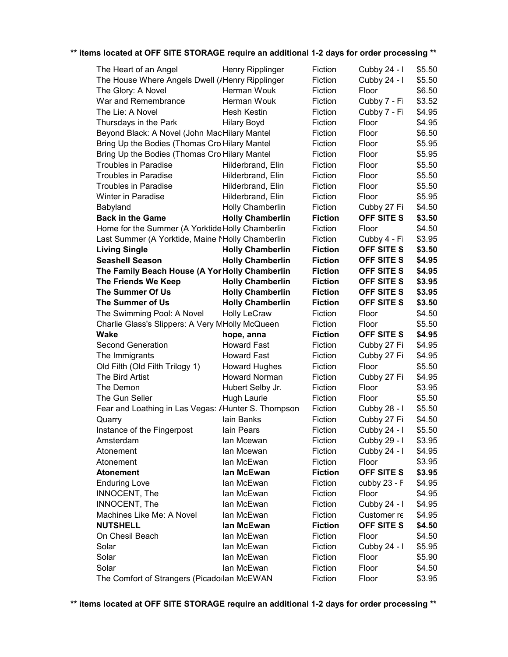| The Heart of an Angel                               | Henry Ripplinger        | Fiction        | Cubby 24 - I      | \$5.50 |
|-----------------------------------------------------|-------------------------|----------------|-------------------|--------|
| The House Where Angels Dwell (/Henry Ripplinger     |                         | Fiction        | Cubby 24 - I      | \$5.50 |
| The Glory: A Novel                                  | Herman Wouk             | Fiction        | Floor             | \$6.50 |
| War and Remembrance                                 | Herman Wouk             | Fiction        | Cubby 7 - Fi      | \$3.52 |
| The Lie: A Novel                                    | <b>Hesh Kestin</b>      | Fiction        | Cubby 7 - Fi      | \$4.95 |
| Thursdays in the Park                               | <b>Hilary Boyd</b>      | Fiction        | Floor             | \$4.95 |
| Beyond Black: A Novel (John MacHilary Mantel        |                         | Fiction        | Floor             | \$6.50 |
| Bring Up the Bodies (Thomas CrolHilary Mantel       |                         | Fiction        | Floor             | \$5.95 |
| Bring Up the Bodies (Thomas CrolHilary Mantel       |                         | Fiction        | Floor             | \$5.95 |
| <b>Troubles in Paradise</b>                         | Hilderbrand, Elin       | Fiction        | Floor             | \$5.50 |
| <b>Troubles in Paradise</b>                         | Hilderbrand, Elin       | Fiction        | Floor             | \$5.50 |
| <b>Troubles in Paradise</b>                         | Hilderbrand, Elin       | Fiction        | Floor             | \$5.50 |
| Winter in Paradise                                  | Hilderbrand, Elin       | Fiction        | Floor             | \$5.95 |
| Babyland                                            | Holly Chamberlin        | Fiction        | Cubby 27 Fi       | \$4.50 |
| <b>Back in the Game</b>                             | <b>Holly Chamberlin</b> | <b>Fiction</b> | <b>OFF SITE S</b> | \$3.50 |
| Home for the Summer (A Yorktide Holly Chamberlin    |                         | Fiction        | Floor             | \$4.50 |
| Last Summer (A Yorktide, Maine Molly Chamberlin     |                         | Fiction        | Cubby 4 - Fi      | \$3.95 |
| <b>Living Single</b>                                | <b>Holly Chamberlin</b> | <b>Fiction</b> | <b>OFF SITE S</b> | \$3.50 |
| <b>Seashell Season</b>                              | <b>Holly Chamberlin</b> | <b>Fiction</b> | <b>OFF SITE S</b> | \$4.95 |
| The Family Beach House (A Yor Holly Chamberlin      |                         | <b>Fiction</b> | <b>OFF SITE S</b> | \$4.95 |
| The Friends We Keep                                 | <b>Holly Chamberlin</b> | <b>Fiction</b> | <b>OFF SITE S</b> | \$3.95 |
| The Summer Of Us                                    | <b>Holly Chamberlin</b> | <b>Fiction</b> | <b>OFF SITE S</b> | \$3.95 |
| The Summer of Us                                    | <b>Holly Chamberlin</b> | <b>Fiction</b> | <b>OFF SITE S</b> | \$3.50 |
| The Swimming Pool: A Novel                          | <b>Holly LeCraw</b>     | Fiction        | Floor             | \$4.50 |
| Charlie Glass's Slippers: A Very MHolly McQueen     |                         | Fiction        | Floor             | \$5.50 |
| Wake                                                | hope, anna              | <b>Fiction</b> | <b>OFF SITE S</b> | \$4.95 |
| Second Generation                                   | <b>Howard Fast</b>      | Fiction        | Cubby 27 Fi       | \$4.95 |
| The Immigrants                                      | <b>Howard Fast</b>      | Fiction        | Cubby 27 Fi       | \$4.95 |
| Old Filth (Old Filth Trilogy 1)                     | <b>Howard Hughes</b>    | Fiction        | Floor             | \$5.50 |
| The Bird Artist                                     | <b>Howard Norman</b>    | Fiction        | Cubby 27 Fi       | \$4.95 |
| The Demon                                           | Hubert Selby Jr.        | Fiction        | Floor             | \$3.95 |
| The Gun Seller                                      | Hugh Laurie             | Fiction        | Floor             | \$5.50 |
| Fear and Loathing in Las Vegas: /Hunter S. Thompson |                         | Fiction        | Cubby 28 - I      | \$5.50 |
| Quarry                                              | lain Banks              | Fiction        | Cubby 27 Fi       | \$4.50 |
| Instance of the Fingerpost                          | lain Pears              | Fiction        | Cubby 24 - I      | \$5.50 |
| Amsterdam                                           | lan Mcewan              | Fiction        | Cubby 29 - I      | \$3.95 |
| Atonement                                           | lan Mcewan              | Fiction        | Cubby 24 - I      | \$4.95 |
| Atonement                                           | lan McEwan              | Fiction        | Floor             | \$3.95 |
| <b>Atonement</b>                                    | lan McEwan              | <b>Fiction</b> | <b>OFF SITE S</b> | \$3.95 |
| <b>Enduring Love</b>                                | lan McEwan              | Fiction        | cubby 23 - F      | \$4.95 |
| INNOCENT, The                                       | lan McEwan              | Fiction        | Floor             | \$4.95 |
| INNOCENT, The                                       | lan McEwan              | Fiction        | Cubby 24 - I      | \$4.95 |
| Machines Like Me: A Novel                           | lan McEwan              | Fiction        | Customer re       | \$4.95 |
| <b>NUTSHELL</b>                                     | lan McEwan              | <b>Fiction</b> | OFF SITE S        | \$4.50 |
| On Chesil Beach                                     | lan McEwan              | Fiction        | Floor             | \$4.50 |
| Solar                                               | lan McEwan              | Fiction        | Cubby 24 - I      | \$5.95 |
| Solar                                               | lan McEwan              | Fiction        | Floor             | \$5.90 |
| Solar                                               | lan McEwan              | Fiction        | Floor             | \$4.50 |
| The Comfort of Strangers (Picadollan McEWAN         |                         | Fiction        | Floor             | \$3.95 |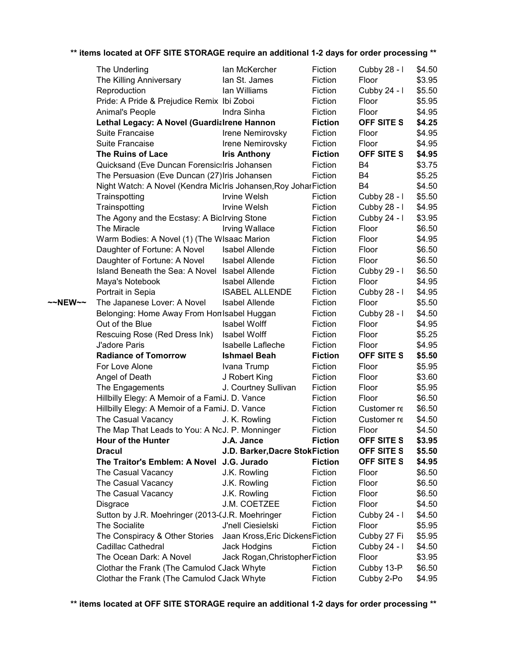|         | The Underling                                                    | lan McKercher                    | Fiction        | Cubby 28 - I      | \$4.50 |
|---------|------------------------------------------------------------------|----------------------------------|----------------|-------------------|--------|
|         | The Killing Anniversary                                          | lan St. James                    | Fiction        | Floor             | \$3.95 |
|         | Reproduction                                                     | lan Williams                     | Fiction        | Cubby 24 - I      | \$5.50 |
|         | Pride: A Pride & Prejudice Remix Ibi Zoboi                       |                                  | Fiction        | Floor             | \$5.95 |
|         | Animal's People                                                  | Indra Sinha                      | Fiction        | Floor             | \$4.95 |
|         | Lethal Legacy: A Novel (Guardialrene Hannon                      |                                  | <b>Fiction</b> | OFF SITE S        | \$4.25 |
|         | Suite Francaise                                                  | Irene Nemirovsky                 | Fiction        | Floor             | \$4.95 |
|         | Suite Francaise                                                  | Irene Nemirovsky                 | Fiction        | Floor             | \$4.95 |
|         | The Ruins of Lace                                                | <b>Iris Anthony</b>              | <b>Fiction</b> | <b>OFF SITE S</b> | \$4.95 |
|         | Quicksand (Eve Duncan ForensicsIris Johansen                     |                                  | Fiction        | B4                | \$3.75 |
|         | The Persuasion (Eve Duncan (27) Iris Johansen                    |                                  | Fiction        | B4                | \$5.25 |
|         | Night Watch: A Novel (Kendra MicIris Johansen, Roy Johar Fiction |                                  |                | B4                | \$4.50 |
|         | Trainspotting                                                    | Irvine Welsh                     | Fiction        | Cubby 28 - I      | \$5.50 |
|         | Trainspotting                                                    | Irvine Welsh                     | Fiction        | Cubby 28 - I      | \$4.95 |
|         | The Agony and the Ecstasy: A Biolrving Stone                     |                                  | Fiction        | Cubby 24 - I      | \$3.95 |
|         | The Miracle                                                      | <b>Irving Wallace</b>            | Fiction        | Floor             | \$6.50 |
|         | Warm Bodies: A Novel (1) (The WIsaac Marion                      |                                  | Fiction        | Floor             | \$4.95 |
|         | Daughter of Fortune: A Novel                                     | <b>Isabel Allende</b>            | Fiction        | Floor             | \$6.50 |
|         | Daughter of Fortune: A Novel                                     | <b>Isabel Allende</b>            | Fiction        | Floor             | \$6.50 |
|         | Island Beneath the Sea: A Novel Isabel Allende                   |                                  | Fiction        | Cubby 29 - I      | \$6.50 |
|         | Maya's Notebook                                                  | <b>Isabel Allende</b>            | Fiction        | Floor             | \$4.95 |
|         | Portrait in Sepia                                                | <b>ISABEL ALLENDE</b>            | Fiction        | Cubby 28 - I      | \$4.95 |
| ~~NEW~~ | The Japanese Lover: A Novel                                      | <b>Isabel Allende</b>            | Fiction        | Floor             | \$5.50 |
|         | Belonging: Home Away From Hon Isabel Huggan                      |                                  | Fiction        | Cubby 28 - I      | \$4.50 |
|         | Out of the Blue                                                  | <b>Isabel Wolff</b>              | Fiction        | Floor             | \$4.95 |
|         | Rescuing Rose (Red Dress Ink)                                    | <b>Isabel Wolff</b>              | Fiction        | Floor             | \$5.25 |
|         | J'adore Paris                                                    | Isabelle Lafleche                | Fiction        | Floor             | \$4.95 |
|         | <b>Radiance of Tomorrow</b>                                      | <b>Ishmael Beah</b>              | <b>Fiction</b> | OFF SITE S        | \$5.50 |
|         | For Love Alone                                                   | Ivana Trump                      | Fiction        | Floor             | \$5.95 |
|         | Angel of Death                                                   | J Robert King                    | Fiction        | Floor             | \$3.60 |
|         | The Engagements                                                  | J. Courtney Sullivan             | Fiction        | Floor             | \$5.95 |
|         | Hillbilly Elegy: A Memoir of a FamiJ. D. Vance                   |                                  | Fiction        | Floor             | \$6.50 |
|         | Hillbilly Elegy: A Memoir of a FamiJ. D. Vance                   |                                  | Fiction        | Customer re       | \$6.50 |
|         | The Casual Vacancy                                               | J. K. Rowling                    | Fiction        | Customer re       | \$4.50 |
|         | The Map That Leads to You: A NoJ. P. Monninger                   |                                  | Fiction        | Floor             | \$4.50 |
|         | <b>Hour of the Hunter</b>                                        | J.A. Jance                       | <b>Fiction</b> | <b>OFF SITE S</b> | \$3.95 |
|         | <b>Dracul</b>                                                    | J.D. Barker, Dacre Stok Fiction  |                | OFF SITE S        | \$5.50 |
|         | The Traitor's Emblem: A Novel J.G. Jurado                        |                                  | <b>Fiction</b> | OFF SITE S        | \$4.95 |
|         | The Casual Vacancy                                               | J.K. Rowling                     | Fiction        | Floor             | \$6.50 |
|         | The Casual Vacancy                                               | J.K. Rowling                     | Fiction        | Floor             | \$6.50 |
|         | The Casual Vacancy                                               | J.K. Rowling                     | Fiction        | Floor             | \$6.50 |
|         | Disgrace                                                         | J.M. COETZEE                     | Fiction        | Floor             | \$4.50 |
|         | Sutton by J.R. Moehringer (2013-(J.R. Moehringer                 |                                  | Fiction        | Cubby 24 - I      | \$4.50 |
|         | <b>The Socialite</b>                                             | J'nell Ciesielski                | Fiction        | Floor             | \$5.95 |
|         | The Conspiracy & Other Stories                                   | Jaan Kross, Eric Dickens Fiction |                | Cubby 27 Fi       | \$5.95 |
|         | Cadillac Cathedral                                               | Jack Hodgins                     | Fiction        | Cubby 24 - I      | \$4.50 |
|         | The Ocean Dark: A Novel                                          | Jack Rogan, Christopher Fiction  |                | Floor             | \$3.95 |
|         | Clothar the Frank (The Camulod CJack Whyte                       |                                  | Fiction        | Cubby 13-P        | \$6.50 |
|         | Clothar the Frank (The Camulod CJack Whyte                       |                                  | Fiction        | Cubby 2-Po        | \$4.95 |
|         |                                                                  |                                  |                |                   |        |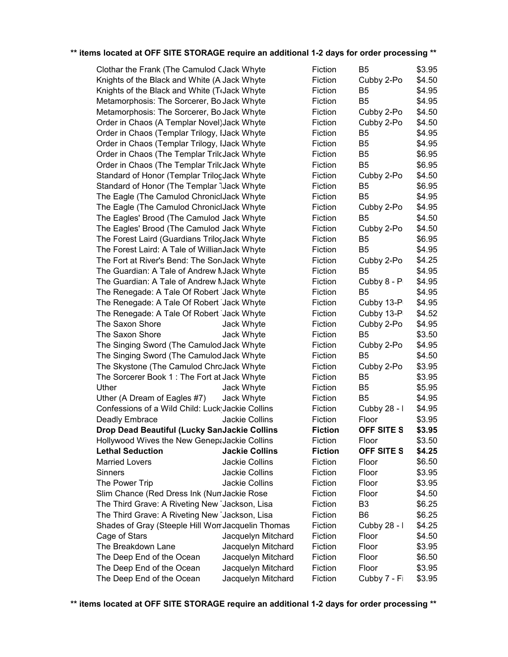| Clothar the Frank (The Camulod CJack Whyte                                                          |                       | Fiction        | B5             | \$3.95 |
|-----------------------------------------------------------------------------------------------------|-----------------------|----------------|----------------|--------|
| Knights of the Black and White (A Jack Whyte                                                        |                       | Fiction        | Cubby 2-Po     | \$4.50 |
| Knights of the Black and White (TrJack Whyte                                                        |                       | Fiction        | B <sub>5</sub> | \$4.95 |
| Metamorphosis: The Sorcerer, Bo Jack Whyte                                                          |                       | Fiction        | B <sub>5</sub> | \$4.95 |
| Metamorphosis: The Sorcerer, Bo Jack Whyte                                                          |                       | Fiction        | Cubby 2-Po     | \$4.50 |
| Order in Chaos (A Templar Novel) Jack Whyte                                                         |                       | Fiction        | Cubby 2-Po     | \$4.50 |
| Order in Chaos (Templar Trilogy, IJack Whyte                                                        |                       | Fiction        | B <sub>5</sub> | \$4.95 |
| Order in Chaos (Templar Trilogy, IJack Whyte                                                        |                       | Fiction        | B <sub>5</sub> | \$4.95 |
| Order in Chaos (The Templar TrilcJack Whyte                                                         |                       | Fiction        | B <sub>5</sub> | \$6.95 |
| Order in Chaos (The Templar TrilcJack Whyte                                                         |                       | Fiction        | B <sub>5</sub> | \$6.95 |
| Standard of Honor (Templar TrilogJack Whyte                                                         |                       | Fiction        | Cubby 2-Po     | \$4.50 |
| Standard of Honor (The Templar IJack Whyte                                                          |                       | Fiction        | B5             | \$6.95 |
| The Eagle (The Camulod ChronicIJack Whyte                                                           |                       | Fiction        | B <sub>5</sub> | \$4.95 |
| The Eagle (The Camulod ChronicIJack Whyte                                                           |                       | Fiction        | Cubby 2-Po     | \$4.95 |
| The Eagles' Brood (The Camulod Jack Whyte                                                           |                       | Fiction        | B <sub>5</sub> | \$4.50 |
| The Eagles' Brood (The Camulod Jack Whyte                                                           |                       | Fiction        | Cubby 2-Po     | \$4.50 |
| The Forest Laird (Guardians TrilocJack Whyte                                                        |                       | Fiction        | B <sub>5</sub> | \$6.95 |
| The Forest Laird: A Tale of WillianJack Whyte                                                       |                       | Fiction        | B <sub>5</sub> | \$4.95 |
| The Fort at River's Bend: The Sordack Whyte                                                         |                       | Fiction        | Cubby 2-Po     | \$4.25 |
| The Guardian: A Tale of Andrew NJack Whyte                                                          |                       | Fiction        | B <sub>5</sub> | \$4.95 |
| The Guardian: A Tale of Andrew NJack Whyte                                                          |                       | Fiction        | Cubby 8 - P    | \$4.95 |
| The Renegade: A Tale Of Robert Jack Whyte                                                           |                       | Fiction        | B <sub>5</sub> | \$4.95 |
| The Renegade: A Tale Of Robert Jack Whyte                                                           |                       | Fiction        | Cubby 13-P     | \$4.95 |
| The Renegade: A Tale Of Robert Jack Whyte                                                           |                       | Fiction        | Cubby 13-P     | \$4.52 |
| The Saxon Shore                                                                                     | Jack Whyte            | Fiction        | Cubby 2-Po     | \$4.95 |
| The Saxon Shore                                                                                     | Jack Whyte            | Fiction        | B5             | \$3.50 |
| The Singing Sword (The Camulod Jack Whyte                                                           |                       | Fiction        | Cubby 2-Po     | \$4.95 |
| The Singing Sword (The Camulod Jack Whyte                                                           |                       | Fiction        | B <sub>5</sub> | \$4.50 |
| The Skystone (The Camulod ChroJack Whyte                                                            |                       | Fiction        | Cubby 2-Po     | \$3.95 |
| The Sorcerer Book 1: The Fort at Jack Whyte                                                         |                       | Fiction        | B <sub>5</sub> | \$3.95 |
| Uther                                                                                               | Jack Whyte            | Fiction        | B <sub>5</sub> | \$5.95 |
| Uther (A Dream of Eagles #7)                                                                        | Jack Whyte            | Fiction        | B <sub>5</sub> | \$4.95 |
| Confessions of a Wild Child: Luck Jackie Collins                                                    |                       | Fiction        | Cubby 28 - I   | \$4.95 |
| Deadly Embrace                                                                                      | Jackie Collins        | Fiction        | Floor          | \$3.95 |
| Drop Dead Beautiful (Lucky SanJackie Collins                                                        | <b>Fiction</b>        | OFF SITE S     | \$3.95         |        |
| Hollywood Wives the New Genepalackie Collins                                                        |                       | Fiction        | Floor          | \$3.50 |
| <b>Lethal Seduction</b>                                                                             | <b>Jackie Collins</b> | <b>Fiction</b> | OFF SITE S     | \$4.25 |
| <b>Married Lovers</b>                                                                               | Jackie Collins        | Fiction        | Floor          | \$6.50 |
| <b>Sinners</b>                                                                                      | Jackie Collins        | Fiction        | Floor          | \$3.95 |
| The Power Trip                                                                                      | Jackie Collins        | Fiction        | Floor          | \$3.95 |
| Slim Chance (Red Dress Ink (Nun Jackie Rose                                                         |                       | Fiction        | Floor          | \$4.50 |
| The Third Grave: A Riveting New Jackson, Lisa                                                       |                       | Fiction        | B <sub>3</sub> | \$6.25 |
| The Third Grave: A Riveting New Jackson, Lisa<br>Shades of Gray (Steeple Hill Worr Jacquelin Thomas |                       | Fiction        | B <sub>6</sub> | \$6.25 |
|                                                                                                     |                       | Fiction        | Cubby 28 - I   | \$4.25 |
| Cage of Stars                                                                                       | Jacquelyn Mitchard    | Fiction        | Floor          | \$4.50 |
| The Breakdown Lane                                                                                  | Jacquelyn Mitchard    | Fiction        | Floor          | \$3.95 |
| The Deep End of the Ocean                                                                           | Jacquelyn Mitchard    | Fiction        | Floor          | \$6.50 |
| The Deep End of the Ocean                                                                           | Jacquelyn Mitchard    | Fiction        | Floor          | \$3.95 |
| The Deep End of the Ocean                                                                           | Jacquelyn Mitchard    | Fiction        | Cubby 7 - Fi   | \$3.95 |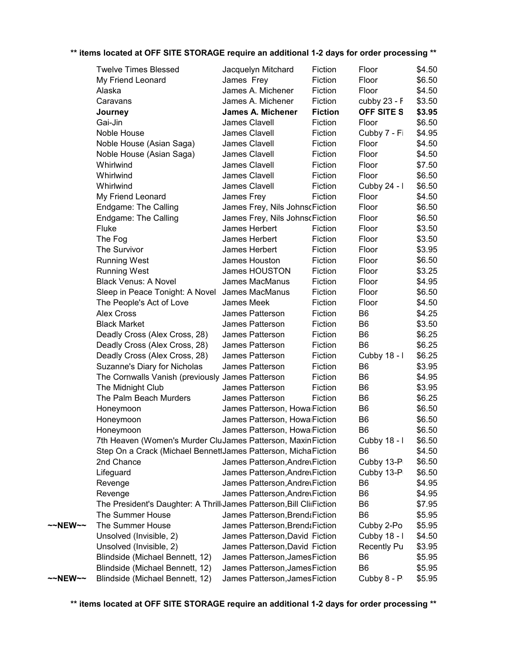|         | <b>Twelve Times Blessed</b>                                          | Jacquelyn Mitchard               | Fiction        | Floor              | \$4.50 |
|---------|----------------------------------------------------------------------|----------------------------------|----------------|--------------------|--------|
|         | My Friend Leonard                                                    | James Frey                       | Fiction        | Floor              | \$6.50 |
|         | Alaska                                                               | James A. Michener                | Fiction        | Floor              | \$4.50 |
|         | Caravans                                                             | James A. Michener                | Fiction        | cubby 23 - F       | \$3.50 |
|         | Journey                                                              | <b>James A. Michener</b>         | <b>Fiction</b> | <b>OFF SITE S</b>  | \$3.95 |
|         | Gai-Jin                                                              | James Clavell                    | Fiction        | Floor              | \$6.50 |
|         | Noble House                                                          | James Clavell                    | Fiction        | Cubby 7 - Fi       | \$4.95 |
|         | Noble House (Asian Saga)                                             | James Clavell                    | Fiction        | Floor              | \$4.50 |
|         | Noble House (Asian Saga)                                             | James Clavell                    | Fiction        | Floor              | \$4.50 |
|         | Whirlwind                                                            | James Clavell                    | Fiction        | Floor              | \$7.50 |
|         | Whirlwind                                                            | James Clavell                    | Fiction        | Floor              | \$6.50 |
|         | Whirlwind                                                            | James Clavell                    | Fiction        | Cubby 24 - I       | \$6.50 |
|         | My Friend Leonard                                                    | James Frey                       | Fiction        | Floor              | \$4.50 |
|         | Endgame: The Calling                                                 | James Frey, Nils JohnscFiction   |                | Floor              | \$6.50 |
|         | Endgame: The Calling                                                 | James Frey, Nils JohnscFiction   |                | Floor              | \$6.50 |
|         | Fluke                                                                | James Herbert                    | Fiction        | Floor              | \$3.50 |
|         | The Fog                                                              | James Herbert                    | Fiction        | Floor              | \$3.50 |
|         | The Survivor                                                         | James Herbert                    | Fiction        | Floor              | \$3.95 |
|         | <b>Running West</b>                                                  | James Houston                    | Fiction        | Floor              | \$6.50 |
|         | <b>Running West</b>                                                  | <b>James HOUSTON</b>             | Fiction        | Floor              | \$3.25 |
|         | <b>Black Venus: A Novel</b>                                          | James MacManus                   | Fiction        | Floor              | \$4.95 |
|         | Sleep in Peace Tonight: A Novel                                      | James MacManus                   | Fiction        | Floor              | \$6.50 |
|         | The People's Act of Love                                             | James Meek                       | Fiction        | Floor              | \$4.50 |
|         | <b>Alex Cross</b>                                                    | James Patterson                  | Fiction        | B <sub>6</sub>     | \$4.25 |
|         | <b>Black Market</b>                                                  | James Patterson                  | Fiction        | B <sub>6</sub>     | \$3.50 |
|         | Deadly Cross (Alex Cross, 28)                                        | James Patterson                  | Fiction        | B <sub>6</sub>     | \$6.25 |
|         | Deadly Cross (Alex Cross, 28)                                        | James Patterson                  | Fiction        | B <sub>6</sub>     | \$6.25 |
|         | Deadly Cross (Alex Cross, 28)                                        | James Patterson                  | Fiction        | Cubby 18 - I       | \$6.25 |
|         | Suzanne's Diary for Nicholas                                         | James Patterson                  | Fiction        | B <sub>6</sub>     | \$3.95 |
|         | The Cornwalls Vanish (previously James Patterson                     |                                  | Fiction        | B <sub>6</sub>     | \$4.95 |
|         | The Midnight Club                                                    | James Patterson                  | Fiction        | B <sub>6</sub>     | \$3.95 |
|         | The Palm Beach Murders                                               | James Patterson                  | Fiction        | B <sub>6</sub>     | \$6.25 |
|         | Honeymoon                                                            | James Patterson, Howa Fiction    |                | B <sub>6</sub>     | \$6.50 |
|         | Honeymoon                                                            | James Patterson, Howa Fiction    |                | B <sub>6</sub>     | \$6.50 |
|         | Honeymoon                                                            | James Patterson, Howa Fiction    |                | B <sub>6</sub>     | \$6.50 |
|         | 7th Heaven (Women's Murder CluJames Patterson, Maxin Fiction         |                                  |                | Cubby 18 - I       | \$6.50 |
|         | Step On a Crack (Michael BennettJames Patterson, MichaFiction        |                                  |                | B <sub>6</sub>     | \$4.50 |
|         | 2nd Chance                                                           | James Patterson, AndrevFiction   |                | Cubby 13-P         | \$6.50 |
|         | Lifeguard                                                            | James Patterson, AndrevFiction   |                | Cubby 13-P         | \$6.50 |
|         | Revenge                                                              | James Patterson, Andrev Fiction  |                | B <sub>6</sub>     | \$4.95 |
|         | Revenge                                                              | James Patterson, AndrevFiction   |                | B <sub>6</sub>     | \$4.95 |
|         | The President's Daughter: A Thrill James Patterson, Bill ClirFiction |                                  |                | B <sub>6</sub>     | \$7.95 |
|         | The Summer House                                                     | James Patterson, Brend a Fiction |                | B <sub>6</sub>     | \$5.95 |
| ~~NEW~~ | The Summer House                                                     | James Patterson, Brend ¿Fiction  |                | Cubby 2-Po         | \$5.95 |
|         | Unsolved (Invisible, 2)                                              | James Patterson, David Fiction   |                | Cubby 18 - I       | \$4.50 |
|         | Unsolved (Invisible, 2)                                              | James Patterson, David Fiction   |                | <b>Recently Pu</b> | \$3.95 |
|         | Blindside (Michael Bennett, 12)                                      | James Patterson, James Fiction   |                | B <sub>6</sub>     | \$5.95 |
|         | Blindside (Michael Bennett, 12)                                      | James Patterson, James Fiction   |                | B <sub>6</sub>     | \$5.95 |
| ~~NEW~~ | Blindside (Michael Bennett, 12)                                      | James Patterson, James Fiction   |                | Cubby 8 - P        | \$5.95 |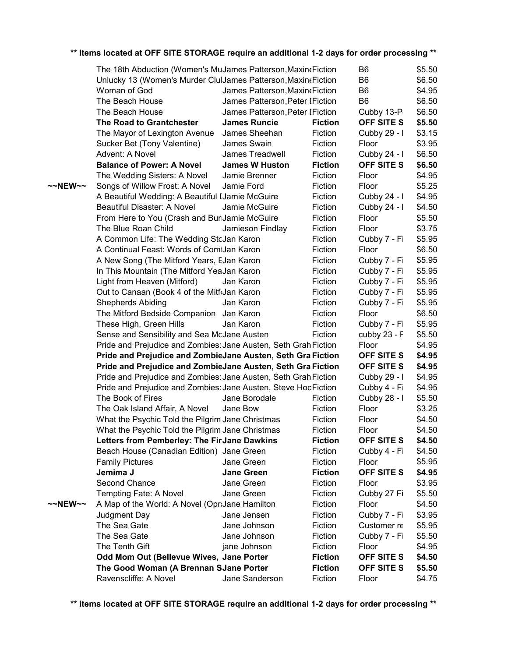| ** items located at OFF SITE STORAGE require an additional 1-2 days for order processing ** |  |
|---------------------------------------------------------------------------------------------|--|
|---------------------------------------------------------------------------------------------|--|

|         | The 18th Abduction (Women's MuJames Patterson, Maxine Fiction   |           |                                  |                | B <sub>6</sub>              | \$5.50 |
|---------|-----------------------------------------------------------------|-----------|----------------------------------|----------------|-----------------------------|--------|
|         | Unlucky 13 (Women's Murder ClulJames Patterson, Maxine Fiction  |           |                                  |                | B <sub>6</sub>              | \$6.50 |
|         | Woman of God                                                    |           | James Patterson, Maxin (Fiction  |                | B <sub>6</sub>              | \$4.95 |
|         | The Beach House                                                 |           | James Patterson, Peter I Fiction |                | B <sub>6</sub>              | \$6.50 |
|         | The Beach House                                                 |           | James Patterson, Peter I Fiction |                | Cubby 13-P                  | \$6.50 |
|         | The Road to Grantchester                                        |           | <b>James Runcie</b>              | <b>Fiction</b> | OFF SITE S                  | \$5.50 |
|         | The Mayor of Lexington Avenue                                   |           | James Sheehan                    | Fiction        | Cubby 29 - I                | \$3.15 |
|         | Sucker Bet (Tony Valentine)                                     |           | James Swain                      | Fiction        | Floor                       | \$3.95 |
|         | Advent: A Novel                                                 |           | James Treadwell                  | Fiction        | Cubby 24 - I                | \$6.50 |
|         | <b>Balance of Power: A Novel</b>                                |           | <b>James W Huston</b>            | <b>Fiction</b> | OFF SITE S                  | \$6.50 |
|         | The Wedding Sisters: A Novel                                    |           | Jamie Brenner                    | Fiction        | Floor                       | \$4.95 |
| ~~NEW~~ | Songs of Willow Frost: A Novel                                  |           | Jamie Ford                       | Fiction        | Floor                       | \$5.25 |
|         | A Beautiful Wedding: A Beautiful IJamie McGuire                 |           |                                  | Fiction        | Cubby 24 - I                | \$4.95 |
|         | Beautiful Disaster: A Novel                                     |           | Jamie McGuire                    | Fiction        | Cubby 24 - I                | \$4.50 |
|         | From Here to You (Crash and BuriJamie McGuire                   |           |                                  | Fiction        | Floor                       | \$5.50 |
|         | The Blue Roan Child                                             |           | Jamieson Findlay                 | Fiction        | Floor                       | \$3.75 |
|         | A Common Life: The Wedding StcJan Karon                         |           |                                  | Fiction        | Cubby 7 - Fi                | \$5.95 |
|         | A Continual Feast: Words of ComtJan Karon                       |           |                                  | Fiction        | Floor                       | \$6.50 |
|         | A New Song (The Mitford Years, EJan Karon                       |           |                                  | Fiction        | Cubby 7 - Fi                | \$5.95 |
|         | In This Mountain (The Mitford YeaJan Karon                      |           |                                  | Fiction        | Cubby 7 - Fi                | \$5.95 |
|         | Light from Heaven (Mitford)                                     | Jan Karon |                                  | Fiction        | Cubby 7 - Fi                | \$5.95 |
|         | Out to Canaan (Book 4 of the MitfrJan Karon                     |           |                                  | Fiction        | Cubby 7 - Fi                | \$5.95 |
|         | <b>Shepherds Abiding</b>                                        | Jan Karon |                                  | Fiction        | Cubby 7 - Fi                | \$5.95 |
|         | The Mitford Bedside Companion Jan Karon                         |           |                                  | Fiction        | Floor                       | \$6.50 |
|         | These High, Green Hills                                         | Jan Karon |                                  | Fiction        | Cubby 7 - Fi                | \$5.95 |
|         | Sense and Sensibility and Sea McJane Austen                     |           |                                  | Fiction        | cubby $23 - F$              | \$5.50 |
|         | Pride and Prejudice and Zombies: Jane Austen, Seth Grah Fiction |           |                                  |                | Floor                       | \$4.95 |
|         | Pride and Prejudice and ZombieJane Austen, Seth Gra Fiction     |           |                                  |                | OFF SITE S                  | \$4.95 |
|         | Pride and Prejudice and ZombieJane Austen, Seth Gra Fiction     |           |                                  |                | OFF SITE S                  | \$4.95 |
|         | Pride and Prejudice and Zombies: Jane Austen, Seth Grah Fiction |           |                                  |                | Cubby 29 - I                | \$4.95 |
|         | Pride and Prejudice and Zombies: Jane Austen, Steve HocFiction  |           |                                  |                | Cubby 4 - Fi                | \$4.95 |
|         | The Book of Fires                                               |           | Jane Borodale                    | Fiction        | Cubby 28 - I                | \$5.50 |
|         | The Oak Island Affair, A Novel                                  | Jane Bow  |                                  | Fiction        | Floor                       | \$3.25 |
|         | What the Psychic Told the Pilgrim Jane Christmas                |           |                                  | Fiction        | Floor                       | \$4.50 |
|         | What the Psychic Told the Pilgrim Jane Christmas                |           |                                  | Fiction        | Floor                       | \$4.50 |
|         | Letters from Pemberley: The FirJane Dawkins                     |           |                                  | <b>Fiction</b> | OFF SITE S                  | \$4.50 |
|         | Beach House (Canadian Edition) Jane Green                       |           |                                  | Fiction        | Cubby 4 - Fi                | \$4.50 |
|         | <b>Family Pictures</b>                                          |           | Jane Green                       | Fiction        | Floor                       | \$5.95 |
|         | Jemima J                                                        |           | <b>Jane Green</b>                | <b>Fiction</b> | OFF SITE S                  | \$4.95 |
|         | Second Chance                                                   |           | Jane Green                       | Fiction        | Floor                       | \$3.95 |
|         | Tempting Fate: A Novel                                          |           | Jane Green                       | Fiction        | Cubby 27 Fi                 | \$5.50 |
| ~~NEW~~ | A Map of the World: A Novel (OpraJane Hamilton                  |           |                                  | Fiction        | Floor                       | \$4.50 |
|         | Judgment Day                                                    |           | Jane Jensen                      | Fiction        |                             | \$3.95 |
|         | The Sea Gate                                                    |           | Jane Johnson                     | Fiction        | Cubby 7 - Fi<br>Customer re | \$5.95 |
|         | The Sea Gate                                                    |           | Jane Johnson                     | Fiction        |                             |        |
|         | The Tenth Gift                                                  |           |                                  |                | Cubby 7 - Fi<br>Floor       | \$5.50 |
|         |                                                                 |           | jane Johnson                     | Fiction        |                             | \$4.95 |
|         | Odd Mom Out (Bellevue Wives, Jane Porter                        |           |                                  | <b>Fiction</b> | OFF SITE S                  | \$4.50 |
|         | The Good Woman (A Brennan SJane Porter                          |           |                                  | <b>Fiction</b> | OFF SITE S                  | \$5.50 |
|         | Ravenscliffe: A Novel                                           |           | Jane Sanderson                   | Fiction        | Floor                       | \$4.75 |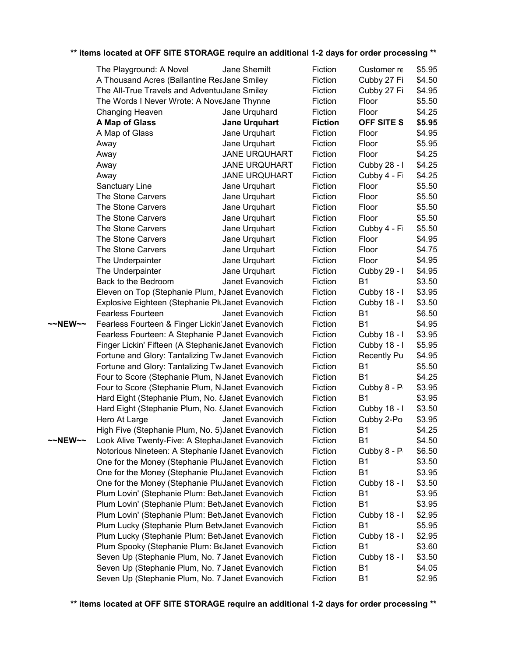|         | The Playground: A Novel                            | Jane Shemilt         | Fiction        | Customer re        | \$5.95 |
|---------|----------------------------------------------------|----------------------|----------------|--------------------|--------|
|         | A Thousand Acres (Ballantine ReaJane Smiley        |                      | Fiction        | Cubby 27 Fi        | \$4.50 |
|         | The All-True Travels and AdventuiJane Smiley       |                      | Fiction        | Cubby 27 Fi        | \$4.95 |
|         | The Words I Never Wrote: A NoveJane Thynne         |                      | Fiction        | Floor              | \$5.50 |
|         | Changing Heaven                                    | Jane Urquhard        | Fiction        | Floor              | \$4.25 |
|         | A Map of Glass                                     | <b>Jane Urquhart</b> | <b>Fiction</b> | OFF SITE S         | \$5.95 |
|         | A Map of Glass                                     | Jane Urquhart        | Fiction        | Floor              | \$4.95 |
|         | Away                                               | Jane Urquhart        | Fiction        | Floor              | \$5.95 |
|         | Away                                               | <b>JANE URQUHART</b> | Fiction        | Floor              | \$4.25 |
|         | Away                                               | <b>JANE URQUHART</b> | Fiction        | Cubby 28 - I       | \$4.25 |
|         | Away                                               | <b>JANE URQUHART</b> | Fiction        | Cubby 4 - Fi       | \$4.25 |
|         | Sanctuary Line                                     | Jane Urquhart        | Fiction        | Floor              | \$5.50 |
|         | The Stone Carvers                                  | Jane Urquhart        | Fiction        | Floor              | \$5.50 |
|         | The Stone Carvers                                  | Jane Urquhart        | Fiction        | Floor              | \$5.50 |
|         | The Stone Carvers                                  | Jane Urquhart        | Fiction        | Floor              | \$5.50 |
|         | The Stone Carvers                                  | Jane Urquhart        | Fiction        | Cubby 4 - Fi       | \$5.50 |
|         | The Stone Carvers                                  | Jane Urquhart        | Fiction        | Floor              | \$4.95 |
|         | The Stone Carvers                                  | Jane Urquhart        | Fiction        | Floor              | \$4.75 |
|         | The Underpainter                                   | Jane Urquhart        | Fiction        | Floor              | \$4.95 |
|         | The Underpainter                                   | Jane Urquhart        | Fiction        | Cubby 29 - I       | \$4.95 |
|         | Back to the Bedroom                                | Janet Evanovich      | Fiction        | <b>B1</b>          | \$3.50 |
|         | Eleven on Top (Stephanie Plum, Nanet Evanovich     |                      | Fiction        | Cubby 18 - I       | \$3.95 |
|         | Explosive Eighteen (Stephanie PluJanet Evanovich   |                      | Fiction        | Cubby 18 - I       | \$3.50 |
|         | <b>Fearless Fourteen</b>                           | Janet Evanovich      | Fiction        | <b>B1</b>          | \$6.50 |
| ~~NEW~~ | Fearless Fourteen & Finger Lickin'Janet Evanovich  |                      | Fiction        | <b>B1</b>          | \$4.95 |
|         | Fearless Fourteen: A Stephanie PJanet Evanovich    |                      | Fiction        | Cubby 18 - I       | \$3.95 |
|         | Finger Lickin' Fifteen (A StephanieJanet Evanovich |                      | Fiction        | Cubby 18 - I       | \$5.95 |
|         | Fortune and Glory: Tantalizing Tw Janet Evanovich  |                      | Fiction        | <b>Recently Pu</b> | \$4.95 |
|         | Fortune and Glory: Tantalizing Tw Janet Evanovich  |                      | Fiction        | <b>B1</b>          | \$5.50 |
|         | Four to Score (Stephanie Plum, N Janet Evanovich   |                      | Fiction        | <b>B1</b>          | \$4.25 |
|         | Four to Score (Stephanie Plum, N Janet Evanovich   |                      | Fiction        | Cubby 8 - P        | \$3.95 |
|         | Hard Eight (Stephanie Plum, No. EJanet Evanovich   |                      | Fiction        | B <sub>1</sub>     | \$3.95 |
|         | Hard Eight (Stephanie Plum, No. {Janet Evanovich   |                      | Fiction        | Cubby 18 - I       | \$3.50 |
|         | Hero At Large                                      | Janet Evanovich      | Fiction        | Cubby 2-Po         | \$3.95 |
|         | High Five (Stephanie Plum, No. 5) Janet Evanovich  |                      | Fiction        | <b>B1</b>          | \$4.25 |
| ~~NEW~~ | Look Alive Twenty-Five: A StephalJanet Evanovich   |                      | Fiction        | <b>B1</b>          | \$4.50 |
|         | Notorious Nineteen: A Stephanie IJanet Evanovich   |                      | Fiction        | Cubby 8 - P        | \$6.50 |
|         | One for the Money (Stephanie PluJanet Evanovich    |                      | Fiction        | <b>B1</b>          | \$3.50 |
|         | One for the Money (Stephanie PluJanet Evanovich    |                      | Fiction        | <b>B1</b>          | \$3.95 |
|         | One for the Money (Stephanie PluJanet Evanovich    |                      | Fiction        | Cubby 18 - I       | \$3.50 |
|         | Plum Lovin' (Stephanie Plum: Bet Janet Evanovich   |                      | Fiction        | <b>B1</b>          | \$3.95 |
|         | Plum Lovin' (Stephanie Plum: Bet Janet Evanovich   |                      | Fiction        | <b>B1</b>          | \$3.95 |
|         | Plum Lovin' (Stephanie Plum: Bet\Janet Evanovich   |                      | Fiction        | Cubby 18 - I       | \$2.95 |
|         | Plum Lucky (Stephanie Plum BetwJanet Evanovich     |                      | Fiction        | <b>B1</b>          | \$5.95 |
|         | Plum Lucky (Stephanie Plum: Bet Janet Evanovich    |                      | Fiction        | Cubby 18 - I       | \$2.95 |
|         | Plum Spooky (Stephanie Plum: BeJanet Evanovich     |                      | Fiction        | <b>B1</b>          | \$3.60 |
|         | Seven Up (Stephanie Plum, No. 7 Janet Evanovich    |                      | Fiction        | Cubby 18 - I       | \$3.50 |
|         | Seven Up (Stephanie Plum, No. 7 Janet Evanovich    |                      | Fiction        | <b>B1</b>          | \$4.05 |
|         | Seven Up (Stephanie Plum, No. 7 Janet Evanovich    |                      | Fiction        | <b>B1</b>          | \$2.95 |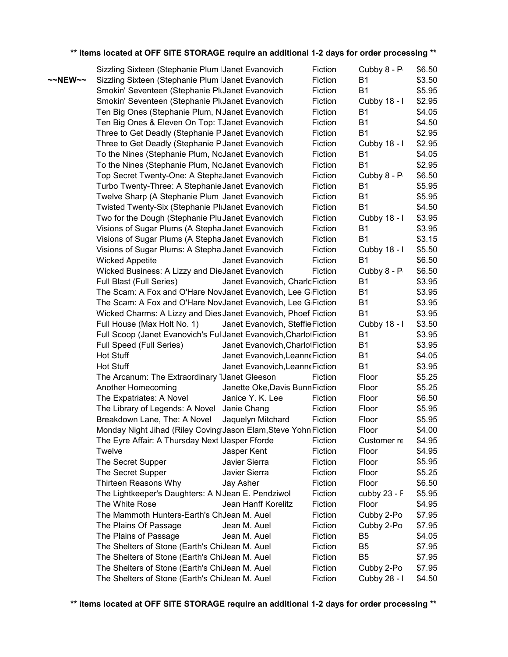|         | Sizzling Sixteen (Stephanie Plum IJanet Evanovich                         |                                                     | Fiction | Cubby 8 - P    | \$6.50           |
|---------|---------------------------------------------------------------------------|-----------------------------------------------------|---------|----------------|------------------|
| ~~NEW~~ | Sizzling Sixteen (Stephanie Plum IJanet Evanovich                         |                                                     | Fiction | B1             | \$3.50           |
|         | Smokin' Seventeen (Stephanie PluJanet Evanovich                           |                                                     | Fiction | <b>B1</b>      | \$5.95           |
|         | Smokin' Seventeen (Stephanie PluJanet Evanovich                           |                                                     | Fiction | Cubby 18 - I   | \$2.95           |
|         | Ten Big Ones (Stephanie Plum, NJanet Evanovich                            |                                                     | Fiction | <b>B1</b>      | \$4.05           |
|         | Ten Big Ones & Eleven On Top: TJanet Evanovich                            |                                                     | Fiction | <b>B1</b>      | \$4.50           |
|         | Three to Get Deadly (Stephanie P Janet Evanovich                          |                                                     | Fiction | <b>B1</b>      | \$2.95           |
|         | Three to Get Deadly (Stephanie PJanet Evanovich                           |                                                     | Fiction | Cubby 18 - I   | \$2.95           |
|         | To the Nines (Stephanie Plum, NoJanet Evanovich                           |                                                     | Fiction | <b>B1</b>      | \$4.05           |
|         | To the Nines (Stephanie Plum, NoJanet Evanovich                           |                                                     | Fiction | <b>B1</b>      | \$2.95           |
|         | Top Secret Twenty-One: A StephaJanet Evanovich                            |                                                     | Fiction | Cubby 8 - P    | \$6.50           |
|         | Turbo Twenty-Three: A Stephanie Janet Evanovich                           |                                                     | Fiction | <b>B1</b>      | \$5.95           |
|         | Twelve Sharp (A Stephanie Plum Janet Evanovich                            |                                                     | Fiction | <b>B1</b>      | \$5.95           |
|         | Twisted Twenty-Six (Stephanie PliJanet Evanovich                          |                                                     | Fiction | <b>B1</b>      | \$4.50           |
|         | Two for the Dough (Stephanie PluJanet Evanovich                           |                                                     | Fiction | Cubby 18 - I   | \$3.95           |
|         | Visions of Sugar Plums (A Stepha Janet Evanovich                          |                                                     | Fiction | <b>B1</b>      | \$3.95           |
|         | Visions of Sugar Plums (A Stepha Janet Evanovich                          |                                                     | Fiction | <b>B1</b>      | \$3.15           |
|         | Visions of Sugar Plums: A Stepha Janet Evanovich                          |                                                     | Fiction | Cubby 18 - I   | \$5.50           |
|         | <b>Wicked Appetite</b>                                                    | Janet Evanovich                                     | Fiction | B <sub>1</sub> | \$6.50           |
|         | Wicked Business: A Lizzy and DieJanet Evanovich                           |                                                     | Fiction | Cubby 8 - P    | \$6.50           |
|         | Full Blast (Full Series)                                                  | Janet Evanovich, CharloFiction                      |         | <b>B1</b>      | \$3.95           |
|         | The Scam: A Fox and O'Hare NovJanet Evanovich, Lee G <sub>'</sub> Fiction |                                                     |         | <b>B1</b>      | \$3.95           |
|         | The Scam: A Fox and O'Hare NovJanet Evanovich, Lee G <sub>'</sub> Fiction |                                                     |         | <b>B1</b>      | \$3.95           |
|         | Wicked Charms: A Lizzy and Dies Janet Evanovich, Phoef Fiction            |                                                     |         | <b>B1</b>      | \$3.95           |
|         | Full House (Max Holt No. 1)                                               | Janet Evanovich, SteffieFiction                     |         | Cubby 18 - I   | \$3.50           |
|         | Full Scoop (Janet Evanovich's FullJanet Evanovich, Charlot Fiction        |                                                     |         | <b>B1</b>      | \$3.95           |
|         | Full Speed (Full Series)                                                  | Janet Evanovich, Charlol Fiction                    |         | <b>B1</b>      | \$3.95           |
|         | Hot Stuff                                                                 | Janet Evanovich, Leanne Fiction                     |         | <b>B1</b>      | \$4.05           |
|         | <b>Hot Stuff</b>                                                          | Janet Evanovich, Leanne Fiction                     |         | <b>B1</b>      | \$3.95           |
|         | The Arcanum: The Extraordinary IJanet Gleeson                             |                                                     | Fiction | Floor          | \$5.25           |
|         | Another Homecoming                                                        | Janette Oke, Davis Bunn Fiction<br>Janice Y. K. Lee | Fiction | Floor<br>Floor | \$5.25<br>\$6.50 |
|         | The Expatriates: A Novel<br>The Library of Legends: A Novel               | Janie Chang                                         | Fiction | Floor          | \$5.95           |
|         | Breakdown Lane, The: A Novel                                              | Jaquelyn Mitchard                                   | Fiction | Floor          | \$5.95           |
|         | Monday Night Jihad (Riley Coving Jason Elam, Steve Yohn Fiction           |                                                     |         | Floor          | \$4.00           |
|         | The Eyre Affair: A Thursday Next IJasper Fforde                           |                                                     | Fiction | Customer re    | \$4.95           |
|         | Twelve                                                                    | Jasper Kent                                         | Fiction | Floor          | \$4.95           |
|         | The Secret Supper                                                         | Javier Sierra                                       | Fiction | Floor          | \$5.95           |
|         | The Secret Supper                                                         | Javier Sierra                                       | Fiction | Floor          | \$5.25           |
|         | Thirteen Reasons Why                                                      | Jay Asher                                           | Fiction | Floor          | \$6.50           |
|         | The Lightkeeper's Daughters: A N Jean E. Pendziwol                        |                                                     | Fiction | cubby 23 - F   | \$5.95           |
|         | The White Rose                                                            | Jean Hanff Korelitz                                 | Fiction | Floor          | \$4.95           |
|         | The Mammoth Hunters-Earth's ChJean M. Auel                                |                                                     | Fiction | Cubby 2-Po     | \$7.95           |
|         | The Plains Of Passage                                                     | Jean M. Auel                                        | Fiction | Cubby 2-Po     | \$7.95           |
|         | The Plains of Passage                                                     | Jean M. Auel                                        | Fiction | B <sub>5</sub> | \$4.05           |
|         | The Shelters of Stone (Earth's ChiJean M. Auel                            |                                                     | Fiction | B <sub>5</sub> | \$7.95           |
|         | The Shelters of Stone (Earth's ChiJean M. Auel                            |                                                     | Fiction | B <sub>5</sub> | \$7.95           |
|         | The Shelters of Stone (Earth's ChiJean M. Auel                            |                                                     | Fiction | Cubby 2-Po     | \$7.95           |
|         | The Shelters of Stone (Earth's ChiJean M. Auel                            |                                                     | Fiction | Cubby 28 - I   | \$4.50           |
|         |                                                                           |                                                     |         |                |                  |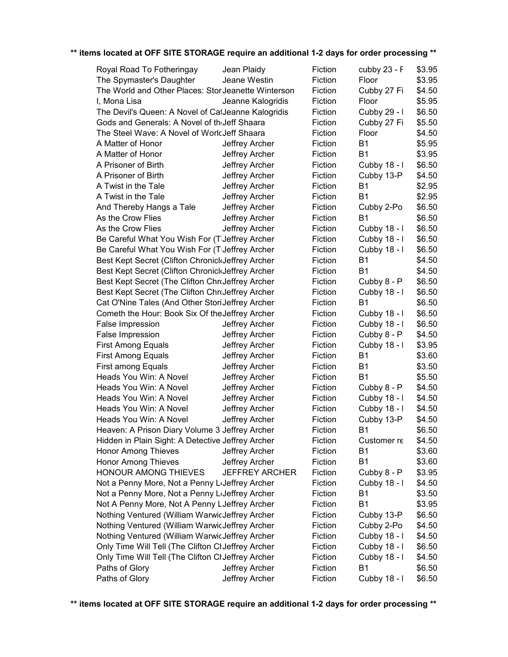| Royal Road To Fotheringay                                 | Jean Plaidy           | Fiction | cubby 23 - F | \$3.95 |
|-----------------------------------------------------------|-----------------------|---------|--------------|--------|
| The Spymaster's Daughter                                  | Jeane Westin          | Fiction | Floor        | \$3.95 |
| The World and Other Places: Stor Jeanette Winterson       |                       | Fiction | Cubby 27 Fi  | \$4.50 |
| I, Mona Lisa                                              | Jeanne Kalogridis     | Fiction | Floor        | \$5.95 |
| The Devil's Queen: A Novel of CatJeanne Kalogridis        |                       | Fiction | Cubby 29 - I | \$6.50 |
| Gods and Generals: A Novel of th <sub>i</sub> Jeff Shaara |                       | Fiction | Cubby 27 Fi  | \$5.50 |
| The Steel Wave: A Novel of WorlcJeff Shaara               |                       | Fiction | Floor        | \$4.50 |
| A Matter of Honor                                         | Jeffrey Archer        | Fiction | <b>B1</b>    | \$5.95 |
| A Matter of Honor                                         | Jeffrey Archer        | Fiction | <b>B1</b>    | \$3.95 |
| A Prisoner of Birth                                       | Jeffrey Archer        | Fiction | Cubby 18 - I | \$6.50 |
| A Prisoner of Birth                                       | Jeffrey Archer        | Fiction | Cubby 13-P   | \$4.50 |
| A Twist in the Tale                                       | Jeffrey Archer        | Fiction | <b>B1</b>    | \$2.95 |
| A Twist in the Tale                                       | Jeffrey Archer        | Fiction | <b>B1</b>    | \$2.95 |
| And Thereby Hangs a Tale                                  | Jeffrey Archer        | Fiction | Cubby 2-Po   | \$6.50 |
| As the Crow Flies                                         | Jeffrey Archer        | Fiction | <b>B1</b>    | \$6.50 |
| As the Crow Flies                                         | Jeffrey Archer        | Fiction | Cubby 18 - I | \$6.50 |
| Be Careful What You Wish For (TIJeffrey Archer            |                       | Fiction | Cubby 18 - I | \$6.50 |
| Be Careful What You Wish For (TIJeffrey Archer            |                       | Fiction | Cubby 18 - I | \$6.50 |
| Best Kept Secret (Clifton ChronickJeffrey Archer          |                       | Fiction | <b>B1</b>    | \$4.50 |
| Best Kept Secret (Clifton ChronickJeffrey Archer          |                       | Fiction | <b>B1</b>    | \$4.50 |
| Best Kept Secret (The Clifton ChroJeffrey Archer          |                       | Fiction | Cubby 8 - P  | \$6.50 |
| Best Kept Secret (The Clifton ChroJeffrey Archer          |                       | Fiction | Cubby 18 - I | \$6.50 |
| Cat O'Nine Tales (And Other StoriJeffrey Archer           |                       | Fiction | <b>B1</b>    | \$6.50 |
| Cometh the Hour: Book Six Of the Jeffrey Archer           |                       | Fiction | Cubby 18 - I | \$6.50 |
| False Impression                                          | Jeffrey Archer        | Fiction | Cubby 18 - I | \$6.50 |
| False Impression                                          | Jeffrey Archer        | Fiction | Cubby 8 - P  | \$4.50 |
| <b>First Among Equals</b>                                 | Jeffrey Archer        | Fiction | Cubby 18 - I | \$3.95 |
| <b>First Among Equals</b>                                 | Jeffrey Archer        | Fiction | <b>B1</b>    | \$3.60 |
| <b>First among Equals</b>                                 | Jeffrey Archer        | Fiction | <b>B1</b>    | \$3.50 |
| Heads You Win: A Novel                                    | Jeffrey Archer        | Fiction | <b>B1</b>    | \$5.50 |
| Heads You Win: A Novel                                    | Jeffrey Archer        | Fiction | Cubby 8 - P  | \$4.50 |
| Heads You Win: A Novel                                    | Jeffrey Archer        | Fiction | Cubby 18 - I | \$4.50 |
| Heads You Win: A Novel                                    | Jeffrey Archer        | Fiction | Cubby 18 - I | \$4.50 |
| Heads You Win: A Novel                                    | Jeffrey Archer        | Fiction | Cubby 13-P   | \$4.50 |
| Heaven: A Prison Diary Volume 3 Jeffrey Archer            |                       | Fiction | <b>B1</b>    | \$6.50 |
| Hidden in Plain Sight: A Detective Jeffrey Archer         |                       | Fiction | Customer re  | \$4.50 |
| Honor Among Thieves                                       | Jeffrey Archer        | Fiction | B1           | \$3.60 |
| <b>Honor Among Thieves</b>                                | Jeffrey Archer        | Fiction | <b>B1</b>    | \$3.60 |
| HONOUR AMONG THIEVES                                      | <b>JEFFREY ARCHER</b> | Fiction | Cubby 8 - P  | \$3.95 |
| Not a Penny More, Not a Penny Luleffrey Archer            |                       | Fiction | Cubby 18 - I | \$4.50 |
| Not a Penny More, Not a Penny Luleffrey Archer            |                       | Fiction | <b>B1</b>    | \$3.50 |
| Not A Penny More, Not A Penny LJeffrey Archer             |                       | Fiction | <b>B1</b>    | \$3.95 |
| Nothing Ventured (William WarwicJeffrey Archer            |                       | Fiction | Cubby 13-P   | \$6.50 |
| Nothing Ventured (William WarwicJeffrey Archer            |                       | Fiction | Cubby 2-Po   | \$4.50 |
| Nothing Ventured (William WarwicJeffrey Archer            |                       | Fiction | Cubby 18 - I | \$4.50 |
| Only Time Will Tell (The Clifton ClJeffrey Archer         |                       | Fiction | Cubby 18 - I | \$6.50 |
| Only Time Will Tell (The Clifton ClJeffrey Archer         |                       | Fiction | Cubby 18 - I | \$4.50 |
| Paths of Glory                                            | Jeffrey Archer        | Fiction | <b>B1</b>    | \$6.50 |
| Paths of Glory                                            | Jeffrey Archer        | Fiction | Cubby 18 - I | \$6.50 |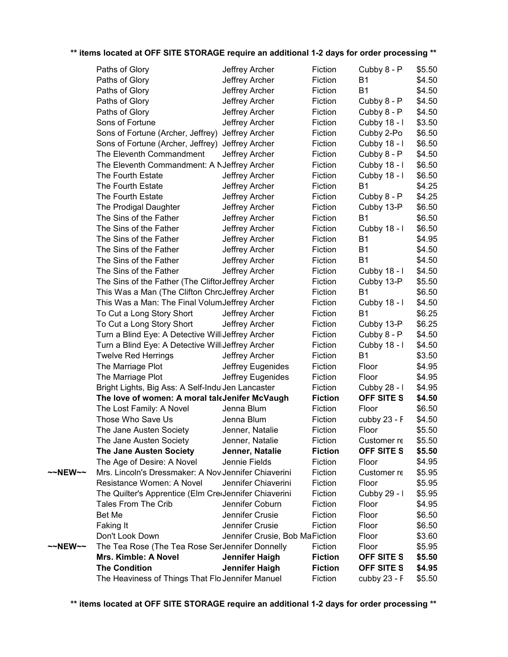|         | Paths of Glory                                        | Jeffrey Archer                 | Fiction        | Cubby 8 - P    | \$5.50 |
|---------|-------------------------------------------------------|--------------------------------|----------------|----------------|--------|
|         | Paths of Glory                                        | Jeffrey Archer                 | Fiction        | B1             | \$4.50 |
|         | Paths of Glory                                        | Jeffrey Archer                 | Fiction        | <b>B1</b>      | \$4.50 |
|         | Paths of Glory                                        | Jeffrey Archer                 | Fiction        | Cubby 8 - P    | \$4.50 |
|         | Paths of Glory                                        | Jeffrey Archer                 | Fiction        | Cubby 8 - P    | \$4.50 |
|         | Sons of Fortune                                       | Jeffrey Archer                 | Fiction        | Cubby 18 - I   | \$3.50 |
|         | Sons of Fortune (Archer, Jeffrey)                     | Jeffrey Archer                 | Fiction        | Cubby 2-Po     | \$6.50 |
|         | Sons of Fortune (Archer, Jeffrey) Jeffrey Archer      |                                | Fiction        | Cubby 18 - I   | \$6.50 |
|         | The Eleventh Commandment                              | Jeffrey Archer                 | Fiction        | Cubby 8 - P    | \$4.50 |
|         | The Eleventh Commandment: A NJeffrey Archer           |                                | Fiction        | Cubby 18 - I   | \$6.50 |
|         | The Fourth Estate                                     | Jeffrey Archer                 | Fiction        | Cubby 18 - I   | \$6.50 |
|         | The Fourth Estate                                     | Jeffrey Archer                 | Fiction        | B1             | \$4.25 |
|         | The Fourth Estate                                     | Jeffrey Archer                 | Fiction        | Cubby 8 - P    | \$4.25 |
|         | The Prodigal Daughter                                 | Jeffrey Archer                 | Fiction        | Cubby 13-P     | \$6.50 |
|         | The Sins of the Father                                | Jeffrey Archer                 | Fiction        | <b>B1</b>      | \$6.50 |
|         | The Sins of the Father                                | Jeffrey Archer                 | Fiction        | Cubby 18 - I   | \$6.50 |
|         | The Sins of the Father                                | Jeffrey Archer                 | Fiction        | B1             | \$4.95 |
|         | The Sins of the Father                                | Jeffrey Archer                 | Fiction        | <b>B1</b>      | \$4.50 |
|         | The Sins of the Father                                | Jeffrey Archer                 | Fiction        | <b>B1</b>      | \$4.50 |
|         | The Sins of the Father                                | Jeffrey Archer                 | Fiction        | Cubby 18 - I   | \$4.50 |
|         | The Sins of the Father (The Cliftor Jeffrey Archer    |                                | Fiction        | Cubby 13-P     | \$5.50 |
|         | This Was a Man (The Clifton ChroJeffrey Archer        |                                | Fiction        | <b>B1</b>      | \$6.50 |
|         | This Was a Man: The Final Volum Jeffrey Archer        |                                | Fiction        | Cubby 18 - I   | \$4.50 |
|         | To Cut a Long Story Short                             | Jeffrey Archer                 | Fiction        | B1             | \$6.25 |
|         | To Cut a Long Story Short                             | Jeffrey Archer                 | Fiction        | Cubby 13-P     | \$6.25 |
|         | Turn a Blind Eye: A Detective WilliJeffrey Archer     |                                | Fiction        | Cubby 8 - P    | \$4.50 |
|         | Turn a Blind Eye: A Detective WilliJeffrey Archer     |                                | Fiction        | Cubby 18 - I   | \$4.50 |
|         | <b>Twelve Red Herrings</b>                            | Jeffrey Archer                 | Fiction        | <b>B1</b>      | \$3.50 |
|         | The Marriage Plot                                     | Jeffrey Eugenides              | Fiction        | Floor          | \$4.95 |
|         | The Marriage Plot                                     | Jeffrey Eugenides              | Fiction        | Floor          | \$4.95 |
|         | Bright Lights, Big Ass: A Self-IndulJen Lancaster     |                                | Fiction        | Cubby 28 - I   | \$4.95 |
|         | The love of women: A moral taleJenifer McVaugh        |                                | <b>Fiction</b> | OFF SITE S     | \$4.50 |
|         | The Lost Family: A Novel                              | Jenna Blum                     | Fiction        | Floor          | \$6.50 |
|         | Those Who Save Us                                     | Jenna Blum                     | Fiction        | cubby $23 - F$ | \$4.50 |
|         | The Jane Austen Society                               | Jenner, Natalie                | Fiction        | Floor          | \$5.50 |
|         | The Jane Austen Society                               | Jenner, Natalie                | Fiction        | Customer re    | \$5.50 |
|         | <b>The Jane Austen Society</b>                        | Jenner, Natalie                | <b>Fiction</b> | OFF SITE S     | \$5.50 |
|         | The Age of Desire: A Novel                            | Jennie Fields                  | Fiction        | Floor          | \$4.95 |
| ~~NEW~~ | Mrs. Lincoln's Dressmaker: A Nov Jennifer Chiaverini  |                                | Fiction        | Customer re    | \$5.95 |
|         | Resistance Women: A Novel                             | Jennifer Chiaverini            | Fiction        | Floor          | \$5.95 |
|         | The Quilter's Apprentice (Elm CretJennifer Chiaverini |                                | Fiction        | Cubby 29 - I   | \$5.95 |
|         | Tales From The Crib                                   | Jennifer Coburn                | Fiction        | Floor          | \$4.95 |
|         | Bet Me                                                |                                |                |                |        |
|         |                                                       | Jennifer Crusie                | Fiction        | Floor          | \$6.50 |
|         | Faking It                                             | Jennifer Crusie                | Fiction        | Floor          | \$6.50 |
|         | Don't Look Down                                       | Jennifer Crusie, Bob MaFiction |                | Floor          | \$3.60 |
| ~~NEW~~ | The Tea Rose (The Tea Rose SerJennifer Donnelly       |                                | Fiction        | Floor          | \$5.95 |
|         | Mrs. Kimble: A Novel                                  | Jennifer Haigh                 | <b>Fiction</b> | OFF SITE S     | \$5.50 |
|         | <b>The Condition</b>                                  | Jennifer Haigh                 | <b>Fiction</b> | OFF SITE S     | \$4.95 |
|         | The Heaviness of Things That FloJennifer Manuel       |                                | Fiction        | cubby $23 - F$ | \$5.50 |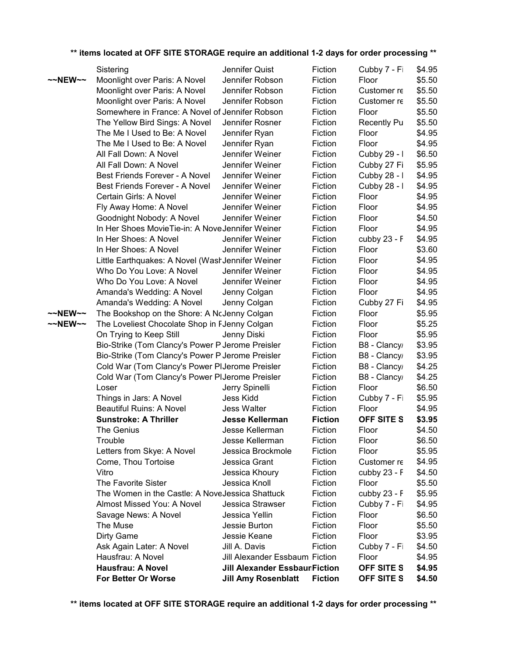|                     | Sistering                                        | Jennifer Quist                       | Fiction            | Cubby 7 - Fi          | \$4.95           |
|---------------------|--------------------------------------------------|--------------------------------------|--------------------|-----------------------|------------------|
| $\sim$ NEW $\sim$   | Moonlight over Paris: A Novel                    | Jennifer Robson                      | Fiction            | Floor                 | \$5.50           |
|                     | Moonlight over Paris: A Novel                    | Jennifer Robson                      | Fiction            | Customer re           | \$5.50           |
|                     | Moonlight over Paris: A Novel                    | Jennifer Robson                      | Fiction            | Customer re           | \$5.50           |
|                     | Somewhere in France: A Novel of Jennifer Robson  |                                      | Fiction            | Floor                 | \$5.50           |
|                     | The Yellow Bird Sings: A Novel                   | Jennifer Rosner                      | Fiction            | <b>Recently Pu</b>    | \$5.50           |
|                     | The Me I Used to Be: A Novel                     | Jennifer Ryan                        | Fiction            | Floor                 | \$4.95           |
|                     | The Me I Used to Be: A Novel                     | Jennifer Ryan                        | Fiction            | Floor                 | \$4.95           |
|                     | All Fall Down: A Novel                           | Jennifer Weiner                      | Fiction            | Cubby 29 - I          | \$6.50           |
|                     | All Fall Down: A Novel                           | Jennifer Weiner                      | Fiction            | Cubby 27 Fi           | \$5.95           |
|                     | Best Friends Forever - A Novel                   | Jennifer Weiner                      | Fiction            | Cubby 28 - I          | \$4.95           |
|                     | Best Friends Forever - A Novel                   | Jennifer Weiner                      | Fiction            | Cubby 28 - I          | \$4.95           |
|                     | Certain Girls: A Novel                           | Jennifer Weiner                      | Fiction            | Floor                 | \$4.95           |
|                     | Fly Away Home: A Novel                           | Jennifer Weiner                      | Fiction            | Floor                 | \$4.95           |
|                     | Goodnight Nobody: A Novel                        | Jennifer Weiner                      | Fiction            | Floor                 | \$4.50           |
|                     | In Her Shoes MovieTie-in: A NoveJennifer Weiner  |                                      | Fiction            | Floor                 | \$4.95           |
|                     | In Her Shoes: A Novel                            | Jennifer Weiner                      | Fiction            | cubby 23 - F          | \$4.95           |
|                     | In Her Shoes: A Novel                            | Jennifer Weiner                      | Fiction            | Floor                 | \$3.60           |
|                     | Little Earthquakes: A Novel (WashJennifer Weiner |                                      | Fiction            | Floor                 | \$4.95           |
|                     | Who Do You Love: A Novel                         | Jennifer Weiner                      | Fiction            | Floor                 | \$4.95           |
|                     | Who Do You Love: A Novel                         | Jennifer Weiner                      | Fiction            | Floor                 | \$4.95           |
|                     | Amanda's Wedding: A Novel                        | Jenny Colgan                         | Fiction            | Floor                 | \$4.95           |
|                     | Amanda's Wedding: A Novel                        | Jenny Colgan                         | Fiction            | Cubby 27 Fi           | \$4.95           |
| $~\sim$ NEW $~\sim$ | The Bookshop on the Shore: A NcJenny Colgan      |                                      | Fiction            | Floor                 | \$5.95           |
| $\sim$ NEW $\sim$   | The Loveliest Chocolate Shop in FJenny Colgan    |                                      | Fiction            | Floor                 | \$5.25           |
|                     | On Trying to Keep Still                          | Jenny Diski                          | Fiction            | Floor                 | \$5.95           |
|                     | Bio-Strike (Tom Clancy's Power PlJerome Preisler |                                      | Fiction            | B8 - Clancy           | \$3.95           |
|                     | Bio-Strike (Tom Clancy's Power PlJerome Preisler |                                      | Fiction            | B8 - Clancy           | \$3.95           |
|                     | Cold War (Tom Clancy's Power PIJerome Preisler   |                                      | Fiction            | B8 - Clancy           | \$4.25           |
|                     | Cold War (Tom Clancy's Power PIJerome Preisler   |                                      | Fiction            | B8 - Clancy           | \$4.25           |
|                     | Loser                                            | Jerry Spinelli                       | Fiction            | Floor                 | \$6.50           |
|                     | Things in Jars: A Novel                          | Jess Kidd                            | Fiction            | Cubby 7 - Fi          | \$5.95           |
|                     | <b>Beautiful Ruins: A Novel</b>                  | <b>Jess Walter</b>                   | Fiction            | Floor                 | \$4.95           |
|                     | <b>Sunstroke: A Thriller</b>                     | <b>Jesse Kellerman</b>               | <b>Fiction</b>     | <b>OFF SITE S</b>     | \$3.95           |
|                     | The Genius                                       | Jesse Kellerman                      | Fiction            | Floor                 | \$4.50           |
|                     | Trouble                                          | Jesse Kellerman                      | Fiction            | Floor                 | \$6.50           |
|                     | Letters from Skye: A Novel                       | Jessica Brockmole                    | Fiction            | Floor                 | \$5.95           |
|                     | Come, Thou Tortoise<br>Vitro                     | Jessica Grant                        | Fiction            | Customer re           | \$4.95           |
|                     | The Favorite Sister                              | Jessica Khoury<br>Jessica Knoll      | Fiction<br>Fiction | cubby 23 - F<br>Floor | \$4.50<br>\$5.50 |
|                     | The Women in the Castle: A Nove Jessica Shattuck |                                      | Fiction            | cubby 23 - F          | \$5.95           |
|                     | Almost Missed You: A Novel                       | Jessica Strawser                     | Fiction            | Cubby 7 - Fi          | \$4.95           |
|                     | Savage News: A Novel                             | Jessica Yellin                       | Fiction            | Floor                 | \$6.50           |
|                     | The Muse                                         | Jessie Burton                        | Fiction            | Floor                 | \$5.50           |
|                     | Dirty Game                                       | Jessie Keane                         | Fiction            | Floor                 | \$3.95           |
|                     | Ask Again Later: A Novel                         | Jill A. Davis                        | Fiction            | Cubby 7 - Fi          | \$4.50           |
|                     | Hausfrau: A Novel                                | Jill Alexander Essbaum Fiction       |                    | Floor                 | \$4.95           |
|                     | <b>Hausfrau: A Novel</b>                         | <b>Jill Alexander EssbaurFiction</b> |                    | OFF SITE S            | \$4.95           |
|                     | For Better Or Worse                              | <b>Jill Amy Rosenblatt</b>           | <b>Fiction</b>     | OFF SITE S            | \$4.50           |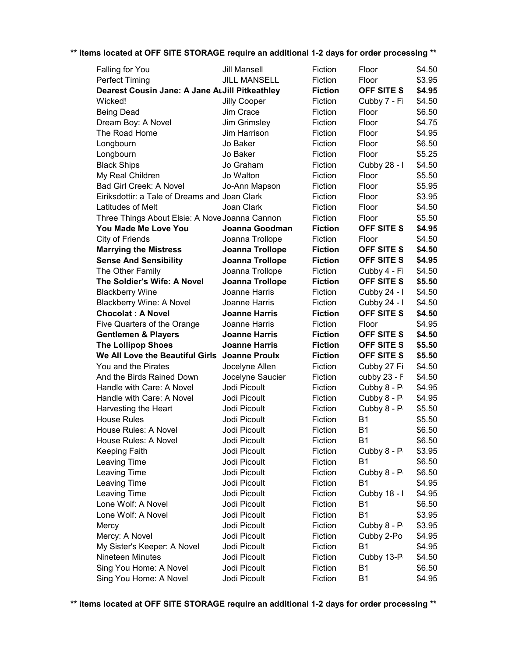| Falling for You                                | <b>Jill Mansell</b>          | Fiction            | Floor                   | \$4.50           |
|------------------------------------------------|------------------------------|--------------------|-------------------------|------------------|
| <b>Perfect Timing</b>                          | <b>JILL MANSELL</b>          | Fiction            | Floor                   | \$3.95           |
| Dearest Cousin Jane: A Jane ArJill Pitkeathley |                              | <b>Fiction</b>     | <b>OFF SITE S</b>       | \$4.95           |
| Wicked!                                        | Jilly Cooper                 | Fiction            | Cubby 7 - Fi            | \$4.50           |
| <b>Being Dead</b>                              | Jim Crace                    | Fiction            | Floor                   | \$6.50           |
| Dream Boy: A Novel                             | Jim Grimsley                 | Fiction            | Floor                   | \$4.75           |
| The Road Home                                  | Jim Harrison                 | Fiction            | Floor                   | \$4.95           |
| Longbourn                                      | Jo Baker                     | Fiction            | Floor                   | \$6.50           |
| Longbourn                                      | Jo Baker                     | Fiction            | Floor                   | \$5.25           |
| <b>Black Ships</b>                             | Jo Graham                    | Fiction            | Cubby 28 - I            | \$4.50           |
| My Real Children                               | Jo Walton                    | Fiction            | Floor                   | \$5.50           |
| Bad Girl Creek: A Novel                        | Jo-Ann Mapson                | Fiction            | Floor                   | \$5.95           |
| Eiriksdottir: a Tale of Dreams and Joan Clark  |                              | Fiction            | Floor                   | \$3.95           |
| Latitudes of Melt                              | Joan Clark                   | Fiction            | Floor                   | \$4.50           |
| Three Things About Elsie: A Nove Joanna Cannon |                              | Fiction            | Floor                   | \$5.50           |
| You Made Me Love You                           | Joanna Goodman               | <b>Fiction</b>     | <b>OFF SITE S</b>       | \$4.95           |
| City of Friends                                | Joanna Trollope              | Fiction            | Floor                   | \$4.50           |
| <b>Marrying the Mistress</b>                   | Joanna Trollope              | <b>Fiction</b>     | <b>OFF SITE S</b>       | \$4.50           |
| <b>Sense And Sensibility</b>                   | Joanna Trollope              | <b>Fiction</b>     | <b>OFF SITE S</b>       | \$4.95           |
| The Other Family                               | Joanna Trollope              | Fiction            | Cubby 4 - Fi            | \$4.50           |
| The Soldier's Wife: A Novel                    | <b>Joanna Trollope</b>       | <b>Fiction</b>     | <b>OFF SITE S</b>       | \$5.50           |
| <b>Blackberry Wine</b>                         | Joanne Harris                | Fiction            | Cubby 24 - I            | \$4.50           |
| <b>Blackberry Wine: A Novel</b>                | Joanne Harris                | Fiction            | Cubby 24 - I            | \$4.50           |
| <b>Chocolat: A Novel</b>                       | <b>Joanne Harris</b>         | <b>Fiction</b>     | <b>OFF SITE S</b>       | \$4.50           |
| Five Quarters of the Orange                    | Joanne Harris                | Fiction            | Floor                   | \$4.95           |
| <b>Gentlemen &amp; Players</b>                 | <b>Joanne Harris</b>         | <b>Fiction</b>     | <b>OFF SITE S</b>       | \$4.50           |
| <b>The Lollipop Shoes</b>                      | <b>Joanne Harris</b>         | <b>Fiction</b>     | OFF SITE S              | \$5.50           |
| We All Love the Beautiful Girls Joanne Proulx  |                              | <b>Fiction</b>     | <b>OFF SITE S</b>       | \$5.50           |
| You and the Pirates                            | Jocelyne Allen               | Fiction            | Cubby 27 Fi             | \$4.50           |
| And the Birds Rained Down                      | Jocelyne Saucier             | Fiction            | cubby 23 - F            | \$4.50           |
| Handle with Care: A Novel                      | Jodi Picoult                 | Fiction            | Cubby 8 - P             | \$4.95           |
| Handle with Care: A Novel                      | Jodi Picoult                 | Fiction            | Cubby 8 - P             | \$4.95           |
| Harvesting the Heart                           | Jodi Picoult                 | Fiction            | Cubby 8 - P             | \$5.50           |
| <b>House Rules</b>                             | Jodi Picoult                 | Fiction            | <b>B1</b>               | \$5.50           |
| House Rules: A Novel                           | Jodi Picoult                 | Fiction            | <b>B1</b>               | \$6.50           |
| House Rules: A Novel                           | Jodi Picoult                 | Fiction            | <b>B1</b>               | \$6.50           |
| <b>Keeping Faith</b>                           | Jodi Picoult                 | Fiction            | Cubby 8 - P             | \$3.95           |
| Leaving Time                                   | Jodi Picoult                 | Fiction            | <b>B1</b>               | \$6.50           |
| Leaving Time                                   | Jodi Picoult                 | Fiction            | Cubby 8 - P             | \$6.50           |
| Leaving Time                                   | Jodi Picoult                 | Fiction            | <b>B1</b>               | \$4.95           |
| Leaving Time                                   | Jodi Picoult                 | Fiction            | Cubby 18 - I            | \$4.95           |
| Lone Wolf: A Novel                             | Jodi Picoult                 | Fiction            | <b>B1</b>               | \$6.50           |
| Lone Wolf: A Novel                             | Jodi Picoult                 | Fiction            | <b>B1</b>               | \$3.95           |
| Mercy                                          | Jodi Picoult                 | Fiction            | Cubby 8 - P             | \$3.95           |
| Mercy: A Novel                                 | Jodi Picoult                 | Fiction            | Cubby 2-Po              | \$4.95           |
| My Sister's Keeper: A Novel                    | Jodi Picoult                 | Fiction            | <b>B1</b>               | \$4.95           |
| <b>Nineteen Minutes</b>                        |                              |                    |                         |                  |
|                                                |                              |                    |                         |                  |
| Sing You Home: A Novel                         | Jodi Picoult<br>Jodi Picoult | Fiction<br>Fiction | Cubby 13-P<br><b>B1</b> | \$4.50<br>\$6.50 |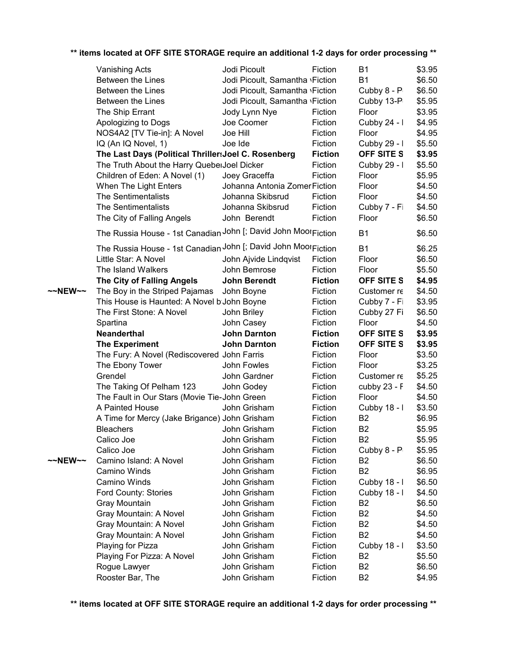|         | <b>Vanishing Acts</b>                                           | Jodi Picoult                    | Fiction        | <b>B1</b>      | \$3.95 |
|---------|-----------------------------------------------------------------|---------------------------------|----------------|----------------|--------|
|         | <b>Between the Lines</b>                                        | Jodi Picoult, Samantha \Fiction |                | <b>B1</b>      | \$6.50 |
|         | Between the Lines                                               | Jodi Picoult, Samantha \Fiction |                | Cubby 8 - P    | \$6.50 |
|         | Between the Lines                                               | Jodi Picoult, Samantha \Fiction |                | Cubby 13-P     | \$5.95 |
|         | The Ship Errant                                                 |                                 |                | Floor          | \$3.95 |
|         |                                                                 | Jody Lynn Nye                   | Fiction        |                |        |
|         | Apologizing to Dogs                                             | Joe Coomer                      | Fiction        | Cubby 24 - I   | \$4.95 |
|         | NOS4A2 [TV Tie-in]: A Novel                                     | Joe Hill                        | Fiction        | Floor          | \$4.95 |
|         | IQ (An IQ Novel, 1)                                             | Joe Ide                         | Fiction        | Cubby 29 - I   | \$5.50 |
|         | The Last Days (Political Thriller: Joel C. Rosenberg            |                                 | <b>Fiction</b> | OFF SITE S     | \$3.95 |
|         | The Truth About the Harry QueberJoel Dicker                     |                                 | Fiction        | Cubby 29 - I   | \$5.50 |
|         | Children of Eden: A Novel (1)                                   | Joey Graceffa                   | Fiction        | Floor          | \$5.95 |
|         | When The Light Enters                                           | Johanna Antonia Zomer Fiction   |                | Floor          | \$4.50 |
|         | The Sentimentalists                                             | Johanna Skibsrud                | Fiction        | Floor          | \$4.50 |
|         | The Sentimentalists                                             | Johanna Skibsrud                | Fiction        | Cubby 7 - Fi   | \$4.50 |
|         | The City of Falling Angels                                      | John Berendt                    | Fiction        | Floor          | \$6.50 |
|         | The Russia House - 1st Canadian John [; David John Moor Fiction |                                 |                | <b>B1</b>      | \$6.50 |
|         | The Russia House - 1st Canadian John [; David John MoorFiction  |                                 |                | <b>B1</b>      | \$6.25 |
|         | Little Star: A Novel                                            | John Ajvide Lindqvist           | Fiction        | Floor          | \$6.50 |
|         | The Island Walkers                                              | John Bemrose                    | Fiction        | Floor          | \$5.50 |
|         | The City of Falling Angels                                      | <b>John Berendt</b>             | <b>Fiction</b> | OFF SITE S     | \$4.95 |
| ~~NEW~~ | The Boy in the Striped Pajamas                                  |                                 | Fiction        | Customer re    | \$4.50 |
|         | This House is Haunted: A Novel b John Boyne                     | John Boyne                      |                | Cubby 7 - Fi   |        |
|         |                                                                 |                                 | Fiction        |                | \$3.95 |
|         | The First Stone: A Novel                                        | John Briley                     | Fiction        | Cubby 27 Fi    | \$6.50 |
|         | Spartina                                                        | John Casey                      | Fiction        | Floor          | \$4.50 |
|         | <b>Neanderthal</b>                                              | <b>John Darnton</b>             | <b>Fiction</b> | OFF SITE S     | \$3.95 |
|         | <b>The Experiment</b>                                           | <b>John Darnton</b>             | <b>Fiction</b> | OFF SITE S     | \$3.95 |
|         | The Fury: A Novel (Rediscovered John Farris                     |                                 | Fiction        | Floor          | \$3.50 |
|         | The Ebony Tower                                                 | John Fowles                     | Fiction        | Floor          | \$3.25 |
|         | Grendel                                                         | John Gardner                    | Fiction        | Customer re    | \$5.25 |
|         | The Taking Of Pelham 123                                        | John Godey                      | Fiction        | cubby 23 - F   | \$4.50 |
|         | The Fault in Our Stars (Movie Tie-John Green                    |                                 | Fiction        | Floor          | \$4.50 |
|         | A Painted House                                                 | John Grisham                    | Fiction        | Cubby 18 - I   | \$3.50 |
|         | A Time for Mercy (Jake Brigance) John Grisham                   |                                 | Fiction        | B <sub>2</sub> | \$6.95 |
|         | <b>Bleachers</b>                                                | John Grisham                    | Fiction        | B <sub>2</sub> | \$5.95 |
|         | Calico Joe                                                      | John Grisham                    | Fiction        | B <sub>2</sub> | \$5.95 |
|         | Calico Joe                                                      | John Grisham                    | Fiction        | Cubby 8 - P    | \$5.95 |
| ~~NEW~~ | Camino Island: A Novel                                          | John Grisham                    | Fiction        | B <sub>2</sub> | \$6.50 |
|         | Camino Winds                                                    | John Grisham                    | Fiction        | B <sub>2</sub> | \$6.95 |
|         | Camino Winds                                                    | John Grisham                    | Fiction        | Cubby 18 - I   | \$6.50 |
|         | Ford County: Stories                                            | John Grisham                    | Fiction        | Cubby 18 - I   | \$4.50 |
|         | Gray Mountain                                                   | John Grisham                    | Fiction        | B <sub>2</sub> | \$6.50 |
|         | Gray Mountain: A Novel                                          | John Grisham                    | Fiction        | B <sub>2</sub> | \$4.50 |
|         | Gray Mountain: A Novel                                          | John Grisham                    | Fiction        | B <sub>2</sub> | \$4.50 |
|         | Gray Mountain: A Novel                                          | John Grisham                    | Fiction        | B <sub>2</sub> | \$4.50 |
|         | Playing for Pizza                                               | John Grisham                    | Fiction        | Cubby 18 - I   | \$3.50 |
|         | Playing For Pizza: A Novel                                      | John Grisham                    | Fiction        | B <sub>2</sub> | \$5.50 |
|         | Rogue Lawyer                                                    | John Grisham                    | Fiction        | B <sub>2</sub> | \$6.50 |
|         | Rooster Bar, The                                                | John Grisham                    | Fiction        | B <sub>2</sub> | \$4.95 |
|         |                                                                 |                                 |                |                |        |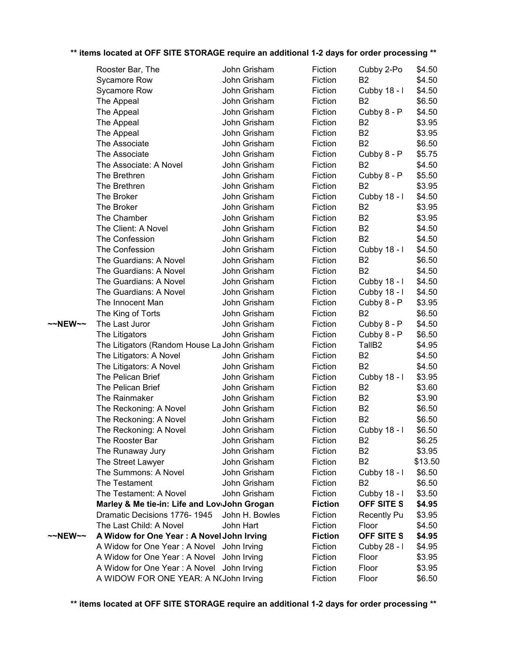|         | Rooster Bar, The                             | John Grisham |                | Fiction        | Cubby 2-Po         | \$4.50  |
|---------|----------------------------------------------|--------------|----------------|----------------|--------------------|---------|
|         | Sycamore Row                                 | John Grisham |                | Fiction        | <b>B2</b>          | \$4.50  |
|         | Sycamore Row                                 | John Grisham |                | Fiction        | Cubby 18 - I       | \$4.50  |
|         | The Appeal                                   | John Grisham |                | Fiction        | <b>B2</b>          | \$6.50  |
|         | The Appeal                                   | John Grisham |                | Fiction        | Cubby 8 - P        | \$4.50  |
|         | The Appeal                                   | John Grisham |                | Fiction        | B <sub>2</sub>     | \$3.95  |
|         | The Appeal                                   | John Grisham |                | Fiction        | <b>B2</b>          | \$3.95  |
|         | The Associate                                | John Grisham |                | Fiction        | <b>B2</b>          | \$6.50  |
|         | The Associate                                | John Grisham |                | Fiction        | Cubby 8 - P        | \$5.75  |
|         | The Associate: A Novel                       | John Grisham |                | Fiction        | <b>B2</b>          | \$4.50  |
|         | The Brethren                                 | John Grisham |                | Fiction        | Cubby 8 - P        | \$5.50  |
|         | The Brethren                                 | John Grisham |                | Fiction        | <b>B2</b>          | \$3.95  |
|         | The Broker                                   | John Grisham |                | Fiction        | Cubby 18 - I       | \$4.50  |
|         | The Broker                                   | John Grisham |                | Fiction        | B <sub>2</sub>     | \$3.95  |
|         | The Chamber                                  | John Grisham |                | Fiction        | B <sub>2</sub>     | \$3.95  |
|         | The Client: A Novel                          | John Grisham |                | Fiction        | B <sub>2</sub>     | \$4.50  |
|         | The Confession                               | John Grisham |                | Fiction        | <b>B2</b>          | \$4.50  |
|         | The Confession                               | John Grisham |                | Fiction        | Cubby 18 - I       | \$4.50  |
|         | The Guardians: A Novel                       | John Grisham |                | Fiction        | B <sub>2</sub>     | \$6.50  |
|         | The Guardians: A Novel                       | John Grisham |                | Fiction        | <b>B2</b>          | \$4.50  |
|         | The Guardians: A Novel                       | John Grisham |                | Fiction        | Cubby 18 - I       | \$4.50  |
|         | The Guardians: A Novel                       | John Grisham |                | Fiction        | Cubby 18 - I       | \$4.50  |
|         | The Innocent Man                             | John Grisham |                | Fiction        | Cubby 8 - P        | \$3.95  |
|         | The King of Torts                            | John Grisham |                | Fiction        | <b>B2</b>          | \$6.50  |
| ~~NEW~~ | The Last Juror                               | John Grisham |                | Fiction        | Cubby 8 - P        | \$4.50  |
|         | The Litigators                               | John Grisham |                | Fiction        | Cubby 8 - P        | \$6.50  |
|         | The Litigators (Random House La John Grisham |              |                | Fiction        | TallB <sub>2</sub> | \$4.95  |
|         | The Litigators: A Novel                      | John Grisham |                | Fiction        | <b>B2</b>          | \$4.50  |
|         | The Litigators: A Novel                      | John Grisham |                | Fiction        | <b>B2</b>          | \$4.50  |
|         | The Pelican Brief                            | John Grisham |                | Fiction        | Cubby 18 - I       | \$3.95  |
|         | The Pelican Brief                            | John Grisham |                | Fiction        | <b>B2</b>          | \$3.60  |
|         | The Rainmaker                                | John Grisham |                | Fiction        | B <sub>2</sub>     | \$3.90  |
|         | The Reckoning: A Novel                       | John Grisham |                | Fiction        | B <sub>2</sub>     | \$6.50  |
|         | The Reckoning: A Novel                       | John Grisham |                | Fiction        | <b>B2</b>          | \$6.50  |
|         | The Reckoning: A Novel                       | John Grisham |                | Fiction        | Cubby 18 - I       | \$6.50  |
|         | The Rooster Bar                              | John Grisham |                | Fiction        | B <sub>2</sub>     | \$6.25  |
|         | The Runaway Jury                             | John Grisham |                | Fiction        | <b>B2</b>          | \$3.95  |
|         | The Street Lawyer                            | John Grisham |                | Fiction        | B <sub>2</sub>     | \$13.50 |
|         | The Summons: A Novel                         | John Grisham |                | Fiction        | Cubby 18 - I       | \$6.50  |
|         | The Testament                                | John Grisham |                | Fiction        | <b>B2</b>          | \$6.50  |
|         | The Testament: A Novel                       | John Grisham |                | Fiction        | Cubby 18 - I       | \$3.50  |
|         | Marley & Me tie-in: Life and Lov John Grogan |              |                | <b>Fiction</b> | <b>OFF SITE S</b>  | \$4.95  |
|         | Dramatic Decisions 1776-1945                 |              | John H. Bowles | Fiction        | <b>Recently Pu</b> | \$3.95  |
|         | The Last Child: A Novel                      | John Hart    |                | Fiction        | Floor              | \$4.50  |
| ~~NEW~~ | A Widow for One Year: A Novel John Irving    |              |                | <b>Fiction</b> | OFF SITE S         | \$4.95  |
|         | A Widow for One Year: A Novel                | John Irving  |                | Fiction        | Cubby 28 - I       | \$4.95  |
|         | A Widow for One Year: A Novel                | John Irving  |                | Fiction        | Floor              | \$3.95  |
|         | A Widow for One Year: A Novel John Irving    |              |                | Fiction        | Floor              | \$3.95  |
|         | A WIDOW FOR ONE YEAR: A N(John Irving        |              |                | Fiction        | Floor              | \$6.50  |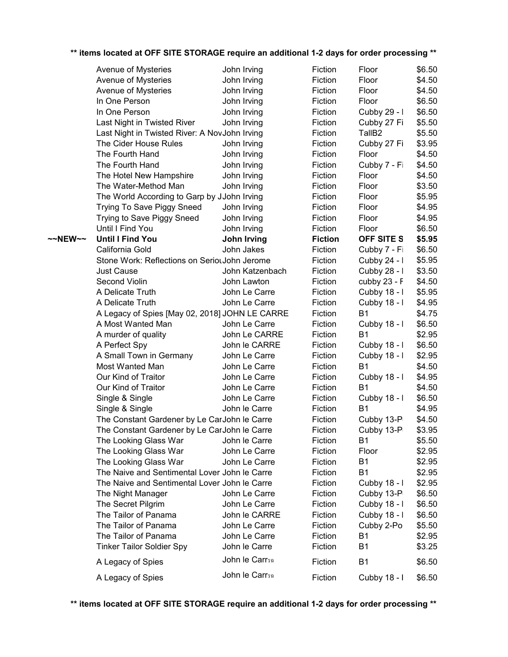|         | ** items located at OFF SITE STORAGE require an additional 1-2 days for order processing ** |                            |                |                    |        |
|---------|---------------------------------------------------------------------------------------------|----------------------------|----------------|--------------------|--------|
|         | Avenue of Mysteries                                                                         | John Irving                | Fiction        | Floor              | \$6.50 |
|         | Avenue of Mysteries                                                                         | John Irving                | Fiction        | Floor              | \$4.50 |
|         | Avenue of Mysteries                                                                         | John Irving                | Fiction        | Floor              | \$4.50 |
|         | In One Person                                                                               | John Irving                | Fiction        | Floor              | \$6.50 |
|         | In One Person                                                                               | John Irving                | Fiction        | Cubby 29 - I       | \$6.50 |
|         | Last Night in Twisted River                                                                 | John Irving                | Fiction        | Cubby 27 Fi        | \$5.50 |
|         | Last Night in Twisted River: A NovJohn Irving                                               |                            | Fiction        | TallB <sub>2</sub> | \$5.50 |
|         | The Cider House Rules                                                                       | John Irving                | Fiction        | Cubby 27 Fi        | \$3.95 |
|         | The Fourth Hand                                                                             | John Irving                | Fiction        | Floor              | \$4.50 |
|         | The Fourth Hand                                                                             | John Irving                | Fiction        | Cubby 7 - Fi       | \$4.50 |
|         | The Hotel New Hampshire                                                                     | John Irving                | Fiction        | Floor              | \$4.50 |
|         | The Water-Method Man                                                                        | John Irving                | Fiction        | Floor              | \$3.50 |
|         | The World According to Garp by JJohn Irving                                                 |                            | Fiction        | Floor              | \$5.95 |
|         | Trying To Save Piggy Sneed                                                                  | John Irving                | Fiction        | Floor              | \$4.95 |
|         | Trying to Save Piggy Sneed                                                                  | John Irving                | Fiction        | Floor              | \$4.95 |
|         | Until I Find You                                                                            | John Irving                | Fiction        | Floor              | \$6.50 |
| ~~NEW~~ | <b>Until I Find You</b>                                                                     | John Irving                | <b>Fiction</b> | OFF SITE S         | \$5.95 |
|         | California Gold                                                                             | John Jakes                 | Fiction        | Cubby 7 - Fi       | \$6.50 |
|         | Stone Work: Reflections on SeriouJohn Jerome                                                |                            | Fiction        | Cubby 24 - I       | \$5.95 |
|         | <b>Just Cause</b>                                                                           | John Katzenbach            | Fiction        | Cubby 28 - I       | \$3.50 |
|         | Second Violin                                                                               | John Lawton                | Fiction        | cubby $23 - F$     | \$4.50 |
|         | A Delicate Truth                                                                            | John Le Carre              | Fiction        | Cubby 18 - I       | \$5.95 |
|         | A Delicate Truth                                                                            | John Le Carre              | Fiction        | Cubby 18 - I       | \$4.95 |
|         | A Legacy of Spies [May 02, 2018] JOHN LE CARRE                                              |                            | Fiction        | <b>B1</b>          | \$4.75 |
|         | A Most Wanted Man                                                                           | John Le Carre              | Fiction        | Cubby 18 - I       | \$6.50 |
|         | A murder of quality                                                                         | John Le CARRE              | Fiction        | <b>B1</b>          | \$2.95 |
|         | A Perfect Spy                                                                               | John le CARRE              | Fiction        | Cubby 18 - I       | \$6.50 |
|         | A Small Town in Germany                                                                     | John Le Carre              | Fiction        | Cubby 18 - I       | \$2.95 |
|         | Most Wanted Man                                                                             | John Le Carre              | Fiction        | <b>B1</b>          | \$4.50 |
|         | Our Kind of Traitor                                                                         | John Le Carre              | Fiction        | Cubby 18 - I       | \$4.95 |
|         | Our Kind of Traitor                                                                         | John Le Carre              | Fiction        | <b>B1</b>          | \$4.50 |
|         | Single & Single                                                                             | John Le Carre              | Fiction        | Cubby 18 - I       | \$6.50 |
|         | Single & Single                                                                             | John le Carre              | Fiction        | <b>B1</b>          | \$4.95 |
|         | The Constant Gardener by Le CarJohn le Carre                                                |                            | Fiction        | Cubby 13-P         | \$4.50 |
|         | The Constant Gardener by Le CarJohn le Carre                                                |                            | Fiction        | Cubby 13-P         | \$3.95 |
|         | The Looking Glass War                                                                       | John le Carre              | Fiction        | <b>B1</b>          | \$5.50 |
|         | The Looking Glass War                                                                       | John Le Carre              | Fiction        | Floor              | \$2.95 |
|         | The Looking Glass War                                                                       | John Le Carre              | Fiction        | <b>B1</b>          | \$2.95 |
|         | The Naive and Sentimental Lover John le Carre                                               |                            | Fiction        | B <sub>1</sub>     | \$2.95 |
|         | The Naive and Sentimental Lover John le Carre                                               |                            | Fiction        | Cubby 18 - I       | \$2.95 |
|         | The Night Manager                                                                           | John Le Carre              | Fiction        | Cubby 13-P         | \$6.50 |
|         | The Secret Pilgrim                                                                          | John Le Carre              | Fiction        | Cubby 18 - I       | \$6.50 |
|         | The Tailor of Panama                                                                        | John le CARRE              | Fiction        | Cubby 18 - I       | \$6.50 |
|         | The Tailor of Panama                                                                        | John Le Carre              | Fiction        | Cubby 2-Po         | \$5.50 |
|         | The Tailor of Panama                                                                        | John Le Carre              | Fiction        | <b>B1</b>          | \$2.95 |
|         | <b>Tinker Tailor Soldier Spy</b>                                                            | John le Carre              | Fiction        | B <sub>1</sub>     | \$3.25 |
|         | A Legacy of Spies                                                                           | John le Carr <sub>50</sub> | Fiction        | B <sub>1</sub>     | \$6.50 |
|         |                                                                                             | John le Carrsn             |                |                    |        |
|         | A Legacy of Spies                                                                           |                            | Fiction        | Cubby 18 - I       | \$6.50 |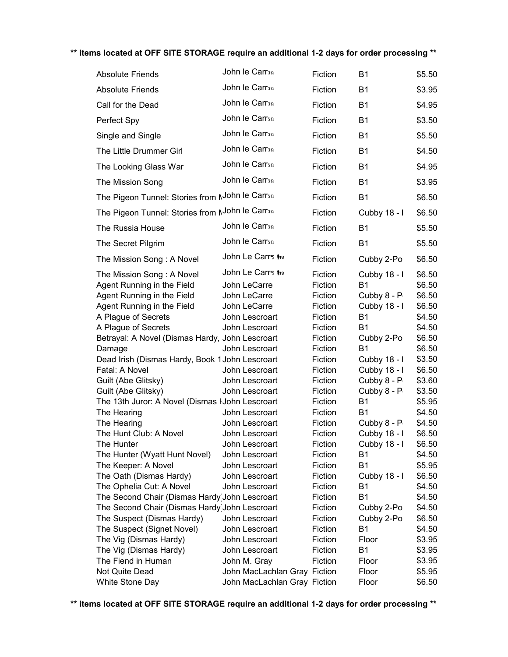| <b>Absolute Friends</b>                                                                                                                    | John le Carr <sub>50</sub>                                                         | Fiction                                             | <b>B1</b>                                                             | \$5.50                                         |
|--------------------------------------------------------------------------------------------------------------------------------------------|------------------------------------------------------------------------------------|-----------------------------------------------------|-----------------------------------------------------------------------|------------------------------------------------|
| <b>Absolute Friends</b>                                                                                                                    | John le Carrsn                                                                     | Fiction                                             | <b>B1</b>                                                             | \$3.95                                         |
| Call for the Dead                                                                                                                          | John le Carr <sub>50</sub>                                                         | Fiction                                             | <b>B1</b>                                                             | \$4.95                                         |
| Perfect Spy                                                                                                                                | John le Carrsa                                                                     | Fiction                                             | <b>B1</b>                                                             | \$3.50                                         |
| Single and Single                                                                                                                          | John le Carr <sub>50</sub>                                                         | Fiction                                             | <b>B1</b>                                                             | \$5.50                                         |
| The Little Drummer Girl                                                                                                                    | John le Carrsn                                                                     | Fiction                                             | <b>B1</b>                                                             | \$4.50                                         |
| The Looking Glass War                                                                                                                      | John le Carrsn                                                                     | Fiction                                             | <b>B1</b>                                                             | \$4.95                                         |
| The Mission Song                                                                                                                           | John le Carr <sub>50</sub>                                                         | Fiction                                             | <b>B1</b>                                                             | \$3.95                                         |
| The Pigeon Tunnel: Stories from NJohn le Carrsa                                                                                            |                                                                                    | Fiction                                             | <b>B1</b>                                                             | \$6.50                                         |
| The Pigeon Tunnel: Stories from NJohn le Carrsa                                                                                            |                                                                                    | Fiction                                             | Cubby 18 - I                                                          | \$6.50                                         |
| The Russia House                                                                                                                           | John le Carrsn                                                                     | Fiction                                             | <b>B1</b>                                                             | \$5.50                                         |
| The Secret Pilgrim                                                                                                                         | John le Carrsn                                                                     | Fiction                                             | <b>B1</b>                                                             | \$5.50                                         |
| The Mission Song: A Novel                                                                                                                  | John Le Carrs to                                                                   | Fiction                                             | Cubby 2-Po                                                            | \$6.50                                         |
| The Mission Song: A Novel<br>Agent Running in the Field<br>Agent Running in the Field<br>Agent Running in the Field<br>A Plague of Secrets | John Le Carrs to<br>John LeCarre<br>John LeCarre<br>John LeCarre<br>John Lescroart | Fiction<br>Fiction<br>Fiction<br>Fiction<br>Fiction | Cubby 18 - I<br><b>B1</b><br>Cubby 8 - P<br>Cubby 18 - I<br><b>B1</b> | \$6.50<br>\$6.50<br>\$6.50<br>\$6.50<br>\$4.50 |
| A Plague of Secrets                                                                                                                        | John Lescroart                                                                     | Fiction                                             | <b>B1</b>                                                             | \$4.50                                         |
| Betrayal: A Novel (Dismas Hardy, John Lescroart<br>Damage                                                                                  | John Lescroart                                                                     | Fiction<br>Fiction                                  | Cubby 2-Po<br><b>B1</b>                                               | \$6.50<br>\$6.50                               |
| Dead Irish (Dismas Hardy, Book 1 John Lescroart                                                                                            |                                                                                    | Fiction                                             | Cubby 18 - I                                                          | \$3.50                                         |
| Fatal: A Novel                                                                                                                             | John Lescroart                                                                     | Fiction                                             | Cubby 18 - I                                                          | \$6.50                                         |
| Guilt (Abe Glitsky)                                                                                                                        | John Lescroart                                                                     | Fiction                                             | Cubby 8 - P                                                           | \$3.60                                         |
| Guilt (Abe Glitsky)                                                                                                                        | John Lescroart                                                                     | Fiction                                             | Cubby 8 - P                                                           | \$3.50                                         |
| The 13th Juror: A Novel (Dismas I John Lescroart                                                                                           |                                                                                    | Fiction                                             | <b>B1</b>                                                             | \$5.95                                         |
| The Hearing                                                                                                                                | John Lescroart                                                                     | Fiction                                             | <b>B1</b>                                                             | \$4.50                                         |
| The Hearing<br>The Hunt Club: A Novel                                                                                                      | John Lescroart<br>John Lescroart                                                   | Fiction                                             | Cubby 8 - P                                                           | \$4.50                                         |
| The Hunter                                                                                                                                 | John Lescroart                                                                     | Fiction<br>Fiction                                  | Cubby 18 - I<br>Cubby 18 - I                                          | \$6.50<br>\$6.50                               |
| The Hunter (Wyatt Hunt Novel)                                                                                                              | John Lescroart                                                                     | Fiction                                             | <b>B1</b>                                                             | \$4.50                                         |
| The Keeper: A Novel                                                                                                                        | John Lescroart                                                                     | Fiction                                             | <b>B1</b>                                                             | \$5.95                                         |
| The Oath (Dismas Hardy)                                                                                                                    | John Lescroart                                                                     | Fiction                                             | Cubby 18 - I                                                          | \$6.50                                         |
| The Ophelia Cut: A Novel                                                                                                                   | John Lescroart                                                                     | Fiction                                             | B1                                                                    | \$4.50                                         |
| The Second Chair (Dismas Hardy) John Lescroart                                                                                             |                                                                                    | Fiction                                             | <b>B1</b>                                                             | \$4.50                                         |
| The Second Chair (Dismas Hardy) John Lescroart                                                                                             |                                                                                    | Fiction                                             | Cubby 2-Po                                                            | \$4.50                                         |
| The Suspect (Dismas Hardy)                                                                                                                 | John Lescroart                                                                     | Fiction                                             | Cubby 2-Po                                                            | \$6.50                                         |
| The Suspect (Signet Novel)                                                                                                                 | John Lescroart                                                                     | Fiction                                             | <b>B1</b>                                                             | \$4.50                                         |
| The Vig (Dismas Hardy)                                                                                                                     | John Lescroart                                                                     | Fiction                                             | Floor                                                                 | \$3.95                                         |
| The Vig (Dismas Hardy)                                                                                                                     | John Lescroart                                                                     | Fiction                                             | <b>B1</b>                                                             | \$3.95                                         |
| The Fiend in Human                                                                                                                         | John M. Gray                                                                       | Fiction                                             | Floor                                                                 | \$3.95                                         |
| Not Quite Dead                                                                                                                             | John MacLachlan Gray Fiction                                                       |                                                     | Floor                                                                 | \$5.95                                         |
| White Stone Day                                                                                                                            | John MacLachlan Gray Fiction                                                       |                                                     | Floor                                                                 | \$6.50                                         |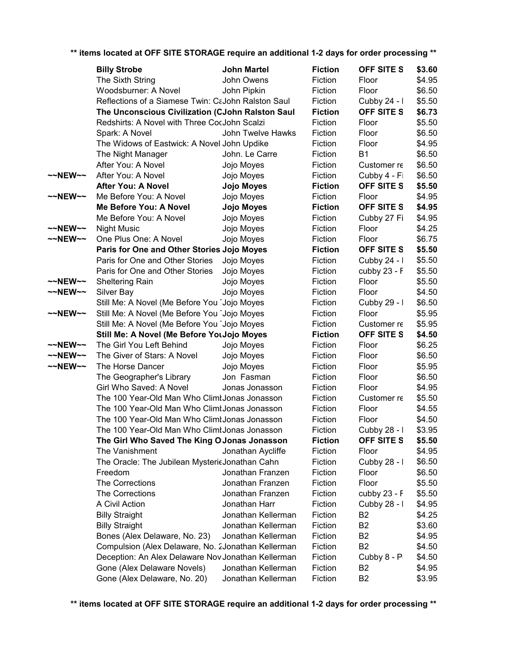|         | <b>Billy Strobe</b>                                | <b>John Martel</b> | <b>Fiction</b> | OFF SITE S     | \$3.60 |
|---------|----------------------------------------------------|--------------------|----------------|----------------|--------|
|         | The Sixth String                                   | John Owens         | Fiction        | Floor          | \$4.95 |
|         | Woodsburner: A Novel                               | John Pipkin        | Fiction        | Floor          | \$6.50 |
|         | Reflections of a Siamese Twin: CaJohn Ralston Saul |                    | Fiction        | Cubby 24 - I   | \$5.50 |
|         | The Unconscious Civilization (CJohn Ralston Saul   |                    | <b>Fiction</b> | OFF SITE S     | \$6.73 |
|         | Redshirts: A Novel with Three CocJohn Scalzi       |                    | Fiction        | Floor          | \$5.50 |
|         | Spark: A Novel                                     | John Twelve Hawks  | Fiction        | Floor          | \$6.50 |
|         | The Widows of Eastwick: A Novel John Updike        |                    | Fiction        | Floor          | \$4.95 |
|         | The Night Manager                                  | John. Le Carre     | Fiction        | <b>B1</b>      | \$6.50 |
|         | After You: A Novel                                 | Jojo Moyes         | Fiction        | Customer re    | \$6.50 |
| ~~NEW~~ | After You: A Novel                                 | Jojo Moyes         | Fiction        | Cubby 4 - Fi   | \$6.50 |
|         | <b>After You: A Novel</b>                          | Jojo Moyes         | <b>Fiction</b> | OFF SITE S     | \$5.50 |
| ~~NEW~~ | Me Before You: A Novel                             | Jojo Moyes         | Fiction        | Floor          | \$4.95 |
|         | Me Before You: A Novel                             | Jojo Moyes         | <b>Fiction</b> | OFF SITE S     | \$4.95 |
|         | Me Before You: A Novel                             | Jojo Moyes         | Fiction        | Cubby 27 Fi    | \$4.95 |
| ~~NEW~~ | <b>Night Music</b>                                 | Jojo Moyes         | Fiction        | Floor          | \$4.25 |
| ~~NEW~~ | One Plus One: A Novel                              | Jojo Moyes         | Fiction        | Floor          | \$6.75 |
|         | Paris for One and Other Stories Jojo Moyes         |                    | <b>Fiction</b> | OFF SITE S     | \$5.50 |
|         | Paris for One and Other Stories                    | Jojo Moyes         | Fiction        | Cubby 24 - I   | \$5.50 |
|         | Paris for One and Other Stories                    | Jojo Moyes         | Fiction        | cubby 23 - F   | \$5.50 |
| ~~NEW~~ | Sheltering Rain                                    | Jojo Moyes         | Fiction        | Floor          | \$5.50 |
| ~~NEW~~ | Silver Bay                                         | Jojo Moyes         | Fiction        | Floor          | \$4.50 |
|         | Still Me: A Novel (Me Before You Jojo Moyes        |                    | Fiction        | Cubby 29 - I   | \$6.50 |
| ~~NEW~~ | Still Me: A Novel (Me Before You Jojo Moyes        |                    | Fiction        | Floor          | \$5.95 |
|         | Still Me: A Novel (Me Before You Jojo Moyes        |                    | Fiction        | Customer re    | \$5.95 |
|         | Still Me: A Novel (Me Before YouJojo Moyes         |                    | <b>Fiction</b> | OFF SITE S     | \$4.50 |
| ~~NEW~~ | The Girl You Left Behind                           | Jojo Moyes         | Fiction        | Floor          | \$6.25 |
| ~~NEW~~ | The Giver of Stars: A Novel                        | Jojo Moyes         | Fiction        | Floor          | \$6.50 |
| ~~NEW~~ | The Horse Dancer                                   | Jojo Moyes         | Fiction        | Floor          | \$5.95 |
|         | The Geographer's Library                           | Jon Fasman         | Fiction        | Floor          | \$6.50 |
|         | Girl Who Saved: A Novel                            | Jonas Jonasson     | Fiction        | Floor          | \$4.95 |
|         | The 100 Year-Old Man Who Climt Jonas Jonasson      |                    | Fiction        | Customer re    | \$5.50 |
|         | The 100 Year-Old Man Who Climt Jonas Jonasson      |                    | Fiction        | Floor          | \$4.55 |
|         | The 100 Year-Old Man Who Climt Jonas Jonasson      |                    | Fiction        | Floor          | \$4.50 |
|         | The 100 Year-Old Man Who ClimtJonas Jonasson       |                    | Fiction        | Cubby 28 - I   | \$3.95 |
|         | The Girl Who Saved The King O Jonas Jonasson       |                    | <b>Fiction</b> | OFF SITE S     | \$5.50 |
|         | The Vanishment                                     | Jonathan Aycliffe  | Fiction        | Floor          | \$4.95 |
|         | The Oracle: The Jubilean MysterieJonathan Cahn     |                    | Fiction        | Cubby 28 - I   | \$6.50 |
|         | Freedom                                            | Jonathan Franzen   | Fiction        | Floor          | \$6.50 |
|         | The Corrections                                    | Jonathan Franzen   | Fiction        | Floor          | \$5.50 |
|         | The Corrections                                    | Jonathan Franzen   | Fiction        | cubby 23 - F   | \$5.50 |
|         | A Civil Action                                     | Jonathan Harr      | Fiction        | Cubby 28 - I   | \$4.95 |
|         | <b>Billy Straight</b>                              | Jonathan Kellerman | Fiction        | B <sub>2</sub> | \$4.25 |
|         | <b>Billy Straight</b>                              | Jonathan Kellerman | Fiction        | <b>B2</b>      | \$3.60 |
|         | Bones (Alex Delaware, No. 23)                      | Jonathan Kellerman | Fiction        | B <sub>2</sub> | \$4.95 |
|         | Compulsion (Alex Delaware, No. 2Jonathan Kellerman |                    | Fiction        | <b>B2</b>      | \$4.50 |
|         | Deception: An Alex Delaware Nov Jonathan Kellerman |                    | Fiction        | Cubby 8 - P    | \$4.50 |
|         | Gone (Alex Delaware Novels)                        | Jonathan Kellerman | Fiction        | B <sub>2</sub> | \$4.95 |
|         | Gone (Alex Delaware, No. 20)                       | Jonathan Kellerman | Fiction        | B <sub>2</sub> | \$3.95 |
|         |                                                    |                    |                |                |        |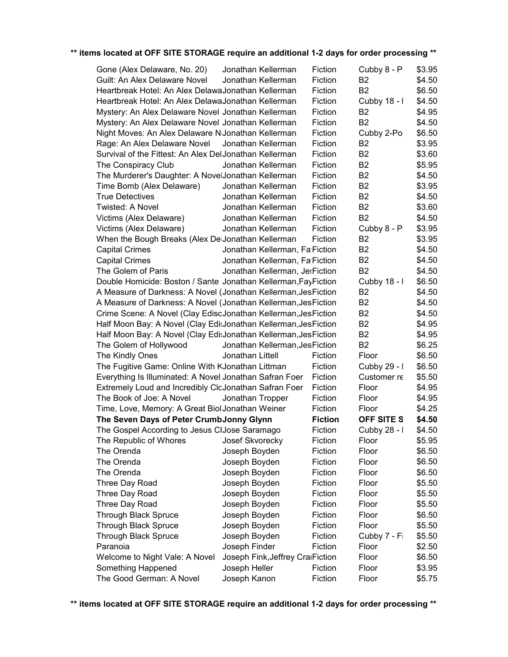| Gone (Alex Delaware, No. 20)                                     | Jonathan Kellerman               | Fiction        | Cubby 8 - P       | \$3.95 |
|------------------------------------------------------------------|----------------------------------|----------------|-------------------|--------|
| Guilt: An Alex Delaware Novel                                    | Jonathan Kellerman               | Fiction        | B <sub>2</sub>    | \$4.50 |
| Heartbreak Hotel: An Alex DelawaJonathan Kellerman               |                                  | Fiction        | B <sub>2</sub>    | \$6.50 |
| Heartbreak Hotel: An Alex DelawaJonathan Kellerman               |                                  | Fiction        | Cubby 18 - I      | \$4.50 |
| Mystery: An Alex Delaware Novel Jonathan Kellerman               |                                  | Fiction        | B <sub>2</sub>    | \$4.95 |
| Mystery: An Alex Delaware Novel Jonathan Kellerman               |                                  | Fiction        | B <sub>2</sub>    | \$4.50 |
| Night Moves: An Alex Delaware N Jonathan Kellerman               |                                  | Fiction        | Cubby 2-Po        | \$6.50 |
| Rage: An Alex Delaware Novel                                     | Jonathan Kellerman               | Fiction        | B <sub>2</sub>    | \$3.95 |
| Survival of the Fittest: An Alex DelJonathan Kellerman           |                                  | Fiction        | B <sub>2</sub>    | \$3.60 |
| The Conspiracy Club                                              | Jonathan Kellerman               | Fiction        | B <sub>2</sub>    | \$5.95 |
| The Murderer's Daughter: A NovelJonathan Kellerman               |                                  | Fiction        | <b>B2</b>         | \$4.50 |
| Time Bomb (Alex Delaware)                                        | Jonathan Kellerman               | Fiction        | B <sub>2</sub>    | \$3.95 |
| <b>True Detectives</b>                                           | Jonathan Kellerman               | Fiction        | B <sub>2</sub>    | \$4.50 |
| Twisted: A Novel                                                 | Jonathan Kellerman               | Fiction        | B <sub>2</sub>    | \$3.60 |
| Victims (Alex Delaware)                                          | Jonathan Kellerman               | Fiction        | B <sub>2</sub>    | \$4.50 |
| Victims (Alex Delaware)                                          | Jonathan Kellerman               | Fiction        | Cubby 8 - P       | \$3.95 |
| When the Bough Breaks (Alex DelJonathan Kellerman                |                                  | Fiction        | B <sub>2</sub>    | \$3.95 |
| <b>Capital Crimes</b>                                            | Jonathan Kellerman, Fa Fiction   |                | B <sub>2</sub>    | \$4.50 |
| <b>Capital Crimes</b>                                            | Jonathan Kellerman, Fa Fiction   |                | <b>B2</b>         | \$4.50 |
| The Golem of Paris                                               | Jonathan Kellerman, Jet Fiction  |                | B <sub>2</sub>    | \$4.50 |
| Double Homicide: Boston / Sante Jonathan Kellerman, FayFiction   |                                  |                | Cubby 18 - I      | \$6.50 |
| A Measure of Darkness: A Novel (Jonathan Kellerman, Jes Fiction  |                                  |                | B <sub>2</sub>    | \$4.50 |
| A Measure of Darkness: A Novel (Jonathan Kellerman, Jes Fiction  |                                  |                | B <sub>2</sub>    | \$4.50 |
| Crime Scene: A Novel (Clay EdiscJonathan Kellerman, Jes Fiction  |                                  |                | B <sub>2</sub>    | \$4.50 |
| Half Moon Bay: A Novel (Clay EdisJonathan Kellerman, Jes Fiction |                                  |                | B <sub>2</sub>    | \$4.95 |
| Half Moon Bay: A Novel (Clay EdisJonathan Kellerman, Jes Fiction |                                  |                | <b>B2</b>         | \$4.95 |
| The Golem of Hollywood                                           | Jonathan Kellerman, Jes Fiction  |                | B <sub>2</sub>    | \$6.25 |
| The Kindly Ones                                                  | Jonathan Littell                 | Fiction        | Floor             | \$6.50 |
| The Fugitive Game: Online With KJonathan Littman                 |                                  | Fiction        | Cubby 29 - I      | \$6.50 |
| Everything Is Illuminated: A Novel Jonathan Safran Foer          |                                  | Fiction        | Customer re       | \$5.50 |
| Extremely Loud and Incredibly CloJonathan Safran Foer            |                                  | Fiction        | Floor             | \$4.95 |
| The Book of Joe: A Novel                                         | Jonathan Tropper                 | Fiction        | Floor             | \$4.95 |
| Time, Love, Memory: A Great Biol Jonathan Weiner                 |                                  | Fiction        | Floor             | \$4.25 |
| The Seven Days of Peter CrumbJonny Glynn                         |                                  | <b>Fiction</b> | <b>OFF SITE S</b> | \$4.50 |
| The Gospel According to Jesus CIJose Saramago                    |                                  | Fiction        | Cubby 28 - I      | \$4.50 |
| The Republic of Whores                                           | Josef Skvorecky                  | Fiction        | Floor             | \$5.95 |
| The Orenda                                                       | Joseph Boyden                    | Fiction        | Floor             | \$6.50 |
| The Orenda                                                       | Joseph Boyden                    | Fiction        | Floor             | \$6.50 |
| The Orenda                                                       | Joseph Boyden                    | Fiction        | Floor             | \$6.50 |
| Three Day Road                                                   | Joseph Boyden                    | Fiction        | Floor             | \$5.50 |
| Three Day Road                                                   | Joseph Boyden                    | Fiction        | Floor             | \$5.50 |
| Three Day Road                                                   | Joseph Boyden                    | Fiction        | Floor             | \$5.50 |
| <b>Through Black Spruce</b>                                      | Joseph Boyden                    | Fiction        | Floor             | \$6.50 |
| <b>Through Black Spruce</b>                                      | Joseph Boyden                    | Fiction        | Floor             | \$5.50 |
| <b>Through Black Spruce</b>                                      | Joseph Boyden                    | Fiction        | Cubby 7 - Fi      | \$5.50 |
| Paranoia                                                         | Joseph Finder                    | Fiction        | Floor             | \$2.50 |
| Welcome to Night Vale: A Novel                                   | Joseph Fink, Jeffrey CraiFiction |                | Floor             | \$6.50 |
| Something Happened                                               | Joseph Heller                    | Fiction        | Floor             | \$3.95 |
| The Good German: A Novel                                         | Joseph Kanon                     | Fiction        | Floor             | \$5.75 |
|                                                                  |                                  |                |                   |        |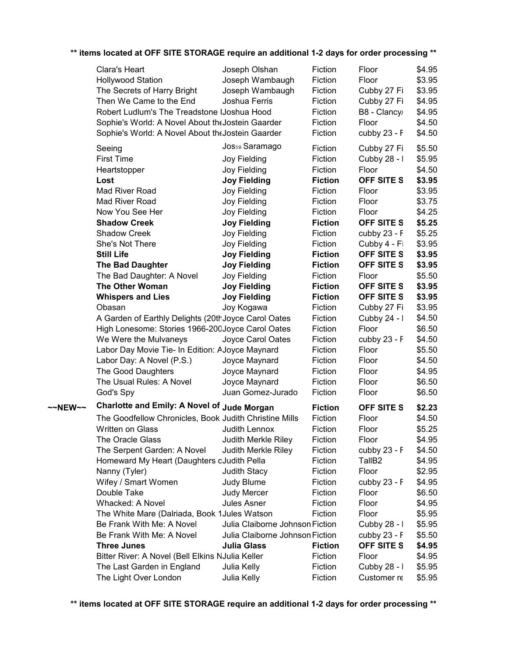### \$4.95 \$3.95 \$3.95 \$4.95 \$4.95 \$4.50 \$4.50 \$5.50 \$5.95 \$4.50 **OFF SITE S** \$3.95 \$3.95 \$3.75 \$4.25 **OFF SITE S** \$5.25 \$5.25 \$3.95 **OFF SITE S** \$3.95 **OFF SITE S** \$3.95 \$5.50 **OFF SITE S** \$3.95 **OFF SITE S** \$3.95 \$3.95 \$4.50 \$6.50 \$4.50 \$5.50 \$4.50 \$4.95 \$6.50 \$6.50 ~~NEW~~ Charlotte and Emily: A Novel of Jude Morgan Fiction OFF SITE S \$2.23 \$4.50 \$5.25 \$4.95 \$4.50 TallB2 \$4.95 \$2.95 \$4.95 \$6.50 \$4.95 \$5.95 \$5.95 \$5.50 **OFF SITE S** \$4.95 \$4.95 \$5.95 \$5.95 Clara's Heart Joseph Olshan Fiction Floor Hollywood Station **Fiction** Joseph Wambaugh Fiction Floor The Secrets of Harry Bright Joseph Wambaugh Fiction Cubby 27 Fi Then We Came to the End Joshua Ferris Fiction Cubby 27 Fiction Robert Ludlum's The Treadstone IJoshua Hood Fiction B8 - Clancy Sophie's World: A Novel About the Jostein Gaarder Fiction Floor Sophie's World: A Novel About the Jostein Gaarder Fiction cubby 23 - F Seeing **Saramago** Fiction Cubby 27 Fiction First Time **Filter Cubby 28 - I** Joy Fielding Fiction Cubby 28 - I Heartstopper **Figure 3** Joy Fielding Fiction Floor **Lost Joy Fielding Fiction** Mad River Road **Figure 10** Joy Fielding Fiction Floor Mad River Road **Figure 10** Joy Fielding Fiction Floor Now You See Her **Source Set Source Set Accord See Her** Joy Fielding **Fiction** Floor **Shadow Creek Joy Fielding Fiction** Shadow Creek Joy Fielding Fiction cubby 23 - Fiction Jan 2022 She's Not There **Shet 2001** Joy Fielding Fiction Cubby 4 - Fiction **Still Life Joy Fielding Fiction The Bad Daughter Joy Fielding Fiction** The Bad Daughter: A Novel Joy Fielding Fiction Floor **The Other Woman Joy Fielding Fiction Whispers and Lies Joy Fielding Fiction** Obasan **Joy Kogawa** Fiction Cubby 27 Fiction A Garden of Earthly Delights (20th Joyce Carol Oates Fiction Cubby 24 - I High Lonesome: Stories 1966-200Joyce Carol Oates Fiction Floor We Were the Mulvaneys Joyce Carol Oates Fiction cubby 23 - F Labor Day Movie Tie- In Edition: A Joyce Maynard Fiction Floor Labor Day: A Novel (P.S.) Joyce Maynard Fiction Floor The Good Daughters Joyce Maynard Fiction Floor The Usual Rules: A Novel Joyce Maynard Fiction Floor God's Spy Juan Gomez-Jurado Fiction Floor The Goodfellow Chronicles, Book Judith Christine Mills Fiction Floor Written on Glass **Multimation Class** Judith Lennox Fiction Floor The Oracle Glass **Judith Merkle Riley** Fiction Floor The Serpent Garden: A Novel Judith Merkle Riley Fiction cubby 23 - F Homeward My Heart (Daughters oJudith Pella Fiction Nanny (Tyler) **State Stact Addition** Stact Association Floor Wifey / Smart Women Judy Blume Fiction cubby 23 - F Double Take **Internal Contract Contract Contract Contract Contract Contract Contract Contract Contract Contract Contract Contract Contract Contract Contract Contract Contract Contract Contract Contract Contract Contract Co** Whacked: A Novel **IVI SIMILLEY ASSALES ASNET FICTION FLOOT** Floor The White Mare (Dalriada, Book 1 Jules Watson Fiction Floor Be Frank With Me: A Novel Julia Claiborne Johnson Fiction Cubby 28 - I Be Frank With Me: A Novel Julia Claiborne Johnson Fiction cubby 23 - F **Three Junes Julia Glass Fiction** Bitter River: A Novel (Bell Elkins NJulia Keller Fiction Floor The Last Garden in England Julia Kelly Fiction Cubby 28 - I The Light Over London Julia Kelly Fiction Customer recommends (TallB3)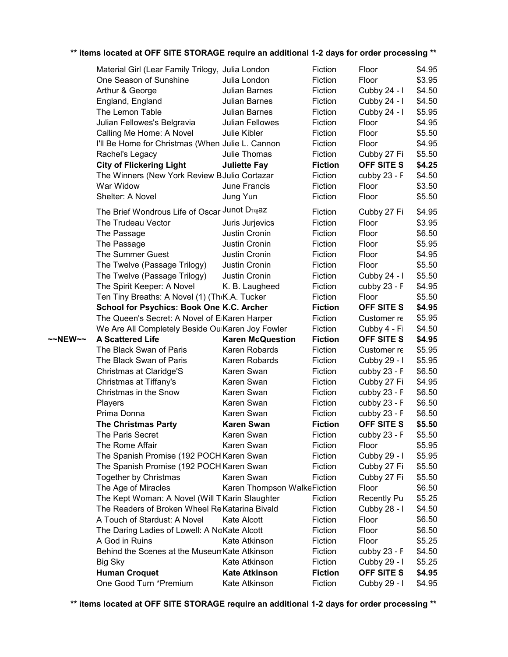|         | Material Girl (Lear Family Trilogy, Julia London           |                                       | Fiction                   | Floor                      | \$4.95           |
|---------|------------------------------------------------------------|---------------------------------------|---------------------------|----------------------------|------------------|
|         | One Season of Sunshine                                     | Julia London                          | Fiction                   | Floor                      | \$3.95           |
|         | Arthur & George                                            | Julian Barnes                         | Fiction                   | Cubby 24 - I               | \$4.50           |
|         | England, England                                           | Julian Barnes                         | Fiction                   | Cubby 24 - I               | \$4.50           |
|         | The Lemon Table                                            | Julian Barnes                         | Fiction                   | Cubby 24 - I               | \$5.95           |
|         | Julian Fellowes's Belgravia                                | Julian Fellowes                       | Fiction                   | Floor                      | \$4.95           |
|         | Calling Me Home: A Novel                                   | Julie Kibler                          | Fiction                   | Floor                      | \$5.50           |
|         | I'll Be Home for Christmas (When Julie L. Cannon           |                                       | Fiction                   | Floor                      | \$4.95           |
|         | Rachel's Legacy                                            | Julie Thomas                          | Fiction                   | Cubby 27 Fi                | \$5.50           |
|         | <b>City of Flickering Light</b>                            | <b>Juliette Fay</b>                   | <b>Fiction</b>            | OFF SITE S                 | \$4.25           |
|         | The Winners (New York Review BJulio Cortazar               |                                       | Fiction                   | cubby 23 - F               | \$4.50           |
|         | War Widow                                                  | June Francis                          | Fiction                   | Floor                      | \$3.50           |
|         | Shelter: A Novel                                           | Jung Yun                              | Fiction                   | Floor                      | \$5.50           |
|         | The Brief Wondrous Life of Oscar Junot D50gaz              |                                       |                           |                            |                  |
|         |                                                            |                                       | Fiction                   | Cubby 27 Fi                | \$4.95           |
|         | The Trudeau Vector                                         | Juris Jurjevics                       | Fiction                   | Floor                      | \$3.95           |
|         | The Passage                                                | Justin Cronin                         | Fiction                   | Floor                      | \$6.50           |
|         | The Passage                                                | Justin Cronin                         | Fiction                   | Floor                      | \$5.95           |
|         | The Summer Guest                                           | Justin Cronin                         | Fiction                   | Floor                      | \$4.95           |
|         | The Twelve (Passage Trilogy)                               | Justin Cronin                         | Fiction                   | Floor                      | \$5.50           |
|         | The Twelve (Passage Trilogy)                               | Justin Cronin                         | Fiction                   | Cubby 24 - I               | \$5.50           |
|         | The Spirit Keeper: A Novel                                 | K. B. Laugheed                        | Fiction                   | cubby 23 - F               | \$4.95           |
|         | Ten Tiny Breaths: A Novel (1) (Th <sub>'</sub> K.A. Tucker |                                       | Fiction                   | Floor                      | \$5.50           |
|         | School for Psychics: Book One K.C. Archer                  |                                       | <b>Fiction</b>            | OFF SITE S                 | \$4.95           |
|         | The Queen's Secret: A Novel of ElKaren Harper              |                                       | Fiction                   | Customer re                | \$5.95           |
|         | We Are All Completely Beside Ou Karen Joy Fowler           |                                       | Fiction                   | Cubby 4 - Fi               | \$4.50           |
| ~~NEW~~ | <b>A Scattered Life</b>                                    | <b>Karen McQuestion</b>               | <b>Fiction</b>            | <b>OFF SITE S</b>          | \$4.95           |
|         | The Black Swan of Paris                                    | Karen Robards                         | Fiction                   | Customer re                | \$5.95           |
|         | The Black Swan of Paris                                    | Karen Robards                         | Fiction                   | Cubby 29 - I               | \$5.95           |
|         | Christmas at Claridge'S                                    | Karen Swan                            | Fiction                   | cubby 23 - F               | \$6.50           |
|         | Christmas at Tiffany's                                     | Karen Swan                            | Fiction                   | Cubby 27 Fi                | \$4.95           |
|         | Christmas in the Snow                                      | Karen Swan                            | Fiction                   | cubby 23 - F               | \$6.50           |
|         | Players                                                    | Karen Swan                            | Fiction                   | cubby 23 - F               | \$6.50           |
|         | Prima Donna                                                | Karen Swan                            | Fiction                   | cubby 23 - F               | \$6.50           |
|         | <b>The Christmas Party</b>                                 | <b>Karen Swan</b>                     | <b>Fiction</b>            | <b>OFF SITE S</b>          | \$5.50           |
|         | The Paris Secret                                           | Karen Swan                            | Fiction                   | cubby 23 - F               | \$5.50           |
|         | The Rome Affair                                            | Karen Swan                            | Fiction                   | Floor                      | \$5.95           |
|         | The Spanish Promise (192 POCH Karen Swan                   |                                       | Fiction                   | Cubby 29 - I               | \$5.95           |
|         | The Spanish Promise (192 POCH Karen Swan                   |                                       | Fiction                   | Cubby 27 Fi                | \$5.50           |
|         | <b>Together by Christmas</b>                               | Karen Swan                            | Fiction                   | Cubby 27 Fi                | \$5.50           |
|         | The Age of Miracles                                        | Karen Thompson WalkeFiction           |                           | Floor                      | \$6.50           |
|         | The Kept Woman: A Novel (Will TKarin Slaughter             |                                       | Fiction                   | <b>Recently Pu</b>         | \$5.25           |
|         | The Readers of Broken Wheel ReKatarina Bivald              |                                       | Fiction                   | Cubby 28 - I               | \$4.50           |
|         | A Touch of Stardust: A Novel                               | Kate Alcott                           | Fiction                   | Floor                      | \$6.50           |
|         | The Daring Ladies of Lowell: A NoKate Alcott               |                                       | Fiction                   | Floor                      | \$6.50           |
|         | A God in Ruins                                             | Kate Atkinson                         | Fiction                   | Floor                      | \$5.25           |
|         | Behind the Scenes at the Museum Kate Atkinson              |                                       | Fiction                   | cubby 23 - F               | \$4.50           |
|         | <b>Big Sky</b>                                             | Kate Atkinson                         | Fiction                   | Cubby 29 - I               | \$5.25           |
|         |                                                            |                                       |                           |                            |                  |
|         | <b>Human Croquet</b><br>One Good Turn *Premium             | <b>Kate Atkinson</b><br>Kate Atkinson | <b>Fiction</b><br>Fiction | OFF SITE S<br>Cubby 29 - I | \$4.95<br>\$4.95 |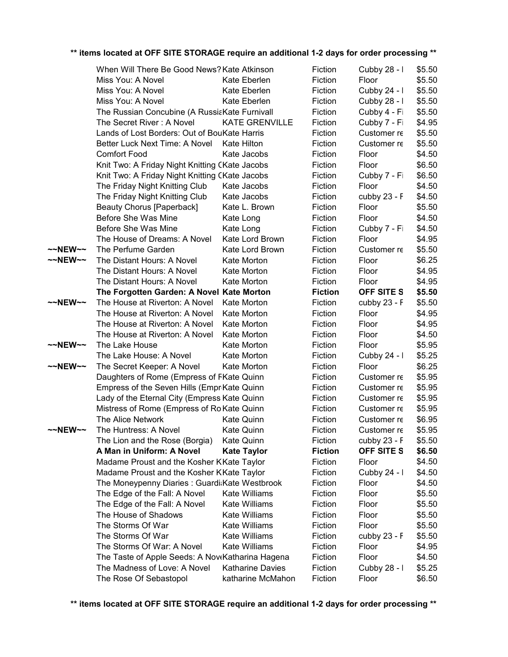|         | When Will There Be Good News? Kate Atkinson      |                         | Fiction        | Cubby 28 - I               | \$5.50 |
|---------|--------------------------------------------------|-------------------------|----------------|----------------------------|--------|
|         | Miss You: A Novel                                | Kate Eberlen            | Fiction        | Floor                      | \$5.50 |
|         | Miss You: A Novel                                | Kate Eberlen            | Fiction        | Cubby 24 - I               | \$5.50 |
|         | Miss You: A Novel                                | Kate Eberlen            | Fiction        | Cubby 28 - I               | \$5.50 |
|         | The Russian Concubine (A RussiaKate Furnivall    |                         | Fiction        | Cubby 4 - Fi               | \$5.50 |
|         | The Secret River: A Novel                        | <b>KATE GRENVILLE</b>   | Fiction        | Cubby 7 - Fi               | \$4.95 |
|         | Lands of Lost Borders: Out of BouKate Harris     |                         | Fiction        | Customer re                | \$5.50 |
|         | Better Luck Next Time: A Novel                   | <b>Kate Hilton</b>      | Fiction        | Customer re                | \$5.50 |
|         | <b>Comfort Food</b>                              | Kate Jacobs             | Fiction        | Floor                      | \$4.50 |
|         | Knit Two: A Friday Night Knitting CKate Jacobs   |                         | Fiction        | Floor                      | \$6.50 |
|         | Knit Two: A Friday Night Knitting CKate Jacobs   |                         | Fiction        | Cubby 7 - Fi               | \$6.50 |
|         | The Friday Night Knitting Club                   | Kate Jacobs             | Fiction        | Floor                      | \$4.50 |
|         | The Friday Night Knitting Club                   | Kate Jacobs             | Fiction        | cubby 23 - F               | \$4.50 |
|         | Beauty Chorus [Paperback]                        | Kate L. Brown           | Fiction        | Floor                      | \$5.50 |
|         | Before She Was Mine                              | Kate Long               | Fiction        | Floor                      | \$4.50 |
|         | Before She Was Mine                              | Kate Long               | Fiction        | Cubby 7 - Fi               | \$4.50 |
|         | The House of Dreams: A Novel                     | Kate Lord Brown         | Fiction        | Floor                      | \$4.95 |
| ~~NEW~~ | The Perfume Garden                               | Kate Lord Brown         | Fiction        | Customer re                | \$5.50 |
| ~~NEW~~ | The Distant Hours: A Novel                       | Kate Morton             | Fiction        | Floor                      | \$6.25 |
|         | The Distant Hours: A Novel                       | Kate Morton             | Fiction        | Floor                      | \$4.95 |
|         | The Distant Hours: A Novel                       | Kate Morton             | Fiction        | Floor                      | \$4.95 |
|         | The Forgotten Garden: A Novel Kate Morton        |                         | <b>Fiction</b> | OFF SITE S                 | \$5.50 |
| ~~NEW~~ | The House at Riverton: A Novel                   | Kate Morton             | Fiction        | cubby 23 - F               | \$5.50 |
|         | The House at Riverton: A Novel                   | Kate Morton             | Fiction        | Floor                      | \$4.95 |
|         | The House at Riverton: A Novel                   | Kate Morton             | Fiction        | Floor                      | \$4.95 |
|         | The House at Riverton: A Novel                   | Kate Morton             | Fiction        | Floor                      | \$4.50 |
| ~~NEW~~ | The Lake House                                   | Kate Morton             | Fiction        | Floor                      | \$5.95 |
|         | The Lake House: A Novel                          | Kate Morton             | Fiction        |                            | \$5.25 |
| ~~NEW~~ | The Secret Keeper: A Novel                       | Kate Morton             | Fiction        | Cubby $24 - 1$<br>Floor    | \$6.25 |
|         | Daughters of Rome (Empress of FKate Quinn        |                         | Fiction        | Customer re                | \$5.95 |
|         | Empress of the Seven Hills (EmprKate Quinn       |                         | Fiction        | Customer re                | \$5.95 |
|         | Lady of the Eternal City (Empress Kate Quinn     |                         | Fiction        |                            | \$5.95 |
|         | Mistress of Rome (Empress of Ro Kate Quinn       |                         | Fiction        | Customer re<br>Customer re | \$5.95 |
|         | The Alice Network                                |                         |                |                            |        |
|         |                                                  | <b>Kate Quinn</b>       | Fiction        | Customer re                | \$6.95 |
| ~~NEW~~ | The Huntress: A Novel                            | Kate Quinn              | Fiction        | Customer re                | \$5.95 |
|         | The Lion and the Rose (Borgia)                   | <b>Kate Quinn</b>       | Fiction        | cubby 23 - F               | \$5.50 |
|         | A Man in Uniform: A Novel                        | <b>Kate Taylor</b>      | <b>Fiction</b> | OFF SITE S                 | \$6.50 |
|         | Madame Proust and the Kosher KKate Taylor        |                         | Fiction        | Floor                      | \$4.50 |
|         | Madame Proust and the Kosher KKate Taylor        |                         | Fiction        | Cubby 24 - I               | \$4.50 |
|         | The Moneypenny Diaries: Guardi:Kate Westbrook    |                         | Fiction        | Floor                      | \$4.50 |
|         | The Edge of the Fall: A Novel                    | Kate Williams           | Fiction        | Floor                      | \$5.50 |
|         | The Edge of the Fall: A Novel                    | Kate Williams           | Fiction        | Floor                      | \$5.50 |
|         | The House of Shadows                             | Kate Williams           | Fiction        | Floor                      | \$5.50 |
|         | The Storms Of War                                | Kate Williams           | Fiction        | Floor                      | \$5.50 |
|         | The Storms Of War                                | Kate Williams           | Fiction        | cubby 23 - F               | \$5.50 |
|         | The Storms Of War: A Novel                       | Kate Williams           | Fiction        | Floor                      | \$4.95 |
|         | The Taste of Apple Seeds: A NoveKatharina Hagena |                         | Fiction        | Floor                      | \$4.50 |
|         | The Madness of Love: A Novel                     | <b>Katharine Davies</b> | Fiction        | Cubby 28 - I               | \$5.25 |
|         | The Rose Of Sebastopol                           | katharine McMahon       | Fiction        | Floor                      | \$6.50 |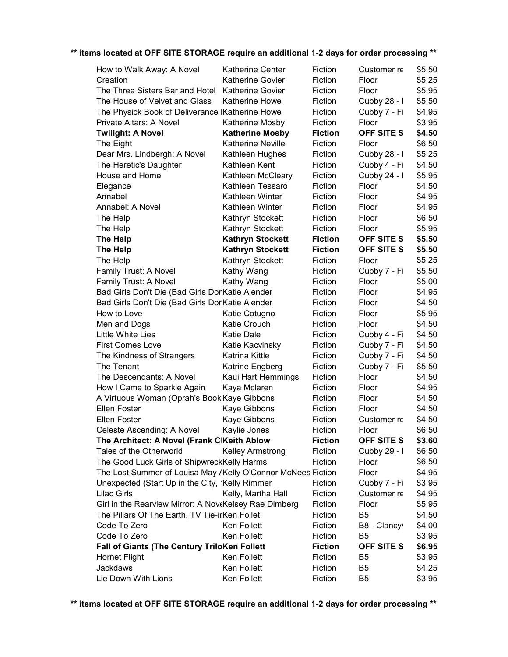| How to Walk Away: A Novel                                    | <b>Katherine Center</b>  | Fiction        | Customer re       | \$5.50 |
|--------------------------------------------------------------|--------------------------|----------------|-------------------|--------|
| Creation                                                     | <b>Katherine Govier</b>  | Fiction        | Floor             | \$5.25 |
| The Three Sisters Bar and Hotel                              | <b>Katherine Govier</b>  | Fiction        | Floor             | \$5.95 |
| The House of Velvet and Glass                                | <b>Katherine Howe</b>    | Fiction        | Cubby 28 - I      | \$5.50 |
| The Physick Book of Deliverance IKatherine Howe              |                          | Fiction        | Cubby 7 - Fi      | \$4.95 |
| Private Altars: A Novel                                      | Katherine Mosby          | Fiction        | Floor             | \$3.95 |
| <b>Twilight: A Novel</b>                                     | <b>Katherine Mosby</b>   | <b>Fiction</b> | <b>OFF SITE S</b> | \$4.50 |
| The Eight                                                    | <b>Katherine Neville</b> | Fiction        | Floor             | \$6.50 |
| Dear Mrs. Lindbergh: A Novel                                 | Kathleen Hughes          | Fiction        | Cubby 28 - I      | \$5.25 |
| The Heretic's Daughter                                       | Kathleen Kent            | Fiction        | Cubby 4 - Fi      | \$4.50 |
| House and Home                                               | Kathleen McCleary        | Fiction        | Cubby 24 - I      | \$5.95 |
| Elegance                                                     | Kathleen Tessaro         | Fiction        | Floor             | \$4.50 |
| Annabel                                                      | Kathleen Winter          | Fiction        | Floor             | \$4.95 |
| Annabel: A Novel                                             | Kathleen Winter          | Fiction        | Floor             | \$4.95 |
| The Help                                                     | Kathryn Stockett         | Fiction        | Floor             | \$6.50 |
| The Help                                                     | Kathryn Stockett         | Fiction        | Floor             | \$5.95 |
| The Help                                                     | <b>Kathryn Stockett</b>  | <b>Fiction</b> | OFF SITE S        | \$5.50 |
| The Help                                                     | <b>Kathryn Stockett</b>  | <b>Fiction</b> | <b>OFF SITE S</b> | \$5.50 |
| The Help                                                     | Kathryn Stockett         | Fiction        | Floor             | \$5.25 |
| Family Trust: A Novel                                        | Kathy Wang               | Fiction        | Cubby 7 - Fi      | \$5.50 |
| Family Trust: A Novel                                        | Kathy Wang               | Fiction        | Floor             | \$5.00 |
| Bad Girls Don't Die (Bad Girls DorKatie Alender              |                          | Fiction        | Floor             | \$4.95 |
| Bad Girls Don't Die (Bad Girls DorKatie Alender              |                          | Fiction        | Floor             | \$4.50 |
| How to Love                                                  | Katie Cotugno            | Fiction        | Floor             | \$5.95 |
| Men and Dogs                                                 | Katie Crouch             | Fiction        | Floor             | \$4.50 |
| Little White Lies                                            | <b>Katie Dale</b>        | Fiction        | Cubby 4 - Fi      | \$4.50 |
| <b>First Comes Love</b>                                      | Katie Kacvinsky          | Fiction        | Cubby 7 - Fi      | \$4.50 |
| The Kindness of Strangers                                    | Katrina Kittle           | Fiction        | Cubby 7 - Fi      | \$4.50 |
| The Tenant                                                   | Katrine Engberg          | Fiction        | Cubby 7 - Fi      | \$5.50 |
| The Descendants: A Novel                                     | Kaui Hart Hemmings       | Fiction        | Floor             | \$4.50 |
| How I Came to Sparkle Again                                  | Kaya Mclaren             | Fiction        | Floor             | \$4.95 |
| A Virtuous Woman (Oprah's Book Kaye Gibbons                  |                          | Fiction        | Floor             | \$4.50 |
| Ellen Foster                                                 | Kaye Gibbons             | Fiction        | Floor             | \$4.50 |
| <b>Ellen Foster</b>                                          | Kaye Gibbons             | Fiction        | Customer re       | \$4.50 |
| Celeste Ascending: A Novel                                   | Kaylie Jones             | Fiction        | Floor             | \$6.50 |
| The Architect: A Novel (Frank ClKeith Ablow                  |                          | <b>Fiction</b> | <b>OFF SITE S</b> | \$3.60 |
| Tales of the Otherworld                                      | <b>Kelley Armstrong</b>  | Fiction        | Cubby 29 - I      | \$6.50 |
| The Good Luck Girls of ShipwreckKelly Harms                  |                          | Fiction        | Floor             | \$6.50 |
| The Lost Summer of Louisa May /Kelly O'Connor McNees Fiction |                          |                | Floor             | \$4.95 |
| Unexpected (Start Up in the City, 'Kelly Rimmer              |                          | Fiction        | Cubby 7 - Fi      | \$3.95 |
| <b>Lilac Girls</b>                                           | Kelly, Martha Hall       | Fiction        | Customer re       | \$4.95 |
| Girl in the Rearview Mirror: A NoveKelsey Rae Dimberg        |                          | Fiction        | Floor             | \$5.95 |
| The Pillars Of The Earth, TV Tie-irKen Follet                |                          | Fiction        | B <sub>5</sub>    | \$4.50 |
| Code To Zero                                                 | Ken Follett              | Fiction        | B8 - Clancy       | \$4.00 |
| Code To Zero                                                 | Ken Follett              | Fiction        | B <sub>5</sub>    | \$3.95 |
| <b>Fall of Giants (The Century TriloKen Follett</b>          |                          | <b>Fiction</b> | <b>OFF SITE S</b> | \$6.95 |
| <b>Hornet Flight</b>                                         | Ken Follett              | Fiction        | B <sub>5</sub>    | \$3.95 |
| Jackdaws                                                     | Ken Follett              | Fiction        | B <sub>5</sub>    | \$4.25 |
| Lie Down With Lions                                          | Ken Follett              | Fiction        | B <sub>5</sub>    | \$3.95 |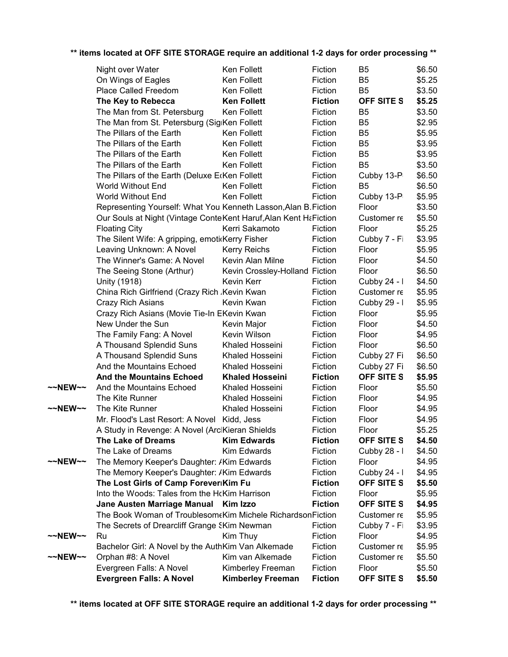|  |  | ** items located at OFF SITE STORAGE require an additional 1-2 days for order processing ** |  |  |
|--|--|---------------------------------------------------------------------------------------------|--|--|
|  |  |                                                                                             |  |  |

|         | Night over Water                                                  | Ken Follett                    | Fiction        | B <sub>5</sub>    | \$6.50 |
|---------|-------------------------------------------------------------------|--------------------------------|----------------|-------------------|--------|
|         | On Wings of Eagles                                                | Ken Follett                    | Fiction        | B <sub>5</sub>    | \$5.25 |
|         | Place Called Freedom                                              | Ken Follett                    | Fiction        | B <sub>5</sub>    | \$3.50 |
|         | The Key to Rebecca                                                | <b>Ken Follett</b>             | <b>Fiction</b> | OFF SITE S        | \$5.25 |
|         | The Man from St. Petersburg                                       | Ken Follett                    | Fiction        | B <sub>5</sub>    | \$3.50 |
|         | The Man from St. Petersburg (SigiKen Follett                      |                                | Fiction        | B <sub>5</sub>    | \$2.95 |
|         | The Pillars of the Earth                                          | Ken Follett                    | Fiction        | B <sub>5</sub>    | \$5.95 |
|         | The Pillars of the Earth                                          | Ken Follett                    | Fiction        | B <sub>5</sub>    | \$3.95 |
|         | The Pillars of the Earth                                          | Ken Follett                    | Fiction        | B <sub>5</sub>    | \$3.95 |
|         | The Pillars of the Earth                                          | Ken Follett                    | Fiction        | B <sub>5</sub>    | \$3.50 |
|         | The Pillars of the Earth (Deluxe EcKen Follett                    |                                | Fiction        | Cubby 13-P        | \$6.50 |
|         | World Without End                                                 | Ken Follett                    | Fiction        | B <sub>5</sub>    | \$6.50 |
|         | World Without End                                                 | Ken Follett                    | Fiction        | Cubby 13-P        | \$5.95 |
|         | Representing Yourself: What You Kenneth Lasson, Alan B. Fiction   |                                |                | Floor             | \$3.50 |
|         | Our Souls at Night (Vintage ConteKent Haruf, Alan Kent H& Fiction |                                |                | Customer re       | \$5.50 |
|         | <b>Floating City</b>                                              | Kerri Sakamoto                 | Fiction        | Floor             | \$5.25 |
|         | The Silent Wife: A gripping, emotidKerry Fisher                   |                                | Fiction        | Cubby 7 - Fi      | \$3.95 |
|         | Leaving Unknown: A Novel                                          | <b>Kerry Reichs</b>            | Fiction        | Floor             | \$5.95 |
|         | The Winner's Game: A Novel                                        | Kevin Alan Milne               | Fiction        | Floor             | \$4.50 |
|         | The Seeing Stone (Arthur)                                         | Kevin Crossley-Holland Fiction |                | Floor             | \$6.50 |
|         | Unity (1918)                                                      | Kevin Kerr                     | Fiction        | Cubby 24 - I      | \$4.50 |
|         | China Rich Girlfriend (Crazy Rich Kevin Kwan                      |                                | Fiction        | Customer re       | \$5.95 |
|         | Crazy Rich Asians                                                 | Kevin Kwan                     | Fiction        | Cubby 29 - I      | \$5.95 |
|         | Crazy Rich Asians (Movie Tie-In EKevin Kwan                       |                                | Fiction        | Floor             | \$5.95 |
|         | New Under the Sun                                                 | Kevin Major                    | Fiction        | Floor             | \$4.50 |
|         | The Family Fang: A Novel                                          | Kevin Wilson                   | Fiction        | Floor             | \$4.95 |
|         | A Thousand Splendid Suns                                          | Khaled Hosseini                | Fiction        | Floor             | \$6.50 |
|         | A Thousand Splendid Suns                                          | Khaled Hosseini                | Fiction        | Cubby 27 Fi       | \$6.50 |
|         | And the Mountains Echoed                                          | Khaled Hosseini                | Fiction        | Cubby 27 Fi       | \$6.50 |
|         | <b>And the Mountains Echoed</b>                                   | <b>Khaled Hosseini</b>         | <b>Fiction</b> | <b>OFF SITE S</b> | \$5.95 |
| ~~NEW~~ | And the Mountains Echoed                                          | Khaled Hosseini                | Fiction        | Floor             | \$5.50 |
|         | The Kite Runner                                                   | Khaled Hosseini                | Fiction        | Floor             | \$4.95 |
| ~~NEW~~ | The Kite Runner                                                   | <b>Khaled Hosseini</b>         | Fiction        | Floor             | \$4.95 |
|         | Mr. Flood's Last Resort: A Novel Kidd, Jess                       |                                | Fiction        | Floor             | \$4.95 |
|         | A Study in Revenge: A Novel (ArclKieran Shields                   |                                | Fiction        | Floor             | \$5.25 |
|         | <b>The Lake of Dreams</b>                                         | <b>Kim Edwards</b>             | <b>Fiction</b> | OFF SITE S        | \$4.50 |
|         | The Lake of Dreams                                                | Kim Edwards                    | Fiction        | Cubby 28 - I      | \$4.50 |
| ~~NEW~~ | The Memory Keeper's Daughter: /Kim Edwards                        |                                | Fiction        | Floor             | \$4.95 |
|         | The Memory Keeper's Daughter: /Kim Edwards                        |                                | Fiction        | Cubby 24 - I      | \$4.95 |
|         | The Lost Girls of Camp ForeveriKim Fu                             |                                | <b>Fiction</b> | <b>OFF SITE S</b> | \$5.50 |
|         | Into the Woods: Tales from the HcKim Harrison                     |                                | Fiction        | Floor             | \$5.95 |
|         | Jane Austen Marriage Manual Kim Izzo                              |                                | <b>Fiction</b> | OFF SITE S        | \$4.95 |
|         | The Book Woman of Troublesom eKim Michele Richardson Fiction      |                                |                |                   | \$5.95 |
|         |                                                                   |                                |                | Customer re       | \$3.95 |
|         | The Secrets of Drearcliff Grange SKim Newman                      |                                | Fiction        | Cubby 7 - Fi      |        |
| ~~NEW~~ | Ru                                                                | Kim Thuy                       | Fiction        | Floor             | \$4.95 |
|         | Bachelor Girl: A Novel by the AuthKim Van Alkemade                |                                | Fiction        | Customer re       | \$5.95 |
| ~~NEW~~ | Orphan #8: A Novel                                                | Kim van Alkemade               | Fiction        | Customer re       | \$5.50 |
|         | Evergreen Falls: A Novel                                          | Kimberley Freeman              | Fiction        | Floor             | \$5.50 |
|         | <b>Evergreen Falls: A Novel</b>                                   | <b>Kimberley Freeman</b>       | <b>Fiction</b> | OFF SITE S        | \$5.50 |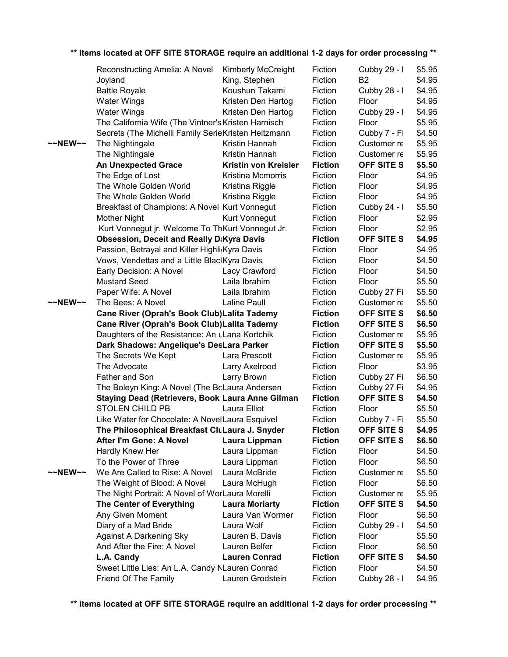|                     | Reconstructing Amelia: A Novel                      | <b>Kimberly McCreight</b> | Fiction        | Cubby 29 - I      | \$5.95 |
|---------------------|-----------------------------------------------------|---------------------------|----------------|-------------------|--------|
|                     | Joyland                                             | King, Stephen             | Fiction        | <b>B2</b>         | \$4.95 |
|                     | <b>Battle Royale</b>                                | Koushun Takami            | Fiction        | Cubby 28 - I      | \$4.95 |
|                     | <b>Water Wings</b>                                  | Kristen Den Hartog        | Fiction        | Floor             | \$4.95 |
|                     | <b>Water Wings</b>                                  | Kristen Den Hartog        | Fiction        | Cubby 29 - I      | \$4.95 |
|                     | The California Wife (The Vintner's Kristen Harnisch |                           | Fiction        | Floor             | \$5.95 |
|                     | Secrets (The Michelli Family SerieKristen Heitzmann |                           | Fiction        | Cubby 7 - Fi      | \$4.50 |
| $~\sim$ NEW $~\sim$ | The Nightingale                                     | Kristin Hannah            | Fiction        | Customer re       | \$5.95 |
|                     | The Nightingale                                     | Kristin Hannah            | Fiction        | Customer re       | \$5.95 |
|                     | <b>An Unexpected Grace</b>                          | Kristin von Kreisler      | <b>Fiction</b> | OFF SITE S        | \$5.50 |
|                     | The Edge of Lost                                    | Kristina Mcmorris         | Fiction        | Floor             | \$4.95 |
|                     | The Whole Golden World                              | Kristina Riggle           | Fiction        | Floor             | \$4.95 |
|                     | The Whole Golden World                              | Kristina Riggle           | Fiction        | Floor             | \$4.95 |
|                     | Breakfast of Champions: A Novel Kurt Vonnegut       |                           | Fiction        | Cubby 24 - I      | \$5.50 |
|                     | <b>Mother Night</b>                                 | Kurt Vonnegut             | Fiction        | Floor             | \$2.95 |
|                     | Kurt Vonnegut jr. Welcome To ThKurt Vonnegut Jr.    |                           | Fiction        | Floor             | \$2.95 |
|                     | <b>Obsession, Deceit and Really D:Kyra Davis</b>    |                           | <b>Fiction</b> | OFF SITE S        | \$4.95 |
|                     | Passion, Betrayal and Killer Highli Kyra Davis      |                           | Fiction        | Floor             | \$4.95 |
|                     | Vows, Vendettas and a Little Blackyra Davis         |                           | Fiction        | Floor             | \$4.50 |
|                     | Early Decision: A Novel                             | Lacy Crawford             | Fiction        | Floor             | \$4.50 |
|                     | <b>Mustard Seed</b>                                 | Laila Ibrahim             | Fiction        | Floor             | \$5.50 |
|                     | Paper Wife: A Novel                                 | Laila Ibrahim             | Fiction        | Cubby 27 Fi       | \$5.50 |
| $~\sim$ NEW $\sim$  | The Bees: A Novel                                   | Laline Paull              | Fiction        | Customer re       | \$5.50 |
|                     | Cane River (Oprah's Book Club) Lalita Tademy        |                           | <b>Fiction</b> | OFF SITE S        | \$6.50 |
|                     | Cane River (Oprah's Book Club) Lalita Tademy        |                           | <b>Fiction</b> | OFF SITE S        | \$6.50 |
|                     | Daughters of the Resistance: An uLana Kortchik      |                           | Fiction        | Customer re       | \$5.95 |
|                     | Dark Shadows: Angelique's DesLara Parker            |                           | <b>Fiction</b> | OFF SITE S        | \$5.50 |
|                     | The Secrets We Kept                                 | Lara Prescott             | Fiction        | Customer re       | \$5.95 |
|                     | The Advocate                                        | Larry Axelrood            | Fiction        | Floor             | \$3.95 |
|                     | Father and Son                                      | Larry Brown               | Fiction        | Cubby 27 Fi       | \$6.50 |
|                     | The Boleyn King: A Novel (The BcLaura Andersen      |                           | Fiction        | Cubby 27 Fi       | \$4.95 |
|                     | Staying Dead (Retrievers, Book Laura Anne Gilman    |                           | <b>Fiction</b> | OFF SITE S        | \$4.50 |
|                     | STOLEN CHILD PB                                     | Laura Elliot              | Fiction        | Floor             | \$5.50 |
|                     | Like Water for Chocolate: A NovelLaura Esquivel     |                           | Fiction        | Cubby 7 - Fi      | \$5.50 |
|                     | The Philosophical Breakfast CluLaura J. Snyder      |                           | <b>Fiction</b> | <b>OFF SITE S</b> | \$4.95 |
|                     | After I'm Gone: A Novel                             | Laura Lippman             | <b>Fiction</b> | OFF SITE S        | \$6.50 |
|                     | Hardly Knew Her                                     | Laura Lippman             | Fiction        | Floor             | \$4.50 |
|                     | To the Power of Three                               | Laura Lippman             | Fiction        | Floor             | \$6.50 |
| $~\sim$ NEW $~\sim$ | We Are Called to Rise: A Novel                      | Laura McBride             | Fiction        | Customer re       | \$5.50 |
|                     | The Weight of Blood: A Novel                        | Laura McHugh              | Fiction        | Floor             | \$6.50 |
|                     | The Night Portrait: A Novel of WorLaura Morelli     |                           | Fiction        | Customer re       | \$5.95 |
|                     | The Center of Everything                            | <b>Laura Moriarty</b>     | <b>Fiction</b> | <b>OFF SITE S</b> | \$4.50 |
|                     | Any Given Moment                                    | Laura Van Wormer          | Fiction        | Floor             | \$6.50 |
|                     | Diary of a Mad Bride                                | Laura Wolf                | Fiction        | Cubby 29 - I      | \$4.50 |
|                     | <b>Against A Darkening Sky</b>                      | Lauren B. Davis           | Fiction        | Floor             | \$5.50 |
|                     | And After the Fire: A Novel                         | Lauren Belfer             | Fiction        | Floor             | \$6.50 |
|                     | L.A. Candy                                          | <b>Lauren Conrad</b>      | <b>Fiction</b> | OFF SITE S        | \$4.50 |
|                     | Sweet Little Lies: An L.A. Candy NLauren Conrad     |                           | Fiction        | Floor             | \$4.50 |
|                     | Friend Of The Family                                | Lauren Grodstein          | Fiction        | Cubby 28 - I      | \$4.95 |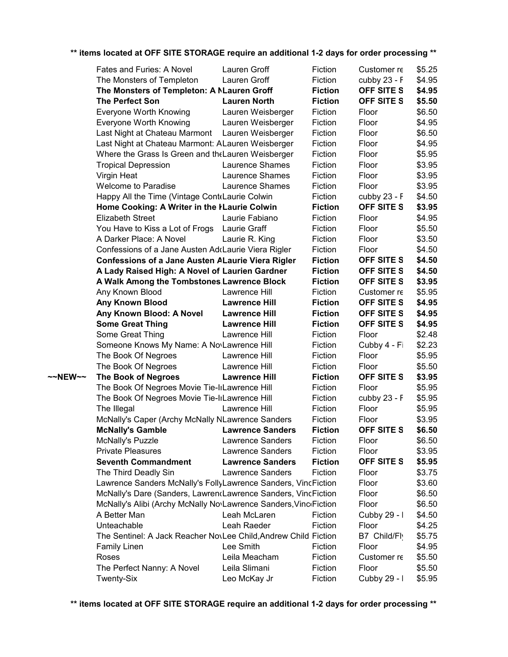|         | Fates and Furies: A Novel                                        | Lauren Groff            | Fiction        | Customer re       | \$5.25 |
|---------|------------------------------------------------------------------|-------------------------|----------------|-------------------|--------|
|         | The Monsters of Templeton                                        | Lauren Groff            | Fiction        | cubby $23 - F$    | \$4.95 |
|         | The Monsters of Templeton: A NLauren Groff                       |                         | <b>Fiction</b> | OFF SITE S        | \$4.95 |
|         | <b>The Perfect Son</b>                                           | <b>Lauren North</b>     | <b>Fiction</b> | OFF SITE S        | \$5.50 |
|         | <b>Everyone Worth Knowing</b>                                    | Lauren Weisberger       | Fiction        | Floor             | \$6.50 |
|         | Everyone Worth Knowing                                           | Lauren Weisberger       | Fiction        | Floor             | \$4.95 |
|         | Last Night at Chateau Marmont                                    | Lauren Weisberger       | Fiction        | Floor             | \$6.50 |
|         | Last Night at Chateau Marmont: ALauren Weisberger                |                         | Fiction        | Floor             | \$4.95 |
|         | Where the Grass Is Green and the Lauren Weisberger               |                         | Fiction        | Floor             | \$5.95 |
|         | <b>Tropical Depression</b>                                       | Laurence Shames         | Fiction        | Floor             | \$3.95 |
|         | Virgin Heat                                                      | Laurence Shames         | Fiction        | Floor             | \$3.95 |
|         | <b>Welcome to Paradise</b>                                       | Laurence Shames         | Fiction        | Floor             | \$3.95 |
|         | Happy All the Time (Vintage Cont Laurie Colwin                   |                         | Fiction        | cubby $23 - F$    | \$4.50 |
|         | Home Cooking: A Writer in the ILaurie Colwin                     |                         | <b>Fiction</b> | OFF SITE S        | \$3.95 |
|         | <b>Elizabeth Street</b>                                          | Laurie Fabiano          | Fiction        | Floor             | \$4.95 |
|         | You Have to Kiss a Lot of Frogs                                  | Laurie Graff            | Fiction        | Floor             | \$5.50 |
|         | A Darker Place: A Novel                                          | Laurie R. King          | Fiction        | Floor             | \$3.50 |
|         | Confessions of a Jane Austen Ad Laurie Viera Rigler              |                         | Fiction        | Floor             | \$4.50 |
|         | <b>Confessions of a Jane Austen ALaurie Viera Rigler</b>         |                         | <b>Fiction</b> | OFF SITE S        | \$4.50 |
|         | A Lady Raised High: A Novel of Laurien Gardner                   |                         | <b>Fiction</b> | OFF SITE S        | \$4.50 |
|         | A Walk Among the Tombstones Lawrence Block                       |                         | <b>Fiction</b> | OFF SITE S        | \$3.95 |
|         | Any Known Blood                                                  | Lawrence Hill           | Fiction        | Customer re       | \$5.95 |
|         | Any Known Blood                                                  | <b>Lawrence Hill</b>    | <b>Fiction</b> | OFF SITE S        | \$4.95 |
|         | Any Known Blood: A Novel                                         | <b>Lawrence Hill</b>    | <b>Fiction</b> | OFF SITE S        | \$4.95 |
|         | <b>Some Great Thing</b>                                          | <b>Lawrence Hill</b>    | <b>Fiction</b> | <b>OFF SITE S</b> | \$4.95 |
|         | Some Great Thing                                                 | Lawrence Hill           | Fiction        | Floor             | \$2.48 |
|         | Someone Knows My Name: A No\Lawrence Hill                        |                         | Fiction        | Cubby 4 - Fi      | \$2.23 |
|         | The Book Of Negroes                                              | Lawrence Hill           | Fiction        | Floor             | \$5.95 |
|         | The Book Of Negroes                                              | Lawrence Hill           | Fiction        | Floor             | \$5.50 |
| ~~NEW~~ | <b>The Book of Negroes</b>                                       | <b>Lawrence Hill</b>    | <b>Fiction</b> | <b>OFF SITE S</b> | \$3.95 |
|         | The Book Of Negroes Movie Tie-lıLawrence Hill                    |                         | Fiction        | Floor             | \$5.95 |
|         | The Book Of Negroes Movie Tie-IrLawrence Hill                    |                         | Fiction        | cubby 23 - F      | \$5.95 |
|         | The Illegal                                                      | Lawrence Hill           | Fiction        | Floor             | \$5.95 |
|         | McNally's Caper (Archy McNally NLawrence Sanders                 |                         | Fiction        | Floor             | \$3.95 |
|         | <b>McNally's Gamble</b>                                          | <b>Lawrence Sanders</b> | <b>Fiction</b> | <b>OFF SITE S</b> | \$6.50 |
|         | <b>McNally's Puzzle</b>                                          | <b>Lawrence Sanders</b> | Fiction        | Floor             | \$6.50 |
|         | <b>Private Pleasures</b>                                         | <b>Lawrence Sanders</b> | Fiction        | Floor             | \$3.95 |
|         | <b>Seventh Commandment</b>                                       | <b>Lawrence Sanders</b> | <b>Fiction</b> | OFF SITE S        | \$5.95 |
|         | The Third Deadly Sin                                             | Lawrence Sanders        | Fiction        | Floor             | \$3.75 |
|         | Lawrence Sanders McNally's FollyLawrence Sanders, VincFiction    |                         |                | Floor             | \$3.60 |
|         | McNally's Dare (Sanders, LawrencLawrence Sanders, VincFiction    |                         |                | Floor             | \$6.50 |
|         | McNally's Alibi (Archy McNally No\Lawrence Sanders, Vinc Fiction |                         |                | Floor             | \$6.50 |
|         | A Better Man                                                     | Leah McLaren            | Fiction        | Cubby 29 - I      | \$4.50 |
|         | Unteachable                                                      | Leah Raeder             | Fiction        | Floor             | \$4.25 |
|         | The Sentinel: A Jack Reacher NovLee Child, Andrew Child Fiction  |                         |                | B7 Child/Fly      | \$5.75 |
|         | <b>Family Linen</b>                                              | Lee Smith               | Fiction        | Floor             | \$4.95 |
|         | Roses                                                            | Leila Meacham           | Fiction        | Customer re       | \$5.50 |
|         | The Perfect Nanny: A Novel                                       | Leila Slimani           | Fiction        | Floor             | \$5.50 |
|         | Twenty-Six                                                       | Leo McKay Jr            | Fiction        | Cubby 29 - I      | \$5.95 |
|         |                                                                  |                         |                |                   |        |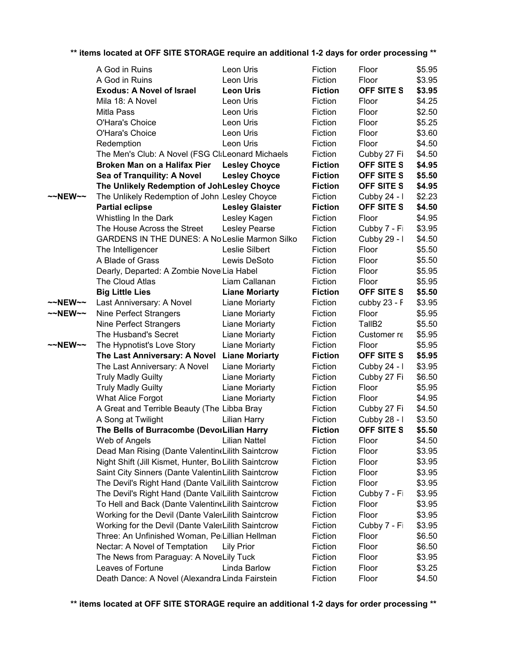| ** items located at OFF SITE STORAGE require an additional 1-2 days for order processing ** |  |
|---------------------------------------------------------------------------------------------|--|
|---------------------------------------------------------------------------------------------|--|

|         | A God in Ruins                                        | Leon Uris              | Fiction        | Floor              | \$5.95 |
|---------|-------------------------------------------------------|------------------------|----------------|--------------------|--------|
|         | A God in Ruins                                        | Leon Uris              | Fiction        | Floor              | \$3.95 |
|         | <b>Exodus: A Novel of Israel</b>                      | <b>Leon Uris</b>       | <b>Fiction</b> | OFF SITE S         | \$3.95 |
|         | Mila 18: A Novel                                      | Leon Uris              | Fiction        | Floor              | \$4.25 |
|         | Mitla Pass                                            | Leon Uris              | Fiction        | Floor              | \$2.50 |
|         | O'Hara's Choice                                       | Leon Uris              | Fiction        | Floor              | \$5.25 |
|         | O'Hara's Choice                                       | Leon Uris              | Fiction        | Floor              | \$3.60 |
|         | Redemption                                            | Leon Uris              | Fiction        | Floor              | \$4.50 |
|         | The Men's Club: A Novel (FSG CliLeonard Michaels      |                        | Fiction        | Cubby 27 Fi        | \$4.50 |
|         | Broken Man on a Halifax Pier                          | <b>Lesley Choyce</b>   | <b>Fiction</b> | OFF SITE S         | \$4.95 |
|         | Sea of Tranquility: A Novel                           | <b>Lesley Choyce</b>   | <b>Fiction</b> | OFF SITE S         | \$5.50 |
|         | The Unlikely Redemption of JohLesley Choyce           |                        | <b>Fiction</b> | OFF SITE S         | \$4.95 |
| ~~NEW~~ | The Unlikely Redemption of John Lesley Choyce         |                        | Fiction        | Cubby 24 - I       | \$2.23 |
|         | <b>Partial eclipse</b>                                | <b>Lesley Glaister</b> | <b>Fiction</b> | <b>OFF SITE S</b>  | \$4.50 |
|         | Whistling In the Dark                                 | Lesley Kagen           | Fiction        | Floor              | \$4.95 |
|         | The House Across the Street                           | Lesley Pearse          | Fiction        | Cubby 7 - Fi       | \$3.95 |
|         | <b>GARDENS IN THE DUNES: A No Leslie Marmon Silko</b> |                        | Fiction        | Cubby 29 - I       | \$4.50 |
|         | The Intelligencer                                     | Leslie Silbert         | Fiction        | Floor              | \$5.50 |
|         | A Blade of Grass                                      | Lewis DeSoto           | Fiction        | Floor              | \$5.50 |
|         | Dearly, Departed: A Zombie NovelLia Habel             |                        | Fiction        | Floor              | \$5.95 |
|         | The Cloud Atlas                                       | Liam Callanan          | Fiction        | Floor              | \$5.95 |
|         | <b>Big Little Lies</b>                                | <b>Liane Moriarty</b>  | <b>Fiction</b> | OFF SITE S         | \$5.50 |
| ~~NEW~~ | Last Anniversary: A Novel                             | Liane Moriarty         | Fiction        | cubby 23 - F       | \$3.95 |
| ~~NEW~~ | Nine Perfect Strangers                                | Liane Moriarty         | Fiction        | Floor              | \$5.95 |
|         | Nine Perfect Strangers                                | Liane Moriarty         | Fiction        | TallB <sub>2</sub> | \$5.50 |
|         | The Husband's Secret                                  | Liane Moriarty         | Fiction        | Customer re        | \$5.95 |
| ~~NEW~~ | The Hypnotist's Love Story                            | Liane Moriarty         | Fiction        | Floor              | \$5.95 |
|         | The Last Anniversary: A Novel Liane Moriarty          |                        | <b>Fiction</b> | OFF SITE S         | \$5.95 |
|         | The Last Anniversary: A Novel                         | Liane Moriarty         | Fiction        | Cubby 24 - I       | \$3.95 |
|         | <b>Truly Madly Guilty</b>                             | Liane Moriarty         | Fiction        | Cubby 27 Fi        | \$6.50 |
|         | <b>Truly Madly Guilty</b>                             | Liane Moriarty         | Fiction        | Floor              | \$5.95 |
|         | <b>What Alice Forgot</b>                              | Liane Moriarty         | Fiction        | Floor              | \$4.95 |
|         | A Great and Terrible Beauty (The Libba Bray           |                        | Fiction        | Cubby 27 Fi        | \$4.50 |
|         | A Song at Twilight                                    | Lilian Harry           | Fiction        | Cubby 28 - I       | \$3.50 |
|         | The Bells of Burracombe (DevoiLilian Harry            |                        | <b>Fiction</b> | <b>OFF SITE S</b>  | \$5.50 |
|         | Web of Angels                                         | <b>Lilian Nattel</b>   | Fiction        | Floor              | \$4.50 |
|         | Dead Man Rising (Dante Valentin (Lilith Saintcrow     |                        | Fiction        | Floor              | \$3.95 |
|         | Night Shift (Jill Kismet, Hunter, Bo Lilith Saintcrow |                        | Fiction        | Floor              | \$3.95 |
|         | Saint City Sinners (Dante Valentin Lilith Saintcrow   |                        | Fiction        | Floor              | \$3.95 |
|         | The Devil's Right Hand (Dante ValLilith Saintcrow     |                        | Fiction        | Floor              | \$3.95 |
|         | The Devil's Right Hand (Dante ValLilith Saintcrow     |                        | Fiction        | Cubby 7 - Fi       | \$3.95 |
|         | To Hell and Back (Dante ValentineLilith Saintcrow     |                        | Fiction        | Floor              | \$3.95 |
|         | Working for the Devil (Dante ValerLilith Saintcrow    |                        | Fiction        | Floor              | \$3.95 |
|         | Working for the Devil (Dante ValerLilith Saintcrow    |                        | Fiction        | Cubby 7 - Fi       | \$3.95 |
|         | Three: An Unfinished Woman, PelLillian Hellman        |                        | Fiction        | Floor              | \$6.50 |
|         | Nectar: A Novel of Temptation                         | Lily Prior             | Fiction        | Floor              | \$6.50 |
|         | The News from Paraguay: A NoveLily Tuck               |                        | Fiction        | Floor              | \$3.95 |
|         | Leaves of Fortune                                     | Linda Barlow           | Fiction        | Floor              | \$3.25 |
|         | Death Dance: A Novel (Alexandra Linda Fairstein       |                        | Fiction        | Floor              | \$4.50 |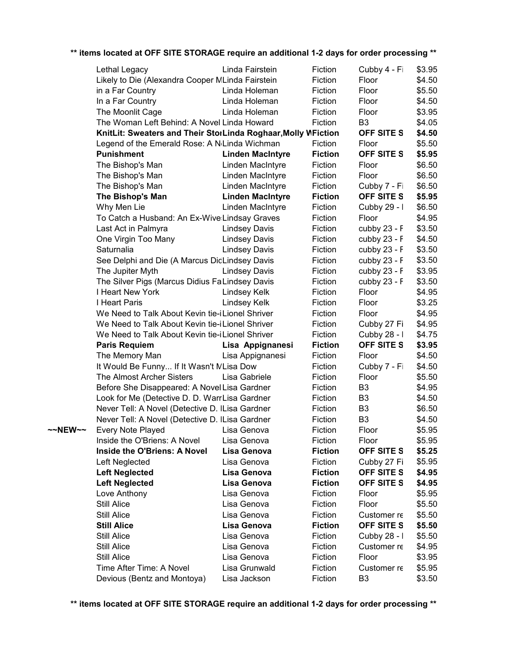|         | Lethal Legacy                                                 | Linda Fairstein         | Fiction        | Cubby 4 - Fi      | \$3.95 |
|---------|---------------------------------------------------------------|-------------------------|----------------|-------------------|--------|
|         | Likely to Die (Alexandra Cooper MLinda Fairstein              |                         | Fiction        | Floor             | \$4.50 |
|         | in a Far Country                                              | Linda Holeman           | Fiction        | Floor             | \$5.50 |
|         | In a Far Country                                              | Linda Holeman           | Fiction        | Floor             | \$4.50 |
|         | The Moonlit Cage                                              | Linda Holeman           | Fiction        | Floor             | \$3.95 |
|         | The Woman Left Behind: A Novel Linda Howard                   |                         | Fiction        | B <sub>3</sub>    | \$4.05 |
|         | KnitLit: Sweaters and Their StorLinda Roghaar, Molly WFiction |                         |                | OFF SITE S        | \$4.50 |
|         | Legend of the Emerald Rose: A N <sub>'Linda</sub> Wichman     |                         | Fiction        | Floor             | \$5.50 |
|         | <b>Punishment</b>                                             | <b>Linden MacIntyre</b> | <b>Fiction</b> | <b>OFF SITE S</b> | \$5.95 |
|         | The Bishop's Man                                              | Linden MacIntyre        | Fiction        | Floor             | \$6.50 |
|         | The Bishop's Man                                              | Linden MacIntyre        | Fiction        | Floor             | \$6.50 |
|         | The Bishop's Man                                              | Linden MacIntyre        | Fiction        | Cubby 7 - Fi      | \$6.50 |
|         | The Bishop's Man                                              | <b>Linden MacIntyre</b> | <b>Fiction</b> | OFF SITE S        | \$5.95 |
|         | Why Men Lie                                                   | Linden MacIntyre        | Fiction        | Cubby 29 - I      | \$6.50 |
|         | To Catch a Husband: An Ex-Wive:Lindsay Graves                 |                         | Fiction        | Floor             | \$4.95 |
|         | Last Act in Palmyra                                           | <b>Lindsey Davis</b>    | Fiction        | cubby 23 - F      | \$3.50 |
|         | One Virgin Too Many                                           | <b>Lindsey Davis</b>    | Fiction        | cubby 23 - F      | \$4.50 |
|         | Saturnalia                                                    | <b>Lindsey Davis</b>    | Fiction        | cubby 23 - F      | \$3.50 |
|         | See Delphi and Die (A Marcus DidLindsey Davis                 |                         | Fiction        | cubby 23 - F      | \$3.50 |
|         | The Jupiter Myth                                              | <b>Lindsey Davis</b>    | Fiction        | cubby 23 - F      | \$3.95 |
|         | The Silver Pigs (Marcus Didius FaLindsey Davis                |                         | Fiction        | cubby 23 - F      | \$3.50 |
|         | I Heart New York                                              | Lindsey Kelk            | Fiction        | Floor             | \$4.95 |
|         | I Heart Paris                                                 | Lindsey Kelk            | Fiction        | Floor             | \$3.25 |
|         | We Need to Talk About Kevin tie-i Lionel Shriver              |                         | Fiction        | Floor             | \$4.95 |
|         | We Need to Talk About Kevin tie-i Lionel Shriver              |                         | Fiction        | Cubby 27 Fi       | \$4.95 |
|         | We Need to Talk About Kevin tie-i Lionel Shriver              |                         | Fiction        | Cubby 28 - I      | \$4.75 |
|         | <b>Paris Requiem</b>                                          | Lisa Appignanesi        | <b>Fiction</b> | OFF SITE S        | \$3.95 |
|         | The Memory Man                                                | Lisa Appignanesi        | Fiction        | Floor             | \$4.50 |
|         | It Would Be Funny If It Wasn't MLisa Dow                      |                         | Fiction        | Cubby 7 - Fi      | \$4.50 |
|         | The Almost Archer Sisters                                     | Lisa Gabriele           | Fiction        | Floor             | \$5.50 |
|         | Before She Disappeared: A Novel Lisa Gardner                  |                         | Fiction        | B <sub>3</sub>    | \$4.95 |
|         | Look for Me (Detective D. D. WarrLisa Gardner                 |                         | Fiction        | B <sub>3</sub>    | \$4.50 |
|         | Never Tell: A Novel (Detective D. ILisa Gardner               |                         | Fiction        | B <sub>3</sub>    | \$6.50 |
|         | Never Tell: A Novel (Detective D. ILisa Gardner               |                         | Fiction        | B <sub>3</sub>    | \$4.50 |
| ~~NEW~~ | Every Note Played                                             | Lisa Genova             | Fiction        | Floor             | \$5.95 |
|         | Inside the O'Briens: A Novel                                  | Lisa Genova             | Fiction        | Floor             | \$5.95 |
|         | Inside the O'Briens: A Novel                                  | <b>Lisa Genova</b>      | <b>Fiction</b> | OFF SITE S        | \$5.25 |
|         | Left Neglected                                                | Lisa Genova             | Fiction        | Cubby 27 Fi       | \$5.95 |
|         | <b>Left Neglected</b>                                         | Lisa Genova             | <b>Fiction</b> | <b>OFF SITE S</b> | \$4.95 |
|         | <b>Left Neglected</b>                                         | Lisa Genova             | <b>Fiction</b> | OFF SITE S        | \$4.95 |
|         | Love Anthony                                                  | Lisa Genova             | Fiction        | Floor             | \$5.95 |
|         | Still Alice                                                   | Lisa Genova             | Fiction        | Floor             | \$5.50 |
|         | <b>Still Alice</b>                                            | Lisa Genova             | Fiction        | Customer re       | \$5.50 |
|         | <b>Still Alice</b>                                            | Lisa Genova             | <b>Fiction</b> | OFF SITE S        | \$5.50 |
|         | <b>Still Alice</b>                                            | Lisa Genova             | Fiction        | Cubby 28 - I      | \$5.50 |
|         | <b>Still Alice</b>                                            | Lisa Genova             | Fiction        | Customer re       | \$4.95 |
|         | <b>Still Alice</b>                                            | Lisa Genova             | Fiction        | Floor             | \$3.95 |
|         | Time After Time: A Novel                                      | Lisa Grunwald           | Fiction        | Customer re       | \$5.95 |
|         | Devious (Bentz and Montoya)                                   | Lisa Jackson            | Fiction        | B <sub>3</sub>    | \$3.50 |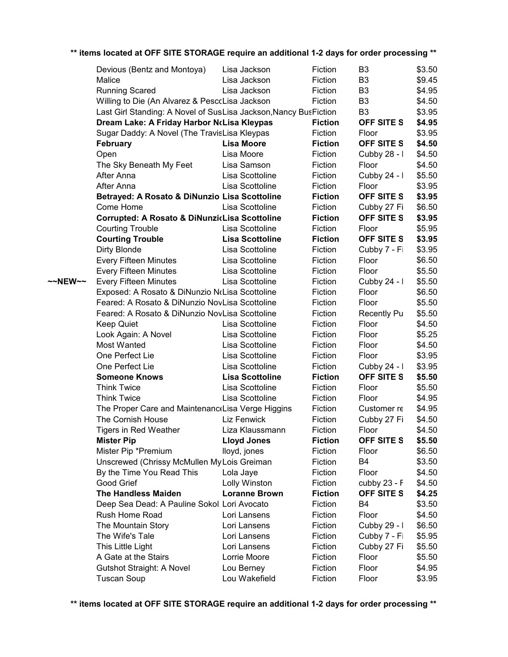|         | Devious (Bentz and Montoya)                                      | Lisa Jackson           | Fiction        | B <sub>3</sub>    | \$3.50 |
|---------|------------------------------------------------------------------|------------------------|----------------|-------------------|--------|
|         | Malice                                                           | Lisa Jackson           | Fiction        | B <sub>3</sub>    | \$9.45 |
|         | <b>Running Scared</b>                                            | Lisa Jackson           | Fiction        | B <sub>3</sub>    | \$4.95 |
|         | Willing to Die (An Alvarez & PesccLisa Jackson                   |                        | Fiction        | B <sub>3</sub>    | \$4.50 |
|         | Last Girl Standing: A Novel of SusLisa Jackson, Nancy BusFiction |                        |                | B <sub>3</sub>    | \$3.95 |
|         | Dream Lake: A Friday Harbor NcLisa Kleypas                       |                        | <b>Fiction</b> | OFF SITE S        | \$4.95 |
|         | Sugar Daddy: A Novel (The TravisLisa Kleypas                     |                        | Fiction        | Floor             | \$3.95 |
|         | <b>February</b>                                                  | <b>Lisa Moore</b>      | <b>Fiction</b> | OFF SITE S        | \$4.50 |
|         | Open                                                             | Lisa Moore             | Fiction        | Cubby 28 - I      | \$4.50 |
|         | The Sky Beneath My Feet                                          | Lisa Samson            | Fiction        | Floor             | \$4.50 |
|         | After Anna                                                       | Lisa Scottoline        | Fiction        | Cubby 24 - I      | \$5.50 |
|         | After Anna                                                       | Lisa Scottoline        | Fiction        | Floor             | \$3.95 |
|         | Betrayed: A Rosato & DiNunzio Lisa Scottoline                    |                        | <b>Fiction</b> | OFF SITE S        | \$3.95 |
|         | Come Home                                                        | Lisa Scottoline        | Fiction        | Cubby 27 Fi       | \$6.50 |
|         | Corrupted: A Rosato & DiNunzicLisa Scottoline                    |                        | <b>Fiction</b> | OFF SITE S        | \$3.95 |
|         | <b>Courting Trouble</b>                                          | Lisa Scottoline        | Fiction        | Floor             | \$5.95 |
|         | <b>Courting Trouble</b>                                          | <b>Lisa Scottoline</b> | <b>Fiction</b> | <b>OFF SITE S</b> | \$3.95 |
|         | Dirty Blonde                                                     | Lisa Scottoline        | Fiction        | Cubby 7 - Fi      | \$3.95 |
|         | Every Fifteen Minutes                                            | Lisa Scottoline        | Fiction        | Floor             | \$6.50 |
|         | Every Fifteen Minutes                                            | Lisa Scottoline        | Fiction        | Floor             | \$5.50 |
| ~~NEW~~ | <b>Every Fifteen Minutes</b>                                     | Lisa Scottoline        | Fiction        | Cubby 24 - I      | \$5.50 |
|         | Exposed: A Rosato & DiNunzio NoLisa Scottoline                   |                        | Fiction        | Floor             | \$6.50 |
|         | Feared: A Rosato & DiNunzio NovLisa Scottoline                   |                        | Fiction        | Floor             | \$5.50 |
|         | Feared: A Rosato & DiNunzio NovLisa Scottoline                   |                        | Fiction        | Recently Pu       | \$5.50 |
|         | <b>Keep Quiet</b>                                                | Lisa Scottoline        | Fiction        | Floor             | \$4.50 |
|         | Look Again: A Novel                                              | Lisa Scottoline        | Fiction        | Floor             | \$5.25 |
|         | Most Wanted                                                      | Lisa Scottoline        | Fiction        | Floor             | \$4.50 |
|         | One Perfect Lie                                                  | Lisa Scottoline        | Fiction        | Floor             | \$3.95 |
|         | One Perfect Lie                                                  | Lisa Scottoline        | Fiction        | Cubby 24 - I      | \$3.95 |
|         | <b>Someone Knows</b>                                             | <b>Lisa Scottoline</b> | <b>Fiction</b> | OFF SITE S        | \$5.50 |
|         | <b>Think Twice</b>                                               | Lisa Scottoline        | Fiction        | Floor             | \$5.50 |
|         | <b>Think Twice</b>                                               | Lisa Scottoline        | Fiction        | Floor             | \$4.95 |
|         | The Proper Care and Maintenanc Lisa Verge Higgins                |                        | Fiction        | Customer re       | \$4.95 |
|         | The Cornish House                                                | Liz Fenwick            | Fiction        | Cubby 27 Fi       | \$4.50 |
|         | <b>Tigers in Red Weather</b>                                     | Liza Klaussmann        | Fiction        | Floor             | \$4.50 |
|         | <b>Mister Pip</b>                                                | <b>Lloyd Jones</b>     | <b>Fiction</b> | OFF SITE S        | \$5.50 |
|         | Mister Pip *Premium                                              | lloyd, jones           | Fiction        | Floor             | \$6.50 |
|         | Unscrewed (Chrissy McMullen My Lois Greiman                      |                        | Fiction        | B4                | \$3.50 |
|         | By the Time You Read This                                        | Lola Jaye              | Fiction        | Floor             | \$4.50 |
|         | Good Grief                                                       | Lolly Winston          | Fiction        | cubby $23 - F$    | \$4.50 |
|         | <b>The Handless Maiden</b>                                       | <b>Loranne Brown</b>   | <b>Fiction</b> | <b>OFF SITE S</b> |        |
|         |                                                                  |                        |                |                   | \$4.25 |
|         | Deep Sea Dead: A Pauline Sokol Lori Avocato                      |                        | Fiction        | B4                | \$3.50 |
|         | Rush Home Road                                                   | Lori Lansens           | Fiction        | Floor             | \$4.50 |
|         | The Mountain Story                                               | Lori Lansens           | Fiction        | Cubby 29 - I      | \$6.50 |
|         | The Wife's Tale                                                  | Lori Lansens           | Fiction        | Cubby 7 - Fi      | \$5.95 |
|         | This Little Light                                                | Lori Lansens           | Fiction        | Cubby 27 Fi       | \$5.50 |
|         | A Gate at the Stairs                                             | Lorrie Moore           | Fiction        | Floor             | \$5.50 |
|         | <b>Gutshot Straight: A Novel</b>                                 | Lou Berney             | Fiction        | Floor             | \$4.95 |
|         | <b>Tuscan Soup</b>                                               | Lou Wakefield          | Fiction        | Floor             | \$3.95 |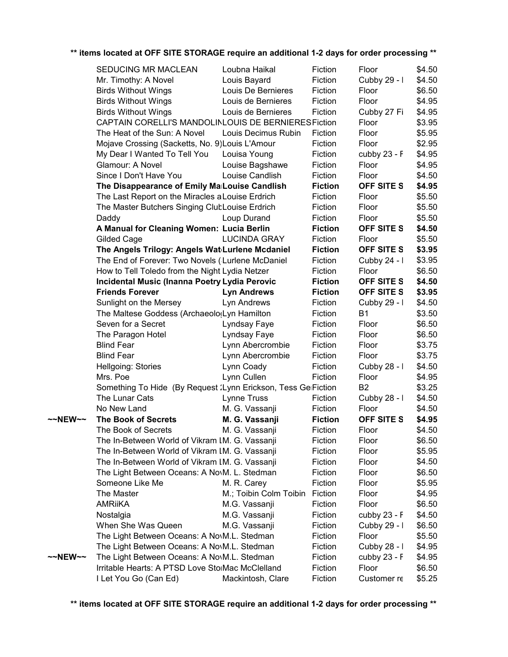|         | SEDUCING MR MACLEAN                                            | Loubna Haikal          | Fiction        | Floor             | \$4.50 |
|---------|----------------------------------------------------------------|------------------------|----------------|-------------------|--------|
|         | Mr. Timothy: A Novel                                           | Louis Bayard           | Fiction        | Cubby 29 - I      | \$4.50 |
|         | <b>Birds Without Wings</b>                                     | Louis De Bernieres     | Fiction        | Floor             | \$6.50 |
|         | <b>Birds Without Wings</b>                                     | Louis de Bernieres     | Fiction        | Floor             | \$4.95 |
|         | <b>Birds Without Wings</b>                                     | Louis de Bernieres     | Fiction        | Cubby 27 Fi       | \$4.95 |
|         | CAPTAIN CORELLI'S MANDOLINLOUIS DE BERNIERESFiction            |                        |                | Floor             | \$3.95 |
|         | The Heat of the Sun: A Novel                                   | Louis Decimus Rubin    | Fiction        | Floor             | \$5.95 |
|         | Mojave Crossing (Sacketts, No. 9) Louis L'Amour                |                        | Fiction        | Floor             | \$2.95 |
|         | My Dear I Wanted To Tell You                                   | Louisa Young           | Fiction        | cubby 23 - F      | \$4.95 |
|         | Glamour: A Novel                                               | Louise Bagshawe        | Fiction        | Floor             | \$4.95 |
|         | Since I Don't Have You                                         | Louise Candlish        | Fiction        | Floor             | \$4.50 |
|         | The Disappearance of Emily Ma Louise Candlish                  |                        | <b>Fiction</b> | OFF SITE S        | \$4.95 |
|         | The Last Report on the Miracles a Louise Erdrich               |                        | Fiction        | Floor             | \$5.50 |
|         | The Master Butchers Singing ClubLouise Erdrich                 |                        | Fiction        | Floor             | \$5.50 |
|         |                                                                | Loup Durand            | Fiction        | Floor             | \$5.50 |
|         | Daddy<br>A Manual for Cleaning Women: Lucia Berlin             |                        | <b>Fiction</b> | <b>OFF SITE S</b> | \$4.50 |
|         |                                                                | <b>LUCINDA GRAY</b>    | Fiction        |                   | \$5.50 |
|         | Gilded Cage                                                    |                        | <b>Fiction</b> | Floor             |        |
|         | The Angels Trilogy: Angels Wat Lurlene Mcdaniel                |                        |                | OFF SITE S        | \$3.95 |
|         | The End of Forever: Two Novels ('Lurlene McDaniel              |                        | Fiction        | Cubby 24 - I      | \$3.95 |
|         | How to Tell Toledo from the Night Lydia Netzer                 |                        | Fiction        | Floor             | \$6.50 |
|         | Incidental Music (Inanna Poetry Lydia Perovic                  |                        | <b>Fiction</b> | OFF SITE S        | \$4.50 |
|         | <b>Friends Forever</b>                                         | <b>Lyn Andrews</b>     | <b>Fiction</b> | OFF SITE S        | \$3.95 |
|         | Sunlight on the Mersey                                         | Lyn Andrews            | Fiction        | Cubby 29 - I      | \$4.50 |
|         | The Maltese Goddess (Archaeolo(Lyn Hamilton                    |                        | Fiction        | <b>B1</b>         | \$3.50 |
|         | Seven for a Secret                                             | Lyndsay Faye           | Fiction        | Floor             | \$6.50 |
|         | The Paragon Hotel                                              | Lyndsay Faye           | Fiction        | Floor             | \$6.50 |
|         | <b>Blind Fear</b>                                              | Lynn Abercrombie       | Fiction        | Floor             | \$3.75 |
|         | <b>Blind Fear</b>                                              | Lynn Abercrombie       | Fiction        | Floor             | \$3.75 |
|         | Hellgoing: Stories                                             | Lynn Coady             | Fiction        | Cubby 28 - I      | \$4.50 |
|         | Mrs. Poe                                                       | Lynn Cullen            | Fiction        | Floor             | \$4.95 |
|         | Something To Hide (By Request : Lynn Erickson, Tess GelFiction |                        |                | B <sub>2</sub>    | \$3.25 |
|         | The Lunar Cats                                                 | Lynne Truss            | Fiction        | Cubby 28 - I      | \$4.50 |
|         | No New Land                                                    | M. G. Vassanji         | Fiction        | Floor             | \$4.50 |
| ~~NEW~~ | <b>The Book of Secrets</b>                                     | M. G. Vassanji         | <b>Fiction</b> | OFF SITE S        | \$4.95 |
|         | The Book of Secrets                                            | M. G. Vassanji         | Fiction        | Floor             | \$4.50 |
|         | The In-Between World of Vikram IM. G. Vassanji                 |                        | Fiction        | Floor             | \$6.50 |
|         | The In-Between World of Vikram IM. G. Vassanji                 |                        | Fiction        | Floor             | \$5.95 |
|         | The In-Between World of Vikram IM. G. Vassanji                 |                        | Fiction        | Floor             | \$4.50 |
|         | The Light Between Oceans: A NovM. L. Stedman                   |                        | Fiction        | Floor             | \$6.50 |
|         | Someone Like Me                                                | M. R. Carey            | Fiction        | Floor             | \$5.95 |
|         | The Master                                                     | M.; Toibin Colm Toibin | Fiction        | Floor             | \$4.95 |
|         | <b>AMRIIKA</b>                                                 | M.G. Vassanji          | Fiction        | Floor             | \$6.50 |
|         | Nostalgia                                                      | M.G. Vassanji          | Fiction        | cubby 23 - F      | \$4.50 |
|         | When She Was Queen                                             | M.G. Vassanji          | Fiction        | Cubby 29 - I      | \$6.50 |
|         | The Light Between Oceans: A No\M.L. Stedman                    |                        | Fiction        | Floor             | \$5.50 |
|         | The Light Between Oceans: A No.M.L. Stedman                    |                        | Fiction        | Cubby 28 - I      | \$4.95 |
| ~~NEW~~ | The Light Between Oceans: A NovM.L. Stedman                    |                        | Fiction        | cubby 23 - F      | \$4.95 |
|         | Irritable Hearts: A PTSD Love StoiMac McClelland               |                        | Fiction        | Floor             | \$6.50 |
|         | I Let You Go (Can Ed)                                          | Mackintosh, Clare      | Fiction        | Customer re       | \$5.25 |
|         |                                                                |                        |                |                   |        |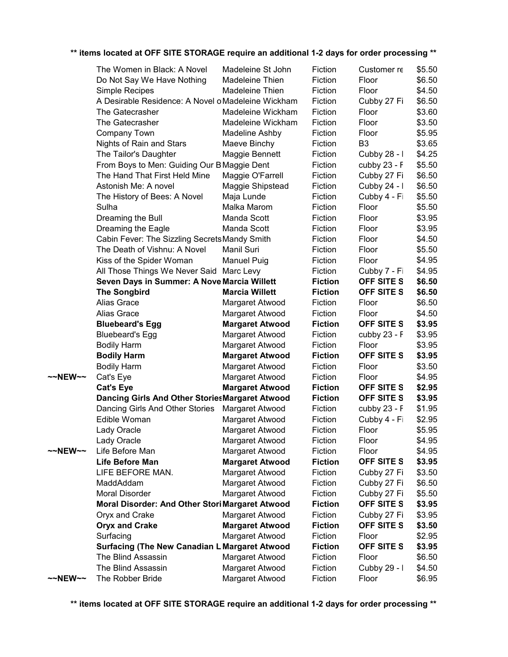|         | The Women in Black: A Novel                        | Madeleine St John      | Fiction        | Customer re       | \$5.50 |
|---------|----------------------------------------------------|------------------------|----------------|-------------------|--------|
|         | Do Not Say We Have Nothing                         | Madeleine Thien        | Fiction        | Floor             | \$6.50 |
|         | Simple Recipes                                     | Madeleine Thien        | Fiction        | Floor             | \$4.50 |
|         | A Desirable Residence: A Novel o Madeleine Wickham |                        | Fiction        | Cubby 27 Fi       | \$6.50 |
|         | The Gatecrasher                                    | Madeleine Wickham      | Fiction        | Floor             | \$3.60 |
|         | The Gatecrasher                                    | Madeleine Wickham      | Fiction        | Floor             | \$3.50 |
|         | Company Town                                       | Madeline Ashby         | Fiction        | Floor             | \$5.95 |
|         | Nights of Rain and Stars                           | Maeve Binchy           | Fiction        | B <sub>3</sub>    | \$3.65 |
|         | The Tailor's Daughter                              | Maggie Bennett         | Fiction        | Cubby 28 - I      | \$4.25 |
|         | From Boys to Men: Guiding Our B Maggie Dent        |                        | Fiction        | cubby 23 - F      | \$5.50 |
|         | The Hand That First Held Mine                      | Maggie O'Farrell       | Fiction        | Cubby 27 Fi       | \$6.50 |
|         | Astonish Me: A novel                               | Maggie Shipstead       | Fiction        | Cubby 24 - I      | \$6.50 |
|         | The History of Bees: A Novel                       | Maja Lunde             | Fiction        | Cubby 4 - Fi      | \$5.50 |
|         | Sulha                                              | Malka Marom            | Fiction        | Floor             | \$5.50 |
|         | Dreaming the Bull                                  | Manda Scott            | Fiction        | Floor             | \$3.95 |
|         | Dreaming the Eagle                                 | Manda Scott            | Fiction        | Floor             | \$3.95 |
|         | Cabin Fever: The Sizzling Secrets Mandy Smith      |                        | Fiction        | Floor             | \$4.50 |
|         | The Death of Vishnu: A Novel                       | Manil Suri             | Fiction        | Floor             | \$5.50 |
|         | Kiss of the Spider Woman                           | <b>Manuel Puig</b>     | Fiction        | Floor             | \$4.95 |
|         | All Those Things We Never Said Marc Levy           |                        | Fiction        | Cubby 7 - Fi      | \$4.95 |
|         | Seven Days in Summer: A Nove Marcia Willett        |                        | <b>Fiction</b> | OFF SITE S        | \$6.50 |
|         | <b>The Songbird</b>                                | <b>Marcia Willett</b>  | <b>Fiction</b> | OFF SITE S        | \$6.50 |
|         | Alias Grace                                        | Margaret Atwood        | Fiction        | Floor             | \$6.50 |
|         | Alias Grace                                        | Margaret Atwood        | Fiction        | Floor             | \$4.50 |
|         | <b>Bluebeard's Egg</b>                             | <b>Margaret Atwood</b> | <b>Fiction</b> | <b>OFF SITE S</b> | \$3.95 |
|         | <b>Bluebeard's Egg</b>                             | Margaret Atwood        | Fiction        | cubby 23 - F      | \$3.95 |
|         | <b>Bodily Harm</b>                                 | Margaret Atwood        | Fiction        | Floor             | \$3.95 |
|         | <b>Bodily Harm</b>                                 | <b>Margaret Atwood</b> | <b>Fiction</b> | <b>OFF SITE S</b> | \$3.95 |
|         | <b>Bodily Harm</b>                                 | Margaret Atwood        | Fiction        | Floor             | \$3.50 |
| ~~NEW~~ | Cat's Eye                                          | Margaret Atwood        | Fiction        | Floor             | \$4.95 |
|         | <b>Cat's Eye</b>                                   | <b>Margaret Atwood</b> | <b>Fiction</b> | OFF SITE S        | \$2.95 |
|         | Dancing Girls And Other StoriesMargaret Atwood     |                        | <b>Fiction</b> | OFF SITE S        | \$3.95 |
|         | Dancing Girls And Other Stories                    | Margaret Atwood        | Fiction        | cubby 23 - F      | \$1.95 |
|         | Edible Woman                                       | Margaret Atwood        | Fiction        | Cubby 4 - Fi      | \$2.95 |
|         | Lady Oracle                                        | Margaret Atwood        | Fiction        | Floor             | \$5.95 |
|         | Lady Oracle                                        | Margaret Atwood        | Fiction        | Floor             | \$4.95 |
| ~~NEW~~ | Life Before Man                                    | Margaret Atwood        | Fiction        | Floor             | \$4.95 |
|         | <b>Life Before Man</b>                             | <b>Margaret Atwood</b> | <b>Fiction</b> | OFF SITE S        | \$3.95 |
|         | LIFE BEFORE MAN.                                   | Margaret Atwood        | Fiction        | Cubby 27 Fi       | \$3.50 |
|         | MaddAddam                                          | Margaret Atwood        | Fiction        | Cubby 27 Fi       | \$6.50 |
|         | Moral Disorder                                     | Margaret Atwood        | Fiction        | Cubby 27 Fi       | \$5.50 |
|         | Moral Disorder: And Other Stori Margaret Atwood    |                        | <b>Fiction</b> | OFF SITE S        | \$3.95 |
|         | Oryx and Crake                                     | Margaret Atwood        | Fiction        | Cubby 27 Fi       | \$3.95 |
|         | <b>Oryx and Crake</b>                              | <b>Margaret Atwood</b> | <b>Fiction</b> | OFF SITE S        | \$3.50 |
|         | Surfacing                                          | Margaret Atwood        | Fiction        | Floor             | \$2.95 |
|         | Surfacing (The New Canadian LiMargaret Atwood      |                        | <b>Fiction</b> | OFF SITE S        | \$3.95 |
|         | The Blind Assassin                                 | Margaret Atwood        | Fiction        | Floor             | \$6.50 |
|         | The Blind Assassin                                 | Margaret Atwood        | Fiction        | Cubby 29 - I      | \$4.50 |
| ~~NEW~~ | The Robber Bride                                   | Margaret Atwood        | Fiction        | Floor             | \$6.95 |
|         |                                                    |                        |                |                   |        |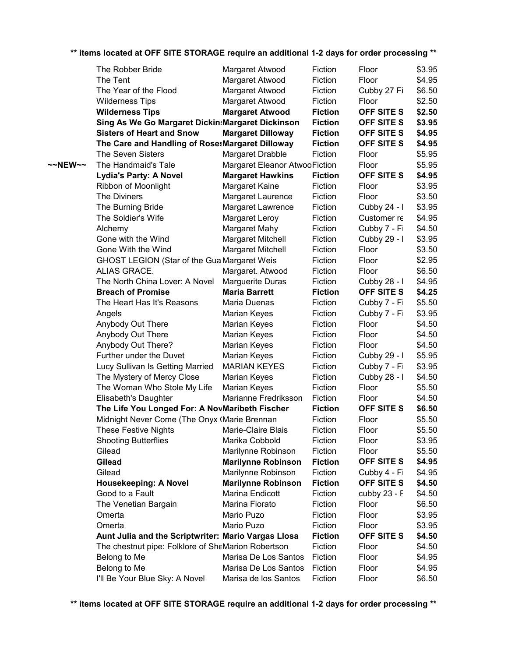|         | The Robber Bride                                    | Margaret Atwood               | Fiction        | Floor             | \$3.95 |
|---------|-----------------------------------------------------|-------------------------------|----------------|-------------------|--------|
|         | The Tent                                            | Margaret Atwood               | Fiction        | Floor             | \$4.95 |
|         | The Year of the Flood                               | Margaret Atwood               | Fiction        | Cubby 27 Fi       | \$6.50 |
|         | <b>Wilderness Tips</b>                              | Margaret Atwood               | Fiction        | Floor             | \$2.50 |
|         | <b>Wilderness Tips</b>                              | <b>Margaret Atwood</b>        | <b>Fiction</b> | <b>OFF SITE S</b> | \$2.50 |
|         | Sing As We Go Margaret Dickin: Margaret Dickinson   |                               | <b>Fiction</b> | OFF SITE S        | \$3.95 |
|         | <b>Sisters of Heart and Snow</b>                    | <b>Margaret Dilloway</b>      | <b>Fiction</b> | <b>OFF SITE S</b> | \$4.95 |
|         | The Care and Handling of RosesMargaret Dilloway     |                               | <b>Fiction</b> | <b>OFF SITE S</b> | \$4.95 |
|         | <b>The Seven Sisters</b>                            | Margaret Drabble              | Fiction        | Floor             | \$5.95 |
| ~~NEW~~ | The Handmaid's Tale                                 | Margaret Eleanor AtwooFiction |                | Floor             | \$5.95 |
|         | <b>Lydia's Party: A Novel</b>                       | <b>Margaret Hawkins</b>       | <b>Fiction</b> | <b>OFF SITE S</b> | \$4.95 |
|         | Ribbon of Moonlight                                 | <b>Margaret Kaine</b>         | Fiction        | Floor             | \$3.95 |
|         | The Diviners                                        | Margaret Laurence             | Fiction        | Floor             | \$3.50 |
|         | The Burning Bride                                   | Margaret Lawrence             | Fiction        | Cubby 24 - I      | \$3.95 |
|         | The Soldier's Wife                                  | Margaret Leroy                | Fiction        | Customer re       | \$4.95 |
|         | Alchemy                                             | Margaret Mahy                 | Fiction        | Cubby 7 - Fi      | \$4.50 |
|         | Gone with the Wind                                  | Margaret Mitchell             | Fiction        | Cubby 29 - I      | \$3.95 |
|         | Gone With the Wind                                  | Margaret Mitchell             | Fiction        | Floor             | \$3.50 |
|         |                                                     |                               | Fiction        | Floor             |        |
|         | GHOST LEGION (Star of the Gua Margaret Weis         |                               |                |                   | \$2.95 |
|         | ALIAS GRACE.<br>The North China Lover: A Novel      | Margaret. Atwood              | Fiction        | Floor             | \$6.50 |
|         |                                                     | Marguerite Duras              | Fiction        | Cubby 28 - I      | \$4.95 |
|         | <b>Breach of Promise</b>                            | <b>Maria Barrett</b>          | <b>Fiction</b> | OFF SITE S        | \$4.25 |
|         | The Heart Has It's Reasons                          | Maria Duenas                  | Fiction        | Cubby 7 - Fi      | \$5.50 |
|         | Angels                                              | Marian Keyes                  | Fiction        | Cubby 7 - Fi      | \$3.95 |
|         | Anybody Out There                                   | Marian Keyes                  | Fiction        | Floor             | \$4.50 |
|         | Anybody Out There                                   | Marian Keyes                  | Fiction        | Floor             | \$4.50 |
|         | Anybody Out There?                                  | Marian Keyes                  | Fiction        | Floor             | \$4.50 |
|         | Further under the Duvet                             | Marian Keyes                  | Fiction        | Cubby 29 - I      | \$5.95 |
|         | Lucy Sullivan Is Getting Married                    | <b>MARIAN KEYES</b>           | Fiction        | Cubby 7 - Fi      | \$3.95 |
|         | The Mystery of Mercy Close                          | Marian Keyes                  | Fiction        | Cubby 28 - I      | \$4.50 |
|         | The Woman Who Stole My Life                         | Marian Keyes                  | Fiction        | Floor             | \$5.50 |
|         | Elisabeth's Daughter                                | Marianne Fredriksson          | Fiction        | Floor             | \$4.50 |
|         | The Life You Longed For: A NovMaribeth Fischer      |                               | <b>Fiction</b> | OFF SITE S        | \$6.50 |
|         | Midnight Never Come (The Onyx (Marie Brennan        |                               | Fiction        | Floor             | \$5.50 |
|         | <b>These Festive Nights</b>                         | Marie-Claire Blais            | Fiction        | Floor             | \$5.50 |
|         | <b>Shooting Butterflies</b>                         | Marika Cobbold                | Fiction        | Floor             | \$3.95 |
|         | Gilead                                              | Marilynne Robinson            | Fiction        | Floor             | \$5.50 |
|         | <b>Gilead</b>                                       | <b>Marilynne Robinson</b>     | <b>Fiction</b> | OFF SITE S        | \$4.95 |
|         | Gilead                                              | Marilynne Robinson            | Fiction        | Cubby 4 - Fi      | \$4.95 |
|         | Housekeeping: A Novel                               | <b>Marilynne Robinson</b>     | <b>Fiction</b> | <b>OFF SITE S</b> | \$4.50 |
|         | Good to a Fault                                     | Marina Endicott               | Fiction        | cubby 23 - F      | \$4.50 |
|         | The Venetian Bargain                                | Marina Fiorato                | Fiction        | Floor             | \$6.50 |
|         | Omerta                                              | Mario Puzo                    | Fiction        | Floor             | \$3.95 |
|         | Omerta                                              | Mario Puzo                    | Fiction        | Floor             | \$3.95 |
|         | Aunt Julia and the Scriptwriter: Mario Vargas Llosa |                               | <b>Fiction</b> | OFF SITE S        | \$4.50 |
|         | The chestnut pipe: Folklore of SheMarion Robertson  |                               | Fiction        | Floor             | \$4.50 |
|         | Belong to Me                                        | Marisa De Los Santos          | Fiction        | Floor             | \$4.95 |
|         | Belong to Me                                        | Marisa De Los Santos          | Fiction        | Floor             | \$4.95 |
|         | I'll Be Your Blue Sky: A Novel                      | Marisa de los Santos          | Fiction        | Floor             | \$6.50 |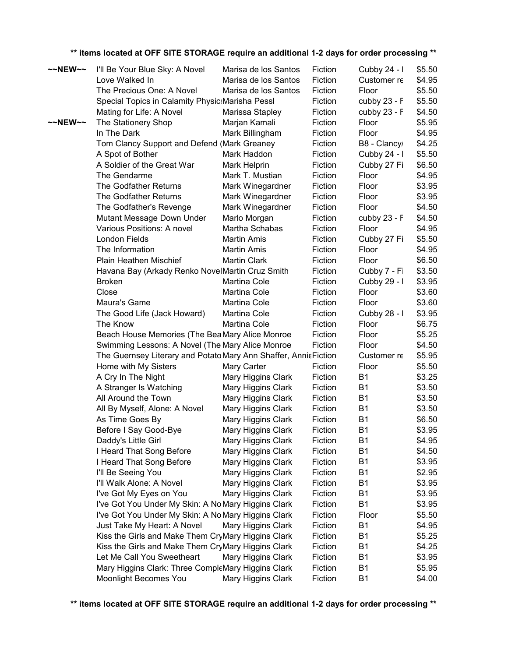| ~~NEW~~           | I'll Be Your Blue Sky: A Novel                                  | Marisa de los Santos                     | Fiction            | Cubby 24 - I           | \$5.50           |
|-------------------|-----------------------------------------------------------------|------------------------------------------|--------------------|------------------------|------------------|
|                   | Love Walked In                                                  | Marisa de los Santos                     | Fiction            | Customer re            | \$4.95           |
|                   | The Precious One: A Novel                                       | Marisa de los Santos                     | Fiction            | Floor                  | \$5.50           |
|                   | Special Topics in Calamity Physic: Marisha Pessl                |                                          | Fiction            | cubby 23 - F           | \$5.50           |
|                   | Mating for Life: A Novel                                        | Marissa Stapley                          | Fiction            | cubby 23 - F           | \$4.50           |
| $\sim$ NEW $\sim$ | The Stationery Shop                                             | Marjan Kamali                            | Fiction            | Floor                  | \$5.95           |
|                   | In The Dark                                                     | Mark Billingham                          | Fiction            | Floor                  | \$4.95           |
|                   | Tom Clancy Support and Defend (Mark Greaney                     |                                          | Fiction            | B8 - Clancy            | \$4.25           |
|                   | A Spot of Bother                                                | Mark Haddon                              | Fiction            | Cubby 24 - I           | \$5.50           |
|                   | A Soldier of the Great War                                      | Mark Helprin                             | Fiction            | Cubby 27 Fi            | \$6.50           |
|                   | The Gendarme                                                    | Mark T. Mustian                          | Fiction            | Floor                  | \$4.95           |
|                   | The Godfather Returns                                           | Mark Winegardner                         | Fiction            | Floor                  | \$3.95           |
|                   | The Godfather Returns                                           | Mark Winegardner                         | Fiction            | Floor                  | \$3.95           |
|                   | The Godfather's Revenge                                         | Mark Winegardner                         | Fiction            | Floor                  | \$4.50           |
|                   | Mutant Message Down Under                                       | Marlo Morgan                             | Fiction            | cubby 23 - F           | \$4.50           |
|                   | Various Positions: A novel                                      | Martha Schabas                           | Fiction            | Floor                  | \$4.95           |
|                   | London Fields                                                   | <b>Martin Amis</b>                       | Fiction            | Cubby 27 Fi            | \$5.50           |
|                   | The Information                                                 | <b>Martin Amis</b>                       | Fiction            | Floor                  | \$4.95           |
|                   | Plain Heathen Mischief                                          | <b>Martin Clark</b>                      | Fiction            | Floor                  | \$6.50           |
|                   | Havana Bay (Arkady Renko NovelMartin Cruz Smith                 |                                          | Fiction            | Cubby 7 - Fi           | \$3.50           |
|                   | <b>Broken</b>                                                   | Martina Cole                             | Fiction            | Cubby 29 - I           | \$3.95           |
|                   | Close                                                           | Martina Cole                             | Fiction            | Floor                  | \$3.60           |
|                   | Maura's Game                                                    | Martina Cole                             | Fiction            | Floor                  | \$3.60           |
|                   | The Good Life (Jack Howard)                                     | Martina Cole                             | Fiction            | Cubby 28 - I           | \$3.95           |
|                   | The Know                                                        | Martina Cole                             | Fiction            | Floor                  | \$6.75           |
|                   | Beach House Memories (The BeaMary Alice Monroe                  |                                          | Fiction            | Floor                  | \$5.25           |
|                   | Swimming Lessons: A Novel (The Mary Alice Monroe                |                                          | Fiction            | Floor                  | \$4.50           |
|                   | The Guernsey Literary and Potato Mary Ann Shaffer, AnnicFiction |                                          |                    | Customer re            | \$5.95           |
|                   | Home with My Sisters                                            | Mary Carter                              | Fiction            | Floor                  | \$5.50           |
|                   | A Cry In The Night                                              | Mary Higgins Clark                       | Fiction            | <b>B1</b>              | \$3.25           |
|                   | A Stranger Is Watching                                          | Mary Higgins Clark                       | Fiction            | <b>B1</b>              | \$3.50           |
|                   | All Around the Town                                             | Mary Higgins Clark                       | Fiction            | <b>B1</b>              | \$3.50           |
|                   | All By Myself, Alone: A Novel                                   | Mary Higgins Clark                       | Fiction            | <b>B1</b>              | \$3.50           |
|                   | As Time Goes By                                                 | Mary Higgins Clark                       | Fiction            | <b>B1</b>              | \$6.50           |
|                   | Before I Say Good-Bye                                           | Mary Higgins Clark                       | Fiction            | <b>B1</b>              | \$3.95           |
|                   | Daddy's Little Girl                                             | Mary Higgins Clark                       | Fiction            | <b>B1</b>              | \$4.95           |
|                   | I Heard That Song Before                                        | Mary Higgins Clark                       | Fiction            | <b>B1</b>              | \$4.50           |
|                   | I Heard That Song Before                                        | Mary Higgins Clark                       | Fiction            | <b>B1</b>              | \$3.95           |
|                   | I'll Be Seeing You<br>I'll Walk Alone: A Novel                  | Mary Higgins Clark                       | Fiction<br>Fiction | <b>B1</b><br><b>B1</b> | \$2.95<br>\$3.95 |
|                   | I've Got My Eyes on You                                         | Mary Higgins Clark<br>Mary Higgins Clark | Fiction            | <b>B1</b>              | \$3.95           |
|                   | I've Got You Under My Skin: A NoMary Higgins Clark              |                                          | Fiction            | <b>B1</b>              | \$3.95           |
|                   | I've Got You Under My Skin: A NoMary Higgins Clark              |                                          | Fiction            | Floor                  | \$5.50           |
|                   | Just Take My Heart: A Novel                                     | Mary Higgins Clark                       | Fiction            | <b>B1</b>              | \$4.95           |
|                   | Kiss the Girls and Make Them CryMary Higgins Clark              |                                          | Fiction            | <b>B1</b>              | \$5.25           |
|                   | Kiss the Girls and Make Them CryMary Higgins Clark              |                                          | Fiction            | <b>B1</b>              | \$4.25           |
|                   | Let Me Call You Sweetheart                                      | Mary Higgins Clark                       | Fiction            | <b>B1</b>              | \$3.95           |
|                   | Mary Higgins Clark: Three CompleMary Higgins Clark              |                                          | Fiction            | <b>B1</b>              | \$5.95           |
|                   | Moonlight Becomes You                                           | Mary Higgins Clark                       | Fiction            | <b>B1</b>              | \$4.00           |
|                   |                                                                 |                                          |                    |                        |                  |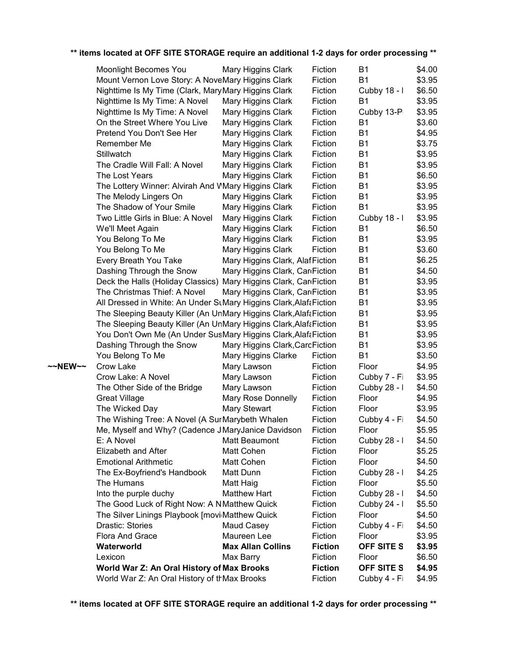|         | <b>Moonlight Becomes You</b>                                       | Mary Higgins Clark              | Fiction        | <b>B1</b>         | \$4.00 |
|---------|--------------------------------------------------------------------|---------------------------------|----------------|-------------------|--------|
|         | Mount Vernon Love Story: A NoveMary Higgins Clark                  |                                 | Fiction        | <b>B1</b>         | \$3.95 |
|         | Nighttime Is My Time (Clark, Mary Mary Higgins Clark               |                                 | Fiction        | Cubby 18 - I      | \$6.50 |
|         | Nighttime Is My Time: A Novel                                      | Mary Higgins Clark              | Fiction        | <b>B1</b>         | \$3.95 |
|         | Nighttime Is My Time: A Novel                                      | Mary Higgins Clark              | Fiction        | Cubby 13-P        | \$3.95 |
|         | On the Street Where You Live                                       | Mary Higgins Clark              | Fiction        | B1                | \$3.60 |
|         | Pretend You Don't See Her                                          | Mary Higgins Clark              | Fiction        | <b>B1</b>         | \$4.95 |
|         | Remember Me                                                        | Mary Higgins Clark              | Fiction        | <b>B1</b>         | \$3.75 |
|         | Stillwatch                                                         | Mary Higgins Clark              | Fiction        | <b>B1</b>         | \$3.95 |
|         | The Cradle Will Fall: A Novel                                      | Mary Higgins Clark              | Fiction        | <b>B1</b>         | \$3.95 |
|         | The Lost Years                                                     | Mary Higgins Clark              | Fiction        | <b>B1</b>         | \$6.50 |
|         | The Lottery Winner: Alvirah And WMary Higgins Clark                |                                 | Fiction        | <b>B1</b>         | \$3.95 |
|         | The Melody Lingers On                                              | Mary Higgins Clark              | Fiction        | <b>B1</b>         | \$3.95 |
|         | The Shadow of Your Smile                                           | Mary Higgins Clark              | Fiction        | <b>B1</b>         | \$3.95 |
|         | Two Little Girls in Blue: A Novel                                  | Mary Higgins Clark              | Fiction        | Cubby 18 - I      | \$3.95 |
|         | We'll Meet Again                                                   | Mary Higgins Clark              | Fiction        | <b>B1</b>         | \$6.50 |
|         | You Belong To Me                                                   | Mary Higgins Clark              | Fiction        | <b>B1</b>         | \$3.95 |
|         | You Belong To Me                                                   | Mary Higgins Clark              | Fiction        | <b>B1</b>         | \$3.60 |
|         | Every Breath You Take                                              | Mary Higgins Clark, AlafFiction |                | <b>B1</b>         | \$6.25 |
|         | Dashing Through the Snow                                           | Mary Higgins Clark, Car Fiction |                | <b>B1</b>         | \$4.50 |
|         | Deck the Halls (Holiday Classics) Mary Higgins Clark, CariFiction  |                                 |                | <b>B1</b>         | \$3.95 |
|         | The Christmas Thief: A Novel                                       | Mary Higgins Clark, Car Fiction |                | <b>B1</b>         | \$3.95 |
|         | All Dressed in White: An Under StMary Higgins Clark, Alafa Fiction |                                 |                | <b>B1</b>         | \$3.95 |
|         | The Sleeping Beauty Killer (An UnMary Higgins Clark, Alafa Fiction |                                 |                | <b>B1</b>         | \$3.95 |
|         | The Sleeping Beauty Killer (An UnMary Higgins Clark, Alafa Fiction |                                 |                | <b>B1</b>         | \$3.95 |
|         | You Don't Own Me (An Under SusMary Higgins Clark, Alafa Fiction    |                                 |                | <b>B1</b>         | \$3.95 |
|         | Dashing Through the Snow                                           | Mary Higgins Clark, CarcFiction |                | <b>B1</b>         | \$3.95 |
|         | You Belong To Me                                                   | Mary Higgins Clarke             | Fiction        | <b>B1</b>         | \$3.50 |
| ~~NEW~~ | Crow Lake                                                          | Mary Lawson                     | Fiction        | Floor             | \$4.95 |
|         | Crow Lake: A Novel                                                 | Mary Lawson                     | Fiction        | Cubby 7 - Fi      | \$3.95 |
|         | The Other Side of the Bridge                                       | Mary Lawson                     | Fiction        | Cubby 28 - I      | \$4.50 |
|         | <b>Great Village</b>                                               | Mary Rose Donnelly              | Fiction        | Floor             | \$4.95 |
|         | The Wicked Day                                                     | Mary Stewart                    | Fiction        | Floor             | \$3.95 |
|         | The Wishing Tree: A Novel (A SurMarybeth Whalen                    |                                 | Fiction        | Cubby 4 - Fi      | \$4.50 |
|         | Me, Myself and Why? (Cadence JMaryJanice Davidson                  |                                 | Fiction        | Floor             | \$5.95 |
|         | E: A Novel                                                         | Matt Beaumont                   | Fiction        | Cubby 28 - I      | \$4.50 |
|         | Elizabeth and After                                                | Matt Cohen                      | Fiction        | Floor             | \$5.25 |
|         | <b>Emotional Arithmetic</b>                                        | Matt Cohen                      | Fiction        | Floor             | \$4.50 |
|         | The Ex-Boyfriend's Handbook                                        | Matt Dunn                       | Fiction        | Cubby 28 - I      | \$4.25 |
|         | The Humans                                                         | Matt Haig                       | Fiction        | Floor             | \$5.50 |
|         | Into the purple duchy                                              | <b>Matthew Hart</b>             | Fiction        | Cubby 28 - I      | \$4.50 |
|         | The Good Luck of Right Now: A NMatthew Quick                       |                                 | Fiction        | Cubby 24 - I      | \$5.50 |
|         | The Silver Linings Playbook [movi <sub>Matthew</sub> Quick]        |                                 | Fiction        | Floor             | \$4.50 |
|         | Drastic: Stories                                                   | Maud Casey                      | Fiction        | Cubby 4 - Fi      | \$4.50 |
|         | Flora And Grace                                                    | Maureen Lee                     | Fiction        | Floor             | \$3.95 |
|         | Waterworld                                                         | <b>Max Allan Collins</b>        | <b>Fiction</b> | <b>OFF SITE S</b> | \$3.95 |
|         | Lexicon                                                            | Max Barry                       | Fiction        | Floor             | \$6.50 |
|         | World War Z: An Oral History of Max Brooks                         |                                 | <b>Fiction</b> | OFF SITE S        | \$4.95 |
|         | World War Z: An Oral History of thMax Brooks                       |                                 | Fiction        | Cubby 4 - Fi      | \$4.95 |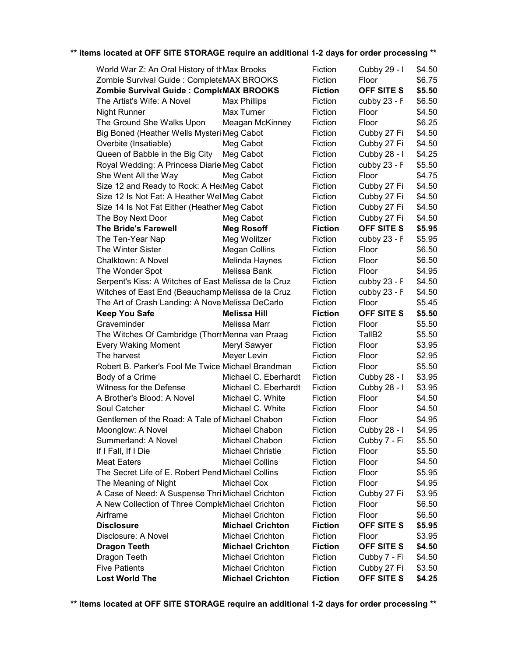| World War Z: An Oral History of thMax Brooks         | Fiction                 | Cubby 29 - I   | \$4.50             |        |
|------------------------------------------------------|-------------------------|----------------|--------------------|--------|
| Zombie Survival Guide : CompleteMAX BROOKS           |                         | Fiction        | Floor              | \$6.75 |
| Zombie Survival Guide: CompleMAX BROOKS              |                         | <b>Fiction</b> | <b>OFF SITE S</b>  | \$5.50 |
| The Artist's Wife: A Novel                           | <b>Max Phillips</b>     | Fiction        | cubby 23 - F       | \$6.50 |
| <b>Night Runner</b>                                  | Max Turner              | Fiction        | Floor              | \$4.50 |
| The Ground She Walks Upon                            | Meagan McKinney         | Fiction        | Floor              | \$6.25 |
| Big Boned (Heather Wells Mysteri Meg Cabot           |                         | Fiction        | Cubby 27 Fi        | \$4.50 |
| Overbite (Insatiable)                                | Meg Cabot               | Fiction        | Cubby 27 Fi        | \$4.50 |
| Queen of Babble in the Big City                      | Meg Cabot               | Fiction        | Cubby 28 - I       | \$4.25 |
| Royal Wedding: A Princess Diarie Meg Cabot           |                         | Fiction        | cubby 23 - F       | \$5.50 |
| She Went All the Way                                 | Meg Cabot               | Fiction        | Floor              | \$4.75 |
| Size 12 and Ready to Rock: A He:Meg Cabot            |                         | Fiction        | Cubby 27 Fi        | \$4.50 |
| Size 12 Is Not Fat: A Heather Wel Meg Cabot          |                         | Fiction        | Cubby 27 Fi        | \$4.50 |
| Size 14 Is Not Fat Either (Heather Meg Cabot         |                         | Fiction        | Cubby 27 Fi        | \$4.50 |
| The Boy Next Door                                    | Meg Cabot               | Fiction        | Cubby 27 Fi        | \$4.50 |
| <b>The Bride's Farewell</b>                          | <b>Meg Rosoff</b>       | <b>Fiction</b> | <b>OFF SITE S</b>  | \$5.95 |
| The Ten-Year Nap                                     | Meg Wolitzer            | Fiction        | cubby 23 - F       | \$5.95 |
| <b>The Winter Sister</b>                             | <b>Megan Collins</b>    | Fiction        | Floor              | \$6.50 |
| Chalktown: A Novel                                   | Melinda Haynes          | Fiction        | Floor              | \$6.50 |
| The Wonder Spot                                      | Melissa Bank            | Fiction        | Floor              | \$4.95 |
| Serpent's Kiss: A Witches of East Melissa de la Cruz |                         | Fiction        | cubby 23 - F       | \$4.50 |
| Witches of East End (Beauchamp Melissa de la Cruz    |                         | Fiction        | cubby 23 - F       | \$4.50 |
| The Art of Crash Landing: A Nove Melissa DeCarlo     |                         | Fiction        | Floor              | \$5.45 |
| <b>Keep You Safe</b>                                 | <b>Melissa Hill</b>     | <b>Fiction</b> | <b>OFF SITE S</b>  | \$5.50 |
| Graveminder                                          | Melissa Marr            | Fiction        | Floor              | \$5.50 |
| The Witches Of Cambridge (ThorrMenna van Praag       |                         | Fiction        | TallB <sub>2</sub> | \$5.50 |
| <b>Every Waking Moment</b>                           | Meryl Sawyer            | Fiction        | Floor              | \$3.95 |
| The harvest                                          | Meyer Levin             | Fiction        | Floor              | \$2.95 |
| Robert B. Parker's Fool Me Twice Michael Brandman    |                         | Fiction        | Floor              | \$5.50 |
| Body of a Crime                                      | Michael C. Eberhardt    | Fiction        | Cubby 28 - I       | \$3.95 |
| Witness for the Defense                              | Michael C. Eberhardt    | Fiction        | Cubby 28 - I       | \$3.95 |
| A Brother's Blood: A Novel                           | Michael C. White        | Fiction        | Floor              | \$4.50 |
| Soul Catcher                                         | Michael C. White        | Fiction        | Floor              | \$4.50 |
| Gentlemen of the Road: A Tale of Michael Chabon      |                         | Fiction        | Floor              | \$4.95 |
| Moonglow: A Novel                                    | Michael Chabon          | Fiction        | Cubby 28 - I       | \$4.95 |
| Summerland: A Novel                                  | Michael Chabon          | Fiction        | Cubby 7 - Fi       | \$5.50 |
| If I Fall, If I Die                                  | <b>Michael Christie</b> | Fiction        | Floor              | \$5.50 |
| <b>Meat Eaters</b>                                   | <b>Michael Collins</b>  | Fiction        | Floor              | \$4.50 |
| The Secret Life of E. Robert Pend Michael Collins    |                         | Fiction        | Floor              | \$5.95 |
| The Meaning of Night                                 | Michael Cox             | Fiction        | Floor              | \$4.95 |
| A Case of Need: A Suspense Thri Michael Crichton     |                         | Fiction        | Cubby 27 Fi        |        |
|                                                      |                         |                | Floor              | \$3.95 |
| A New Collection of Three CompleMichael Crichton     |                         | Fiction        |                    | \$6.50 |
| Airframe                                             | <b>Michael Crichton</b> | Fiction        | Floor              | \$6.50 |
| <b>Disclosure</b>                                    | <b>Michael Crichton</b> | <b>Fiction</b> | <b>OFF SITE S</b>  | \$5.95 |
| Disclosure: A Novel                                  | <b>Michael Crichton</b> | Fiction        | Floor              | \$3.95 |
| <b>Dragon Teeth</b>                                  | <b>Michael Crichton</b> | <b>Fiction</b> | OFF SITE S         | \$4.50 |
| Dragon Teeth                                         | <b>Michael Crichton</b> | Fiction        | Cubby 7 - Fi       | \$4.50 |
| <b>Five Patients</b>                                 | <b>Michael Crichton</b> | Fiction        | Cubby 27 Fi        | \$3.50 |
| <b>Lost World The</b>                                | <b>Michael Crichton</b> | <b>Fiction</b> | OFF SITE S         | \$4.25 |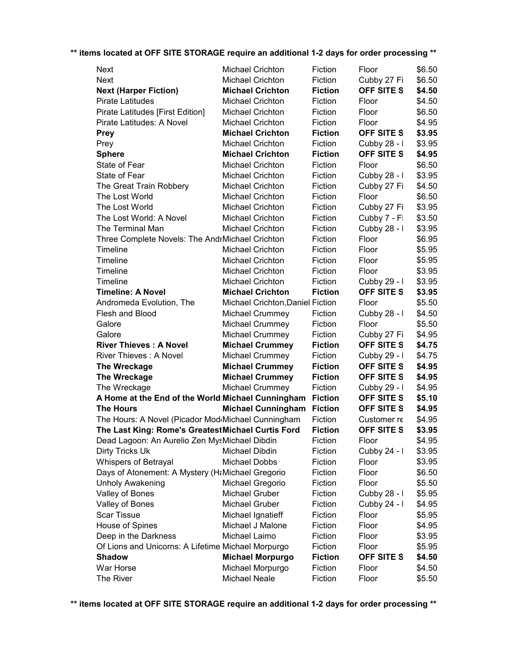| <b>Next</b>                                        |                      | <b>Michael Crichton</b>          | Fiction        | Floor             | \$6.50 |
|----------------------------------------------------|----------------------|----------------------------------|----------------|-------------------|--------|
| <b>Next</b>                                        |                      | <b>Michael Crichton</b>          | Fiction        | Cubby 27 Fi       | \$6.50 |
| <b>Next (Harper Fiction)</b>                       |                      | <b>Michael Crichton</b>          | <b>Fiction</b> | <b>OFF SITE S</b> | \$4.50 |
| Pirate Latitudes                                   |                      | Michael Crichton                 | Fiction        | Floor             | \$4.50 |
| Pirate Latitudes [First Edition]                   |                      | <b>Michael Crichton</b>          | Fiction        | Floor             | \$6.50 |
| Pirate Latitudes: A Novel                          |                      | <b>Michael Crichton</b>          | Fiction        | Floor             | \$4.95 |
| <b>Prey</b>                                        |                      | <b>Michael Crichton</b>          | <b>Fiction</b> | OFF SITE S        | \$3.95 |
| Prey                                               |                      | <b>Michael Crichton</b>          | Fiction        | Cubby 28 - I      | \$3.95 |
| <b>Sphere</b>                                      |                      | <b>Michael Crichton</b>          | <b>Fiction</b> | <b>OFF SITE S</b> | \$4.95 |
| State of Fear                                      |                      | <b>Michael Crichton</b>          | Fiction        | Floor             | \$6.50 |
| State of Fear                                      |                      | <b>Michael Crichton</b>          | Fiction        | Cubby 28 - I      | \$3.95 |
| The Great Train Robbery                            |                      | Michael Crichton                 | Fiction        | Cubby 27 Fi       | \$4.50 |
| The Lost World                                     |                      | <b>Michael Crichton</b>          | Fiction        | Floor             | \$6.50 |
| The Lost World                                     |                      | Michael Crichton                 | Fiction        | Cubby 27 Fi       | \$3.95 |
| The Lost World: A Novel                            |                      | Michael Crichton                 | Fiction        | Cubby 7 - Fi      | \$3.50 |
| The Terminal Man                                   |                      | Michael Crichton                 | Fiction        | Cubby 28 - I      | \$3.95 |
| Three Complete Novels: The AndrMichael Crichton    |                      |                                  | Fiction        | Floor             | \$6.95 |
| Timeline                                           |                      | Michael Crichton                 | Fiction        | Floor             | \$5.95 |
| Timeline                                           |                      | <b>Michael Crichton</b>          | Fiction        | Floor             | \$5.95 |
| Timeline                                           |                      | Michael Crichton                 | Fiction        | Floor             | \$3.95 |
| Timeline                                           |                      | <b>Michael Crichton</b>          | Fiction        | Cubby 29 - I      | \$3.95 |
| <b>Timeline: A Novel</b>                           |                      | <b>Michael Crichton</b>          | <b>Fiction</b> | <b>OFF SITE S</b> | \$3.95 |
| Andromeda Evolution, The                           |                      | Michael Crichton, Daniel Fiction |                | Floor             | \$5.50 |
| Flesh and Blood                                    |                      | Michael Crummey                  | Fiction        | Cubby 28 - I      | \$4.50 |
| Galore                                             |                      | Michael Crummey                  | Fiction        | Floor             | \$5.50 |
| Galore                                             |                      | Michael Crummey                  | Fiction        | Cubby 27 Fi       | \$4.95 |
| <b>River Thieves: A Novel</b>                      |                      | <b>Michael Crummey</b>           | <b>Fiction</b> | OFF SITE S        | \$4.75 |
| <b>River Thieves: A Novel</b>                      |                      | Michael Crummey                  | Fiction        | Cubby 29 - I      | \$4.75 |
| The Wreckage                                       |                      | <b>Michael Crummey</b>           | <b>Fiction</b> | OFF SITE S        | \$4.95 |
| The Wreckage                                       |                      | <b>Michael Crummey</b>           | <b>Fiction</b> | <b>OFF SITE S</b> | \$4.95 |
| The Wreckage                                       |                      | Michael Crummey                  | Fiction        | Cubby 29 - I      | \$4.95 |
| A Home at the End of the World Michael Cunningham  |                      |                                  | <b>Fiction</b> | <b>OFF SITE S</b> | \$5.10 |
| <b>The Hours</b>                                   |                      | <b>Michael Cunningham</b>        | <b>Fiction</b> | <b>OFF SITE S</b> | \$4.95 |
| The Hours: A Novel (Picador Mod Michael Cunningham |                      |                                  | Fiction        | Customer re       | \$4.95 |
| The Last King: Rome's GreatestMichael Curtis Ford  |                      |                                  | <b>Fiction</b> | <b>OFF SITE S</b> | \$3.95 |
| Dead Lagoon: An Aurelio Zen MysMichael Dibdin      |                      |                                  | Fiction        | Floor             | \$4.95 |
| Dirty Tricks Uk                                    | Michael Dibdin       |                                  | Fiction        | Cubby 24 - I      | \$3.95 |
| Whispers of Betrayal                               | <b>Michael Dobbs</b> |                                  | Fiction        | Floor             | \$3.95 |
| Days of Atonement: A Mystery (H&Michael Gregorio   |                      |                                  | Fiction        | Floor             | \$6.50 |
| <b>Unholy Awakening</b>                            |                      | Michael Gregorio                 | Fiction        | Floor             | \$5.50 |
| Valley of Bones                                    | Michael Gruber       |                                  | Fiction        | Cubby 28 - I      | \$5.95 |
| Valley of Bones                                    | Michael Gruber       |                                  | Fiction        | Cubby 24 - I      | \$4.95 |
| <b>Scar Tissue</b>                                 |                      | Michael Ignatieff                | Fiction        | Floor             | \$5.95 |
| House of Spines                                    |                      | Michael J Malone                 | Fiction        | Floor             | \$4.95 |
| Deep in the Darkness                               | Michael Laimo        |                                  | Fiction        | Floor             | \$3.95 |
| Of Lions and Unicorns: A Lifetime Michael Morpurgo |                      |                                  | Fiction        | Floor             | \$5.95 |
| <b>Shadow</b>                                      |                      | <b>Michael Morpurgo</b>          | <b>Fiction</b> | OFF SITE S        | \$4.50 |
| War Horse                                          |                      | Michael Morpurgo                 | Fiction        | Floor             | \$4.50 |
| The River                                          | <b>Michael Neale</b> |                                  | Fiction        | Floor             | \$5.50 |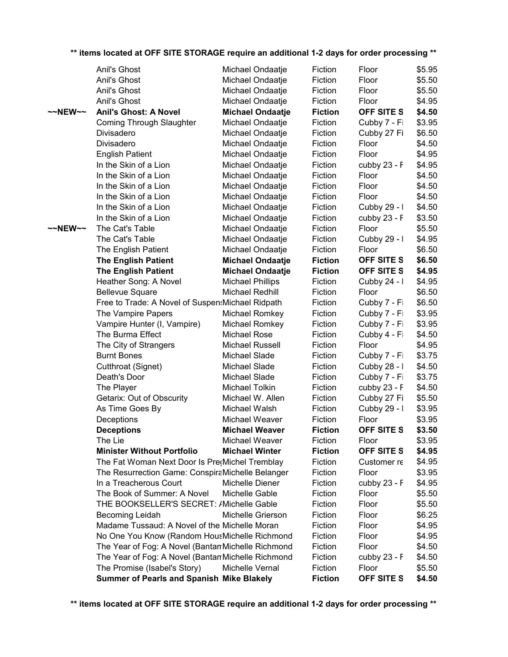|                     | Anil's Ghost                                                                                        | Michael Ondaatje        | Fiction            | Floor             | \$5.95           |
|---------------------|-----------------------------------------------------------------------------------------------------|-------------------------|--------------------|-------------------|------------------|
|                     | Anil's Ghost                                                                                        | Michael Ondaatje        | Fiction            | Floor             | \$5.50           |
|                     | Anil's Ghost                                                                                        | Michael Ondaatje        | Fiction            | Floor             | \$5.50           |
|                     | Anil's Ghost                                                                                        | Michael Ondaatje        | Fiction            | Floor             | \$4.95           |
| $~\sim$ NEW $~\sim$ | <b>Anil's Ghost: A Novel</b>                                                                        | <b>Michael Ondaatje</b> | <b>Fiction</b>     | OFF SITE S        | \$4.50           |
|                     | <b>Coming Through Slaughter</b>                                                                     | Michael Ondaatje        | Fiction            | Cubby 7 - Fi      | \$3.95           |
|                     | Divisadero                                                                                          | Michael Ondaatje        | Fiction            | Cubby 27 Fi       | \$6.50           |
|                     | Divisadero                                                                                          | Michael Ondaatje        | Fiction            | Floor             | \$4.50           |
|                     | <b>English Patient</b>                                                                              | Michael Ondaatje        | Fiction            | Floor             | \$4.95           |
|                     | In the Skin of a Lion                                                                               | Michael Ondaatje        | Fiction            | cubby 23 - F      | \$4.95           |
|                     | In the Skin of a Lion                                                                               | Michael Ondaatje        | Fiction            | Floor             | \$4.50           |
|                     | In the Skin of a Lion                                                                               | Michael Ondaatje        | Fiction            | Floor             | \$4.50           |
|                     | In the Skin of a Lion                                                                               | Michael Ondaatje        | Fiction            | Floor             | \$4.50           |
|                     | In the Skin of a Lion                                                                               | Michael Ondaatje        | Fiction            | Cubby 29 - I      | \$4.50           |
|                     | In the Skin of a Lion                                                                               | Michael Ondaatje        | Fiction            | cubby $23 - F$    | \$3.50           |
| ~~NEW~~             | The Cat's Table                                                                                     | Michael Ondaatje        | Fiction            | Floor             | \$5.50           |
|                     | The Cat's Table                                                                                     | Michael Ondaatje        | Fiction            | Cubby 29 - I      | \$4.95           |
|                     | The English Patient                                                                                 | Michael Ondaatje        | Fiction            | Floor             | \$6.50           |
|                     | <b>The English Patient</b>                                                                          | <b>Michael Ondaatje</b> | <b>Fiction</b>     | OFF SITE S        | \$6.50           |
|                     | <b>The English Patient</b>                                                                          | <b>Michael Ondaatje</b> | <b>Fiction</b>     | OFF SITE S        | \$4.95           |
|                     | Heather Song: A Novel                                                                               | <b>Michael Phillips</b> | Fiction            | Cubby 24 - I      | \$4.95           |
|                     | <b>Bellevue Square</b>                                                                              | Michael Redhill         | Fiction            | Floor             | \$6.50           |
|                     | Free to Trade: A Novel of Suspen: Michael Ridpath                                                   |                         | Fiction            | Cubby 7 - Fi      | \$6.50           |
|                     | The Vampire Papers                                                                                  | Michael Romkey          | Fiction            | Cubby 7 - Fi      | \$3.95           |
|                     | Vampire Hunter (I, Vampire)                                                                         | Michael Romkey          | Fiction            | Cubby 7 - Fi      | \$3.95           |
|                     | The Burma Effect                                                                                    | Michael Rose            | Fiction            | Cubby 4 - Fi      | \$4.50           |
|                     | The City of Strangers                                                                               | Michael Russell         | Fiction            | Floor             | \$4.95           |
|                     | <b>Burnt Bones</b>                                                                                  | Michael Slade           | Fiction            | Cubby 7 - Fi      | \$3.75           |
|                     | Cutthroat (Signet)                                                                                  | Michael Slade           | Fiction            | Cubby 28 - I      | \$4.50           |
|                     | Death's Door                                                                                        | Michael Slade           | Fiction            | Cubby 7 - Fi      | \$3.75           |
|                     | The Player                                                                                          | Michael Tolkin          | Fiction            | cubby 23 - F      | \$4.50           |
|                     | Getarix: Out of Obscurity                                                                           | Michael W. Allen        | Fiction            | Cubby 27 Fi       | \$5.50           |
|                     | As Time Goes By                                                                                     | Michael Walsh           | Fiction            | Cubby 29 - I      | \$3.95           |
|                     | Deceptions                                                                                          | Michael Weaver          | Fiction            | Floor             | \$3.95           |
|                     | <b>Deceptions</b>                                                                                   | <b>Michael Weaver</b>   | <b>Fiction</b>     | OFF SITE S        | \$3.50           |
|                     | The Lie                                                                                             | Michael Weaver          | Fiction            | Floor             | \$3.95           |
|                     | <b>Minister Without Portfolio</b>                                                                   | <b>Michael Winter</b>   | <b>Fiction</b>     | <b>OFF SITE S</b> | \$4.95           |
|                     | The Fat Woman Next Door Is Pre(Michel Tremblay                                                      |                         | Fiction            | Customer re       | \$4.95           |
|                     | The Resurrection Game: ConspiraMichelle Belanger                                                    |                         | Fiction            | Floor             | \$3.95           |
|                     | In a Treacherous Court                                                                              | Michelle Diener         | Fiction            | cubby 23 - F      | \$4.95           |
|                     | The Book of Summer: A Novel                                                                         | Michelle Gable          | Fiction<br>Fiction | Floor<br>Floor    | \$5.50<br>\$5.50 |
|                     | THE BOOKSELLER'S SECRET: /Michelle Gable                                                            |                         |                    |                   |                  |
|                     | Becoming Leidah<br>Madame Tussaud: A Novel of the Michelle Moran                                    | Michelle Grierson       | Fiction<br>Fiction | Floor<br>Floor    | \$6.25<br>\$4.95 |
|                     |                                                                                                     |                         | Fiction            | Floor             | \$4.95           |
|                     | No One You Know (Random HousMichelle Richmond<br>The Year of Fog: A Novel (Bantan Michelle Richmond |                         | Fiction            | Floor             | \$4.50           |
|                     | The Year of Fog: A Novel (Bantan Michelle Richmond                                                  |                         | Fiction            | cubby 23 - F      | \$4.50           |
|                     | The Promise (Isabel's Story)                                                                        | Michelle Vernal         | Fiction            | Floor             | \$5.50           |
|                     | Summer of Pearls and Spanish Mike Blakely                                                           |                         | <b>Fiction</b>     | OFF SITE S        | \$4.50           |
|                     |                                                                                                     |                         |                    |                   |                  |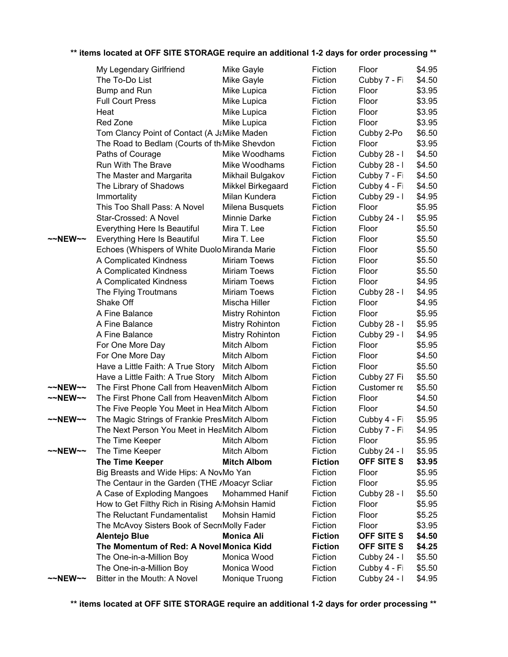|                    | ** items located at OFF SITE STORAGE require an additional 1-2 days for order processing ** |                        |                |              |        |
|--------------------|---------------------------------------------------------------------------------------------|------------------------|----------------|--------------|--------|
|                    | My Legendary Girlfriend                                                                     | Mike Gayle             | Fiction        | Floor        | \$4.95 |
|                    | The To-Do List                                                                              | Mike Gayle             | Fiction        | Cubby 7 - Fi | \$4.50 |
|                    | Bump and Run                                                                                | Mike Lupica            | Fiction        | Floor        | \$3.95 |
|                    | <b>Full Court Press</b>                                                                     | Mike Lupica            | Fiction        | Floor        | \$3.95 |
|                    | Heat                                                                                        | Mike Lupica            | Fiction        | Floor        | \$3.95 |
|                    | Red Zone                                                                                    | Mike Lupica            | Fiction        | Floor        | \$3.95 |
|                    | Tom Clancy Point of Contact (A J&Mike Maden                                                 |                        | Fiction        | Cubby 2-Po   | \$6.50 |
|                    | The Road to Bedlam (Courts of th <sub>'</sub> Mike Shevdon                                  |                        | Fiction        | Floor        | \$3.95 |
|                    | Paths of Courage                                                                            | Mike Woodhams          | Fiction        | Cubby 28 - I | \$4.50 |
|                    | Run With The Brave                                                                          | Mike Woodhams          | Fiction        | Cubby 28 - I | \$4.50 |
|                    | The Master and Margarita                                                                    | Mikhail Bulgakov       | Fiction        | Cubby 7 - Fi | \$4.50 |
|                    | The Library of Shadows                                                                      | Mikkel Birkegaard      | Fiction        | Cubby 4 - Fi | \$4.50 |
|                    | Immortality                                                                                 | Milan Kundera          | Fiction        | Cubby 29 - I | \$4.95 |
|                    | This Too Shall Pass: A Novel                                                                | Milena Busquets        | Fiction        | Floor        | \$5.95 |
|                    | Star-Crossed: A Novel                                                                       | Minnie Darke           | Fiction        | Cubby 24 - I | \$5.95 |
|                    | Everything Here Is Beautiful                                                                | Mira T. Lee            | Fiction        | Floor        | \$5.50 |
| $\sim$ -NEW $\sim$ | <b>Everything Here Is Beautiful</b>                                                         | Mira T. Lee            | Fiction        | Floor        | \$5.50 |
|                    | Echoes (Whispers of White Duolo Miranda Marie                                               |                        | Fiction        | Floor        | \$5.50 |
|                    | A Complicated Kindness                                                                      | <b>Miriam Toews</b>    | Fiction        | Floor        | \$5.50 |
|                    | A Complicated Kindness                                                                      | <b>Miriam Toews</b>    | Fiction        | Floor        | \$5.50 |
|                    | A Complicated Kindness                                                                      | <b>Miriam Toews</b>    | Fiction        | Floor        | \$4.95 |
|                    | The Flying Troutmans                                                                        | <b>Miriam Toews</b>    | Fiction        | Cubby 28 - I | \$4.95 |
|                    | Shake Off                                                                                   | Mischa Hiller          | Fiction        | Floor        | \$4.95 |
|                    | A Fine Balance                                                                              | <b>Mistry Rohinton</b> | Fiction        | Floor        | \$5.95 |
|                    | A Fine Balance                                                                              | <b>Mistry Rohinton</b> | Fiction        | Cubby 28 - I | \$5.95 |
|                    | A Fine Balance                                                                              | <b>Mistry Rohinton</b> | Fiction        | Cubby 29 - I | \$4.95 |
|                    | For One More Day                                                                            | Mitch Albom            | Fiction        | Floor        | \$5.95 |
|                    | For One More Day                                                                            | Mitch Albom            | Fiction        | Floor        | \$4.50 |
|                    | Have a Little Faith: A True Story                                                           | Mitch Albom            | Fiction        | Floor        | \$5.50 |
|                    | Have a Little Faith: A True Story                                                           | Mitch Albom            | Fiction        | Cubby 27 Fi  | \$5.50 |
| ~~NEW~~            | The First Phone Call from HeavenMitch Albom                                                 |                        | Fiction        | Customer re  | \$5.50 |
| $\sim$ NEW $\sim$  | The First Phone Call from HeavenMitch Albom                                                 |                        | Fiction        | Floor        | \$4.50 |
|                    | The Five People You Meet in Hea Mitch Albom                                                 |                        | Fiction        | Floor        | \$4.50 |
| NEW~~              | The Magic Strings of Frankie PresMitch Albom                                                |                        | Fiction        | Cubby 4 - Fi | \$5.95 |
|                    | The Next Person You Meet in HeaMitch Albom                                                  |                        | Fiction        | Cubby 7 - Fi | \$4.95 |
|                    | The Time Keeper                                                                             | Mitch Albom            | Fiction        | Floor        | \$5.95 |
| $\sim$ NEW $\sim$  | The Time Keeper                                                                             | Mitch Albom            | Fiction        | Cubby 24 - I | \$5.95 |
|                    | The Time Keeper                                                                             | <b>Mitch Albom</b>     | <b>Fiction</b> | OFF SITE S   | \$3.95 |
|                    | Big Breasts and Wide Hips: A NovMo Yan                                                      |                        | Fiction        | Floor        | \$5.95 |
|                    | The Centaur in the Garden (THE /Moacyr Scliar                                               |                        | Fiction        | Floor        | \$5.95 |
|                    | A Case of Exploding Mangoes                                                                 | <b>Mohammed Hanif</b>  | Fiction        | Cubby 28 - I | \$5.50 |
|                    | How to Get Filthy Rich in Rising A: Mohsin Hamid                                            |                        | Fiction        | Floor        | \$5.95 |
|                    | The Reluctant Fundamentalist                                                                | <b>Mohsin Hamid</b>    | Fiction        | Floor        | \$5.25 |
|                    | The McAvoy Sisters Book of Secr Molly Fader                                                 |                        | Fiction        | Floor        | \$3.95 |
|                    | <b>Alentejo Blue</b>                                                                        | <b>Monica Ali</b>      | <b>Fiction</b> | OFF SITE S   | \$4.50 |
|                    | The Momentum of Red: A Novel Monica Kidd                                                    |                        | <b>Fiction</b> | OFF SITE S   | \$4.25 |
|                    | The One-in-a-Million Boy                                                                    | Monica Wood            | Fiction        | Cubby 24 - I | \$5.50 |
|                    | The One-in-a-Million Boy                                                                    | Monica Wood            | Fiction        | Cubby 4 - Fi | \$5.50 |
| $\sim$ NEW $\sim$  | Bitter in the Mouth: A Novel                                                                | Monique Truong         | Fiction        | Cubby 24 - I | \$4.95 |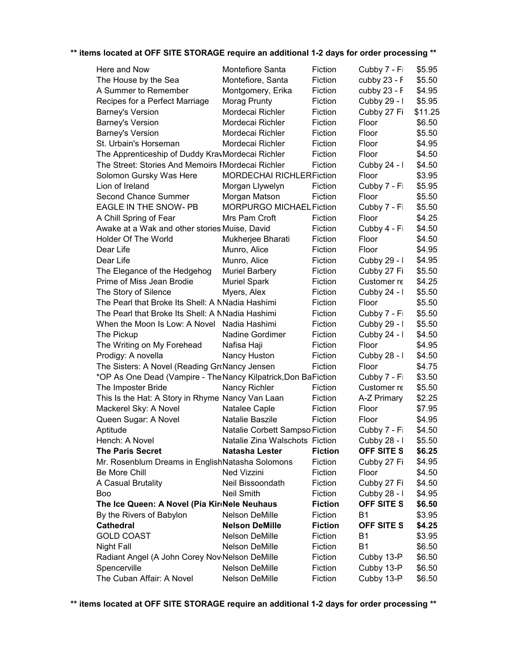| Here and Now                                                   | Montefiore Santa                | Fiction        | Cubby 7 - Fi      | \$5.95  |
|----------------------------------------------------------------|---------------------------------|----------------|-------------------|---------|
| The House by the Sea                                           | Montefiore, Santa               | Fiction        | cubby 23 - F      | \$5.50  |
| A Summer to Remember                                           | Montgomery, Erika               | Fiction        | cubby 23 - F      | \$4.95  |
| Recipes for a Perfect Marriage                                 | Morag Prunty                    | Fiction        | Cubby 29 - I      | \$5.95  |
| Barney's Version                                               | Mordecai Richler                | Fiction        | Cubby 27 Fi       | \$11.25 |
| <b>Barney's Version</b>                                        | Mordecai Richler                | Fiction        | Floor             | \$6.50  |
| <b>Barney's Version</b>                                        | Mordecai Richler                | Fiction        | Floor             | \$5.50  |
| St. Urbain's Horseman                                          | Mordecai Richler                | Fiction        | Floor             | \$4.95  |
| The Apprenticeship of Duddy KravMordecai Richler               |                                 | Fiction        | Floor             | \$4.50  |
| The Street: Stories And Memoirs I Mordecai Richler             |                                 | Fiction        | Cubby 24 - I      | \$4.50  |
| Solomon Gursky Was Here                                        | <b>MORDECHAI RICHLERFiction</b> |                | Floor             | \$3.95  |
| Lion of Ireland                                                | Morgan Llywelyn                 | Fiction        | Cubby 7 - Fi      | \$5.95  |
| <b>Second Chance Summer</b>                                    | Morgan Matson                   | Fiction        | Floor             | \$5.50  |
| EAGLE IN THE SNOW- PB                                          | MORPURGO MICHAEL Fiction        |                | Cubby 7 - Fi      | \$5.50  |
| A Chill Spring of Fear                                         | Mrs Pam Croft                   | Fiction        | Floor             | \$4.25  |
| Awake at a Wak and other stories Muise, David                  |                                 | Fiction        | Cubby 4 - Fi      | \$4.50  |
| <b>Holder Of The World</b>                                     | Mukherjee Bharati               | Fiction        | Floor             | \$4.50  |
| Dear Life                                                      | Munro, Alice                    | Fiction        | Floor             | \$4.95  |
| Dear Life                                                      | Munro, Alice                    | Fiction        | Cubby 29 - I      | \$4.95  |
| The Elegance of the Hedgehog                                   | <b>Muriel Barbery</b>           | Fiction        | Cubby 27 Fi       | \$5.50  |
| Prime of Miss Jean Brodie                                      | <b>Muriel Spark</b>             | Fiction        | Customer re       | \$4.25  |
| The Story of Silence                                           | Myers, Alex                     | Fiction        | Cubby 24 - I      | \$5.50  |
| The Pearl that Broke Its Shell: A NNadia Hashimi               |                                 | Fiction        | Floor             | \$5.50  |
| The Pearl that Broke Its Shell: A NNadia Hashimi               |                                 | Fiction        | Cubby 7 - Fi      | \$5.50  |
| When the Moon Is Low: A Novel Nadia Hashimi                    |                                 | Fiction        | Cubby 29 - I      | \$5.50  |
| The Pickup                                                     | Nadine Gordimer                 | Fiction        | Cubby 24 - I      | \$4.50  |
| The Writing on My Forehead                                     | Nafisa Haji                     | Fiction        | Floor             | \$4.95  |
| Prodigy: A novella                                             | Nancy Huston                    | Fiction        | Cubby 28 - I      | \$4.50  |
| The Sisters: A Novel (Reading GroNancy Jensen                  |                                 | Fiction        | Floor             | \$4.75  |
| *OP As One Dead (Vampire - The Nancy Kilpatrick, Don BaFiction |                                 |                | Cubby 7 - Fi      | \$3.50  |
| The Imposter Bride                                             | Nancy Richler                   | Fiction        | Customer re       | \$5.50  |
| This Is the Hat: A Story in Rhyme Nancy Van Laan               |                                 | Fiction        | A-Z Primary       | \$2.25  |
| Mackerel Sky: A Novel                                          | Natalee Caple                   | Fiction        | Floor             | \$7.95  |
| Queen Sugar: A Novel                                           | Natalie Baszile                 | Fiction        | Floor             | \$4.95  |
| Aptitude                                                       | Natalie Corbett Sampso Fiction  |                | Cubby 7 - Fi      | \$4.50  |
| Hench: A Novel                                                 | Natalie Zina Walschots Fiction  |                | Cubby 28 - I      | \$5.50  |
| <b>The Paris Secret</b>                                        | Natasha Lester                  | <b>Fiction</b> | OFF SITE S        | \$6.25  |
| Mr. Rosenblum Dreams in EnglishNatasha Solomons                |                                 | Fiction        | Cubby 27 Fi       | \$4.95  |
| <b>Be More Chill</b>                                           | Ned Vizzini                     | Fiction        | Floor             | \$4.50  |
| A Casual Brutality                                             | Neil Bissoondath                | Fiction        | Cubby 27 Fi       | \$4.50  |
| <b>Boo</b>                                                     | <b>Neil Smith</b>               | Fiction        | Cubby 28 - I      | \$4.95  |
| The Ice Queen: A Novel (Pia KirdNele Neuhaus                   |                                 | <b>Fiction</b> | OFF SITE S        | \$6.50  |
| By the Rivers of Babylon                                       | Nelson DeMille                  | Fiction        | <b>B1</b>         | \$3.95  |
| <b>Cathedral</b>                                               | <b>Nelson DeMille</b>           | <b>Fiction</b> | <b>OFF SITE S</b> | \$4.25  |
| <b>GOLD COAST</b>                                              | Nelson DeMille                  | Fiction        | B <sub>1</sub>    | \$3.95  |
| Night Fall                                                     | Nelson DeMille                  | Fiction        | <b>B1</b>         | \$6.50  |
| Radiant Angel (A John Corey Nov Nelson DeMille                 |                                 | Fiction        | Cubby 13-P        | \$6.50  |
| Spencerville                                                   | Nelson DeMille                  | Fiction        | Cubby 13-P        | \$6.50  |
| The Cuban Affair: A Novel                                      | Nelson DeMille                  | Fiction        | Cubby 13-P        | \$6.50  |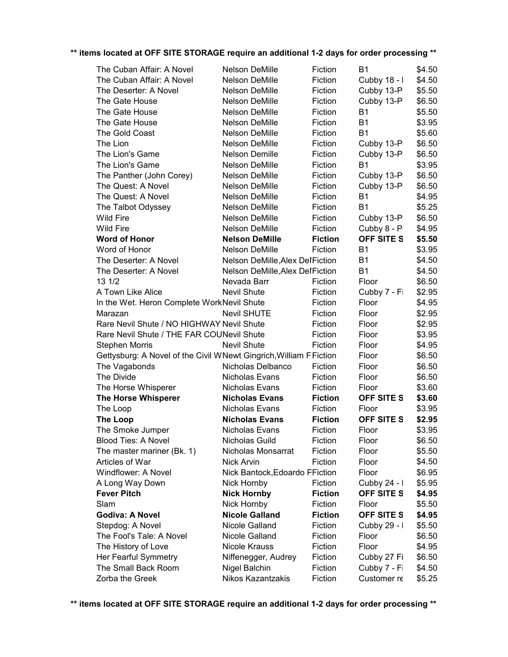| The Cuban Affair: A Novel                                          | Nelson DeMille                   | Fiction        | <b>B1</b>         | \$4.50 |
|--------------------------------------------------------------------|----------------------------------|----------------|-------------------|--------|
| The Cuban Affair: A Novel                                          | Nelson DeMille                   | Fiction        | Cubby 18 - I      | \$4.50 |
| The Deserter: A Novel                                              | Nelson DeMille                   | Fiction        | Cubby 13-P        | \$5.50 |
| The Gate House                                                     | Nelson DeMille                   | Fiction        | Cubby 13-P        | \$6.50 |
| The Gate House                                                     | Nelson DeMille                   | Fiction        | <b>B1</b>         | \$5.50 |
| The Gate House                                                     | <b>Nelson DeMille</b>            | Fiction        | <b>B1</b>         | \$3.95 |
| The Gold Coast                                                     | Nelson DeMille                   | Fiction        | <b>B1</b>         | \$5.60 |
| The Lion                                                           | Nelson DeMille                   | Fiction        | Cubby 13-P        | \$6.50 |
| The Lion's Game                                                    | Nelson Demille                   | Fiction        | Cubby 13-P        | \$6.50 |
| The Lion's Game                                                    | Nelson DeMille                   | Fiction        | <b>B1</b>         | \$3.95 |
| The Panther (John Corey)                                           | Nelson DeMille                   | Fiction        | Cubby 13-P        | \$6.50 |
| The Quest: A Novel                                                 | Nelson DeMille                   | Fiction        | Cubby 13-P        | \$6.50 |
| The Quest: A Novel                                                 | Nelson DeMille                   | Fiction        | <b>B1</b>         | \$4.95 |
| The Talbot Odyssey                                                 | Nelson DeMille                   | Fiction        | <b>B1</b>         | \$5.25 |
| <b>Wild Fire</b>                                                   | Nelson DeMille                   | Fiction        | Cubby 13-P        | \$6.50 |
| <b>Wild Fire</b>                                                   | Nelson DeMille                   | Fiction        | Cubby 8 - P       | \$4.95 |
| <b>Word of Honor</b>                                               | <b>Nelson DeMille</b>            | <b>Fiction</b> | <b>OFF SITE S</b> | \$5.50 |
| Word of Honor                                                      | <b>Nelson DeMille</b>            | Fiction        | <b>B1</b>         | \$3.95 |
| The Deserter: A Novel                                              | Nelson DeMille, Alex Del Fiction |                | <b>B1</b>         | \$4.50 |
| The Deserter: A Novel                                              | Nelson DeMille, Alex Del Fiction |                | <b>B1</b>         | \$4.50 |
| 13 1/2                                                             | Nevada Barr                      | Fiction        | Floor             | \$6.50 |
| A Town Like Alice                                                  | <b>Nevil Shute</b>               | Fiction        | Cubby 7 - Fi      | \$2.95 |
| In the Wet. Heron Complete WorkNevil Shute                         |                                  | Fiction        | Floor             | \$4.95 |
| Marazan                                                            | <b>Nevil SHUTE</b>               | Fiction        | Floor             | \$2.95 |
| Rare Nevil Shute / NO HIGHWAY Nevil Shute                          |                                  | Fiction        | Floor             | \$2.95 |
| Rare Nevil Shute / THE FAR COUNevil Shute                          |                                  | Fiction        | Floor             | \$3.95 |
| <b>Stephen Morris</b>                                              | <b>Nevil Shute</b>               | Fiction        | Floor             | \$4.95 |
| Gettysburg: A Novel of the Civil WNewt Gingrich, William F Fiction |                                  |                | Floor             | \$6.50 |
| The Vagabonds                                                      | Nicholas Delbanco                | Fiction        | Floor             | \$6.50 |
| The Divide                                                         | Nicholas Evans                   | Fiction        | Floor             | \$6.50 |
| The Horse Whisperer                                                | Nicholas Evans                   | Fiction        | Floor             | \$3.60 |
| <b>The Horse Whisperer</b>                                         | <b>Nicholas Evans</b>            | <b>Fiction</b> | <b>OFF SITE S</b> | \$3.60 |
| The Loop                                                           | Nicholas Evans                   | Fiction        | Floor             | \$3.95 |
| <b>The Loop</b>                                                    | <b>Nicholas Evans</b>            | <b>Fiction</b> | <b>OFF SITE S</b> | \$2.95 |
| The Smoke Jumper                                                   | Nicholas Evans                   | Fiction        | Floor             | \$3.95 |
| <b>Blood Ties: A Novel</b>                                         | Nicholas Guild                   | Fiction        | Floor             | \$6.50 |
| The master mariner (Bk. 1)                                         | Nicholas Monsarrat               | Fiction        | Floor             | \$5.50 |
| Articles of War                                                    | <b>Nick Arvin</b>                | Fiction        | Floor             | \$4.50 |
| Windflower: A Novel                                                | Nick Bantock, Edoardo PFiction   |                | Floor             | \$6.95 |
| A Long Way Down                                                    | Nick Hornby                      | Fiction        | Cubby 24 - I      | \$5.95 |
| <b>Fever Pitch</b>                                                 | <b>Nick Hornby</b>               | <b>Fiction</b> | <b>OFF SITE S</b> | \$4.95 |
| Slam                                                               | Nick Hornby                      | Fiction        | Floor             | \$5.50 |
| <b>Godiva: A Novel</b>                                             | <b>Nicole Galland</b>            | <b>Fiction</b> | OFF SITE S        | \$4.95 |
| Stepdog: A Novel                                                   | Nicole Galland                   | Fiction        | Cubby 29 - I      | \$5.50 |
| The Fool's Tale: A Novel                                           | Nicole Galland                   | Fiction        | Floor             | \$6.50 |
| The History of Love                                                | <b>Nicole Krauss</b>             | Fiction        | Floor             | \$4.95 |
| Her Fearful Symmetry                                               | Niffenegger, Audrey              | Fiction        | Cubby 27 Fi       | \$6.50 |
| The Small Back Room                                                | Nigel Balchin                    | Fiction        | Cubby 7 - Fi      | \$4.50 |
| Zorba the Greek                                                    | Nikos Kazantzakis                | Fiction        | Customer re       | \$5.25 |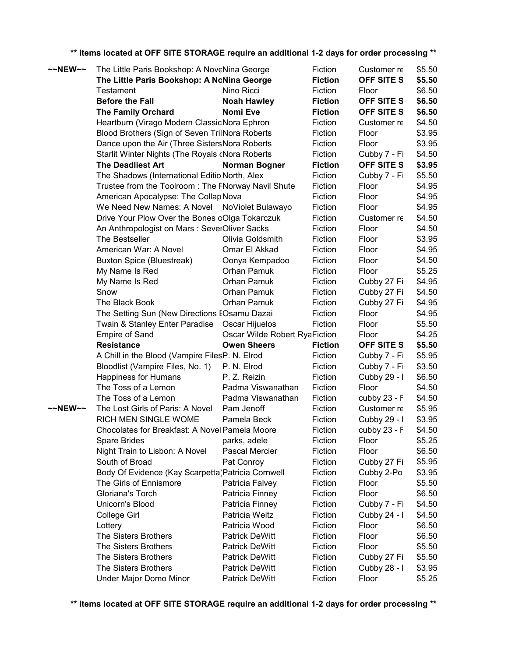| $\sim$ NEW $\sim$ | The Little Paris Bookshop: A NoveNina George       |                               | Fiction        | Customer re  | \$5.50 |
|-------------------|----------------------------------------------------|-------------------------------|----------------|--------------|--------|
|                   | The Little Paris Bookshop: A NoNina George         |                               | <b>Fiction</b> | OFF SITE S   | \$5.50 |
|                   | <b>Testament</b>                                   | Nino Ricci                    | Fiction        | Floor        | \$6.50 |
|                   | <b>Before the Fall</b>                             | <b>Noah Hawley</b>            | <b>Fiction</b> | OFF SITE S   | \$6.50 |
|                   | <b>The Family Orchard</b>                          | <b>Nomi Eve</b>               | <b>Fiction</b> | OFF SITE S   | \$6.50 |
|                   | Heartburn (Virago Modern ClassicNora Ephron        |                               | Fiction        | Customer re  | \$4.50 |
|                   | Blood Brothers (Sign of Seven TrilNora Roberts     |                               | Fiction        | Floor        | \$3.95 |
|                   | Dance upon the Air (Three SistersNora Roberts      |                               | Fiction        | Floor        | \$3.95 |
|                   | Starlit Winter Nights (The Royals cNora Roberts    |                               | Fiction        | Cubby 7 - Fi | \$4.50 |
|                   | <b>The Deadliest Art</b>                           | Norman Bogner                 | <b>Fiction</b> | OFF SITE S   | \$3.95 |
|                   | The Shadows (International EditioNorth, Alex       |                               | Fiction        | Cubby 7 - Fi | \$5.50 |
|                   | Trustee from the Toolroom: The FNorway Navil Shute |                               | Fiction        | Floor        | \$4.95 |
|                   | American Apocalypse: The Collap Nova               |                               | Fiction        | Floor        | \$4.95 |
|                   | We Need New Names: A Novel NoViolet Bulawayo       |                               | Fiction        | Floor        | \$4.95 |
|                   | Drive Your Plow Over the Bones oOlga Tokarczuk     |                               | Fiction        | Customer re  | \$4.50 |
|                   | An Anthropologist on Mars: SeverOliver Sacks       |                               | Fiction        | Floor        | \$4.50 |
|                   | The Bestseller                                     | Olivia Goldsmith              | Fiction        | Floor        | \$3.95 |
|                   | American War: A Novel                              | Omar El Akkad                 | Fiction        | Floor        | \$4.95 |
|                   | <b>Buxton Spice (Bluestreak)</b>                   | Oonya Kempadoo                | Fiction        | Floor        | \$4.50 |
|                   | My Name Is Red                                     | Orhan Pamuk                   | Fiction        | Floor        | \$5.25 |
|                   | My Name Is Red                                     | Orhan Pamuk                   | Fiction        | Cubby 27 Fi  | \$4.95 |
|                   | Snow                                               | Orhan Pamuk                   | Fiction        | Cubby 27 Fi  | \$4.50 |
|                   | The Black Book                                     | Orhan Pamuk                   | Fiction        | Cubby 27 Fi  | \$4.95 |
|                   | The Setting Sun (New Directions EOsamu Dazai       |                               | Fiction        | Floor        | \$4.95 |
|                   | Twain & Stanley Enter Paradise Oscar Hijuelos      |                               | Fiction        | Floor        | \$5.50 |
|                   | <b>Empire of Sand</b>                              | Oscar Wilde Robert RyaFiction |                | Floor        | \$4.25 |
|                   | <b>Resistance</b>                                  | <b>Owen Sheers</b>            | <b>Fiction</b> | OFF SITE S   | \$5.50 |
|                   | A Chill in the Blood (Vampire FilesP. N. Elrod     |                               | Fiction        | Cubby 7 - Fi | \$5.95 |
|                   | Bloodlist (Vampire Files, No. 1)                   | P. N. Elrod                   | Fiction        | Cubby 7 - Fi | \$3.50 |
|                   | Happiness for Humans                               | P. Z. Reizin                  | Fiction        | Cubby 29 - I | \$6.50 |
|                   | The Toss of a Lemon                                | Padma Viswanathan             | Fiction        | Floor        | \$4.50 |
|                   | The Toss of a Lemon                                | Padma Viswanathan             | Fiction        | cubby 23 - F | \$4.50 |
| $\sim$ NEW $\sim$ | The Lost Girls of Paris: A Novel                   | Pam Jenoff                    | Fiction        | Customer re  | \$5.95 |
|                   | RICH MEN SINGLE WOME                               | Pamela Beck                   | Fiction        | Cubby 29 - I | \$3.95 |
|                   | Chocolates for Breakfast: A Novel Pamela Moore     |                               | Fiction        | cubby 23 - F | \$4.50 |
|                   | Spare Brides                                       | parks, adele                  | Fiction        | Floor        | \$5.25 |
|                   | Night Train to Lisbon: A Novel                     | Pascal Mercier                | Fiction        | Floor        | \$6.50 |
|                   | South of Broad                                     | Pat Conroy                    | Fiction        | Cubby 27 Fi  | \$5.95 |
|                   | Body Of Evidence (Kay Scarpetta) Patricia Cornwell |                               | Fiction        | Cubby 2-Po   | \$3.95 |
|                   | The Girls of Ennismore                             | Patricia Falvey               | Fiction        | Floor        | \$5.50 |
|                   | Gloriana's Torch                                   | Patricia Finney               | Fiction        | Floor        | \$6.50 |
|                   | Unicorn's Blood                                    | Patricia Finney               | Fiction        | Cubby 7 - Fi | \$4.50 |
|                   | College Girl                                       | Patricia Weitz                | Fiction        | Cubby 24 - I | \$4.50 |
|                   | Lottery                                            | Patricia Wood                 | Fiction        | Floor        | \$6.50 |
|                   | The Sisters Brothers                               | <b>Patrick DeWitt</b>         | Fiction        | Floor        | \$6.50 |
|                   | The Sisters Brothers                               | Patrick DeWitt                | Fiction        | Floor        | \$5.50 |
|                   | The Sisters Brothers                               | <b>Patrick DeWitt</b>         | Fiction        | Cubby 27 Fi  | \$5.50 |
|                   | The Sisters Brothers                               | <b>Patrick DeWitt</b>         | Fiction        | Cubby 28 - I | \$3.95 |
|                   | Under Major Domo Minor                             | <b>Patrick DeWitt</b>         | Fiction        | Floor        | \$5.25 |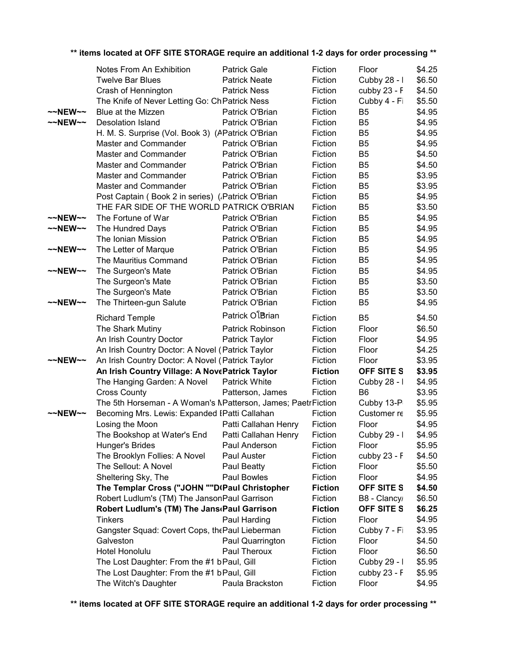|                     | Notes From An Exhibition                                     | <b>Patrick Gale</b>  | Fiction        | Floor             | \$4.25 |
|---------------------|--------------------------------------------------------------|----------------------|----------------|-------------------|--------|
|                     | <b>Twelve Bar Blues</b>                                      | <b>Patrick Neate</b> | Fiction        | Cubby 28 - I      | \$6.50 |
|                     | Crash of Hennington                                          | <b>Patrick Ness</b>  | Fiction        | cubby 23 - F      | \$4.50 |
|                     | The Knife of Never Letting Go: Ch Patrick Ness               |                      | Fiction        | Cubby 4 - Fi      | \$5.50 |
| $~\sim$ NEW $~\sim$ | Blue at the Mizzen                                           | Patrick O'Brian      | Fiction        | B <sub>5</sub>    | \$4.95 |
| $~\sim$ NEW $~\sim$ | Desolation Island                                            | Patrick O'Brian      | Fiction        | B <sub>5</sub>    | \$4.95 |
|                     | H. M. S. Surprise (Vol. Book 3) (APatrick O'Brian            |                      | Fiction        | B <sub>5</sub>    | \$4.95 |
|                     | Master and Commander                                         | Patrick O'Brian      | Fiction        | B <sub>5</sub>    | \$4.95 |
|                     | Master and Commander                                         | Patrick O'Brian      | Fiction        | B <sub>5</sub>    | \$4.50 |
|                     | Master and Commander                                         | Patrick O'Brian      | Fiction        | B <sub>5</sub>    | \$4.50 |
|                     | Master and Commander                                         | Patrick O'Brian      | Fiction        | B <sub>5</sub>    | \$3.95 |
|                     | Master and Commander                                         | Patrick O'Brian      | Fiction        | B <sub>5</sub>    | \$3.95 |
|                     | Post Captain (Book 2 in series) (Patrick O'Brian             |                      | Fiction        | B <sub>5</sub>    | \$4.95 |
|                     | THE FAR SIDE OF THE WORLD PATRICK O'BRIAN                    |                      | Fiction        | B <sub>5</sub>    | \$3.50 |
| $\sim$ NEW $\sim$   | The Fortune of War                                           | Patrick O'Brian      | Fiction        | B <sub>5</sub>    | \$4.95 |
| ~~NEW~~             | The Hundred Days                                             | Patrick O'Brian      | Fiction        | B <sub>5</sub>    | \$4.95 |
|                     | The Ionian Mission                                           | Patrick O'Brian      | Fiction        | B <sub>5</sub>    | \$4.95 |
| $\sim$ NEW $\sim$   | The Letter of Marque                                         | Patrick O'Brian      | Fiction        | B <sub>5</sub>    | \$4.95 |
|                     | The Mauritius Command                                        | Patrick O'Brian      | Fiction        | B <sub>5</sub>    | \$4.95 |
| $\sim$ NEW $\sim$   | The Surgeon's Mate                                           | Patrick O'Brian      | Fiction        | B <sub>5</sub>    | \$4.95 |
|                     | The Surgeon's Mate                                           | Patrick O'Brian      | Fiction        | B <sub>5</sub>    | \$3.50 |
|                     | The Surgeon's Mate                                           | Patrick O'Brian      | Fiction        | B <sub>5</sub>    | \$3.50 |
| $\sim$ NEW $\sim$   | The Thirteen-gun Salute                                      | Patrick O'Brian      | Fiction        | B <sub>5</sub>    | \$4.95 |
|                     |                                                              | Patrick OlBrian      |                |                   |        |
|                     | <b>Richard Temple</b>                                        |                      | Fiction        | B <sub>5</sub>    | \$4.50 |
|                     | The Shark Mutiny                                             | Patrick Robinson     | Fiction        | Floor             | \$6.50 |
|                     | An Irish Country Doctor                                      | Patrick Taylor       | Fiction        | Floor             | \$4.95 |
|                     | An Irish Country Doctor: A Novel (Patrick Taylor             |                      | Fiction        | Floor             | \$4.25 |
| $\sim$ NEW $\sim$   | An Irish Country Doctor: A Novel (Patrick Taylor             |                      | Fiction        | Floor             | \$3.95 |
|                     | An Irish Country Village: A NovePatrick Taylor               |                      | <b>Fiction</b> | OFF SITE S        | \$3.95 |
|                     | The Hanging Garden: A Novel                                  | <b>Patrick White</b> | Fiction        | Cubby 28 - I      | \$4.95 |
|                     | <b>Cross County</b>                                          | Patterson, James     | Fiction        | B <sub>6</sub>    | \$3.95 |
|                     | The 5th Horseman - A Woman's MPatterson, James; PaetrFiction |                      |                | Cubby 13-P        | \$5.95 |
| $\sim$ NEW $\sim$   | Becoming Mrs. Lewis: Expanded IPatti Callahan                |                      | Fiction        | Customer re       | \$5.95 |
|                     | Losing the Moon                                              | Patti Callahan Henry | Fiction        | Floor             | \$4.95 |
|                     | The Bookshop at Water's End Patti Callahan Henry             |                      | Fiction        | Cubby 29 - I      | \$4.95 |
|                     | Hunger's Brides                                              | Paul Anderson        | Fiction        | Floor             | \$5.95 |
|                     | The Brooklyn Follies: A Novel                                | Paul Auster          | Fiction        | cubby 23 - F      | \$4.50 |
|                     | The Sellout: A Novel                                         | Paul Beatty          | Fiction        | Floor             | \$5.50 |
|                     | Sheltering Sky, The                                          | Paul Bowles          | Fiction        | Floor             | \$4.95 |
|                     | The Templar Cross ("JOHN ""D(Paul Christopher                |                      | <b>Fiction</b> | <b>OFF SITE S</b> | \$4.50 |
|                     | Robert Ludlum's (TM) The JansonPaul Garrison                 |                      | Fiction        | B8 - Clancy       | \$6.50 |
|                     | Robert Ludlum's (TM) The Jans Paul Garrison                  |                      | <b>Fiction</b> | <b>OFF SITE S</b> | \$6.25 |
|                     | <b>Tinkers</b>                                               | Paul Harding         | Fiction        | Floor             | \$4.95 |
|                     | Gangster Squad: Covert Cops, the Paul Lieberman              |                      | Fiction        | Cubby 7 - Fi      | \$3.95 |
|                     | Galveston                                                    | Paul Quarrington     | Fiction        | Floor             | \$4.50 |
|                     | Hotel Honolulu                                               | Paul Theroux         | Fiction        | Floor             | \$6.50 |
|                     | The Lost Daughter: From the #1 b Paul, Gill                  |                      | Fiction        | Cubby 29 - I      | \$5.95 |
|                     | The Lost Daughter: From the #1 bPaul, Gill                   |                      | Fiction        | cubby 23 - F      | \$5.95 |
|                     | The Witch's Daughter                                         | Paula Brackston      | Fiction        | Floor             | \$4.95 |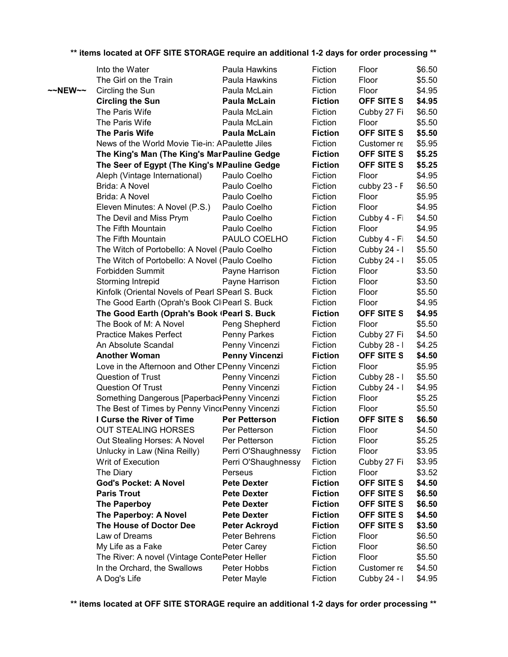|         | Into the Water                                    | Paula Hawkins         | Fiction        | Floor             | \$6.50 |
|---------|---------------------------------------------------|-----------------------|----------------|-------------------|--------|
|         | The Girl on the Train                             | Paula Hawkins         | Fiction        | Floor             | \$5.50 |
| ~~NEW~~ | Circling the Sun                                  | Paula McLain          | Fiction        | Floor             | \$4.95 |
|         | <b>Circling the Sun</b>                           | <b>Paula McLain</b>   | <b>Fiction</b> | OFF SITE S        | \$4.95 |
|         | The Paris Wife                                    | Paula McLain          | Fiction        | Cubby 27 Fi       | \$6.50 |
|         | The Paris Wife                                    | Paula McLain          | Fiction        | Floor             | \$5.50 |
|         | The Paris Wife                                    | <b>Paula McLain</b>   | <b>Fiction</b> | OFF SITE S        | \$5.50 |
|         | News of the World Movie Tie-in: APaulette Jiles   |                       | Fiction        | Customer re       | \$5.95 |
|         | The King's Man (The King's MarPauline Gedge       |                       | <b>Fiction</b> | OFF SITE S        | \$5.25 |
|         | The Seer of Egypt (The King's MPauline Gedge      |                       | <b>Fiction</b> | <b>OFF SITE S</b> | \$5.25 |
|         | Aleph (Vintage International)                     | Paulo Coelho          | Fiction        | Floor             | \$4.95 |
|         | Brida: A Novel                                    | Paulo Coelho          | Fiction        | cubby 23 - F      | \$6.50 |
|         | Brida: A Novel                                    | Paulo Coelho          | Fiction        | Floor             | \$5.95 |
|         | Eleven Minutes: A Novel (P.S.)                    | Paulo Coelho          | Fiction        | Floor             | \$4.95 |
|         | The Devil and Miss Prym                           | Paulo Coelho          | Fiction        | Cubby 4 - Fi      | \$4.50 |
|         | The Fifth Mountain                                | Paulo Coelho          | Fiction        | Floor             | \$4.95 |
|         | The Fifth Mountain                                | PAULO COELHO          | Fiction        | Cubby 4 - Fi      | \$4.50 |
|         | The Witch of Portobello: A Novel (Paulo Coelho    |                       | Fiction        | Cubby 24 - I      | \$5.50 |
|         | The Witch of Portobello: A Novel (Paulo Coelho    |                       | Fiction        | Cubby 24 - I      | \$5.05 |
|         | Forbidden Summit                                  | Payne Harrison        | Fiction        | Floor             | \$3.50 |
|         | Storming Intrepid                                 | Payne Harrison        | Fiction        | Floor             | \$3.50 |
|         | Kinfolk (Oriental Novels of Pearl SPearl S. Buck) |                       | Fiction        | Floor             | \$5.50 |
|         | The Good Earth (Oprah's Book CliPearl S. Buck     |                       | Fiction        | Floor             | \$4.95 |
|         | The Good Earth (Oprah's Book (Pearl S. Buck       |                       | <b>Fiction</b> | OFF SITE S        | \$4.95 |
|         | The Book of M: A Novel                            | Peng Shepherd         | Fiction        | Floor             | \$5.50 |
|         | <b>Practice Makes Perfect</b>                     | Penny Parkes          | Fiction        | Cubby 27 Fi       | \$4.50 |
|         | An Absolute Scandal                               | Penny Vincenzi        | Fiction        | Cubby 28 - I      | \$4.25 |
|         | <b>Another Woman</b>                              | <b>Penny Vincenzi</b> | <b>Fiction</b> | <b>OFF SITE S</b> | \$4.50 |
|         | Love in the Afternoon and Other DPenny Vincenzi   |                       | Fiction        | Floor             | \$5.95 |
|         | Question of Trust                                 | Penny Vincenzi        | Fiction        | Cubby 28 - I      | \$5.50 |
|         | <b>Question Of Trust</b>                          | Penny Vincenzi        | Fiction        | Cubby 24 - I      | \$4.95 |
|         | Something Dangerous [PaperbackPenny Vincenzi      |                       | Fiction        | Floor             | \$5.25 |
|         | The Best of Times by Penny Vinc Penny Vincenzi    |                       | Fiction        | Floor             | \$5.50 |
|         | I Curse the River of Time                         | <b>Per Petterson</b>  | <b>Fiction</b> | <b>OFF SITE S</b> | \$6.50 |
|         | <b>OUT STEALING HORSES</b>                        | Per Petterson         | Fiction        | Floor             | \$4.50 |
|         | Out Stealing Horses: A Novel                      | Per Petterson         | Fiction        | Floor             | \$5.25 |
|         | Unlucky in Law (Nina Reilly)                      | Perri O'Shaughnessy   | Fiction        | Floor             | \$3.95 |
|         | Writ of Execution                                 | Perri O'Shaughnessy   | Fiction        | Cubby 27 Fi       | \$3.95 |
|         | The Diary                                         | Perseus               | Fiction        | Floor             | \$3.52 |
|         | <b>God's Pocket: A Novel</b>                      | <b>Pete Dexter</b>    | <b>Fiction</b> | OFF SITE S        | \$4.50 |
|         | <b>Paris Trout</b>                                | <b>Pete Dexter</b>    | <b>Fiction</b> | OFF SITE S        | \$6.50 |
|         | <b>The Paperboy</b>                               | <b>Pete Dexter</b>    | <b>Fiction</b> | OFF SITE S        | \$6.50 |
|         | The Paperboy: A Novel                             | <b>Pete Dexter</b>    | <b>Fiction</b> | <b>OFF SITE S</b> | \$4.50 |
|         | The House of Doctor Dee                           | <b>Peter Ackroyd</b>  | <b>Fiction</b> | <b>OFF SITE S</b> | \$3.50 |
|         | Law of Dreams                                     | Peter Behrens         | Fiction        | Floor             | \$6.50 |
|         | My Life as a Fake                                 | Peter Carey           | Fiction        | Floor             | \$6.50 |
|         | The River: A novel (Vintage ContePeter Heller     |                       | Fiction        | Floor             | \$5.50 |
|         | In the Orchard, the Swallows                      | Peter Hobbs           | Fiction        | Customer re       | \$4.50 |
|         | A Dog's Life                                      | Peter Mayle           | Fiction        | Cubby 24 - I      | \$4.95 |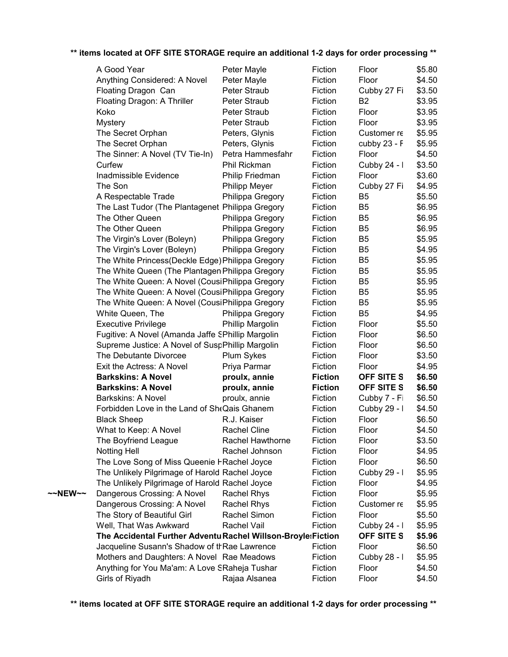|         | A Good Year                                                   | Peter Mayle             | Fiction        | Floor          | \$5.80 |
|---------|---------------------------------------------------------------|-------------------------|----------------|----------------|--------|
|         | Anything Considered: A Novel                                  | Peter Mayle             | Fiction        | Floor          | \$4.50 |
|         | Floating Dragon Can                                           | Peter Straub            | Fiction        | Cubby 27 Fi    | \$3.50 |
|         | Floating Dragon: A Thriller                                   | Peter Straub            | Fiction        | B <sub>2</sub> | \$3.95 |
|         | Koko                                                          | Peter Straub            | Fiction        | Floor          | \$3.95 |
|         | <b>Mystery</b>                                                | Peter Straub            | Fiction        | Floor          | \$3.95 |
|         | The Secret Orphan                                             | Peters, Glynis          | Fiction        | Customer re    | \$5.95 |
|         | The Secret Orphan                                             | Peters, Glynis          | Fiction        | cubby 23 - F   | \$5.95 |
|         | The Sinner: A Novel (TV Tie-In)                               | Petra Hammesfahr        | Fiction        | Floor          | \$4.50 |
|         | Curfew                                                        | Phil Rickman            | Fiction        | Cubby 24 - I   | \$3.50 |
|         | Inadmissible Evidence                                         | Philip Friedman         | Fiction        | Floor          | \$3.60 |
|         | The Son                                                       | <b>Philipp Meyer</b>    | Fiction        | Cubby 27 Fi    | \$4.95 |
|         | A Respectable Trade                                           | Philippa Gregory        | Fiction        | B <sub>5</sub> | \$5.50 |
|         | The Last Tudor (The Plantagenet Philippa Gregory              |                         | Fiction        | B <sub>5</sub> | \$6.95 |
|         | The Other Queen                                               | Philippa Gregory        | Fiction        | B <sub>5</sub> | \$6.95 |
|         | The Other Queen                                               | Philippa Gregory        | Fiction        | B <sub>5</sub> | \$6.95 |
|         | The Virgin's Lover (Boleyn)                                   | Philippa Gregory        | Fiction        | B <sub>5</sub> | \$5.95 |
|         | The Virgin's Lover (Boleyn)                                   | Philippa Gregory        | Fiction        | B <sub>5</sub> | \$4.95 |
|         | The White Princess (Deckle Edge) Philippa Gregory             |                         | Fiction        | B <sub>5</sub> | \$5.95 |
|         | The White Queen (The Plantagen Philippa Gregory               |                         | Fiction        | B <sub>5</sub> | \$5.95 |
|         | The White Queen: A Novel (CousiPhilippa Gregory               |                         | Fiction        | B <sub>5</sub> | \$5.95 |
|         | The White Queen: A Novel (CousiPhilippa Gregory               |                         | Fiction        | B <sub>5</sub> | \$5.95 |
|         | The White Queen: A Novel (CousiPhilippa Gregory               |                         | Fiction        | B <sub>5</sub> | \$5.95 |
|         | White Queen, The                                              | Philippa Gregory        | Fiction        | B <sub>5</sub> | \$4.95 |
|         | <b>Executive Privilege</b>                                    | Phillip Margolin        | Fiction        | Floor          | \$5.50 |
|         | Fugitive: A Novel (Amanda Jaffe SPhillip Margolin             |                         | Fiction        | Floor          | \$6.50 |
|         | Supreme Justice: A Novel of SuspPhillip Margolin              |                         | Fiction        | Floor          | \$6.50 |
|         | The Debutante Divorcee                                        | Plum Sykes              | Fiction        | Floor          | \$3.50 |
|         | Exit the Actress: A Novel                                     | Priya Parmar            | Fiction        | Floor          | \$4.95 |
|         | <b>Barkskins: A Novel</b>                                     | proulx, annie           | <b>Fiction</b> | OFF SITE S     | \$6.50 |
|         | <b>Barkskins: A Novel</b>                                     | proulx, annie           | <b>Fiction</b> | OFF SITE S     | \$6.50 |
|         | <b>Barkskins: A Novel</b>                                     | proulx, annie           | Fiction        | Cubby 7 - Fi   | \$6.50 |
|         | Forbidden Love in the Land of SheQais Ghanem                  |                         | Fiction        | Cubby 29 - I   | \$4.50 |
|         | <b>Black Sheep</b>                                            | R.J. Kaiser             | Fiction        | Floor          | \$6.50 |
|         | What to Keep: A Novel                                         | <b>Rachel Cline</b>     | Fiction        | Floor          | \$4.50 |
|         | The Boyfriend League                                          | <b>Rachel Hawthorne</b> | Fiction        | Floor          | \$3.50 |
|         | <b>Notting Hell</b>                                           | Rachel Johnson          | Fiction        | Floor          | \$4.95 |
|         | The Love Song of Miss Queenie FRachel Joyce                   |                         | Fiction        | Floor          | \$6.50 |
|         | The Unlikely Pilgrimage of Harold Rachel Joyce                |                         | Fiction        | Cubby 29 - I   | \$5.95 |
|         | The Unlikely Pilgrimage of Harold Rachel Joyce                |                         | Fiction        | Floor          | \$4.95 |
| ~~NEW~~ | Dangerous Crossing: A Novel                                   | <b>Rachel Rhys</b>      | Fiction        | Floor          | \$5.95 |
|         | Dangerous Crossing: A Novel                                   | <b>Rachel Rhys</b>      | Fiction        | Customer re    | \$5.95 |
|         | The Story of Beautiful Girl                                   | Rachel Simon            | Fiction        | Floor          | \$5.50 |
|         | Well, That Was Awkward                                        | Rachel Vail             | Fiction        | Cubby 24 - I   | \$5.95 |
|         | The Accidental Further Adventu Rachel Willson-Broyle: Fiction |                         |                | OFF SITE S     | \$5.96 |
|         | Jacqueline Susann's Shadow of thRae Lawrence                  |                         | Fiction        | Floor          | \$6.50 |
|         | Mothers and Daughters: A Novel Rae Meadows                    |                         | Fiction        | Cubby 28 - I   | \$5.95 |
|         | Anything for You Ma'am: A Love SRaheja Tushar                 |                         | Fiction        | Floor          | \$4.50 |
|         | Girls of Riyadh                                               | Rajaa Alsanea           | Fiction        | Floor          | \$4.50 |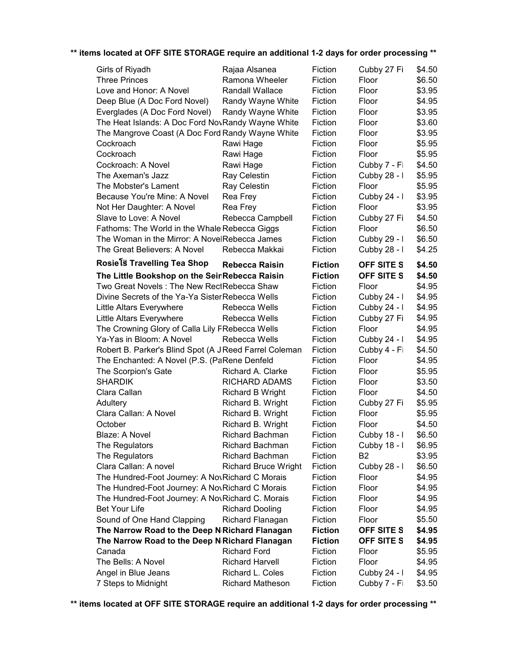| Girls of Riyadh                                             | Rajaa Alsanea                               | Fiction            | Cubby 27 Fi                  | \$4.50           |
|-------------------------------------------------------------|---------------------------------------------|--------------------|------------------------------|------------------|
| <b>Three Princes</b>                                        | Ramona Wheeler                              | Fiction            | Floor                        | \$6.50           |
| Love and Honor: A Novel                                     | <b>Randall Wallace</b>                      | Fiction            | Floor                        | \$3.95           |
| Deep Blue (A Doc Ford Novel)                                | Randy Wayne White                           | Fiction            | Floor                        | \$4.95           |
| Everglades (A Doc Ford Novel)                               | Randy Wayne White                           | Fiction            | Floor                        | \$3.95           |
| The Heat Islands: A Doc Ford NovRandy Wayne White           |                                             | Fiction            | Floor                        | \$3.60           |
| The Mangrove Coast (A Doc Ford Randy Wayne White            |                                             | Fiction            | Floor                        | \$3.95           |
| Cockroach                                                   | Rawi Hage                                   | Fiction            | Floor                        | \$5.95           |
| Cockroach                                                   | Rawi Hage                                   | Fiction            | Floor                        | \$5.95           |
| Cockroach: A Novel                                          | Rawi Hage                                   | Fiction            | Cubby 7 - Fi                 | \$4.50           |
| The Axeman's Jazz                                           | Ray Celestin                                | Fiction            | Cubby 28 - I                 | \$5.95           |
| The Mobster's Lament                                        | Ray Celestin                                | Fiction            | Floor                        | \$5.95           |
| Because You're Mine: A Novel                                | Rea Frey                                    | Fiction            | Cubby 24 - I                 | \$3.95           |
| Not Her Daughter: A Novel                                   | Rea Frey                                    | Fiction            | Floor                        | \$3.95           |
| Slave to Love: A Novel                                      | Rebecca Campbell                            | Fiction            | Cubby 27 Fi                  | \$4.50           |
| Fathoms: The World in the Whale Rebecca Giggs               |                                             | Fiction            | Floor                        | \$6.50           |
| The Woman in the Mirror: A NovelRebecca James               |                                             | Fiction            | Cubby 29 - I                 | \$6.50           |
| The Great Believers: A Novel                                | Rebecca Makkai                              | Fiction            | Cubby 28 - I                 | \$4.25           |
| Rosiels Travelling Tea Shop                                 |                                             |                    |                              |                  |
|                                                             | <b>Rebecca Raisin</b>                       | <b>Fiction</b>     | <b>OFF SITE S</b>            | \$4.50           |
| The Little Bookshop on the SeinRebecca Raisin               |                                             | <b>Fiction</b>     | <b>OFF SITE S</b>            | \$4.50           |
| Two Great Novels: The New RectRebecca Shaw                  |                                             | Fiction            | Floor                        | \$4.95           |
| Divine Secrets of the Ya-Ya Sister Rebecca Wells            |                                             | Fiction            | Cubby 24 - I                 | \$4.95           |
| Little Altars Everywhere                                    | Rebecca Wells                               | Fiction            | Cubby 24 - I                 | \$4.95           |
| Little Altars Everywhere                                    | Rebecca Wells                               | Fiction            | Cubby 27 Fi                  | \$4.95           |
| The Crowning Glory of Calla Lily FRebecca Wells             |                                             | Fiction            | Floor                        | \$4.95           |
|                                                             |                                             |                    |                              |                  |
| Ya-Yas in Bloom: A Novel                                    | Rebecca Wells                               | Fiction            | Cubby 24 - I                 | \$4.95           |
| Robert B. Parker's Blind Spot (A J Reed Farrel Coleman      |                                             | Fiction            | Cubby 4 - Fi                 | \$4.50           |
| The Enchanted: A Novel (P.S. (PaRene Denfeld                |                                             | Fiction            | Floor                        | \$4.95           |
| The Scorpion's Gate                                         | Richard A. Clarke                           | Fiction            | Floor                        | \$5.95           |
| <b>SHARDIK</b>                                              | <b>RICHARD ADAMS</b>                        | Fiction            | Floor                        | \$3.50           |
| Clara Callan                                                | <b>Richard B Wright</b>                     | Fiction            | Floor                        | \$4.50           |
| Adultery                                                    | Richard B. Wright                           | Fiction            | Cubby 27 Fi                  | \$5.95           |
| Clara Callan: A Novel                                       | Richard B. Wright                           | Fiction            | Floor                        | \$5.95           |
| October                                                     | Richard B. Wright                           | Fiction            | Floor                        | \$4.50           |
| Blaze: A Novel                                              | Richard Bachman                             | Fiction            | Cubby 18 - I                 | \$6.50           |
| The Regulators                                              | <b>Richard Bachman</b>                      | Fiction            | Cubby 18 - I                 | \$6.95           |
| The Regulators                                              | <b>Richard Bachman</b>                      | Fiction            | B <sub>2</sub>               | \$3.95           |
| Clara Callan: A novel                                       | <b>Richard Bruce Wright</b>                 | Fiction            | Cubby 28 - I                 | \$6.50           |
| The Hundred-Foot Journey: A NovRichard C Morais             |                                             | Fiction            | Floor                        | \$4.95           |
| The Hundred-Foot Journey: A NovRichard C Morais             |                                             | Fiction            | Floor                        | \$4.95           |
| The Hundred-Foot Journey: A NovRichard C. Morais            |                                             | Fiction            | Floor                        | \$4.95           |
| <b>Bet Your Life</b>                                        | <b>Richard Dooling</b>                      | Fiction            | Floor                        | \$4.95           |
| Sound of One Hand Clapping                                  | Richard Flanagan                            | Fiction            | Floor                        | \$5.50           |
| The Narrow Road to the Deep N <sub>'</sub> Richard Flanagan |                                             | <b>Fiction</b>     | OFF SITE S                   | \$4.95           |
| The Narrow Road to the Deep N <sub>'</sub> Richard Flanagan |                                             | <b>Fiction</b>     | OFF SITE S                   | \$4.95           |
| Canada                                                      | <b>Richard Ford</b>                         | Fiction            | Floor                        | \$5.95           |
| The Bells: A Novel                                          | <b>Richard Harvell</b>                      | Fiction            | Floor                        | \$4.95           |
| Angel in Blue Jeans<br>7 Steps to Midnight                  | Richard L. Coles<br><b>Richard Matheson</b> | Fiction<br>Fiction | Cubby 24 - I<br>Cubby 7 - Fi | \$4.95<br>\$3.50 |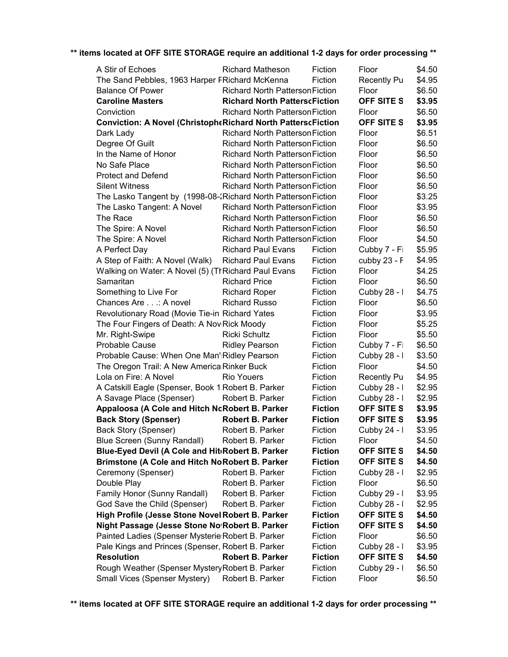| A Stir of Echoes                                               | <b>Richard Matheson</b>                | Fiction        | Floor              | \$4.50 |
|----------------------------------------------------------------|----------------------------------------|----------------|--------------------|--------|
| The Sand Pebbles, 1963 Harper FRichard McKenna                 |                                        | Fiction        | <b>Recently Pu</b> | \$4.95 |
| <b>Balance Of Power</b>                                        | <b>Richard North Patterson Fiction</b> |                | Floor              | \$6.50 |
| <b>Caroline Masters</b>                                        | <b>Richard North PatterscFiction</b>   |                | OFF SITE S         | \$3.95 |
| Conviction                                                     | <b>Richard North Patterson Fiction</b> |                | Floor              | \$6.50 |
| Conviction: A Novel (ChristopheRichard North PatterscFiction   |                                        |                | <b>OFF SITE S</b>  | \$3.95 |
| Dark Lady                                                      | <b>Richard North Patterson Fiction</b> |                | Floor              | \$6.51 |
| Degree Of Guilt                                                | <b>Richard North Patterson Fiction</b> |                | Floor              | \$6.50 |
| In the Name of Honor                                           | <b>Richard North Patterson Fiction</b> |                | Floor              | \$6.50 |
| No Safe Place                                                  | <b>Richard North Patterson Fiction</b> |                | Floor              | \$6.50 |
| <b>Protect and Defend</b>                                      | <b>Richard North Patterson Fiction</b> |                | Floor              | \$6.50 |
| <b>Silent Witness</b>                                          | <b>Richard North Patterson Fiction</b> |                | Floor              | \$6.50 |
| The Lasko Tangent by (1998-08-2Richard North Patterson Fiction |                                        |                | Floor              | \$3.25 |
| The Lasko Tangent: A Novel                                     | <b>Richard North Patterson Fiction</b> |                | Floor              | \$3.95 |
| The Race                                                       | <b>Richard North Patterson Fiction</b> |                | Floor              | \$6.50 |
| The Spire: A Novel                                             | <b>Richard North Patterson Fiction</b> |                | Floor              | \$6.50 |
| The Spire: A Novel                                             | <b>Richard North Patterson Fiction</b> |                | Floor              | \$4.50 |
| A Perfect Day                                                  | <b>Richard Paul Evans</b>              | Fiction        | Cubby 7 - Fi       | \$5.95 |
| A Step of Faith: A Novel (Walk)                                | <b>Richard Paul Evans</b>              | Fiction        | cubby 23 - F       | \$4.95 |
| Walking on Water: A Novel (5) (TrRichard Paul Evans            |                                        | Fiction        | Floor              | \$4.25 |
| Samaritan                                                      | <b>Richard Price</b>                   | Fiction        | Floor              | \$6.50 |
| Something to Live For                                          | <b>Richard Roper</b>                   | Fiction        | Cubby 28 - I       | \$4.75 |
| Chances Are: A novel                                           | <b>Richard Russo</b>                   | Fiction        | Floor              | \$6.50 |
| Revolutionary Road (Movie Tie-in Richard Yates                 |                                        | Fiction        | Floor              | \$3.95 |
| The Four Fingers of Death: A Nov Rick Moody                    |                                        | Fiction        | Floor              | \$5.25 |
| Mr. Right-Swipe                                                | <b>Ricki Schultz</b>                   | Fiction        | Floor              | \$5.50 |
| Probable Cause                                                 | <b>Ridley Pearson</b>                  | Fiction        | Cubby 7 - Fi       | \$6.50 |
| Probable Cause: When One Man':Ridley Pearson                   |                                        | Fiction        | Cubby 28 - I       | \$3.50 |
| The Oregon Trail: A New America Rinker Buck                    |                                        | Fiction        | Floor              | \$4.50 |
| Lola on Fire: A Novel                                          | <b>Rio Youers</b>                      | Fiction        | <b>Recently Pu</b> | \$4.95 |
| A Catskill Eagle (Spenser, Book 1. Robert B. Parker            |                                        | Fiction        | Cubby 28 - I       | \$2.95 |
| A Savage Place (Spenser)                                       | Robert B. Parker                       | Fiction        | Cubby 28 - I       | \$2.95 |
| Appaloosa (A Cole and Hitch NcRobert B. Parker                 |                                        | <b>Fiction</b> | OFF SITE S         | \$3.95 |
| <b>Back Story (Spenser)</b>                                    | <b>Robert B. Parker</b>                | <b>Fiction</b> | OFF SITE S         | \$3.95 |
| Back Story (Spenser)                                           | Robert B. Parker                       | Fiction        | Cubby 24 - I       | \$3.95 |
| Blue Screen (Sunny Randall)                                    | Robert B. Parker                       | Fiction        | Floor              | \$4.50 |
| Blue-Eyed Devil (A Cole and Hit Robert B. Parker               |                                        | <b>Fiction</b> | OFF SITE S         | \$4.50 |
| <b>Brimstone (A Cole and Hitch NoRobert B. Parker</b>          |                                        | <b>Fiction</b> | OFF SITE S         | \$4.50 |
| Ceremony (Spenser)                                             | Robert B. Parker                       | Fiction        | Cubby 28 - I       | \$2.95 |
| Double Play                                                    | Robert B. Parker                       | Fiction        | Floor              | \$6.50 |
| Family Honor (Sunny Randall)                                   | Robert B. Parker                       | Fiction        | Cubby 29 - I       | \$3.95 |
| God Save the Child (Spenser)                                   | Robert B. Parker                       | Fiction        | Cubby 28 - I       | \$2.95 |
| High Profile (Jesse Stone Novel Robert B. Parker               |                                        | <b>Fiction</b> | <b>OFF SITE S</b>  | \$4.50 |
| Night Passage (Jesse Stone No'Robert B. Parker                 |                                        | <b>Fiction</b> | <b>OFF SITE S</b>  | \$4.50 |
| Painted Ladies (Spenser Mysterie Robert B. Parker              |                                        | Fiction        | Floor              | \$6.50 |
| Pale Kings and Princes (Spenser, Robert B. Parker              |                                        | Fiction        | Cubby 28 - I       | \$3.95 |
| <b>Resolution</b>                                              | <b>Robert B. Parker</b>                | <b>Fiction</b> | OFF SITE S         | \$4.50 |
| Rough Weather (Spenser Mystery Robert B. Parker                |                                        | Fiction        | Cubby 29 - I       | \$6.50 |
| Small Vices (Spenser Mystery)                                  | Robert B. Parker                       | Fiction        | Floor              | \$6.50 |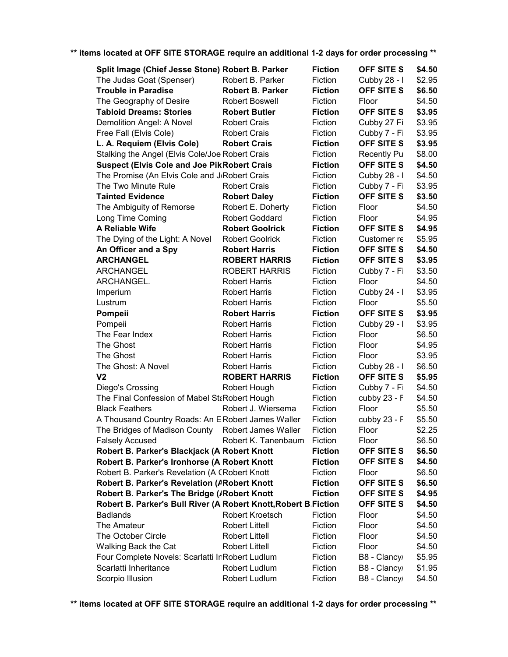| Split Image (Chief Jesse Stone) Robert B. Parker                |                         | <b>Fiction</b> | <b>OFF SITE S</b>  | \$4.50 |
|-----------------------------------------------------------------|-------------------------|----------------|--------------------|--------|
| The Judas Goat (Spenser)                                        | Robert B. Parker        | Fiction        | Cubby 28 - I       | \$2.95 |
| <b>Trouble in Paradise</b>                                      | <b>Robert B. Parker</b> | <b>Fiction</b> | OFF SITE S         | \$6.50 |
| The Geography of Desire                                         | Robert Boswell          | Fiction        | Floor              | \$4.50 |
| <b>Tabloid Dreams: Stories</b>                                  | <b>Robert Butler</b>    | <b>Fiction</b> | <b>OFF SITE S</b>  | \$3.95 |
| Demolition Angel: A Novel                                       | <b>Robert Crais</b>     | Fiction        | Cubby 27 Fi        | \$3.95 |
| Free Fall (Elvis Cole)                                          | <b>Robert Crais</b>     | Fiction        | Cubby 7 - Fi       | \$3.95 |
| L. A. Requiem (Elvis Cole)                                      | <b>Robert Crais</b>     | <b>Fiction</b> | <b>OFF SITE S</b>  | \$3.95 |
| Stalking the Angel (Elvis Cole/Joe Robert Crais                 |                         | Fiction        | <b>Recently Pu</b> | \$8.00 |
| <b>Suspect (Elvis Cole and Joe PikRobert Crais</b>              |                         | <b>Fiction</b> | OFF SITE S         | \$4.50 |
| The Promise (An Elvis Cole and J Robert Crais                   |                         | Fiction        | Cubby 28 - I       | \$4.50 |
| The Two Minute Rule                                             | <b>Robert Crais</b>     | Fiction        | Cubby 7 - Fi       | \$3.95 |
| <b>Tainted Evidence</b>                                         | <b>Robert Daley</b>     | <b>Fiction</b> | OFF SITE S         | \$3.50 |
| The Ambiguity of Remorse                                        | Robert E. Doherty       | Fiction        | Floor              | \$4.50 |
| Long Time Coming                                                | <b>Robert Goddard</b>   | Fiction        | Floor              | \$4.95 |
| A Reliable Wife                                                 | <b>Robert Goolrick</b>  | <b>Fiction</b> | <b>OFF SITE S</b>  | \$4.95 |
| The Dying of the Light: A Novel                                 | <b>Robert Goolrick</b>  | Fiction        | Customer re        | \$5.95 |
| An Officer and a Spy                                            | <b>Robert Harris</b>    | <b>Fiction</b> | OFF SITE S         | \$4.50 |
| <b>ARCHANGEL</b>                                                | <b>ROBERT HARRIS</b>    | <b>Fiction</b> | <b>OFF SITE S</b>  | \$3.95 |
| <b>ARCHANGEL</b>                                                | <b>ROBERT HARRIS</b>    | Fiction        | Cubby 7 - Fi       | \$3.50 |
| ARCHANGEL.                                                      | <b>Robert Harris</b>    | Fiction        | Floor              | \$4.50 |
| Imperium                                                        | <b>Robert Harris</b>    | Fiction        | Cubby 24 - I       | \$3.95 |
| Lustrum                                                         | <b>Robert Harris</b>    | Fiction        | Floor              | \$5.50 |
| Pompeii                                                         | <b>Robert Harris</b>    | <b>Fiction</b> | <b>OFF SITE S</b>  | \$3.95 |
| Pompeii                                                         | <b>Robert Harris</b>    | Fiction        | Cubby 29 - I       | \$3.95 |
| The Fear Index                                                  | <b>Robert Harris</b>    | Fiction        | Floor              | \$6.50 |
| The Ghost                                                       | <b>Robert Harris</b>    | Fiction        | Floor              | \$4.95 |
| The Ghost                                                       | <b>Robert Harris</b>    | Fiction        | Floor              | \$3.95 |
| The Ghost: A Novel                                              | <b>Robert Harris</b>    | Fiction        | Cubby 28 - I       | \$6.50 |
| V <sub>2</sub>                                                  | <b>ROBERT HARRIS</b>    | <b>Fiction</b> | OFF SITE S         | \$5.95 |
| Diego's Crossing                                                | Robert Hough            | Fiction        | Cubby 7 - Fi       | \$4.50 |
| The Final Confession of Mabel StaRobert Hough                   |                         | Fiction        | cubby 23 - F       | \$4.50 |
| <b>Black Feathers</b>                                           | Robert J. Wiersema      | Fiction        | Floor              | \$5.50 |
| A Thousand Country Roads: An ERobert James Waller               |                         | Fiction        | cubby 23 - F       | \$5.50 |
| The Bridges of Madison County                                   | Robert James Waller     | Fiction        | Floor              | \$2.25 |
| <b>Falsely Accused</b>                                          | Robert K. Tanenbaum     | Fiction        | Floor              | \$6.50 |
| Robert B. Parker's Blackjack (A Robert Knott                    |                         | <b>Fiction</b> | OFF SITE S         | \$6.50 |
| Robert B. Parker's Ironhorse (A Robert Knott                    |                         | <b>Fiction</b> | OFF SITE S         | \$4.50 |
| Robert B. Parker's Revelation (A CRobert Knott                  |                         | Fiction        |                    | \$6.50 |
|                                                                 |                         |                | Floor              |        |
| <b>Robert B. Parker's Revelation (ARobert Knott</b>             |                         | <b>Fiction</b> | OFF SITE S         | \$6.50 |
| Robert B. Parker's The Bridge (/Robert Knott                    |                         | <b>Fiction</b> | OFF SITE S         | \$4.95 |
| Robert B. Parker's Bull River (A Robert Knott, Robert B Fiction |                         |                | <b>OFF SITE S</b>  | \$4.50 |
| <b>Badlands</b>                                                 | Robert Kroetsch         | Fiction        | Floor              | \$4.50 |
| The Amateur                                                     | <b>Robert Littell</b>   | Fiction        | Floor              | \$4.50 |
| The October Circle                                              | <b>Robert Littell</b>   | Fiction        | Floor              | \$4.50 |
| Walking Back the Cat                                            | <b>Robert Littell</b>   | Fiction        | Floor              | \$4.50 |
| Four Complete Novels: Scarlatti InRobert Ludlum                 |                         | Fiction        | B8 - Clancy        | \$5.95 |
| Scarlatti Inheritance                                           | Robert Ludlum           | Fiction        | B8 - Clancy        | \$1.95 |
| Scorpio Illusion                                                | Robert Ludlum           | Fiction        | B8 - Clancy        | \$4.50 |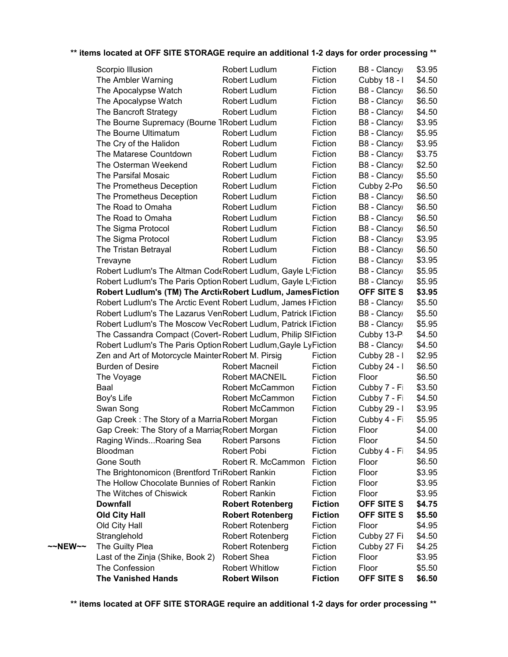|         | Scorpio Illusion                                                | Robert Ludlum           | Fiction        | B8 - Clancy  | \$3.95 |
|---------|-----------------------------------------------------------------|-------------------------|----------------|--------------|--------|
|         | The Ambler Warning                                              | Robert Ludlum           | Fiction        | Cubby 18 - I | \$4.50 |
|         | The Apocalypse Watch                                            | Robert Ludlum           | Fiction        | B8 - Clancy  | \$6.50 |
|         | The Apocalypse Watch                                            | Robert Ludlum           | Fiction        | B8 - Clancy  | \$6.50 |
|         | The Bancroft Strategy                                           | Robert Ludlum           | Fiction        | B8 - Clancy  | \$4.50 |
|         | The Bourne Supremacy (Bourne TRobert Ludlum                     |                         | Fiction        | B8 - Clancy  | \$3.95 |
|         | The Bourne Ultimatum                                            | Robert Ludlum           | Fiction        | B8 - Clancy  | \$5.95 |
|         | The Cry of the Halidon                                          | Robert Ludlum           | Fiction        | B8 - Clancy  | \$3.95 |
|         | The Matarese Countdown                                          | Robert Ludlum           | Fiction        | B8 - Clancy  | \$3.75 |
|         | The Osterman Weekend                                            | Robert Ludlum           | Fiction        | B8 - Clancy  | \$2.50 |
|         | The Parsifal Mosaic                                             | Robert Ludlum           | Fiction        | B8 - Clancy  | \$5.50 |
|         | The Prometheus Deception                                        | Robert Ludlum           | Fiction        | Cubby 2-Po   | \$6.50 |
|         | The Prometheus Deception                                        | Robert Ludlum           | Fiction        | B8 - Clancy  | \$6.50 |
|         | The Road to Omaha                                               | Robert Ludlum           | Fiction        | B8 - Clancy  | \$6.50 |
|         | The Road to Omaha                                               | Robert Ludlum           | Fiction        | B8 - Clancy  | \$6.50 |
|         | The Sigma Protocol                                              | Robert Ludlum           | Fiction        | B8 - Clancy  | \$6.50 |
|         | The Sigma Protocol                                              | Robert Ludlum           | Fiction        | B8 - Clancy  | \$3.95 |
|         | The Tristan Betrayal                                            | Robert Ludlum           | Fiction        | B8 - Clancy  | \$6.50 |
|         | Trevayne                                                        | Robert Ludlum           | Fiction        | B8 - Clancy  | \$3.95 |
|         | Robert Ludlum's The Altman CodeRobert Ludlum, Gayle L'Fiction   |                         |                | B8 - Clancy  | \$5.95 |
|         | Robert Ludlum's The Paris Option Robert Ludlum, Gayle L'Fiction |                         |                | B8 - Clancy  | \$5.95 |
|         | Robert Ludlum's (TM) The ArcticRobert Ludlum, JamesFiction      |                         |                | OFF SITE S   | \$3.95 |
|         | Robert Ludlum's The Arctic Event Robert Ludlum, James I Fiction |                         |                | B8 - Clancy  | \$5.50 |
|         | Robert Ludlum's The Lazarus VenRobert Ludlum, Patrick I Fiction |                         |                | B8 - Clancy  | \$5.50 |
|         | Robert Ludlum's The Moscow VecRobert Ludlum, Patrick IFiction   |                         |                | B8 - Clancy  | \$5.95 |
|         | The Cassandra Compact (Covert-Robert Ludlum, Philip SIFiction   |                         |                | Cubby 13-P   | \$4.50 |
|         | Robert Ludlum's The Paris Option Robert Ludlum, Gayle LyFiction |                         |                | B8 - Clancy  | \$4.50 |
|         | Zen and Art of Motorcycle Mainter Robert M. Pirsig              |                         | Fiction        | Cubby 28 - I | \$2.95 |
|         | <b>Burden of Desire</b>                                         | Robert Macneil          | Fiction        | Cubby 24 - I | \$6.50 |
|         | The Voyage                                                      | Robert MACNEIL          | Fiction        | Floor        | \$6.50 |
|         | Baal                                                            | Robert McCammon         | Fiction        | Cubby 7 - Fi | \$3.50 |
|         | Boy's Life                                                      | Robert McCammon         | Fiction        | Cubby 7 - Fi | \$4.50 |
|         | Swan Song                                                       | Robert McCammon         | Fiction        | Cubby 29 - I | \$3.95 |
|         | Gap Creek: The Story of a Marria Robert Morgan                  |                         | Fiction        | Cubby 4 - Fi | \$5.95 |
|         | Gap Creek: The Story of a MarriacRobert Morgan                  |                         | Fiction        | Floor        | \$4.00 |
|         | Raging WindsRoaring Sea                                         | <b>Robert Parsons</b>   | Fiction        | Floor        | \$4.50 |
|         | Bloodman                                                        | Robert Pobi             | Fiction        | Cubby 4 - Fi | \$4.95 |
|         | Gone South                                                      | Robert R. McCammon      | Fiction        | Floor        | \$6.50 |
|         | The Brightonomicon (Brentford TriRobert Rankin                  |                         | Fiction        | Floor        | \$3.95 |
|         | The Hollow Chocolate Bunnies of Robert Rankin                   |                         | Fiction        | Floor        | \$3.95 |
|         | The Witches of Chiswick                                         | <b>Robert Rankin</b>    | Fiction        | Floor        | \$3.95 |
|         | <b>Downfall</b>                                                 | <b>Robert Rotenberg</b> | <b>Fiction</b> | OFF SITE S   | \$4.75 |
|         | <b>Old City Hall</b>                                            | <b>Robert Rotenberg</b> | <b>Fiction</b> | OFF SITE S   | \$5.50 |
|         | Old City Hall                                                   | <b>Robert Rotenberg</b> | Fiction        | Floor        | \$4.95 |
|         | Stranglehold                                                    | <b>Robert Rotenberg</b> | Fiction        | Cubby 27 Fi  | \$4.50 |
| ~~NEW~~ | The Guilty Plea                                                 | <b>Robert Rotenberg</b> | Fiction        | Cubby 27 Fi  | \$4.25 |
|         | Last of the Zinja (Shike, Book 2)                               | Robert Shea             | Fiction        | Floor        | \$3.95 |
|         | The Confession                                                  | <b>Robert Whitlow</b>   | Fiction        | Floor        | \$5.50 |
|         | <b>The Vanished Hands</b>                                       | <b>Robert Wilson</b>    | <b>Fiction</b> | OFF SITE S   | \$6.50 |
|         |                                                                 |                         |                |              |        |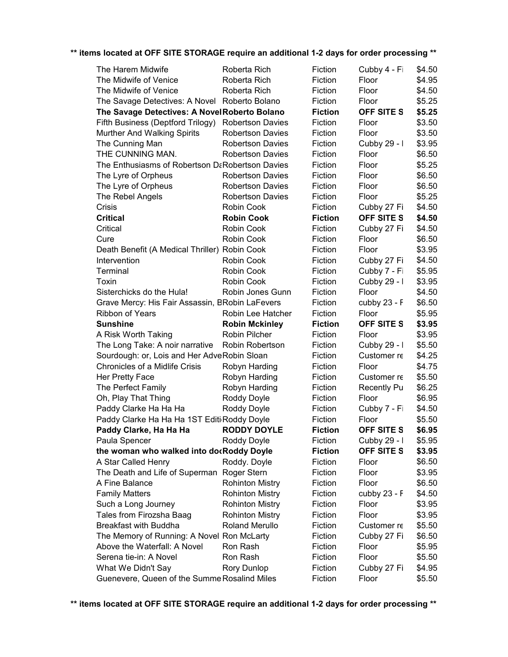| The Harem Midwife                               | Roberta Rich            | Fiction        | Cubby 4 - Fi       | \$4.50 |
|-------------------------------------------------|-------------------------|----------------|--------------------|--------|
| The Midwife of Venice                           | Roberta Rich            | Fiction        | Floor              | \$4.95 |
| The Midwife of Venice                           | Roberta Rich            | Fiction        | Floor              | \$4.50 |
| The Savage Detectives: A Novel Roberto Bolano   |                         | Fiction        | Floor              | \$5.25 |
| The Savage Detectives: A NovelRoberto Bolano    |                         | <b>Fiction</b> | <b>OFF SITE S</b>  | \$5.25 |
| Fifth Business (Deptford Trilogy)               | <b>Robertson Davies</b> | Fiction        | Floor              | \$3.50 |
| Murther And Walking Spirits                     | <b>Robertson Davies</b> | Fiction        | Floor              | \$3.50 |
| The Cunning Man                                 | <b>Robertson Davies</b> | Fiction        | Cubby 29 - I       | \$3.95 |
| THE CUNNING MAN.                                | <b>Robertson Davies</b> | Fiction        | Floor              | \$6.50 |
| The Enthusiasms of Robertson DaRobertson Davies |                         | Fiction        | Floor              | \$5.25 |
| The Lyre of Orpheus                             | <b>Robertson Davies</b> | Fiction        | Floor              | \$6.50 |
| The Lyre of Orpheus                             | <b>Robertson Davies</b> | Fiction        | Floor              | \$6.50 |
| The Rebel Angels                                | <b>Robertson Davies</b> | Fiction        | Floor              | \$5.25 |
| Crisis                                          | Robin Cook              | Fiction        | Cubby 27 Fi        | \$4.50 |
| <b>Critical</b>                                 | <b>Robin Cook</b>       | <b>Fiction</b> | OFF SITE S         | \$4.50 |
| Critical                                        | Robin Cook              | Fiction        | Cubby 27 Fi        | \$4.50 |
| Cure                                            | Robin Cook              | Fiction        | Floor              | \$6.50 |
| Death Benefit (A Medical Thriller) Robin Cook   |                         | Fiction        | Floor              | \$3.95 |
| Intervention                                    | Robin Cook              | Fiction        | Cubby 27 Fi        | \$4.50 |
| Terminal                                        | Robin Cook              | Fiction        | Cubby 7 - Fi       | \$5.95 |
| Toxin                                           | Robin Cook              | Fiction        | Cubby 29 - I       | \$3.95 |
| Sisterchicks do the Hula!                       | Robin Jones Gunn        | Fiction        | Floor              | \$4.50 |
| Grave Mercy: His Fair Assassin, BRobin LaFevers |                         | Fiction        | cubby 23 - F       | \$6.50 |
| Ribbon of Years                                 | Robin Lee Hatcher       | Fiction        | Floor              | \$5.95 |
| <b>Sunshine</b>                                 | <b>Robin Mckinley</b>   | <b>Fiction</b> | <b>OFF SITE S</b>  | \$3.95 |
| A Risk Worth Taking                             | Robin Pilcher           | Fiction        | Floor              | \$3.95 |
| The Long Take: A noir narrative                 | Robin Robertson         | Fiction        | Cubby 29 - I       | \$5.50 |
| Sourdough: or, Lois and Her AdveRobin Sloan     |                         | Fiction        | Customer re        | \$4.25 |
| Chronicles of a Midlife Crisis                  | Robyn Harding           | Fiction        | Floor              | \$4.75 |
| Her Pretty Face                                 | Robyn Harding           | Fiction        | Customer re        | \$5.50 |
| The Perfect Family                              | Robyn Harding           | Fiction        | <b>Recently Pu</b> | \$6.25 |
|                                                 |                         | Fiction        | Floor              | \$6.95 |
| Oh, Play That Thing                             | Roddy Doyle             |                |                    |        |
| Paddy Clarke Ha Ha Ha                           | Roddy Doyle             | Fiction        | Cubby 7 - Fi       | \$4.50 |
| Paddy Clarke Ha Ha Ha 1ST Editi Roddy Doyle     |                         | Fiction        | Floor              | \$5.50 |
| Paddy Clarke, Ha Ha Ha                          | <b>RODDY DOYLE</b>      | <b>Fiction</b> | OFF SITE S         | \$6.95 |
| Paula Spencer                                   | Roddy Doyle             | Fiction        | Cubby 29 - I       | \$5.95 |
| the woman who walked into docRoddy Doyle        |                         | <b>Fiction</b> | <b>OFF SITE S</b>  | \$3.95 |
| A Star Called Henry                             | Roddy. Doyle            | Fiction        | Floor              | \$6.50 |
| The Death and Life of Superman Roger Stern      |                         | Fiction        | Floor              | \$3.95 |
| A Fine Balance                                  | <b>Rohinton Mistry</b>  | Fiction        | Floor              | \$6.50 |
| <b>Family Matters</b>                           | <b>Rohinton Mistry</b>  | Fiction        | cubby 23 - F       | \$4.50 |
| Such a Long Journey                             | <b>Rohinton Mistry</b>  | Fiction        | Floor              | \$3.95 |
| Tales from Firozsha Baag                        |                         | Fiction        | Floor              | \$3.95 |
| <b>Breakfast with Buddha</b>                    | <b>Rohinton Mistry</b>  |                |                    |        |
|                                                 | Roland Merullo          | Fiction        | Customer re        | \$5.50 |
| The Memory of Running: A Novel Ron McLarty      |                         | Fiction        | Cubby 27 Fi        | \$6.50 |
| Above the Waterfall: A Novel                    | Ron Rash                | Fiction        | Floor              | \$5.95 |
| Serena tie-in: A Novel                          | Ron Rash                | Fiction        | Floor              | \$5.50 |
| What We Didn't Say                              | Rory Dunlop             | Fiction        | Cubby 27 Fi        | \$4.95 |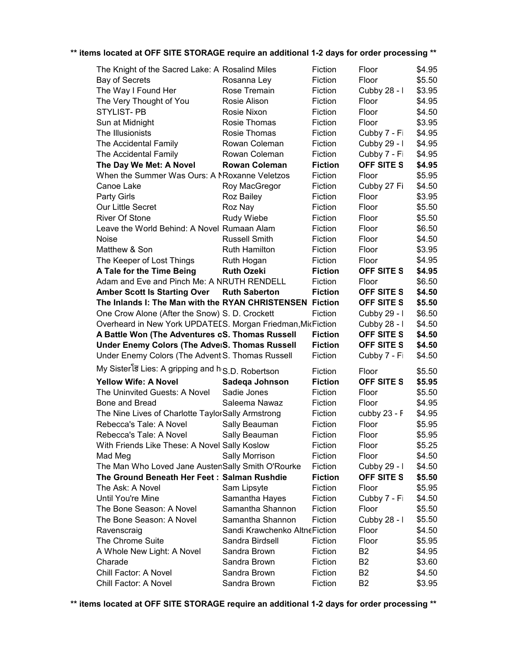| The Knight of the Sacred Lake: A Rosalind Miles                |                               | Fiction            | Floor                            | \$4.95           |
|----------------------------------------------------------------|-------------------------------|--------------------|----------------------------------|------------------|
| <b>Bay of Secrets</b>                                          | Rosanna Ley                   | Fiction            | Floor                            | \$5.50           |
| The Way I Found Her                                            | Rose Tremain                  | Fiction            | Cubby 28 - I                     | \$3.95           |
| The Very Thought of You                                        | Rosie Alison                  | Fiction            | Floor                            | \$4.95           |
| <b>STYLIST-PB</b>                                              | Rosie Nixon                   | Fiction            | Floor                            | \$4.50           |
| Sun at Midnight                                                | Rosie Thomas                  | Fiction            | Floor                            | \$3.95           |
| The Illusionists                                               | Rosie Thomas                  | Fiction            | Cubby 7 - Fi                     | \$4.95           |
| The Accidental Family                                          | Rowan Coleman                 | Fiction            | Cubby 29 - I                     | \$4.95           |
| The Accidental Family                                          | Rowan Coleman                 | Fiction            | Cubby 7 - Fi                     | \$4.95           |
| The Day We Met: A Novel                                        | <b>Rowan Coleman</b>          | <b>Fiction</b>     | <b>OFF SITE S</b>                | \$4.95           |
| When the Summer Was Ours: A NRoxanne Veletzos                  |                               | Fiction            | Floor                            | \$5.95           |
| Canoe Lake                                                     | Roy MacGregor                 | Fiction            | Cubby 27 Fi                      | \$4.50           |
| Party Girls                                                    | Roz Bailey                    | Fiction            | Floor                            | \$3.95           |
| Our Little Secret                                              | Roz Nay                       | Fiction            | Floor                            | \$5.50           |
| <b>River Of Stone</b>                                          | Rudy Wiebe                    | Fiction            | Floor                            | \$5.50           |
| Leave the World Behind: A Novel Rumaan Alam                    |                               | Fiction            | Floor                            | \$6.50           |
| Noise                                                          | <b>Russell Smith</b>          | Fiction            | Floor                            |                  |
|                                                                |                               |                    |                                  | \$4.50           |
| Matthew & Son                                                  | Ruth Hamilton                 | Fiction            | Floor                            | \$3.95           |
| The Keeper of Lost Things                                      | Ruth Hogan                    | Fiction            | Floor                            | \$4.95           |
| A Tale for the Time Being                                      | <b>Ruth Ozeki</b>             | <b>Fiction</b>     | <b>OFF SITE S</b>                | \$4.95           |
| Adam and Eve and Pinch Me: A NRUTH RENDELL                     |                               | Fiction            | Floor                            | \$6.50           |
| <b>Amber Scott Is Starting Over</b>                            | <b>Ruth Saberton</b>          | <b>Fiction</b>     | <b>OFF SITE S</b>                | \$4.50           |
| The Inlands I: The Man with the RYAN CHRISTENSEN Fiction       |                               |                    | <b>OFF SITE S</b>                | \$5.50           |
| One Crow Alone (After the Snow) S. D. Crockett                 |                               | Fiction            | Cubby 29 - I                     | \$6.50           |
|                                                                |                               |                    |                                  |                  |
| Overheard in New York UPDATEES. Morgan Friedman, MicFiction    |                               |                    | Cubby 28 - I                     | \$4.50           |
| A Battle Won (The Adventures oS. Thomas Russell                |                               | <b>Fiction</b>     | <b>OFF SITE S</b>                | \$4.50           |
| <b>Under Enemy Colors (The AdveiS. Thomas Russell</b>          |                               | <b>Fiction</b>     | <b>OFF SITE S</b>                | \$4.50           |
| Under Enemy Colors (The Advent S. Thomas Russell               |                               | Fiction            | Cubby 7 - Fi                     | \$4.50           |
|                                                                |                               |                    |                                  |                  |
| My Sister is Lies: A gripping and h <sub>'S.D.</sub> Robertson |                               | Fiction            | Floor                            | \$5.50           |
| <b>Yellow Wife: A Novel</b>                                    | Sadega Johnson                | <b>Fiction</b>     | OFF SITE S                       | \$5.95           |
| The Uninvited Guests: A Novel                                  | Sadie Jones                   | Fiction            | Floor                            | \$5.50           |
| Bone and Bread                                                 | Saleema Nawaz                 | Fiction            | Floor                            | \$4.95           |
| The Nine Lives of Charlotte TaylorSally Armstrong              |                               | Fiction            | cubby $23 - F$                   | \$4.95           |
| Rebecca's Tale: A Novel                                        | Sally Beauman                 | Fiction            | Floor                            | \$5.95           |
| Rebecca's Tale: A Novel                                        | Sally Beauman                 | Fiction            | Floor                            | \$5.95           |
| With Friends Like These: A Novel Sally Koslow                  |                               | Fiction            | Floor                            | \$5.25           |
| Mad Meg                                                        | Sally Morrison                | Fiction            | Floor                            | \$4.50           |
| The Man Who Loved Jane AustenSally Smith O'Rourke              |                               | Fiction            | Cubby 29 - I                     | \$4.50           |
| The Ground Beneath Her Feet: Salman Rushdie                    |                               | <b>Fiction</b>     | OFF SITE S                       | \$5.50           |
| The Ask: A Novel                                               | Sam Lipsyte                   | Fiction            | Floor                            | \$5.95           |
| Until You're Mine                                              | Samantha Hayes                | Fiction            | Cubby 7 - Fi                     | \$4.50           |
| The Bone Season: A Novel                                       | Samantha Shannon              | Fiction            | Floor                            | \$5.50           |
| The Bone Season: A Novel                                       | Samantha Shannon              | Fiction            | Cubby 28 - I                     | \$5.50           |
| Ravenscraig                                                    | Sandi Krawchenko AltneFiction |                    | Floor                            | \$4.50           |
| The Chrome Suite                                               | Sandra Birdsell               | Fiction            | Floor                            | \$5.95           |
| A Whole New Light: A Novel                                     | Sandra Brown                  | Fiction            | B <sub>2</sub>                   | \$4.95           |
| Charade                                                        | Sandra Brown                  | Fiction            | B <sub>2</sub>                   | \$3.60           |
| Chill Factor: A Novel<br>Chill Factor: A Novel                 | Sandra Brown<br>Sandra Brown  | Fiction<br>Fiction | B <sub>2</sub><br>B <sub>2</sub> | \$4.50<br>\$3.95 |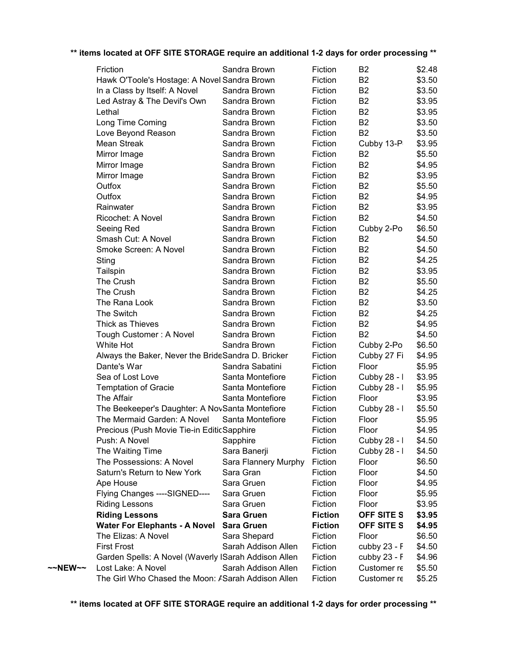|                   | Friction                                             | Sandra Brown         | Fiction        | B <sub>2</sub> | \$2.48 |
|-------------------|------------------------------------------------------|----------------------|----------------|----------------|--------|
|                   | Hawk O'Toole's Hostage: A Novel Sandra Brown         |                      | Fiction        | B <sub>2</sub> | \$3.50 |
|                   | In a Class by Itself: A Novel                        | Sandra Brown         | Fiction        | B <sub>2</sub> | \$3.50 |
|                   | Led Astray & The Devil's Own                         | Sandra Brown         | Fiction        | B <sub>2</sub> | \$3.95 |
|                   | Lethal                                               | Sandra Brown         | Fiction        | <b>B2</b>      | \$3.95 |
|                   | Long Time Coming                                     | Sandra Brown         | Fiction        | B <sub>2</sub> | \$3.50 |
|                   | Love Beyond Reason                                   | Sandra Brown         | Fiction        | B <sub>2</sub> | \$3.50 |
|                   | Mean Streak                                          | Sandra Brown         | Fiction        | Cubby 13-P     | \$3.95 |
|                   | Mirror Image                                         | Sandra Brown         | Fiction        | B <sub>2</sub> | \$5.50 |
|                   | Mirror Image                                         | Sandra Brown         | Fiction        | B <sub>2</sub> | \$4.95 |
|                   | Mirror Image                                         | Sandra Brown         | Fiction        | B <sub>2</sub> | \$3.95 |
|                   | Outfox                                               | Sandra Brown         | Fiction        | <b>B2</b>      | \$5.50 |
|                   | Outfox                                               | Sandra Brown         | Fiction        | <b>B2</b>      | \$4.95 |
|                   | Rainwater                                            | Sandra Brown         | Fiction        | B <sub>2</sub> | \$3.95 |
|                   | Ricochet: A Novel                                    | Sandra Brown         | Fiction        | <b>B2</b>      | \$4.50 |
|                   | Seeing Red                                           | Sandra Brown         | Fiction        | Cubby 2-Po     | \$6.50 |
|                   | Smash Cut: A Novel                                   | Sandra Brown         | Fiction        | B <sub>2</sub> | \$4.50 |
|                   | Smoke Screen: A Novel                                | Sandra Brown         | Fiction        | B <sub>2</sub> | \$4.50 |
|                   | Sting                                                | Sandra Brown         | Fiction        | B <sub>2</sub> | \$4.25 |
|                   | Tailspin                                             | Sandra Brown         | Fiction        | B <sub>2</sub> | \$3.95 |
|                   | The Crush                                            | Sandra Brown         | Fiction        | <b>B2</b>      | \$5.50 |
|                   | The Crush                                            | Sandra Brown         | Fiction        | B <sub>2</sub> | \$4.25 |
|                   | The Rana Look                                        | Sandra Brown         | Fiction        | <b>B2</b>      | \$3.50 |
|                   | The Switch                                           | Sandra Brown         | Fiction        | <b>B2</b>      | \$4.25 |
|                   | Thick as Thieves                                     | Sandra Brown         | Fiction        | B <sub>2</sub> | \$4.95 |
|                   | Tough Customer: A Novel                              | Sandra Brown         | Fiction        | <b>B2</b>      | \$4.50 |
|                   | White Hot                                            | Sandra Brown         | Fiction        | Cubby 2-Po     | \$6.50 |
|                   | Always the Baker, Never the BrideSandra D. Bricker   |                      | Fiction        | Cubby 27 Fi    | \$4.95 |
|                   | Dante's War                                          | Sandra Sabatini      | Fiction        | Floor          | \$5.95 |
|                   | Sea of Lost Love                                     | Santa Montefiore     | Fiction        | Cubby 28 - I   | \$3.95 |
|                   | <b>Temptation of Gracie</b>                          | Santa Montefiore     | Fiction        | Cubby 28 - I   | \$5.95 |
|                   | The Affair                                           | Santa Montefiore     | Fiction        | Floor          | \$3.95 |
|                   | The Beekeeper's Daughter: A NovSanta Montefiore      |                      | Fiction        | Cubby 28 - I   | \$5.50 |
|                   | The Mermaid Garden: A Novel                          | Santa Montefiore     | Fiction        | Floor          | \$5.95 |
|                   | Precious (Push Movie Tie-in EditicSapphire           |                      | Fiction        | Floor          | \$4.95 |
|                   | Push: A Novel                                        | Sapphire             | Fiction        | Cubby 28 - I   | \$4.50 |
|                   | The Waiting Time                                     | Sara Banerji         | Fiction        | Cubby 28 - I   | \$4.50 |
|                   | The Possessions: A Novel                             | Sara Flannery Murphy | Fiction        | Floor          | \$6.50 |
|                   | Saturn's Return to New York                          | Sara Gran            | Fiction        | Floor          | \$4.50 |
|                   | Ape House                                            | Sara Gruen           | Fiction        | Floor          | \$4.95 |
|                   | Flying Changes ----SIGNED----                        | Sara Gruen           | Fiction        | Floor          | \$5.95 |
|                   | <b>Riding Lessons</b>                                | Sara Gruen           | Fiction        | Floor          | \$3.95 |
|                   | <b>Riding Lessons</b>                                | <b>Sara Gruen</b>    | <b>Fiction</b> | OFF SITE S     | \$3.95 |
|                   | <b>Water For Elephants - A Novel</b>                 | <b>Sara Gruen</b>    | <b>Fiction</b> | OFF SITE S     | \$4.95 |
|                   | The Elizas: A Novel                                  | Sara Shepard         | Fiction        | Floor          | \$6.50 |
|                   | <b>First Frost</b>                                   | Sarah Addison Allen  | Fiction        | cubby 23 - F   | \$4.50 |
|                   | Garden Spells: A Novel (Waverly ISarah Addison Allen |                      | Fiction        | cubby 23 - F   | \$4.96 |
| $\sim$ NEW $\sim$ | Lost Lake: A Novel                                   | Sarah Addison Allen  | Fiction        | Customer re    | \$5.50 |
|                   | The Girl Who Chased the Moon: A Sarah Addison Allen  |                      | Fiction        | Customer re    | \$5.25 |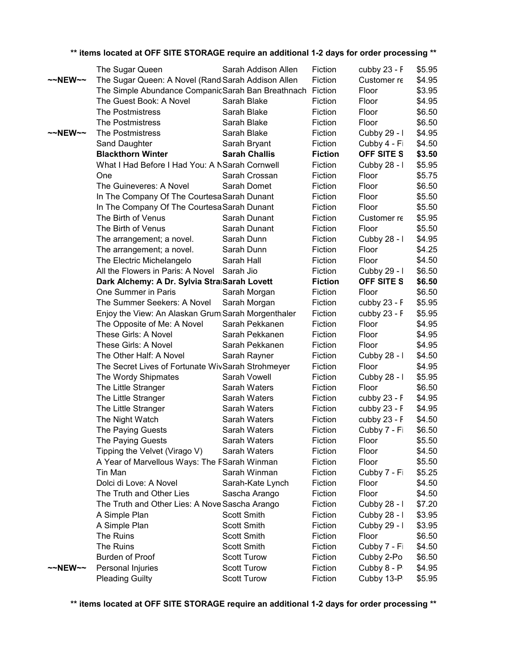|                   | The Sugar Queen                                    |                    | Sarah Addison Allen  | Fiction        | cubby 23 - F   | \$5.95 |
|-------------------|----------------------------------------------------|--------------------|----------------------|----------------|----------------|--------|
| $\sim$ NEW $\sim$ | The Sugar Queen: A Novel (Rand Sarah Addison Allen |                    |                      | Fiction        | Customer re    | \$4.95 |
|                   | The Simple Abundance CompanicSarah Ban Breathnach  |                    |                      | Fiction        | Floor          | \$3.95 |
|                   | The Guest Book: A Novel                            | Sarah Blake        |                      | Fiction        | Floor          | \$4.95 |
|                   | The Postmistress                                   | Sarah Blake        |                      | Fiction        | Floor          | \$6.50 |
|                   | The Postmistress                                   | Sarah Blake        |                      | Fiction        | Floor          | \$6.50 |
| $\sim$ NEW $\sim$ | The Postmistress                                   | Sarah Blake        |                      | Fiction        | Cubby 29 - I   | \$4.95 |
|                   | Sand Daughter                                      |                    | Sarah Bryant         | Fiction        | Cubby 4 - Fi   | \$4.50 |
|                   | <b>Blackthorn Winter</b>                           |                    | <b>Sarah Challis</b> | <b>Fiction</b> | OFF SITE S     | \$3.50 |
|                   | What I Had Before I Had You: A NSarah Cornwell     |                    |                      | Fiction        | Cubby 28 - I   | \$5.95 |
|                   | One                                                |                    | Sarah Crossan        | Fiction        | Floor          | \$5.75 |
|                   | The Guineveres: A Novel                            |                    | Sarah Domet          | Fiction        | Floor          | \$6.50 |
|                   | In The Company Of The Courtesa Sarah Dunant        |                    |                      | Fiction        | Floor          | \$5.50 |
|                   | In The Company Of The Courtesa Sarah Dunant        |                    |                      | Fiction        | Floor          | \$5.50 |
|                   | The Birth of Venus                                 |                    | Sarah Dunant         | Fiction        | Customer re    | \$5.95 |
|                   | The Birth of Venus                                 |                    | Sarah Dunant         | Fiction        | Floor          | \$5.50 |
|                   | The arrangement; a novel.                          | Sarah Dunn         |                      | Fiction        | Cubby 28 - I   | \$4.95 |
|                   | The arrangement; a novel.                          | Sarah Dunn         |                      | Fiction        | Floor          | \$4.25 |
|                   | The Electric Michelangelo                          | Sarah Hall         |                      | Fiction        | Floor          | \$4.50 |
|                   | All the Flowers in Paris: A Novel                  | Sarah Jio          |                      | Fiction        | Cubby 29 - I   | \$6.50 |
|                   | Dark Alchemy: A Dr. Sylvia Straßarah Lovett        |                    |                      | <b>Fiction</b> | OFF SITE S     | \$6.50 |
|                   | One Summer in Paris                                |                    | Sarah Morgan         | Fiction        | Floor          | \$6.50 |
|                   | The Summer Seekers: A Novel                        |                    | Sarah Morgan         | Fiction        | cubby 23 - F   | \$5.95 |
|                   | Enjoy the View: An Alaskan Grum Sarah Morgenthaler |                    |                      | Fiction        | cubby 23 - F   | \$5.95 |
|                   | The Opposite of Me: A Novel                        |                    | Sarah Pekkanen       | Fiction        | Floor          | \$4.95 |
|                   | These Girls: A Novel                               |                    | Sarah Pekkanen       | Fiction        | Floor          | \$4.95 |
|                   | These Girls: A Novel                               |                    | Sarah Pekkanen       | Fiction        | Floor          | \$4.95 |
|                   | The Other Half: A Novel                            |                    | Sarah Rayner         | Fiction        | Cubby 28 - I   | \$4.50 |
|                   | The Secret Lives of Fortunate WivSarah Strohmeyer  |                    |                      | Fiction        | Floor          | \$4.95 |
|                   | The Wordy Shipmates                                |                    | Sarah Vowell         | Fiction        | Cubby 28 - I   | \$5.95 |
|                   | The Little Stranger                                |                    | Sarah Waters         | Fiction        | Floor          | \$6.50 |
|                   | The Little Stranger                                |                    | Sarah Waters         | Fiction        | cubby 23 - F   | \$4.95 |
|                   | The Little Stranger                                |                    | Sarah Waters         | Fiction        | cubby $23 - F$ | \$4.95 |
|                   | The Night Watch                                    |                    | Sarah Waters         | Fiction        | cubby $23 - F$ | \$4.50 |
|                   | The Paying Guests                                  |                    | Sarah Waters         | Fiction        | Cubby 7 - Fi   | \$6.50 |
|                   | The Paying Guests                                  |                    | Sarah Waters         | Fiction        | Floor          | \$5.50 |
|                   | Tipping the Velvet (Virago V)                      |                    | Sarah Waters         | Fiction        | Floor          | \$4.50 |
|                   | A Year of Marvellous Ways: The FSarah Winman       |                    |                      | Fiction        | Floor          | \$5.50 |
|                   | Tin Man                                            |                    | Sarah Winman         | Fiction        | Cubby 7 - Fi   | \$5.25 |
|                   | Dolci di Love: A Novel                             |                    | Sarah-Kate Lynch     | Fiction        | Floor          | \$4.50 |
|                   | The Truth and Other Lies                           |                    | Sascha Arango        | Fiction        | Floor          | \$4.50 |
|                   | The Truth and Other Lies: A Nove Sascha Arango     |                    |                      | Fiction        | Cubby 28 - I   | \$7.20 |
|                   | A Simple Plan                                      | <b>Scott Smith</b> |                      | Fiction        | Cubby 28 - I   | \$3.95 |
|                   | A Simple Plan                                      | <b>Scott Smith</b> |                      | Fiction        | Cubby 29 - I   | \$3.95 |
|                   | The Ruins                                          | <b>Scott Smith</b> |                      | Fiction        | Floor          | \$6.50 |
|                   | The Ruins                                          | <b>Scott Smith</b> |                      | Fiction        | Cubby 7 - Fi   | \$4.50 |
|                   | <b>Burden of Proof</b>                             | <b>Scott Turow</b> |                      | Fiction        | Cubby 2-Po     | \$6.50 |
| $\sim$ NEW $\sim$ | Personal Injuries                                  | <b>Scott Turow</b> |                      | Fiction        | Cubby 8 - P    | \$4.95 |
|                   | <b>Pleading Guilty</b>                             | <b>Scott Turow</b> |                      | Fiction        | Cubby 13-P     | \$5.95 |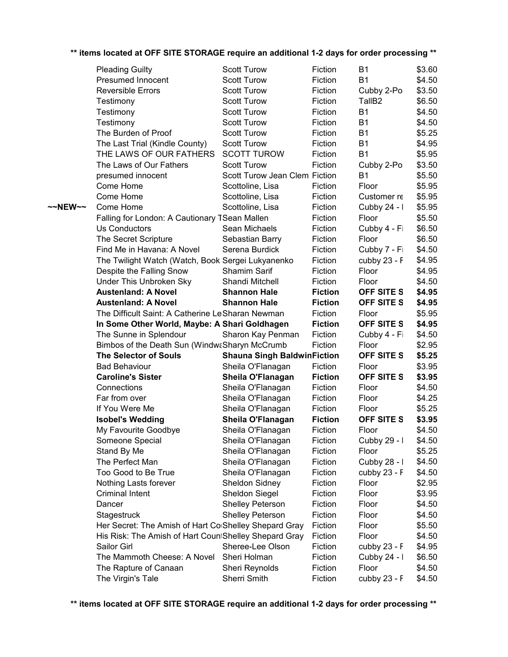|         | <b>Pleading Guilty</b>                                | <b>Scott Turow</b>                 | Fiction        | <b>B1</b>          | \$3.60 |
|---------|-------------------------------------------------------|------------------------------------|----------------|--------------------|--------|
|         | <b>Presumed Innocent</b>                              | <b>Scott Turow</b>                 | Fiction        | <b>B1</b>          | \$4.50 |
|         | <b>Reversible Errors</b>                              | <b>Scott Turow</b>                 | Fiction        | Cubby 2-Po         | \$3.50 |
|         | Testimony                                             | <b>Scott Turow</b>                 | Fiction        | TallB <sub>2</sub> | \$6.50 |
|         | Testimony                                             | <b>Scott Turow</b>                 | Fiction        | <b>B1</b>          | \$4.50 |
|         | Testimony                                             | <b>Scott Turow</b>                 | Fiction        | <b>B1</b>          | \$4.50 |
|         | The Burden of Proof                                   | <b>Scott Turow</b>                 | Fiction        | <b>B1</b>          | \$5.25 |
|         | The Last Trial (Kindle County)                        | <b>Scott Turow</b>                 | Fiction        | <b>B1</b>          | \$4.95 |
|         | THE LAWS OF OUR FATHERS                               | <b>SCOTT TUROW</b>                 | Fiction        | <b>B1</b>          | \$5.95 |
|         | The Laws of Our Fathers                               | <b>Scott Turow</b>                 | Fiction        | Cubby 2-Po         | \$3.50 |
|         | presumed innocent                                     | Scott Turow Jean Clem Fiction      |                | B <sub>1</sub>     | \$5.50 |
|         | Come Home                                             | Scottoline, Lisa                   | Fiction        | Floor              | \$5.95 |
|         | Come Home                                             | Scottoline, Lisa                   | Fiction        | Customer re        | \$5.95 |
| ~~NEW~~ | Come Home                                             | Scottoline, Lisa                   | Fiction        | Cubby 24 - I       | \$5.95 |
|         | Falling for London: A Cautionary TSean Mallen         |                                    | Fiction        | Floor              | \$5.50 |
|         | <b>Us Conductors</b>                                  | Sean Michaels                      | Fiction        | Cubby 4 - Fi       | \$6.50 |
|         | The Secret Scripture                                  | Sebastian Barry                    | Fiction        | Floor              | \$6.50 |
|         | Find Me in Havana: A Novel                            | Serena Burdick                     | Fiction        | Cubby 7 - Fi       | \$4.50 |
|         | The Twilight Watch (Watch, Book Sergei Lukyanenko     |                                    | Fiction        | cubby 23 - F       | \$4.95 |
|         | Despite the Falling Snow                              | Shamim Sarif                       | Fiction        | Floor              | \$4.95 |
|         | Under This Unbroken Sky                               | Shandi Mitchell                    | Fiction        | Floor              | \$4.50 |
|         | <b>Austenland: A Novel</b>                            | <b>Shannon Hale</b>                | <b>Fiction</b> | OFF SITE S         | \$4.95 |
|         | <b>Austenland: A Novel</b>                            | <b>Shannon Hale</b>                | <b>Fiction</b> | <b>OFF SITE S</b>  | \$4.95 |
|         | The Difficult Saint: A Catherine Le Sharan Newman     |                                    | Fiction        | Floor              | \$5.95 |
|         | In Some Other World, Maybe: A Shari Goldhagen         |                                    | <b>Fiction</b> | OFF SITE S         | \$4.95 |
|         | The Sunne in Splendour                                | Sharon Kay Penman                  | Fiction        | Cubby 4 - Fi       | \$4.50 |
|         | Bimbos of the Death Sun (WindwaSharyn McCrumb         |                                    | Fiction        | Floor              | \$2.95 |
|         | <b>The Selector of Souls</b>                          | <b>Shauna Singh BaldwinFiction</b> |                | <b>OFF SITE S</b>  | \$5.25 |
|         | <b>Bad Behaviour</b>                                  | Sheila O'Flanagan                  | Fiction        | Floor              | \$3.95 |
|         | <b>Caroline's Sister</b>                              | Sheila O'Flanagan                  | <b>Fiction</b> | <b>OFF SITE S</b>  | \$3.95 |
|         | Connections                                           | Sheila O'Flanagan                  | Fiction        | Floor              | \$4.50 |
|         | Far from over                                         | Sheila O'Flanagan                  | Fiction        | Floor              | \$4.25 |
|         | If You Were Me                                        | Sheila O'Flanagan                  | Fiction        | Floor              | \$5.25 |
|         | <b>Isobel's Wedding</b>                               | Sheila O'Flanagan                  | <b>Fiction</b> | <b>OFF SITE S</b>  | \$3.95 |
|         | My Favourite Goodbye                                  | Sheila O'Flanagan                  | Fiction        | Floor              | \$4.50 |
|         | Someone Special                                       | Sheila O'Flanagan                  | Fiction        | Cubby 29 - I       | \$4.50 |
|         | Stand By Me                                           | Sheila O'Flanagan                  | Fiction        | Floor              | \$5.25 |
|         | The Perfect Man                                       | Sheila O'Flanagan                  | Fiction        | Cubby 28 - I       | \$4.50 |
|         | Too Good to Be True                                   | Sheila O'Flanagan                  | Fiction        | cubby 23 - F       | \$4.50 |
|         | Nothing Lasts forever                                 | Sheldon Sidney                     | Fiction        | Floor              | \$2.95 |
|         | <b>Criminal Intent</b>                                | Sheldon Siegel                     | Fiction        | Floor              | \$3.95 |
|         | Dancer                                                | Shelley Peterson                   | Fiction        | Floor              | \$4.50 |
|         | Stagestruck                                           | <b>Shelley Peterson</b>            | Fiction        | Floor              | \$4.50 |
|         | Her Secret: The Amish of Hart Co Shelley Shepard Gray |                                    | Fiction        | Floor              | \$5.50 |
|         | His Risk: The Amish of Hart CountShelley Shepard Gray |                                    | Fiction        | Floor              | \$4.50 |
|         | Sailor Girl                                           | Sheree-Lee Olson                   | Fiction        | cubby 23 - F       | \$4.95 |
|         | The Mammoth Cheese: A Novel                           | Sheri Holman                       | Fiction        | Cubby 24 - I       | \$6.50 |
|         | The Rapture of Canaan                                 | Sheri Reynolds                     | Fiction        | Floor              | \$4.50 |
|         | The Virgin's Tale                                     | Sherri Smith                       | Fiction        | cubby 23 - F       | \$4.50 |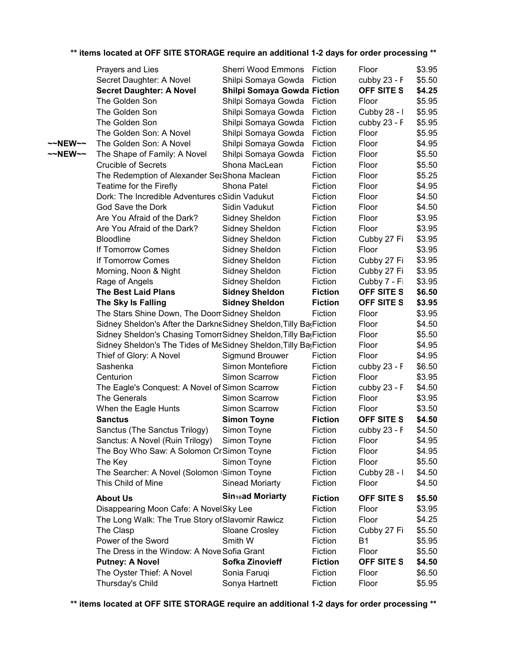|         | Prayers and Lies                                                  | <b>Sherri Wood Emmons</b>   | Fiction        | Floor             | \$3.95 |
|---------|-------------------------------------------------------------------|-----------------------------|----------------|-------------------|--------|
|         | Secret Daughter: A Novel                                          | Shilpi Somaya Gowda         | Fiction        | cubby 23 - F      | \$5.50 |
|         | <b>Secret Daughter: A Novel</b>                                   | Shilpi Somaya Gowda Fiction |                | <b>OFF SITE S</b> | \$4.25 |
|         | The Golden Son                                                    | Shilpi Somaya Gowda         | Fiction        | Floor             | \$5.95 |
|         | The Golden Son                                                    | Shilpi Somaya Gowda         | Fiction        | Cubby 28 - I      | \$5.95 |
|         | The Golden Son                                                    | Shilpi Somaya Gowda         | Fiction        | cubby 23 - F      | \$5.95 |
|         | The Golden Son: A Novel                                           | Shilpi Somaya Gowda         | Fiction        | Floor             | \$5.95 |
| ~~NEW~~ | The Golden Son: A Novel                                           | Shilpi Somaya Gowda         | Fiction        | Floor             | \$4.95 |
| ~~NEW~~ | The Shape of Family: A Novel                                      | Shilpi Somaya Gowda         | Fiction        | Floor             | \$5.50 |
|         | <b>Crucible of Secrets</b>                                        | Shona MacLean               | Fiction        | Floor             | \$5.50 |
|         | The Redemption of Alexander SetShona Maclean                      |                             | Fiction        | Floor             | \$5.25 |
|         | Teatime for the Firefly                                           | Shona Patel                 | Fiction        | Floor             | \$4.95 |
|         | Dork: The Incredible Adventures oSidin Vadukut                    |                             | Fiction        | Floor             | \$4.50 |
|         | God Save the Dork                                                 | Sidin Vadukut               | Fiction        | Floor             | \$4.50 |
|         | Are You Afraid of the Dark?                                       | Sidney Sheldon              | Fiction        | Floor             | \$3.95 |
|         | Are You Afraid of the Dark?                                       | Sidney Sheldon              | Fiction        | Floor             | \$3.95 |
|         | <b>Bloodline</b>                                                  | Sidney Sheldon              | Fiction        | Cubby 27 Fi       | \$3.95 |
|         | If Tomorrow Comes                                                 | Sidney Sheldon              | Fiction        | Floor             | \$3.95 |
|         | If Tomorrow Comes                                                 | Sidney Sheldon              | Fiction        | Cubby 27 Fi       | \$3.95 |
|         | Morning, Noon & Night                                             | Sidney Sheldon              | Fiction        | Cubby 27 Fi       | \$3.95 |
|         | Rage of Angels                                                    | Sidney Sheldon              | Fiction        | Cubby 7 - Fi      | \$3.95 |
|         | <b>The Best Laid Plans</b>                                        | <b>Sidney Sheldon</b>       | <b>Fiction</b> | <b>OFF SITE S</b> | \$6.50 |
|         | The Sky Is Falling                                                | <b>Sidney Sheldon</b>       | <b>Fiction</b> | <b>OFF SITE S</b> | \$3.95 |
|         | The Stars Shine Down, The DoomSidney Sheldon                      |                             | Fiction        | Floor             | \$3.95 |
|         | Sidney Sheldon's After the DarkneSidney Sheldon, Tilly Ba(Fiction |                             |                | Floor             | \$4.50 |
|         | Sidney Sheldon's Chasing TomorrSidney Sheldon, Tilly Ba(Fiction   |                             |                | Floor             | \$5.50 |
|         | Sidney Sheldon's The Tides of MeSidney Sheldon, Tilly Ba(Fiction  |                             |                | Floor             | \$4.95 |
|         | Thief of Glory: A Novel                                           | Sigmund Brouwer             | Fiction        | Floor             | \$4.95 |
|         | Sashenka                                                          | Simon Montefiore            | Fiction        | cubby 23 - F      | \$6.50 |
|         | Centurion                                                         | Simon Scarrow               | Fiction        | Floor             | \$3.95 |
|         | The Eagle's Conquest: A Novel of Simon Scarrow                    |                             | Fiction        | cubby 23 - F      | \$4.50 |
|         | The Generals                                                      | Simon Scarrow               | Fiction        | Floor             | \$3.95 |
|         | When the Eagle Hunts                                              | Simon Scarrow               | Fiction        | Floor             | \$3.50 |
|         | <b>Sanctus</b>                                                    | <b>Simon Toyne</b>          | <b>Fiction</b> | OFF SITE S        | \$4.50 |
|         | Sanctus (The Sanctus Trilogy)                                     | Simon Toyne                 | Fiction        | cubby 23 - F      | \$4.50 |
|         | Sanctus: A Novel (Ruin Trilogy)                                   | Simon Toyne                 | Fiction        | Floor             | \$4.95 |
|         | The Boy Who Saw: A Solomon CrSimon Toyne                          |                             | Fiction        | Floor             | \$4.95 |
|         | The Key                                                           | Simon Toyne                 | Fiction        | Floor             | \$5.50 |
|         | The Searcher: A Novel (Solomon <sub>'Simon</sub> Toyne            |                             | Fiction        | Cubby 28 - I      | \$4.50 |
|         | This Child of Mine                                                | <b>Sinead Moriarty</b>      | Fiction        | Floor             | \$4.50 |
|         | <b>About Us</b>                                                   | <b>Sinsad Moriarty</b>      | <b>Fiction</b> | <b>OFF SITE S</b> | \$5.50 |
|         | Disappearing Moon Cafe: A NovelSky Lee                            |                             | Fiction        | Floor             | \$3.95 |
|         | The Long Walk: The True Story of Slavomir Rawicz                  |                             | Fiction        | Floor             | \$4.25 |
|         | The Clasp                                                         | Sloane Crosley              | Fiction        | Cubby 27 Fi       | \$5.50 |
|         | Power of the Sword                                                | Smith W                     | Fiction        | <b>B1</b>         | \$5.95 |
|         | The Dress in the Window: A Nove Sofia Grant                       |                             | Fiction        | Floor             | \$5.50 |
|         | <b>Putney: A Novel</b>                                            | <b>Sofka Zinovieff</b>      | <b>Fiction</b> | OFF SITE S        | \$4.50 |
|         | The Oyster Thief: A Novel                                         | Sonia Faruqi                | Fiction        | Floor             | \$6.50 |
|         | Thursday's Child                                                  | Sonya Hartnett              | Fiction        | Floor             | \$5.95 |
|         |                                                                   |                             |                |                   |        |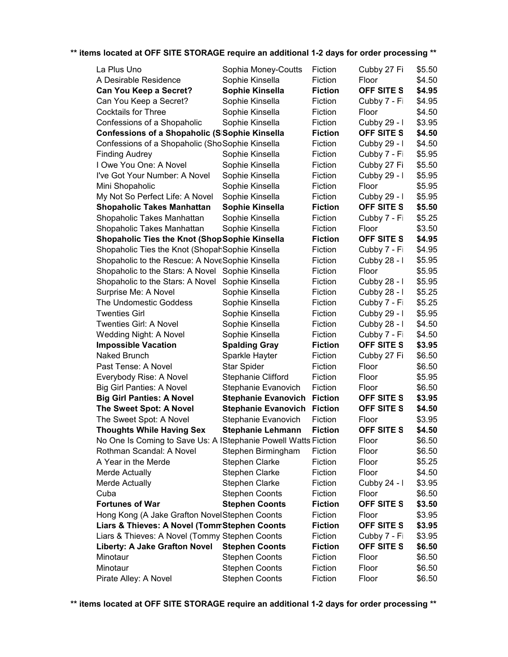| La Plus Uno                                                    | Sophia Money-Coutts        | Fiction        | Cubby 27 Fi       | \$5.50 |
|----------------------------------------------------------------|----------------------------|----------------|-------------------|--------|
| A Desirable Residence                                          | Sophie Kinsella            | Fiction        | Floor             | \$4.50 |
| Can You Keep a Secret?                                         | Sophie Kinsella            | <b>Fiction</b> | OFF SITE S        | \$4.95 |
| Can You Keep a Secret?                                         | Sophie Kinsella            | Fiction        | Cubby 7 - Fi      | \$4.95 |
| <b>Cocktails for Three</b>                                     | Sophie Kinsella            | Fiction        | Floor             | \$4.50 |
| Confessions of a Shopaholic                                    | Sophie Kinsella            | Fiction        | Cubby 29 - I      | \$3.95 |
| Confessions of a Shopaholic (SISophie Kinsella                 |                            | <b>Fiction</b> | <b>OFF SITE S</b> | \$4.50 |
| Confessions of a Shopaholic (ShoSophie Kinsella                |                            | Fiction        | Cubby 29 - I      | \$4.50 |
| <b>Finding Audrey</b>                                          | Sophie Kinsella            | Fiction        | Cubby 7 - Fi      | \$5.95 |
| I Owe You One: A Novel                                         | Sophie Kinsella            | Fiction        | Cubby 27 Fi       | \$5.50 |
| I've Got Your Number: A Novel                                  | Sophie Kinsella            | Fiction        | Cubby 29 - I      | \$5.95 |
| Mini Shopaholic                                                | Sophie Kinsella            | Fiction        | Floor             | \$5.95 |
| My Not So Perfect Life: A Novel                                | Sophie Kinsella            | Fiction        | Cubby 29 - I      | \$5.95 |
| <b>Shopaholic Takes Manhattan</b>                              | Sophie Kinsella            | <b>Fiction</b> | OFF SITE S        | \$5.50 |
| Shopaholic Takes Manhattan                                     | Sophie Kinsella            | Fiction        | Cubby 7 - Fi      | \$5.25 |
| Shopaholic Takes Manhattan                                     | Sophie Kinsella            | Fiction        | Floor             | \$3.50 |
| <b>Shopaholic Ties the Knot (ShopSophie Kinsella</b>           |                            | <b>Fiction</b> | <b>OFF SITE S</b> | \$4.95 |
| Shopaholic Ties the Knot (ShopahSophie Kinsella                |                            | Fiction        | Cubby 7 - Fi      | \$4.95 |
| Shopaholic to the Rescue: A NoveSophie Kinsella                |                            | Fiction        | Cubby 28 - I      | \$5.95 |
| Shopaholic to the Stars: A Novel Sophie Kinsella               |                            | Fiction        | Floor             | \$5.95 |
| Shopaholic to the Stars: A Novel                               | Sophie Kinsella            | Fiction        | Cubby 28 - I      | \$5.95 |
| Surprise Me: A Novel                                           | Sophie Kinsella            | Fiction        | Cubby 28 - I      | \$5.25 |
| The Undomestic Goddess                                         | Sophie Kinsella            | Fiction        | Cubby 7 - Fi      | \$5.25 |
| <b>Twenties Girl</b>                                           | Sophie Kinsella            | Fiction        | Cubby 29 - I      | \$5.95 |
| Twenties Girl: A Novel                                         | Sophie Kinsella            | Fiction        | Cubby 28 - I      | \$4.50 |
| Wedding Night: A Novel                                         | Sophie Kinsella            | Fiction        | Cubby 7 - Fi      | \$4.50 |
| <b>Impossible Vacation</b>                                     | <b>Spalding Gray</b>       | <b>Fiction</b> | OFF SITE S        | \$3.95 |
| Naked Brunch                                                   | Sparkle Hayter             | Fiction        | Cubby 27 Fi       | \$6.50 |
| Past Tense: A Novel                                            | <b>Star Spider</b>         | Fiction        | Floor             | \$6.50 |
| Everybody Rise: A Novel                                        | <b>Stephanie Clifford</b>  | Fiction        | Floor             | \$5.95 |
| <b>Big Girl Panties: A Novel</b>                               | Stephanie Evanovich        | Fiction        | Floor             | \$6.50 |
| <b>Big Girl Panties: A Novel</b>                               | <b>Stephanie Evanovich</b> | <b>Fiction</b> | OFF SITE S        | \$3.95 |
| The Sweet Spot: A Novel                                        | <b>Stephanie Evanovich</b> | <b>Fiction</b> | <b>OFF SITE S</b> | \$4.50 |
| The Sweet Spot: A Novel                                        | Stephanie Evanovich        | Fiction        | Floor             | \$3.95 |
| <b>Thoughts While Having Sex</b>                               | <b>Stephanie Lehmann</b>   | <b>Fiction</b> | <b>OFF SITE S</b> | \$4.50 |
| No One Is Coming to Save Us: A IStephanie Powell Watts Fiction |                            |                | Floor             | \$6.50 |
| Rothman Scandal: A Novel                                       | Stephen Birmingham         | Fiction        | Floor             | \$6.50 |
| A Year in the Merde                                            | <b>Stephen Clarke</b>      | Fiction        | Floor             | \$5.25 |
| <b>Merde Actually</b>                                          | <b>Stephen Clarke</b>      | Fiction        | Floor             | \$4.50 |
| Merde Actually                                                 | <b>Stephen Clarke</b>      | Fiction        | Cubby 24 - I      | \$3.95 |
| Cuba                                                           | <b>Stephen Coonts</b>      | Fiction        | Floor             | \$6.50 |
| <b>Fortunes of War</b>                                         | <b>Stephen Coonts</b>      | <b>Fiction</b> | OFF SITE S        | \$3.50 |
| Hong Kong (A Jake Grafton NovelStephen Coonts                  |                            | Fiction        | Floor             | \$3.95 |
| Liars & Thieves: A Novel (TommStephen Coonts                   |                            | <b>Fiction</b> | OFF SITE S        | \$3.95 |
| Liars & Thieves: A Novel (Tommy Stephen Coonts                 |                            | Fiction        | Cubby 7 - Fi      | \$3.95 |
| Liberty: A Jake Grafton Novel                                  | <b>Stephen Coonts</b>      | <b>Fiction</b> | <b>OFF SITE S</b> | \$6.50 |
| Minotaur                                                       | <b>Stephen Coonts</b>      | Fiction        | Floor             | \$6.50 |
| Minotaur                                                       | <b>Stephen Coonts</b>      | Fiction        | Floor             | \$6.50 |
| Pirate Alley: A Novel                                          | <b>Stephen Coonts</b>      | Fiction        | Floor             | \$6.50 |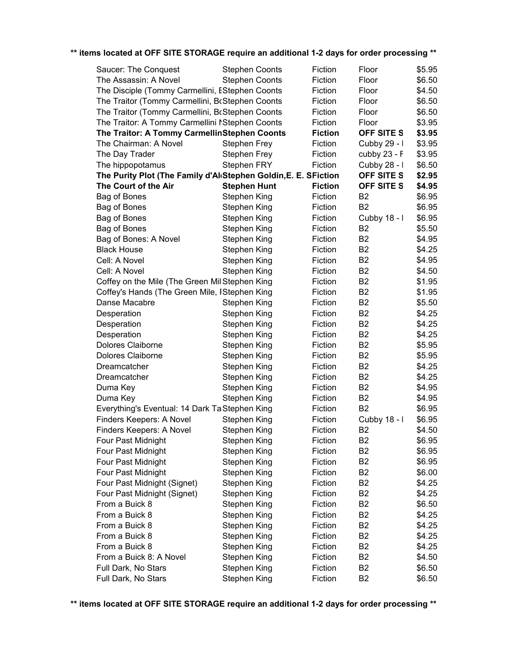| ** items located at OFF SITE STORAGE require an additional 1-2 days for order processing ** |  |  |
|---------------------------------------------------------------------------------------------|--|--|
|                                                                                             |  |  |

| Saucer: The Conquest                                            | <b>Stephen Coonts</b> | Fiction        | Floor          | \$5.95 |
|-----------------------------------------------------------------|-----------------------|----------------|----------------|--------|
| The Assassin: A Novel                                           | <b>Stephen Coonts</b> | Fiction        | Floor          | \$6.50 |
| The Disciple (Tommy Carmellini, EStephen Coonts                 |                       | Fiction        | Floor          | \$4.50 |
| The Traitor (Tommy Carmellini, BcStephen Coonts                 |                       | Fiction        | Floor          | \$6.50 |
| The Traitor (Tommy Carmellini, BcStephen Coonts                 |                       | Fiction        | Floor          | \$6.50 |
| The Traitor: A Tommy Carmellini NStephen Coonts                 |                       | Fiction        | Floor          | \$3.95 |
| The Traitor: A Tommy CarmellinStephen Coonts                    |                       | <b>Fiction</b> | OFF SITE S     | \$3.95 |
| The Chairman: A Novel                                           | <b>Stephen Frey</b>   | Fiction        | Cubby 29 - I   | \$3.95 |
| The Day Trader                                                  | <b>Stephen Frey</b>   | Fiction        | cubby 23 - F   | \$3.95 |
| The hippopotamus                                                | <b>Stephen FRY</b>    | Fiction        | Cubby 28 - I   | \$6.50 |
| The Purity Plot (The Family d'Al Stephen Goldin, E. E. SFiction |                       |                | OFF SITE S     | \$2.95 |
| The Court of the Air                                            | <b>Stephen Hunt</b>   | <b>Fiction</b> | OFF SITE S     | \$4.95 |
| Bag of Bones                                                    | Stephen King          | Fiction        | B <sub>2</sub> | \$6.95 |
| Bag of Bones                                                    | Stephen King          | Fiction        | B <sub>2</sub> | \$6.95 |
| Bag of Bones                                                    | Stephen King          | Fiction        | Cubby 18 - I   | \$6.95 |
| Bag of Bones                                                    | Stephen King          | Fiction        | B <sub>2</sub> | \$5.50 |
| Bag of Bones: A Novel                                           | Stephen King          | Fiction        | B <sub>2</sub> | \$4.95 |
| <b>Black House</b>                                              | Stephen King          | Fiction        | B <sub>2</sub> | \$4.25 |
| Cell: A Novel                                                   | Stephen King          | Fiction        | B <sub>2</sub> | \$4.95 |
| Cell: A Novel                                                   | Stephen King          | Fiction        | B <sub>2</sub> | \$4.50 |
| Coffey on the Mile (The Green Mil Stephen King                  |                       | Fiction        | B <sub>2</sub> | \$1.95 |
| Coffey's Hands (The Green Mile, IStephen King                   |                       | Fiction        | B <sub>2</sub> | \$1.95 |
| Danse Macabre                                                   | Stephen King          | Fiction        | B <sub>2</sub> | \$5.50 |
| Desperation                                                     | Stephen King          | Fiction        | <b>B2</b>      | \$4.25 |
| Desperation                                                     | Stephen King          | Fiction        | B <sub>2</sub> | \$4.25 |
| Desperation                                                     | Stephen King          | Fiction        | B <sub>2</sub> | \$4.25 |
| Dolores Claiborne                                               | Stephen King          | Fiction        | B <sub>2</sub> | \$5.95 |
| Dolores Claiborne                                               | Stephen King          | Fiction        | B <sub>2</sub> | \$5.95 |
| Dreamcatcher                                                    | Stephen King          | Fiction        | B <sub>2</sub> | \$4.25 |
| Dreamcatcher                                                    | Stephen King          | Fiction        | B <sub>2</sub> | \$4.25 |
| Duma Key                                                        | Stephen King          | Fiction        | B <sub>2</sub> | \$4.95 |
| Duma Key                                                        | Stephen King          | Fiction        | <b>B2</b>      | \$4.95 |
| Everything's Eventual: 14 Dark Ta Stephen King                  |                       | Fiction        | B <sub>2</sub> | \$6.95 |
| Finders Keepers: A Novel                                        | Stephen King          | Fiction        | Cubby 18 - I   | \$6.95 |
| Finders Keepers: A Novel                                        | Stephen King          | Fiction        | B <sub>2</sub> | \$4.50 |
| Four Past Midnight                                              | Stephen King          | Fiction        | B <sub>2</sub> | \$6.95 |
| Four Past Midnight                                              | Stephen King          | Fiction        | <b>B2</b>      | \$6.95 |
| Four Past Midnight                                              | Stephen King          | Fiction        | B <sub>2</sub> | \$6.95 |
| Four Past Midnight                                              | Stephen King          | Fiction        | <b>B2</b>      | \$6.00 |
| Four Past Midnight (Signet)                                     | Stephen King          | Fiction        | B <sub>2</sub> | \$4.25 |
| Four Past Midnight (Signet)                                     | Stephen King          | Fiction        | <b>B2</b>      | \$4.25 |
| From a Buick 8                                                  |                       | Fiction        | B <sub>2</sub> | \$6.50 |
| From a Buick 8                                                  | Stephen King          | Fiction        | <b>B2</b>      | \$4.25 |
| From a Buick 8                                                  | Stephen King          | Fiction        | B <sub>2</sub> | \$4.25 |
| From a Buick 8                                                  | Stephen King          |                |                |        |
|                                                                 | Stephen King          | Fiction        | <b>B2</b>      | \$4.25 |
| From a Buick 8                                                  | Stephen King          | Fiction        | B <sub>2</sub> | \$4.25 |
| From a Buick 8: A Novel                                         | Stephen King          | Fiction        | <b>B2</b>      | \$4.50 |
| Full Dark, No Stars                                             | Stephen King          | Fiction        | <b>B2</b>      | \$6.50 |
| Full Dark, No Stars                                             | Stephen King          | Fiction        | B <sub>2</sub> | \$6.50 |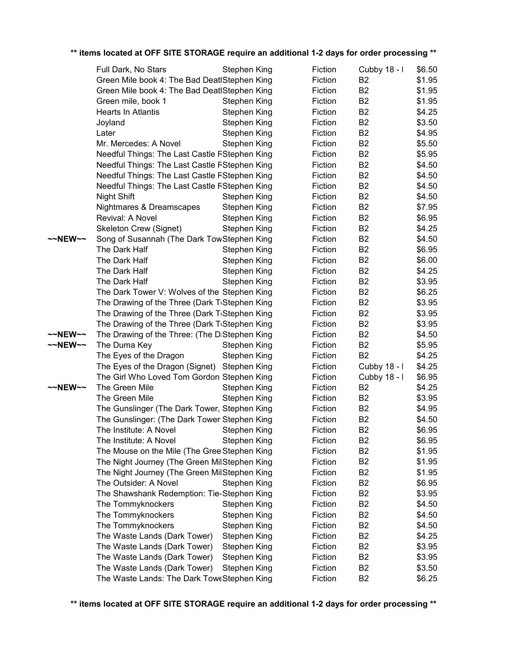|         | Full Dark, No Stars                                        | Stephen King        | Fiction | Cubby 18 - I   | \$6.50 |
|---------|------------------------------------------------------------|---------------------|---------|----------------|--------|
|         | Green Mile book 4: The Bad DeatlStephen King               |                     | Fiction | B <sub>2</sub> | \$1.95 |
|         | Green Mile book 4: The Bad DeatlStephen King               |                     | Fiction | B <sub>2</sub> | \$1.95 |
|         | Green mile, book 1                                         | Stephen King        | Fiction | B <sub>2</sub> | \$1.95 |
|         | Hearts In Atlantis                                         | <b>Stephen King</b> | Fiction | B <sub>2</sub> | \$4.25 |
|         | Joyland                                                    | <b>Stephen King</b> | Fiction | B <sub>2</sub> | \$3.50 |
|         | Later                                                      | Stephen King        | Fiction | B <sub>2</sub> | \$4.95 |
|         | Mr. Mercedes: A Novel                                      | Stephen King        | Fiction | B <sub>2</sub> | \$5.50 |
|         | Needful Things: The Last Castle FStephen King              |                     | Fiction | B <sub>2</sub> | \$5.95 |
|         | Needful Things: The Last Castle FStephen King              |                     | Fiction | B <sub>2</sub> | \$4.50 |
|         | Needful Things: The Last Castle FStephen King              |                     | Fiction | B <sub>2</sub> | \$4.50 |
|         | Needful Things: The Last Castle FStephen King              |                     | Fiction | B <sub>2</sub> | \$4.50 |
|         | Night Shift                                                | Stephen King        | Fiction | B <sub>2</sub> | \$4.50 |
|         | Nightmares & Dreamscapes                                   | Stephen King        | Fiction | B <sub>2</sub> | \$7.95 |
|         | Revival: A Novel                                           | Stephen King        | Fiction | B <sub>2</sub> | \$6.95 |
|         | Skeleton Crew (Signet)                                     | Stephen King        | Fiction | B <sub>2</sub> | \$4.25 |
| ~~NEW~~ | Song of Susannah (The Dark TowStephen King                 |                     | Fiction | B <sub>2</sub> | \$4.50 |
|         | The Dark Half                                              | Stephen King        | Fiction | B <sub>2</sub> | \$6.95 |
|         | The Dark Half                                              | Stephen King        | Fiction | B <sub>2</sub> | \$6.00 |
|         | The Dark Half                                              | Stephen King        | Fiction | B <sub>2</sub> | \$4.25 |
|         | The Dark Half                                              | <b>Stephen King</b> | Fiction | B <sub>2</sub> | \$3.95 |
|         | The Dark Tower V: Wolves of the Stephen King               |                     | Fiction | B <sub>2</sub> | \$6.25 |
|         | The Drawing of the Three (Dark TiStephen King              |                     | Fiction | B <sub>2</sub> | \$3.95 |
|         | The Drawing of the Three (Dark TiStephen King              |                     | Fiction | B <sub>2</sub> | \$3.95 |
|         | The Drawing of the Three (Dark T <sub>'</sub> Stephen King |                     | Fiction | B <sub>2</sub> | \$3.95 |
| ~~NEW~~ | The Drawing of the Three: (The DiStephen King              |                     | Fiction | B <sub>2</sub> | \$4.50 |
| ~~NEW~~ | The Duma Key                                               | Stephen King        | Fiction | B <sub>2</sub> | \$5.95 |
|         | The Eyes of the Dragon                                     | Stephen King        | Fiction | B <sub>2</sub> | \$4.25 |
|         | The Eyes of the Dragon (Signet) Stephen King               |                     | Fiction | Cubby 18 - I   | \$4.25 |
|         | The Girl Who Loved Tom Gordon Stephen King                 |                     | Fiction | Cubby 18 - I   | \$6.95 |
| ~~NEW~~ | The Green Mile                                             | Stephen King        | Fiction | B <sub>2</sub> | \$4.25 |
|         | The Green Mile                                             | Stephen King        | Fiction | B <sub>2</sub> | \$3.95 |
|         | The Gunslinger (The Dark Tower, Stephen King               |                     | Fiction | B <sub>2</sub> | \$4.95 |
|         | The Gunslinger: (The Dark Tower Stephen King               |                     | Fiction | B <sub>2</sub> | \$4.50 |
|         | The Institute: A Novel                                     | Stephen King        | Fiction | <b>B2</b>      | \$6.95 |
|         | The Institute: A Novel                                     | Stephen King        | Fiction | B <sub>2</sub> | \$6.95 |
|         | The Mouse on the Mile (The Gree Stephen King               |                     | Fiction | B <sub>2</sub> | \$1.95 |
|         | The Night Journey (The Green MilStephen King               |                     | Fiction | B <sub>2</sub> | \$1.95 |
|         | The Night Journey (The Green MilStephen King               |                     | Fiction | B <sub>2</sub> | \$1.95 |
|         | The Outsider: A Novel                                      | Stephen King        | Fiction | B <sub>2</sub> | \$6.95 |
|         | The Shawshank Redemption: Tie-Stephen King                 |                     | Fiction | B <sub>2</sub> | \$3.95 |
|         | The Tommyknockers                                          | <b>Stephen King</b> | Fiction | B <sub>2</sub> | \$4.50 |
|         | The Tommyknockers                                          | <b>Stephen King</b> | Fiction | B <sub>2</sub> | \$4.50 |
|         | The Tommyknockers                                          | <b>Stephen King</b> | Fiction | B <sub>2</sub> | \$4.50 |
|         | The Waste Lands (Dark Tower)                               | Stephen King        | Fiction | B <sub>2</sub> | \$4.25 |
|         | The Waste Lands (Dark Tower)                               | <b>Stephen King</b> | Fiction | B <sub>2</sub> | \$3.95 |
|         | The Waste Lands (Dark Tower)                               | <b>Stephen King</b> | Fiction | B <sub>2</sub> | \$3.95 |
|         | The Waste Lands (Dark Tower)                               | Stephen King        | Fiction | B <sub>2</sub> | \$3.50 |
|         | The Waste Lands: The Dark ToweStephen King                 |                     | Fiction | B <sub>2</sub> | \$6.25 |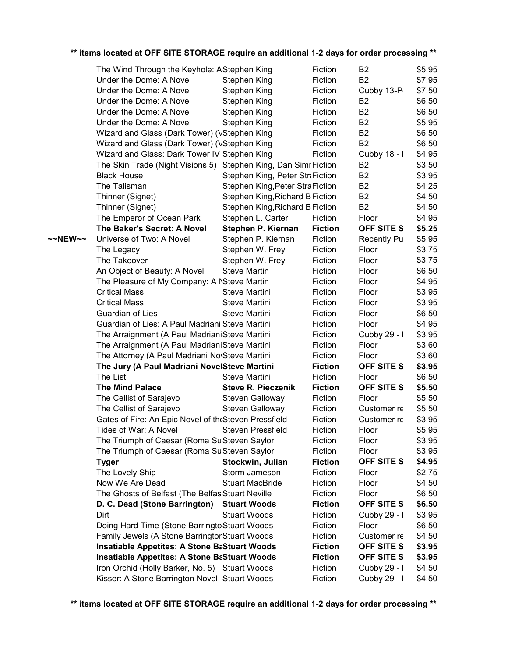|         | $\frac{1}{2}$ . The state of $\frac{1}{2}$ of $\frac{1}{2}$ of $\frac{1}{2}$ of $\frac{1}{2}$ of $\frac{1}{2}$ of $\frac{1}{2}$ of $\frac{1}{2}$ of $\frac{1}{2}$ of $\frac{1}{2}$ of $\frac{1}{2}$ of $\frac{1}{2}$ of $\frac{1}{2}$ of $\frac{1}{2}$ of $\frac{1}{2}$ |                                 |                |                    |        |
|---------|-------------------------------------------------------------------------------------------------------------------------------------------------------------------------------------------------------------------------------------------------------------------------|---------------------------------|----------------|--------------------|--------|
|         | The Wind Through the Keyhole: AStephen King                                                                                                                                                                                                                             |                                 | Fiction        | B <sub>2</sub>     | \$5.95 |
|         | Under the Dome: A Novel                                                                                                                                                                                                                                                 | Stephen King                    | Fiction        | <b>B2</b>          | \$7.95 |
|         | Under the Dome: A Novel                                                                                                                                                                                                                                                 | Stephen King                    | Fiction        | Cubby 13-P         | \$7.50 |
|         | Under the Dome: A Novel                                                                                                                                                                                                                                                 | Stephen King                    | Fiction        | B <sub>2</sub>     | \$6.50 |
|         | Under the Dome: A Novel                                                                                                                                                                                                                                                 | Stephen King                    | Fiction        | B <sub>2</sub>     | \$6.50 |
|         | Under the Dome: A Novel                                                                                                                                                                                                                                                 | Stephen King                    | Fiction        | B <sub>2</sub>     | \$5.95 |
|         | Wizard and Glass (Dark Tower) (VStephen King                                                                                                                                                                                                                            |                                 | Fiction        | B <sub>2</sub>     | \$6.50 |
|         | Wizard and Glass (Dark Tower) (VStephen King                                                                                                                                                                                                                            |                                 | Fiction        | <b>B2</b>          | \$6.50 |
|         | Wizard and Glass: Dark Tower IV Stephen King                                                                                                                                                                                                                            |                                 | Fiction        | Cubby 18 - I       | \$4.95 |
|         | The Skin Trade (Night Visions 5) Stephen King, Dan Simr Fiction                                                                                                                                                                                                         |                                 |                | B <sub>2</sub>     | \$3.50 |
|         | <b>Black House</b>                                                                                                                                                                                                                                                      | Stephen King, Peter Str Fiction |                | B <sub>2</sub>     | \$3.95 |
|         | The Talisman                                                                                                                                                                                                                                                            | Stephen King, Peter StraFiction |                | <b>B2</b>          | \$4.25 |
|         | Thinner (Signet)                                                                                                                                                                                                                                                        | Stephen King, Richard B Fiction |                | B <sub>2</sub>     | \$4.50 |
|         | Thinner (Signet)                                                                                                                                                                                                                                                        | Stephen King, Richard B Fiction |                | B <sub>2</sub>     | \$4.50 |
|         | The Emperor of Ocean Park                                                                                                                                                                                                                                               | Stephen L. Carter               | Fiction        | Floor              | \$4.95 |
|         | The Baker's Secret: A Novel                                                                                                                                                                                                                                             | Stephen P. Kiernan              | <b>Fiction</b> | OFF SITE S         | \$5.25 |
| ~~NEW~~ | Universe of Two: A Novel                                                                                                                                                                                                                                                | Stephen P. Kiernan              | Fiction        | <b>Recently Pu</b> | \$5.95 |
|         | The Legacy                                                                                                                                                                                                                                                              | Stephen W. Frey                 | Fiction        | Floor              | \$3.75 |
|         | The Takeover                                                                                                                                                                                                                                                            | Stephen W. Frey                 | Fiction        | Floor              | \$3.75 |
|         | An Object of Beauty: A Novel                                                                                                                                                                                                                                            | <b>Steve Martin</b>             | Fiction        | Floor              | \$6.50 |
|         | The Pleasure of My Company: A NSteve Martin                                                                                                                                                                                                                             |                                 | Fiction        | Floor              | \$4.95 |
|         | <b>Critical Mass</b>                                                                                                                                                                                                                                                    | Steve Martini                   | Fiction        | Floor              | \$3.95 |
|         | <b>Critical Mass</b>                                                                                                                                                                                                                                                    | Steve Martini                   | Fiction        | Floor              | \$3.95 |
|         | Guardian of Lies                                                                                                                                                                                                                                                        | Steve Martini                   | Fiction        | Floor              | \$6.50 |
|         | Guardian of Lies: A Paul Madriani Steve Martini                                                                                                                                                                                                                         |                                 | Fiction        | Floor              | \$4.95 |
|         | The Arraignment (A Paul MadrianiSteve Martini                                                                                                                                                                                                                           |                                 | Fiction        | Cubby 29 - I       | \$3.95 |
|         | The Arraignment (A Paul MadrianiSteve Martini                                                                                                                                                                                                                           |                                 | Fiction        | Floor              | \$3.60 |
|         | The Attorney (A Paul Madriani No Steve Martini                                                                                                                                                                                                                          |                                 | Fiction        | Floor              | \$3.60 |
|         | The Jury (A Paul Madriani NovelSteve Martini                                                                                                                                                                                                                            |                                 | <b>Fiction</b> | OFF SITE S         | \$3.95 |
|         | The List                                                                                                                                                                                                                                                                | Steve Martini                   | Fiction        | Floor              | \$6.50 |
|         | <b>The Mind Palace</b>                                                                                                                                                                                                                                                  | <b>Steve R. Pieczenik</b>       | <b>Fiction</b> | OFF SITE S         | \$5.50 |
|         | The Cellist of Sarajevo                                                                                                                                                                                                                                                 | Steven Galloway                 | Fiction        | Floor              | \$5.50 |
|         | The Cellist of Sarajevo                                                                                                                                                                                                                                                 | Steven Galloway                 | Fiction        | Customer re        | \$5.50 |
|         | Gates of Fire: An Epic Novel of the Steven Pressfield                                                                                                                                                                                                                   |                                 | Fiction        | Customer re        | \$3.95 |
|         | Tides of War: A Novel                                                                                                                                                                                                                                                   | <b>Steven Pressfield</b>        | Fiction        | Floor              | \$5.95 |
|         | The Triumph of Caesar (Roma SuSteven Saylor                                                                                                                                                                                                                             |                                 | Fiction        | Floor              | \$3.95 |
|         | The Triumph of Caesar (Roma SuSteven Saylor                                                                                                                                                                                                                             |                                 | Fiction        | Floor              | \$3.95 |
|         | <b>Tyger</b>                                                                                                                                                                                                                                                            | Stockwin, Julian                | <b>Fiction</b> | <b>OFF SITE S</b>  | \$4.95 |
|         | The Lovely Ship                                                                                                                                                                                                                                                         | Storm Jameson                   | Fiction        | Floor              | \$2.75 |
|         | Now We Are Dead                                                                                                                                                                                                                                                         | <b>Stuart MacBride</b>          | Fiction        | Floor              | \$4.50 |
|         | The Ghosts of Belfast (The Belfas Stuart Neville                                                                                                                                                                                                                        |                                 | Fiction        | Floor              | \$6.50 |
|         | D. C. Dead (Stone Barrington)                                                                                                                                                                                                                                           | <b>Stuart Woods</b>             | <b>Fiction</b> | OFF SITE S         | \$6.50 |
|         | Dirt                                                                                                                                                                                                                                                                    | <b>Stuart Woods</b>             | Fiction        | Cubby 29 - I       | \$3.95 |
|         | Doing Hard Time (Stone Barringto Stuart Woods                                                                                                                                                                                                                           |                                 | Fiction        | Floor              | \$6.50 |
|         | Family Jewels (A Stone Barringtor Stuart Woods                                                                                                                                                                                                                          |                                 | Fiction        | Customer re        | \$4.50 |
|         | <b>Insatiable Appetites: A Stone BaStuart Woods</b>                                                                                                                                                                                                                     |                                 | <b>Fiction</b> | OFF SITE S         | \$3.95 |
|         | <b>Insatiable Appetites: A Stone BaStuart Woods</b>                                                                                                                                                                                                                     |                                 | <b>Fiction</b> | OFF SITE S         | \$3.95 |
|         | Iron Orchid (Holly Barker, No. 5) Stuart Woods                                                                                                                                                                                                                          |                                 | Fiction        | Cubby 29 - I       | \$4.50 |
|         | Kisser: A Stone Barrington Novel Stuart Woods                                                                                                                                                                                                                           |                                 | Fiction        | Cubby 29 - I       | \$4.50 |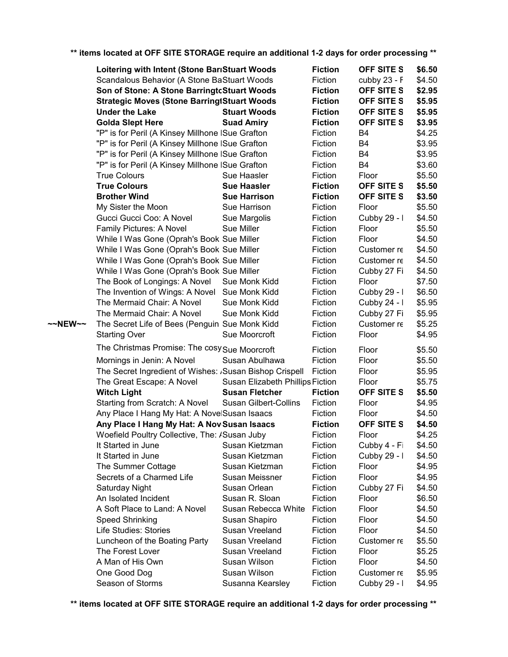|         | Loitering with Intent (Stone BarıStuart Woods                          |                                  | <b>Fiction</b>     | OFF SITE S                 | \$6.50           |
|---------|------------------------------------------------------------------------|----------------------------------|--------------------|----------------------------|------------------|
|         | Scandalous Behavior (A Stone BaStuart Woods                            |                                  | Fiction            | cubby $23 - F$             | \$4.50           |
|         | Son of Stone: A Stone BarringtcStuart Woods                            |                                  | <b>Fiction</b>     | OFF SITE S                 | \$2.95           |
|         | <b>Strategic Moves (Stone BarringtStuart Woods</b>                     |                                  | <b>Fiction</b>     | OFF SITE S                 | \$5.95           |
|         | <b>Under the Lake</b>                                                  | <b>Stuart Woods</b>              | <b>Fiction</b>     | OFF SITE S                 | \$5.95           |
|         | <b>Golda Slept Here</b>                                                | <b>Suad Amiry</b>                | <b>Fiction</b>     | <b>OFF SITE S</b>          | \$3.95           |
|         | "P" is for Peril (A Kinsey Millhone ISue Grafton                       |                                  | Fiction            | B4                         | \$4.25           |
|         | "P" is for Peril (A Kinsey Millhone ISue Grafton                       |                                  | Fiction            | B4                         | \$3.95           |
|         | "P" is for Peril (A Kinsey Millhone ISue Grafton                       |                                  | Fiction            | B4                         | \$3.95           |
|         | "P" is for Peril (A Kinsey Millhone ISue Grafton                       |                                  | Fiction            | B4                         | \$3.60           |
|         | <b>True Colours</b>                                                    | Sue Haasler                      | Fiction            | Floor                      | \$5.50           |
|         | <b>True Colours</b>                                                    | <b>Sue Haasler</b>               | <b>Fiction</b>     | OFF SITE S                 | \$5.50           |
|         | <b>Brother Wind</b>                                                    | <b>Sue Harrison</b>              | <b>Fiction</b>     | OFF SITE S                 | \$3.50           |
|         | My Sister the Moon                                                     | Sue Harrison                     | Fiction            | Floor                      | \$5.50           |
|         | Gucci Gucci Coo: A Novel                                               | Sue Margolis                     | Fiction            | Cubby 29 - I               | \$4.50           |
|         | Family Pictures: A Novel                                               | Sue Miller                       | Fiction            | Floor                      | \$5.50           |
|         | While I Was Gone (Oprah's Book Sue Miller                              |                                  | Fiction            | Floor                      | \$4.50           |
|         | While I Was Gone (Oprah's Book Sue Miller                              |                                  | Fiction            | Customer re                | \$4.50           |
|         | While I Was Gone (Oprah's Book Sue Miller                              |                                  | Fiction            | Customer re                | \$4.50           |
|         | While I Was Gone (Oprah's Book Sue Miller                              |                                  | Fiction            | Cubby 27 Fi                | \$4.50           |
|         | The Book of Longings: A Novel                                          | Sue Monk Kidd                    | Fiction            | Floor                      | \$7.50           |
|         | The Invention of Wings: A Novel Sue Monk Kidd                          |                                  | Fiction            | Cubby 29 - I               | \$6.50           |
|         | The Mermaid Chair: A Novel                                             | Sue Monk Kidd                    | Fiction            |                            | \$5.95           |
|         |                                                                        |                                  |                    | Cubby 24 - I               |                  |
| ~~NEW~~ | The Mermaid Chair: A Novel                                             | Sue Monk Kidd                    | Fiction<br>Fiction | Cubby 27 Fi<br>Customer re | \$5.95<br>\$5.25 |
|         | The Secret Life of Bees (Penguin Sue Monk Kidd<br><b>Starting Over</b> | Sue Moorcroft                    | Fiction            | Floor                      | \$4.95           |
|         |                                                                        |                                  |                    |                            |                  |
|         | The Christmas Promise: The cosy Sue Moorcroft                          |                                  | Fiction            | Floor                      | \$5.50           |
|         | Mornings in Jenin: A Novel                                             | Susan Abulhawa                   | Fiction            | Floor                      | \$5.50           |
|         | The Secret Ingredient of Wishes: Susan Bishop Crispell                 |                                  | Fiction            | Floor                      | \$5.95           |
|         | The Great Escape: A Novel                                              | Susan Elizabeth Phillips Fiction |                    | Floor                      | \$5.75           |
|         | <b>Witch Light</b>                                                     | <b>Susan Fletcher</b>            | <b>Fiction</b>     | OFF SITE S                 | \$5.50           |
|         | Starting from Scratch: A Novel                                         | Susan Gilbert-Collins            | Fiction            | Floor                      | \$4.95           |
|         | Any Place I Hang My Hat: A NovelSusan Isaacs                           |                                  | Fiction            | Floor                      | \$4.50           |
|         | Any Place I Hang My Hat: A Nov Susan Isaacs                            |                                  | <b>Fiction</b>     | <b>OFF SITE S</b>          | \$4.50           |
|         | Woefield Poultry Collective, The: /Susan Juby                          |                                  | Fiction            | Floor                      | \$4.25           |
|         | It Started in June                                                     | Susan Kietzman                   | Fiction            | Cubby 4 - Fi               | \$4.50           |
|         | It Started in June                                                     | Susan Kietzman                   | Fiction            | Cubby 29 - I               | \$4.50           |
|         | The Summer Cottage                                                     | Susan Kietzman                   | Fiction            | Floor                      | \$4.95           |
|         | Secrets of a Charmed Life                                              | Susan Meissner                   | Fiction            | Floor                      | \$4.95           |
|         | Saturday Night                                                         | Susan Orlean                     | Fiction            | Cubby 27 Fi                | \$4.50           |
|         | An Isolated Incident                                                   | Susan R. Sloan                   | Fiction            | Floor                      | \$6.50           |
|         | A Soft Place to Land: A Novel                                          | Susan Rebecca White              | Fiction            | Floor                      | \$4.50           |
|         | <b>Speed Shrinking</b>                                                 | Susan Shapiro                    | Fiction            | Floor                      | \$4.50           |
|         | Life Studies: Stories                                                  | Susan Vreeland                   | Fiction            | Floor                      | \$4.50           |
|         | Luncheon of the Boating Party                                          | Susan Vreeland                   | Fiction            | Customer re                | \$5.50           |
|         | The Forest Lover                                                       | Susan Vreeland                   | Fiction            | Floor                      | \$5.25           |
|         | A Man of His Own                                                       | Susan Wilson                     | Fiction            | Floor                      | \$4.50           |
|         | One Good Dog                                                           | Susan Wilson                     | Fiction            | Customer re                | \$5.95           |
|         | Season of Storms                                                       | Susanna Kearsley                 | Fiction            | Cubby 29 - I               | \$4.95           |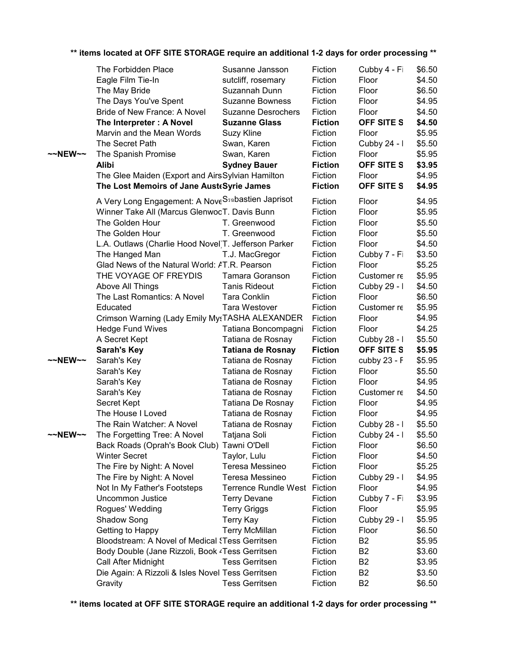|  |  |  | ** items located at OFF SITE STORAGE require an additional 1-2 days for order processing ** |  |  |  |
|--|--|--|---------------------------------------------------------------------------------------------|--|--|--|
|  |  |  |                                                                                             |  |  |  |

|                   | The Forbidden Place                                             | Susanne Jansson           | Fiction        | Cubby 4 - Fi      | \$6.50 |
|-------------------|-----------------------------------------------------------------|---------------------------|----------------|-------------------|--------|
|                   | Eagle Film Tie-In                                               | sutcliff, rosemary        | Fiction        | Floor             | \$4.50 |
|                   | The May Bride                                                   | Suzannah Dunn             | Fiction        | Floor             | \$6.50 |
|                   | The Days You've Spent                                           | <b>Suzanne Bowness</b>    | Fiction        | Floor             | \$4.95 |
|                   | Bride of New France: A Novel                                    | <b>Suzanne Desrochers</b> | Fiction        | Floor             | \$4.50 |
|                   | The Interpreter: A Novel                                        | <b>Suzanne Glass</b>      | <b>Fiction</b> | OFF SITE S        | \$4.50 |
|                   | Marvin and the Mean Words                                       | Suzy Kline                | Fiction        | Floor             | \$5.95 |
|                   | The Secret Path                                                 | Swan, Karen               | Fiction        | Cubby 24 - I      | \$5.50 |
| ~~NEW~~           | The Spanish Promise                                             | Swan, Karen               | Fiction        | Floor             | \$5.95 |
|                   | Alibi                                                           | <b>Sydney Bauer</b>       | <b>Fiction</b> | OFF SITE S        | \$3.95 |
|                   | The Glee Maiden (Export and AirsSylvian Hamilton                |                           | Fiction        | Floor             | \$4.95 |
|                   | The Lost Memoirs of Jane Aust Syrie James                       |                           | <b>Fiction</b> | <b>OFF SITE S</b> | \$4.95 |
|                   | A Very Long Engagement: A Nove S <sub>30</sub> bastien Japrisot |                           | Fiction        | Floor             | \$4.95 |
|                   | Winner Take All (Marcus GlenwooT. Davis Bunn                    |                           | Fiction        | Floor             | \$5.95 |
|                   | The Golden Hour                                                 | T. Greenwood              | Fiction        | Floor             | \$5.50 |
|                   | The Golden Hour                                                 | T. Greenwood              | Fiction        | Floor             | \$5.50 |
|                   | L.A. Outlaws (Charlie Hood Novel)T. Jefferson Parker            |                           | Fiction        | Floor             | \$4.50 |
|                   | The Hanged Man                                                  | T.J. MacGregor            | Fiction        | Cubby 7 - Fi      | \$3.50 |
|                   | Glad News of the Natural World: AT.R. Pearson                   |                           | Fiction        | Floor             | \$5.25 |
|                   | THE VOYAGE OF FREYDIS                                           | Tamara Goranson           | Fiction        | Customer re       | \$5.95 |
|                   | Above All Things                                                | <b>Tanis Rideout</b>      | Fiction        | Cubby 29 - I      | \$4.50 |
|                   | The Last Romantics: A Novel                                     | <b>Tara Conklin</b>       | Fiction        | Floor             | \$6.50 |
|                   | Educated                                                        | Tara Westover             | Fiction        | Customer re       | \$5.95 |
|                   | Crimson Warning (Lady Emily MysTASHA ALEXANDER                  |                           | Fiction        | Floor             | \$4.95 |
|                   | <b>Hedge Fund Wives</b>                                         | Tatiana Boncompagni       | Fiction        | Floor             | \$4.25 |
|                   | A Secret Kept                                                   | Tatiana de Rosnay         | Fiction        | Cubby 28 - I      | \$5.50 |
|                   | <b>Sarah's Key</b>                                              | <b>Tatiana de Rosnay</b>  | <b>Fiction</b> | OFF SITE S        | \$5.95 |
| $\sim$ NEW $\sim$ | Sarah's Key                                                     | Tatiana de Rosnay         | Fiction        | cubby 23 - F      | \$5.95 |
|                   | Sarah's Key                                                     | Tatiana de Rosnay         | Fiction        | Floor             | \$5.50 |
|                   | Sarah's Key                                                     | Tatiana de Rosnay         | Fiction        | Floor             | \$4.95 |
|                   | Sarah's Key                                                     | Tatiana de Rosnay         | Fiction        | Customer re       | \$4.50 |
|                   | Secret Kept                                                     | Tatiana De Rosnay         | Fiction        | Floor             | \$4.95 |
|                   | The House I Loved                                               | Tatiana de Rosnay         | Fiction        | Floor             | \$4.95 |
|                   | The Rain Watcher: A Novel                                       | Tatiana de Rosnay         | Fiction        | Cubby 28 - I      | \$5.50 |
| ~~NEW~~           | The Forgetting Tree: A Novel                                    | Tatjana Soli              | Fiction        | Cubby 24 - I      | \$5.50 |
|                   | Back Roads (Oprah's Book Club) Tawni O'Dell                     |                           | Fiction        | Floor             | \$6.50 |
|                   | <b>Winter Secret</b>                                            | Taylor, Lulu              | Fiction        | Floor             | \$4.50 |
|                   | The Fire by Night: A Novel                                      | Teresa Messineo           | Fiction        | Floor             | \$5.25 |
|                   | The Fire by Night: A Novel                                      | Teresa Messineo           | Fiction        | Cubby 29 - I      | \$4.95 |
|                   | Not In My Father's Footsteps                                    | Terrence Rundle West      | Fiction        | Floor             | \$4.95 |
|                   | <b>Uncommon Justice</b>                                         | <b>Terry Devane</b>       | Fiction        | Cubby 7 - Fi      | \$3.95 |
|                   | Rogues' Wedding                                                 | <b>Terry Griggs</b>       | Fiction        | Floor             | \$5.95 |
|                   | Shadow Song                                                     | Terry Kay                 | Fiction        | Cubby 29 - I      | \$5.95 |
|                   | Getting to Happy                                                | <b>Terry McMillan</b>     | Fiction        | Floor             | \$6.50 |
|                   | Bloodstream: A Novel of Medical {Tess Gerritsen                 |                           | Fiction        | <b>B2</b>         | \$5.95 |
|                   | Body Double (Jane Rizzoli, Book <sup>2</sup> Tess Gerritsen     |                           | Fiction        | <b>B2</b>         | \$3.60 |
|                   | Call After Midnight                                             | <b>Tess Gerritsen</b>     | Fiction        | <b>B2</b>         | \$3.95 |
|                   | Die Again: A Rizzoli & Isles Novel Tess Gerritsen               |                           | Fiction        | B <sub>2</sub>    | \$3.50 |
|                   | Gravity                                                         | <b>Tess Gerritsen</b>     | Fiction        | <b>B2</b>         | \$6.50 |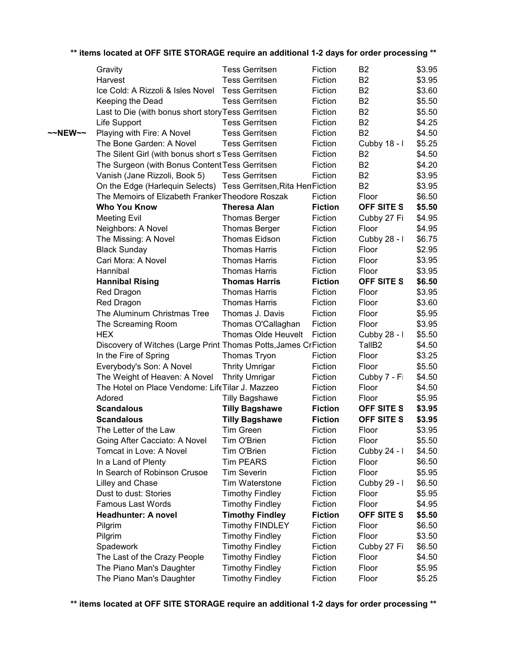|         | Gravity                                                           | <b>Tess Gerritsen</b>  | Fiction        | B <sub>2</sub>     | \$3.95 |
|---------|-------------------------------------------------------------------|------------------------|----------------|--------------------|--------|
|         | Harvest                                                           | <b>Tess Gerritsen</b>  | Fiction        | B <sub>2</sub>     | \$3.95 |
|         | Ice Cold: A Rizzoli & Isles Novel                                 | <b>Tess Gerritsen</b>  | Fiction        | B <sub>2</sub>     | \$3.60 |
|         | Keeping the Dead                                                  | <b>Tess Gerritsen</b>  | Fiction        | B <sub>2</sub>     | \$5.50 |
|         | Last to Die (with bonus short story Tess Gerritsen                |                        | Fiction        | B <sub>2</sub>     | \$5.50 |
|         | Life Support                                                      | <b>Tess Gerritsen</b>  | Fiction        | B <sub>2</sub>     | \$4.25 |
| ~~NEW~~ | Playing with Fire: A Novel                                        | <b>Tess Gerritsen</b>  | Fiction        | <b>B2</b>          | \$4.50 |
|         | The Bone Garden: A Novel                                          | <b>Tess Gerritsen</b>  | Fiction        | Cubby 18 - I       | \$5.25 |
|         | The Silent Girl (with bonus short siTess Gerritsen                |                        | Fiction        | B <sub>2</sub>     | \$4.50 |
|         | The Surgeon (with Bonus Content Tess Gerritsen                    |                        | Fiction        | B <sub>2</sub>     | \$4.20 |
|         | Vanish (Jane Rizzoli, Book 5)                                     | <b>Tess Gerritsen</b>  | Fiction        | B <sub>2</sub>     | \$3.95 |
|         | On the Edge (Harlequin Selects) Tess Gerritsen, Rita Herr Fiction |                        |                | B <sub>2</sub>     | \$3.95 |
|         | The Memoirs of Elizabeth Franker Theodore Roszak                  |                        | Fiction        | Floor              | \$6.50 |
|         | <b>Who You Know</b>                                               | <b>Theresa Alan</b>    | <b>Fiction</b> | OFF SITE S         | \$5.50 |
|         | <b>Meeting Evil</b>                                               | <b>Thomas Berger</b>   | Fiction        | Cubby 27 Fi        | \$4.95 |
|         | Neighbors: A Novel                                                | <b>Thomas Berger</b>   | Fiction        | Floor              | \$4.95 |
|         | The Missing: A Novel                                              | <b>Thomas Eidson</b>   | Fiction        | Cubby 28 - I       | \$6.75 |
|         | <b>Black Sunday</b>                                               | <b>Thomas Harris</b>   | Fiction        | Floor              | \$2.95 |
|         | Cari Mora: A Novel                                                | <b>Thomas Harris</b>   | Fiction        | Floor              | \$3.95 |
|         | Hannibal                                                          | <b>Thomas Harris</b>   | Fiction        | Floor              | \$3.95 |
|         | <b>Hannibal Rising</b>                                            | <b>Thomas Harris</b>   | <b>Fiction</b> | <b>OFF SITE S</b>  | \$6.50 |
|         | Red Dragon                                                        | <b>Thomas Harris</b>   | Fiction        | Floor              | \$3.95 |
|         | Red Dragon                                                        | <b>Thomas Harris</b>   | Fiction        | Floor              | \$3.60 |
|         | The Aluminum Christmas Tree                                       | Thomas J. Davis        | Fiction        | Floor              | \$5.95 |
|         | The Screaming Room                                                | Thomas O'Callaghan     | Fiction        | Floor              | \$3.95 |
|         | <b>HEX</b>                                                        | Thomas Olde Heuvelt    | Fiction        | Cubby 28 - I       | \$5.50 |
|         | Discovery of Witches (Large Print Thomas Potts, James CrFiction   |                        |                | TallB <sub>2</sub> | \$4.50 |
|         | In the Fire of Spring                                             | Thomas Tryon           | Fiction        | Floor              | \$3.25 |
|         | Everybody's Son: A Novel                                          | <b>Thrity Umrigar</b>  | Fiction        | Floor              | \$5.50 |
|         | The Weight of Heaven: A Novel                                     | <b>Thrity Umrigar</b>  | Fiction        | Cubby 7 - Fi       | \$4.50 |
|         | The Hotel on Place Vendome: LifeTilar J. Mazzeo                   |                        | Fiction        | Floor              | \$4.50 |
|         | Adored                                                            | <b>Tilly Bagshawe</b>  | Fiction        | Floor              | \$5.95 |
|         | <b>Scandalous</b>                                                 | <b>Tilly Bagshawe</b>  | <b>Fiction</b> | OFF SITE S         | \$3.95 |
|         | <b>Scandalous</b>                                                 | <b>Tilly Bagshawe</b>  | <b>Fiction</b> | <b>OFF SITE S</b>  | \$3.95 |
|         | The Letter of the Law                                             | Tim Green              | Fiction        | Floor              | \$3.95 |
|         | Going After Cacciato: A Novel                                     | Tim O'Brien            | Fiction        | Floor              | \$5.50 |
|         | Tomcat in Love: A Novel                                           | Tim O'Brien            | Fiction        | Cubby 24 - I       | \$4.50 |
|         | In a Land of Plenty                                               | <b>Tim PEARS</b>       | Fiction        | Floor              | \$6.50 |
|         | In Search of Robinson Crusoe                                      | <b>Tim Severin</b>     | Fiction        | Floor              | \$5.95 |
|         | Lilley and Chase                                                  | Tim Waterstone         | Fiction        | Cubby 29 - I       | \$6.50 |
|         | Dust to dust: Stories                                             | <b>Timothy Findley</b> | Fiction        | Floor              | \$5.95 |
|         | Famous Last Words                                                 | <b>Timothy Findley</b> | Fiction        | Floor              | \$4.95 |
|         | <b>Headhunter: A novel</b>                                        | <b>Timothy Findley</b> | <b>Fiction</b> | OFF SITE S         | \$5.50 |
|         | Pilgrim                                                           | <b>Timothy FINDLEY</b> | Fiction        | Floor              | \$6.50 |
|         | Pilgrim                                                           | <b>Timothy Findley</b> | Fiction        | Floor              | \$3.50 |
|         | Spadework                                                         | <b>Timothy Findley</b> | Fiction        | Cubby 27 Fi        | \$6.50 |
|         | The Last of the Crazy People                                      | <b>Timothy Findley</b> | Fiction        | Floor              | \$4.50 |
|         | The Piano Man's Daughter                                          | <b>Timothy Findley</b> | Fiction        | Floor              | \$5.95 |
|         | The Piano Man's Daughter                                          | <b>Timothy Findley</b> | Fiction        | Floor              | \$5.25 |
|         |                                                                   |                        |                |                    |        |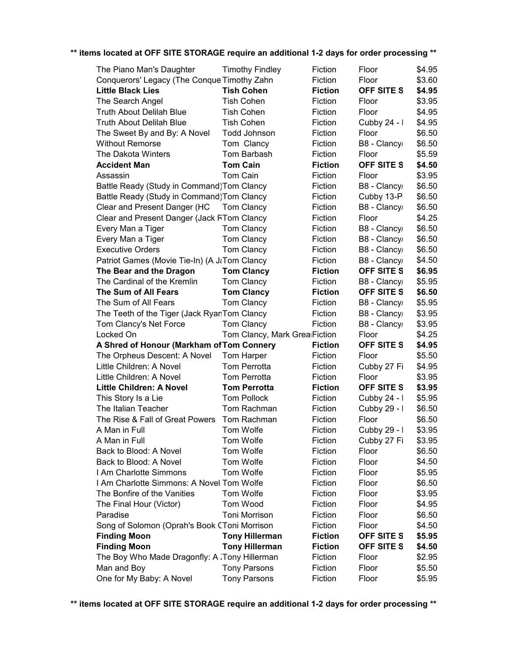| The Piano Man's Daughter                     | <b>Timothy Findley</b>        | Fiction        | Floor             | \$4.95 |
|----------------------------------------------|-------------------------------|----------------|-------------------|--------|
| Conquerors' Legacy (The Conque Timothy Zahn  |                               | Fiction        | Floor             | \$3.60 |
| <b>Little Black Lies</b>                     | <b>Tish Cohen</b>             | <b>Fiction</b> | OFF SITE S        | \$4.95 |
| The Search Angel                             | <b>Tish Cohen</b>             | Fiction        | Floor             | \$3.95 |
| <b>Truth About Delilah Blue</b>              | <b>Tish Cohen</b>             | Fiction        | Floor             | \$4.95 |
| <b>Truth About Delilah Blue</b>              | <b>Tish Cohen</b>             | Fiction        | Cubby 24 - I      | \$4.95 |
| The Sweet By and By: A Novel                 | Todd Johnson                  | Fiction        | Floor             | \$6.50 |
| <b>Without Remorse</b>                       | Tom Clancy                    | Fiction        | B8 - Clancy       | \$6.50 |
| The Dakota Winters                           | Tom Barbash                   | Fiction        | Floor             | \$5.59 |
| <b>Accident Man</b>                          | <b>Tom Cain</b>               | <b>Fiction</b> | <b>OFF SITE S</b> | \$4.50 |
| Assassin                                     | Tom Cain                      | Fiction        | Floor             | \$3.95 |
| Battle Ready (Study in Command) Tom Clancy   |                               | Fiction        | B8 - Clancy       | \$6.50 |
| Battle Ready (Study in Command) Tom Clancy   |                               | Fiction        | Cubby 13-P        | \$6.50 |
| Clear and Present Danger (HC                 | Tom Clancy                    | Fiction        | B8 - Clancy       | \$6.50 |
| Clear and Present Danger (Jack FTom Clancy   |                               | Fiction        | Floor             | \$4.25 |
| Every Man a Tiger                            | Tom Clancy                    | Fiction        | B8 - Clancy       | \$6.50 |
| Every Man a Tiger                            | Tom Clancy                    | Fiction        | B8 - Clancy       | \$6.50 |
| <b>Executive Orders</b>                      | Tom Clancy                    | Fiction        | B8 - Clancy       | \$6.50 |
| Patriot Games (Movie Tie-In) (A J&Tom Clancy |                               | Fiction        | B8 - Clancy       | \$4.50 |
| The Bear and the Dragon                      | <b>Tom Clancy</b>             | <b>Fiction</b> | <b>OFF SITE S</b> | \$6.95 |
| The Cardinal of the Kremlin                  | Tom Clancy                    | Fiction        | B8 - Clancy       | \$5.95 |
| The Sum of All Fears                         | <b>Tom Clancy</b>             | <b>Fiction</b> | <b>OFF SITE S</b> | \$6.50 |
| The Sum of All Fears                         | <b>Tom Clancy</b>             | Fiction        | B8 - Clancy       | \$5.95 |
| The Teeth of the Tiger (Jack RyanTom Clancy  |                               | Fiction        | B8 - Clancy       | \$3.95 |
| Tom Clancy's Net Force                       | Tom Clancy                    | Fiction        | B8 - Clancy       | \$3.95 |
| Locked On                                    | Tom Clancy, Mark Grea Fiction |                | Floor             | \$4.25 |
| A Shred of Honour (Markham of Tom Connery    |                               | <b>Fiction</b> | <b>OFF SITE S</b> | \$4.95 |
| The Orpheus Descent: A Novel                 | Tom Harper                    | Fiction        | Floor             | \$5.50 |
| Little Children: A Novel                     | Tom Perrotta                  | Fiction        | Cubby 27 Fi       | \$4.95 |
|                                              |                               |                |                   |        |
| Little Children: A Novel                     | <b>Tom Perrotta</b>           | Fiction        | Floor             | \$3.95 |
| <b>Little Children: A Novel</b>              | <b>Tom Perrotta</b>           | <b>Fiction</b> | <b>OFF SITE S</b> | \$3.95 |
| This Story Is a Lie                          | <b>Tom Pollock</b>            | Fiction        | Cubby 24 - I      | \$5.95 |
| The Italian Teacher                          | Tom Rachman                   | Fiction        | Cubby 29 - I      | \$6.50 |
| The Rise & Fall of Great Powers              | Tom Rachman                   | Fiction        | Floor             | \$6.50 |
| A Man in Full                                | Tom Wolfe                     | Fiction        | Cubby 29 - I      | \$3.95 |
| A Man in Full                                | Tom Wolfe                     | Fiction        | Cubby 27 Fi       | \$3.95 |
| Back to Blood: A Novel                       | Tom Wolfe                     | Fiction        | Floor             | \$6.50 |
| Back to Blood: A Novel                       | Tom Wolfe                     | Fiction        | Floor             | \$4.50 |
| I Am Charlotte Simmons                       | Tom Wolfe                     | Fiction        | Floor             | \$5.95 |
| I Am Charlotte Simmons: A Novel Tom Wolfe    |                               | Fiction        | Floor             | \$6.50 |
| The Bonfire of the Vanities                  | Tom Wolfe                     | Fiction        | Floor             | \$3.95 |
| The Final Hour (Victor)                      | Tom Wood                      | Fiction        | Floor             | \$4.95 |
| Paradise                                     | Toni Morrison                 | Fiction        | Floor             | \$6.50 |
| Song of Solomon (Oprah's Book CToni Morrison |                               | Fiction        | Floor             | \$4.50 |
| <b>Finding Moon</b>                          | <b>Tony Hillerman</b>         | <b>Fiction</b> | OFF SITE S        | \$5.95 |
| <b>Finding Moon</b>                          | <b>Tony Hillerman</b>         | <b>Fiction</b> | OFF SITE S        | \$4.50 |
| The Boy Who Made Dragonfly: A Tony Hillerman |                               | Fiction        | Floor             | \$2.95 |
| Man and Boy                                  | <b>Tony Parsons</b>           | Fiction        | Floor             | \$5.50 |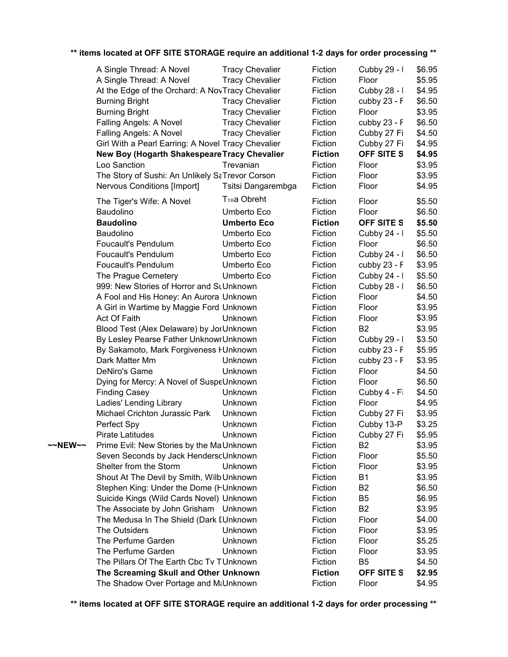|         | A Single Thread: A Novel                           | <b>Tracy Chevalier</b> | Fiction        | Cubby 29 - I      | \$6.95 |
|---------|----------------------------------------------------|------------------------|----------------|-------------------|--------|
|         | A Single Thread: A Novel                           | <b>Tracy Chevalier</b> | Fiction        | Floor             | \$5.95 |
|         | At the Edge of the Orchard: A NovTracy Chevalier   |                        | Fiction        | Cubby 28 - I      | \$4.95 |
|         | <b>Burning Bright</b>                              | <b>Tracy Chevalier</b> | Fiction        | cubby 23 - F      | \$6.50 |
|         | <b>Burning Bright</b>                              | <b>Tracy Chevalier</b> | Fiction        | Floor             | \$3.95 |
|         | Falling Angels: A Novel                            | <b>Tracy Chevalier</b> | Fiction        | cubby 23 - F      | \$6.50 |
|         | Falling Angels: A Novel                            | <b>Tracy Chevalier</b> | Fiction        | Cubby 27 Fi       | \$4.50 |
|         | Girl With a Pearl Earring: A Novel Tracy Chevalier |                        | Fiction        | Cubby 27 Fi       | \$4.95 |
|         | New Boy (Hogarth Shakespeare Tracy Chevalier       |                        | <b>Fiction</b> | <b>OFF SITE S</b> | \$4.95 |
|         | Loo Sanction                                       | Trevanian              | Fiction        | Floor             | \$3.95 |
|         | The Story of Sushi: An Unlikely SaTrevor Corson    |                        | Fiction        | Floor             | \$3.95 |
|         | <b>Nervous Conditions [Import]</b>                 | Tsitsi Dangarembga     | Fiction        | Floor             | \$4.95 |
|         | The Tiger's Wife: A Novel                          | <b>T</b> รฉa Obreht    | Fiction        | Floor             | \$5.50 |
|         | Baudolino                                          | Umberto Eco            | Fiction        | Floor             | \$6.50 |
|         | <b>Baudolino</b>                                   | <b>Umberto Eco</b>     | <b>Fiction</b> | OFF SITE S        | \$5.50 |
|         | Baudolino                                          | Umberto Eco            | Fiction        | Cubby 24 - I      | \$5.50 |
|         | <b>Foucault's Pendulum</b>                         | Umberto Eco            | Fiction        | Floor             | \$6.50 |
|         | Foucault's Pendulum                                | Umberto Eco            | Fiction        | Cubby 24 - I      | \$6.50 |
|         | Foucault's Pendulum                                | Umberto Eco            | Fiction        | cubby $23 - F$    | \$3.95 |
|         | The Prague Cemetery                                | Umberto Eco            | Fiction        | Cubby 24 - I      | \$5.50 |
|         | 999: New Stories of Horror and StUnknown           |                        | Fiction        | Cubby 28 - I      | \$6.50 |
|         | A Fool and His Honey: An Aurora Unknown            |                        | Fiction        | Floor             | \$4.50 |
|         | A Girl in Wartime by Maggie Ford Unknown           |                        | Fiction        | Floor             | \$3.95 |
|         | Act Of Faith                                       | Unknown                | Fiction        | Floor             | \$3.95 |
|         | Blood Test (Alex Delaware) by JorUnknown           |                        | Fiction        | B <sub>2</sub>    | \$3.95 |
|         | By Lesley Pearse Father UnknowrUnknown             |                        | Fiction        | Cubby 29 - I      | \$3.50 |
|         | By Sakamoto, Mark Forgiveness FUnknown             |                        | Fiction        | cubby $23 - F$    | \$5.95 |
|         | Dark Matter Mm                                     | Unknown                | Fiction        | cubby 23 - F      | \$3.95 |
|         | DeNiro's Game                                      | Unknown                | Fiction        | Floor             | \$4.50 |
|         | Dying for Mercy: A Novel of SuspeUnknown           |                        | Fiction        | Floor             | \$6.50 |
|         | <b>Finding Casey</b>                               | Unknown                | Fiction        | Cubby 4 - Fi      | \$4.50 |
|         | Ladies' Lending Library                            | Unknown                | Fiction        | Floor             | \$4.95 |
|         | Michael Crichton Jurassic Park                     | Unknown                | Fiction        | Cubby 27 Fi       | \$3.95 |
|         | Perfect Spy                                        | Unknown                | Fiction        | Cubby 13-P        | \$3.25 |
|         | Pirate Latitudes                                   | Unknown                | Fiction        | Cubby 27 Fi       | \$5.95 |
| ~~NEW~~ | Prime Evil: New Stories by the MaUnknown           |                        | Fiction        | B <sub>2</sub>    | \$3.95 |
|         | Seven Seconds by Jack HenderscUnknown              |                        | Fiction        | Floor             | \$5.50 |
|         | Shelter from the Storm                             | Unknown                | Fiction        | Floor             | \$3.95 |
|         | Shout At The Devil by Smith, Wilb Unknown          |                        | Fiction        | <b>B1</b>         | \$3.95 |
|         | Stephen King: Under the Dome (HUnknown             |                        | Fiction        | B <sub>2</sub>    | \$6.50 |
|         | Suicide Kings (Wild Cards Novel) Unknown           |                        | Fiction        | B <sub>5</sub>    | \$6.95 |
|         | The Associate by John Grisham Unknown              |                        | Fiction        | <b>B2</b>         | \$3.95 |
|         | The Medusa In The Shield (Dark IUnknown            |                        | Fiction        | Floor             | \$4.00 |
|         | The Outsiders                                      | Unknown                | Fiction        | Floor             | \$3.95 |
|         | The Perfume Garden                                 | Unknown                | Fiction        | Floor             | \$5.25 |
|         | The Perfume Garden                                 | Unknown                | Fiction        | Floor             | \$3.95 |
|         | The Pillars Of The Earth Cbc Tv TUnknown           |                        | Fiction        | B <sub>5</sub>    | \$4.50 |
|         | The Screaming Skull and Other Unknown              |                        | <b>Fiction</b> | OFF SITE S        | \$2.95 |
|         | The Shadow Over Portage and M&Unknown              |                        | Fiction        | Floor             | \$4.95 |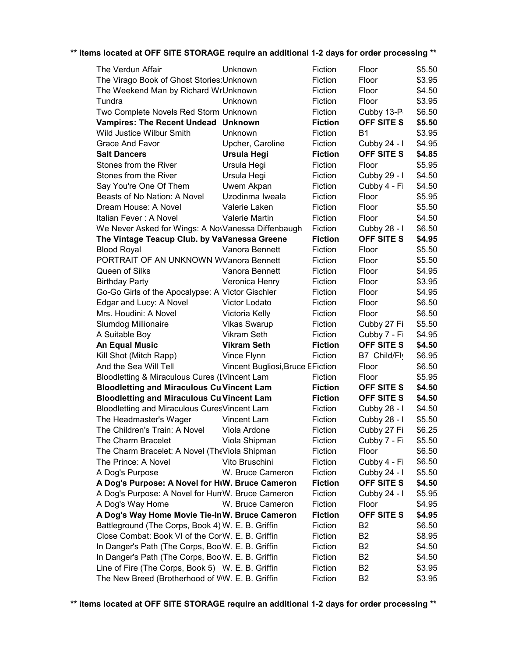| The Verdun Affair                                  | Unknown                          | Fiction        | Floor             | \$5.50 |
|----------------------------------------------------|----------------------------------|----------------|-------------------|--------|
| The Virago Book of Ghost Stories: Unknown          |                                  | Fiction        | Floor             | \$3.95 |
| The Weekend Man by Richard WrUnknown               | Fiction                          | Floor          | \$4.50            |        |
| Tundra                                             | Unknown                          | Fiction        | Floor             | \$3.95 |
| Two Complete Novels Red Storm Unknown              |                                  | Fiction        | Cubby 13-P        | \$6.50 |
| Vampires: The Recent Undead Unknown                |                                  | <b>Fiction</b> | <b>OFF SITE S</b> | \$5.50 |
| Wild Justice Wilbur Smith                          | Unknown                          | Fiction        | B <sub>1</sub>    | \$3.95 |
| Grace And Favor                                    | Upcher, Caroline                 | Fiction        | Cubby 24 - I      | \$4.95 |
| <b>Salt Dancers</b>                                | <b>Ursula Hegi</b>               | <b>Fiction</b> | OFF SITE S        | \$4.85 |
| Stones from the River                              | Ursula Hegi                      | Fiction        | Floor             | \$5.95 |
| Stones from the River                              | Ursula Hegi                      | Fiction        | Cubby 29 - I      | \$4.50 |
| Say You're One Of Them                             | Uwem Akpan                       | Fiction        | Cubby 4 - Fi      | \$4.50 |
| Beasts of No Nation: A Novel                       | Uzodinma Iweala                  | Fiction        | Floor             | \$5.95 |
| Dream House: A Novel                               | Valerie Laken                    | Fiction        | Floor             | \$5.50 |
| Italian Fever: A Novel                             | Valerie Martin                   | Fiction        | Floor             | \$4.50 |
| We Never Asked for Wings: A NovVanessa Diffenbaugh |                                  | Fiction        | Cubby 28 - I      | \$6.50 |
| The Vintage Teacup Club. by VaVanessa Greene       |                                  | <b>Fiction</b> | OFF SITE S        | \$4.95 |
| <b>Blood Royal</b>                                 | Vanora Bennett                   | Fiction        | Floor             | \$5.50 |
| PORTRAIT OF AN UNKNOWN WVanora Bennett             |                                  | Fiction        | Floor             | \$5.50 |
| Queen of Silks                                     | Vanora Bennett                   | Fiction        | Floor             | \$4.95 |
| <b>Birthday Party</b>                              | Veronica Henry                   | Fiction        | Floor             | \$3.95 |
| Go-Go Girls of the Apocalypse: A Victor Gischler   |                                  | Fiction        | Floor             | \$4.95 |
| Edgar and Lucy: A Novel                            | Victor Lodato                    | Fiction        | Floor             | \$6.50 |
| Mrs. Houdini: A Novel                              | Victoria Kelly                   | Fiction        | Floor             | \$6.50 |
| Slumdog Millionaire                                | <b>Vikas Swarup</b>              | Fiction        | Cubby 27 Fi       | \$5.50 |
| A Suitable Boy                                     | Vikram Seth                      | Fiction        | Cubby 7 - Fi      | \$4.95 |
| <b>An Equal Music</b>                              | <b>Vikram Seth</b>               | <b>Fiction</b> | OFF SITE S        | \$4.50 |
| Kill Shot (Mitch Rapp)                             | Vince Flynn                      | Fiction        | B7 Child/Flv      | \$6.95 |
| And the Sea Will Tell                              | Vincent Bugliosi, Bruce EFiction |                | Floor             | \$6.50 |
| Bloodletting & Miraculous Cures (IVincent Lam      |                                  | Fiction        | Floor             | \$5.95 |
| <b>Bloodletting and Miraculous Cu Vincent Lam</b>  |                                  | <b>Fiction</b> | OFF SITE S        | \$4.50 |
| <b>Bloodletting and Miraculous Cu Vincent Lam</b>  |                                  | <b>Fiction</b> | OFF SITE S        | \$4.50 |
| Bloodletting and Miraculous CuresVincent Lam       |                                  | Fiction        | Cubby 28 - I      | \$4.50 |
| The Headmaster's Wager                             | Vincent Lam                      | Fiction        | Cubby 28 - I      | \$5.50 |
| The Children's Train: A Novel                      | Viola Ardone                     | Fiction        | Cubby 27 Fi       | \$6.25 |
| The Charm Bracelet                                 | Viola Shipman                    | Fiction        | Cubby 7 - Fi      | \$5.50 |
| The Charm Bracelet: A Novel (The Viola Shipman     |                                  | Fiction        | Floor             | \$6.50 |
| The Prince: A Novel                                | Vito Bruschini                   | Fiction        | Cubby 4 - Fi      | \$6.50 |
| A Dog's Purpose                                    | W. Bruce Cameron                 | Fiction        | Cubby 24 - I      | \$5.50 |
| A Dog's Purpose: A Novel for HIW. Bruce Cameron    |                                  | <b>Fiction</b> | OFF SITE S        | \$4.50 |
| A Dog's Purpose: A Novel for HunW. Bruce Cameron   |                                  | Fiction        | Cubby 24 - I      | \$5.95 |
| A Dog's Way Home                                   | W. Bruce Cameron                 | Fiction        | Floor             | \$4.95 |
| A Dog's Way Home Movie Tie-InW. Bruce Cameron      |                                  | <b>Fiction</b> | OFF SITE S        | \$4.95 |
| Battleground (The Corps, Book 4) W. E. B. Griffin  |                                  | Fiction        | B <sub>2</sub>    | \$6.50 |
| Close Combat: Book VI of the CorW. E. B. Griffin   |                                  | Fiction        | <b>B2</b>         | \$8.95 |
| In Danger's Path (The Corps, BooW. E. B. Griffin   |                                  | Fiction        | <b>B2</b>         | \$4.50 |
| In Danger's Path (The Corps, BooW. E. B. Griffin   | Fiction                          | <b>B2</b>      | \$4.50            |        |
| Line of Fire (The Corps, Book 5) W. E. B. Griffin  |                                  | Fiction        | <b>B2</b>         | \$3.95 |
| The New Breed (Brotherhood of WW. E. B. Griffin    |                                  | Fiction        | <b>B2</b>         | \$3.95 |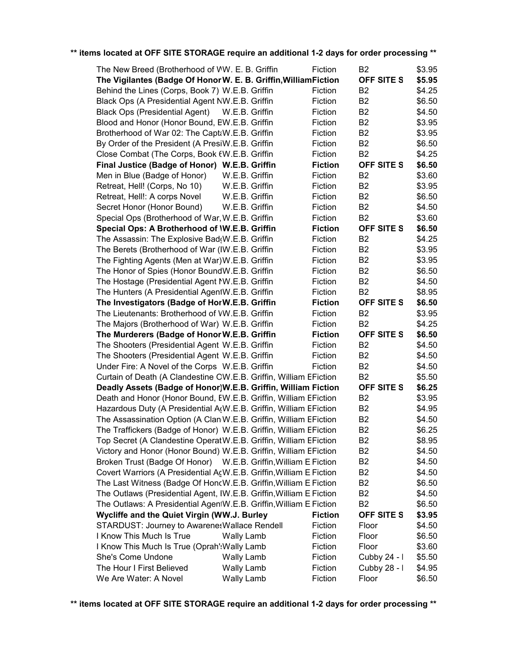| The New Breed (Brotherhood of WW. E. B. Griffin                                          |                   | Fiction            | B <sub>2</sub>                   | \$3.95 |
|------------------------------------------------------------------------------------------|-------------------|--------------------|----------------------------------|--------|
| The Vigilantes (Badge Of Honor W. E. B. Griffin, William Fiction                         |                   | Fiction            | <b>OFF SITE S</b>                | \$5.95 |
| Behind the Lines (Corps, Book 7) W.E.B. Griffin                                          |                   |                    | B <sub>2</sub><br>B <sub>2</sub> | \$4.25 |
| Black Ops (A Presidential Agent NW.E.B. Griffin<br><b>Black Ops (Presidential Agent)</b> | W.E.B. Griffin    | Fiction            | B <sub>2</sub>                   | \$6.50 |
| Blood and Honor (Honor Bound, EW.E.B. Griffin                                            |                   | Fiction<br>Fiction | B <sub>2</sub>                   | \$4.50 |
|                                                                                          |                   |                    |                                  | \$3.95 |
| Brotherhood of War 02: The CaptaW.E.B. Griffin                                           |                   | Fiction            | B <sub>2</sub>                   | \$3.95 |
| By Order of the President (A PresiW.E.B. Griffin                                         |                   | Fiction            | B <sub>2</sub>                   | \$6.50 |
| Close Combat (The Corps, Book EW.E.B. Griffin                                            |                   | Fiction            | <b>B2</b>                        | \$4.25 |
| Final Justice (Badge of Honor) W.E.B. Griffin                                            |                   | <b>Fiction</b>     | <b>OFF SITE S</b>                | \$6.50 |
| Men in Blue (Badge of Honor)                                                             | W.E.B. Griffin    | Fiction            | B <sub>2</sub>                   | \$3.60 |
| Retreat, Hell! (Corps, No 10)                                                            | W.E.B. Griffin    | Fiction            | B <sub>2</sub>                   | \$3.95 |
| Retreat, Hell!: A corps Novel                                                            | W.E.B. Griffin    | Fiction            | B <sub>2</sub>                   | \$6.50 |
| Secret Honor (Honor Bound)                                                               | W.E.B. Griffin    | Fiction            | B <sub>2</sub>                   | \$4.50 |
| Special Ops (Brotherhood of War, W.E.B. Griffin                                          |                   | Fiction            | B <sub>2</sub>                   | \$3.60 |
| Special Ops: A Brotherhood of \W.E.B. Griffin                                            |                   | <b>Fiction</b>     | <b>OFF SITE S</b>                | \$6.50 |
| The Assassin: The Explosive Bad(W.E.B. Griffin                                           |                   | Fiction            | B <sub>2</sub>                   | \$4.25 |
| The Berets (Brotherhood of War (IW.E.B. Griffin                                          |                   | Fiction            | <b>B2</b>                        | \$3.95 |
| The Fighting Agents (Men at War) W.E.B. Griffin                                          |                   | Fiction            | <b>B2</b>                        | \$3.95 |
| The Honor of Spies (Honor BoundW.E.B. Griffin                                            |                   | Fiction            | B <sub>2</sub>                   | \$6.50 |
| The Hostage (Presidential Agent NW.E.B. Griffin                                          |                   | Fiction            | B <sub>2</sub>                   | \$4.50 |
| The Hunters (A Presidential AgentW.E.B. Griffin                                          |                   | Fiction            | B <sub>2</sub>                   | \$8.95 |
| The Investigators (Badge of HorW.E.B. Griffin                                            |                   | <b>Fiction</b>     | <b>OFF SITE S</b>                | \$6.50 |
| The Lieutenants: Brotherhood of VW.E.B. Griffin                                          |                   | Fiction            | B <sub>2</sub>                   | \$3.95 |
| The Majors (Brotherhood of War) W.E.B. Griffin                                           |                   | Fiction            | B <sub>2</sub>                   | \$4.25 |
| The Murderers (Badge of Honor W.E.B. Griffin                                             |                   | <b>Fiction</b>     | <b>OFF SITE S</b>                | \$6.50 |
| The Shooters (Presidential Agent W.E.B. Griffin                                          |                   | Fiction            | B <sub>2</sub>                   | \$4.50 |
| The Shooters (Presidential Agent W.E.B. Griffin                                          |                   | Fiction            | B <sub>2</sub>                   | \$4.50 |
| Under Fire: A Novel of the Corps W.E.B. Griffin                                          |                   | Fiction            | B <sub>2</sub>                   | \$4.50 |
| Curtain of Death (A Clandestine OW.E.B. Griffin, William EFiction                        |                   |                    | B <sub>2</sub>                   | \$5.50 |
| Deadly Assets (Badge of Honor)W.E.B. Griffin, William Fiction                            |                   |                    | <b>OFF SITE S</b>                | \$6.25 |
| Death and Honor (Honor Bound, EW.E.B. Griffin, William EFiction                          |                   |                    | B <sub>2</sub>                   | \$3.95 |
| Hazardous Duty (A Presidential A(W.E.B. Griffin, William EFiction                        |                   |                    | <b>B2</b>                        | \$4.95 |
| The Assassination Option (A Clan W.E.B. Griffin, William EFiction                        |                   |                    | B <sub>2</sub>                   | \$4.50 |
| The Traffickers (Badge of Honor) W.E.B. Griffin, William EFiction                        |                   |                    | <b>B2</b>                        | \$6.25 |
| Top Secret (A Clandestine Operat W.E.B. Griffin, William EFiction                        |                   |                    | B <sub>2</sub>                   | \$8.95 |
| Victory and Honor (Honor Bound) W.E.B. Griffin, William EFiction                         |                   |                    | <b>B2</b>                        | \$4.50 |
| Broken Trust (Badge Of Honor) W.E.B. Griffin, William E.Fiction                          |                   |                    | B <sub>2</sub>                   | \$4.50 |
| Covert Warriors (A Presidential AcW.E.B. Griffin, William E Fiction                      |                   |                    | B <sub>2</sub>                   | \$4.50 |
| The Last Witness (Badge Of HoncW.E.B. Griffin, William E.Fiction                         |                   |                    | B <sub>2</sub>                   | \$6.50 |
| The Outlaws (Presidential Agent, IW.E.B. Griffin, William E Fiction                      |                   |                    | B <sub>2</sub>                   | \$4.50 |
| The Outlaws: A Presidential AgentW.E.B. Griffin, William E Fiction                       |                   |                    | B <sub>2</sub>                   | \$6.50 |
| Wycliffe and the Quiet Virgin (WW.J. Burley                                              |                   | <b>Fiction</b>     | <b>OFF SITE S</b>                | \$3.95 |
| <b>STARDUST: Journey to AwarenesWallace Rendell</b>                                      |                   | Fiction            | Floor                            | \$4.50 |
| I Know This Much Is True                                                                 | <b>Wally Lamb</b> | Fiction            | Floor                            | \$6.50 |
| I Know This Much Is True (Oprah': Wally Lamb                                             |                   | Fiction            | Floor                            | \$3.60 |
| She's Come Undone                                                                        | <b>Wally Lamb</b> | Fiction            | Cubby 24 - I                     | \$5.50 |
| The Hour I First Believed                                                                | <b>Wally Lamb</b> | Fiction            | Cubby 28 - I                     | \$4.95 |
| We Are Water: A Novel                                                                    | Wally Lamb        | Fiction            | Floor                            | \$6.50 |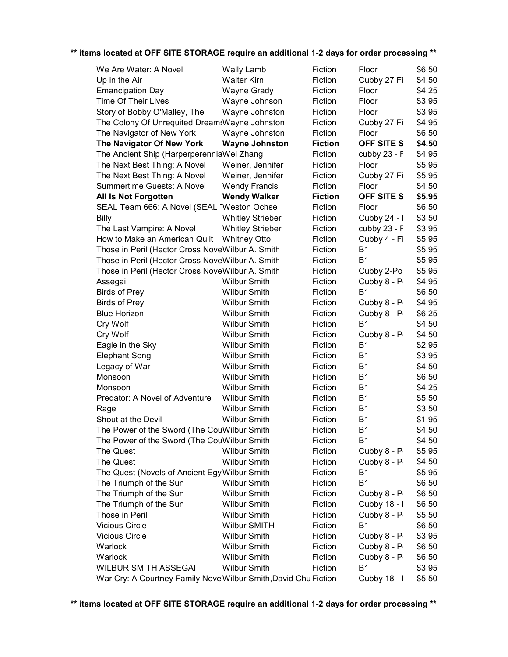| We Are Water: A Novel                                           | <b>Wally Lamb</b>       | Fiction        | Floor          |                  |
|-----------------------------------------------------------------|-------------------------|----------------|----------------|------------------|
| Up in the Air                                                   | <b>Walter Kirn</b>      | Fiction        | Cubby 27 Fi    | \$6.50<br>\$4.50 |
| <b>Emancipation Day</b>                                         | Wayne Grady             | Fiction        | Floor          | \$4.25           |
| <b>Time Of Their Lives</b>                                      | Wayne Johnson           | Fiction        | Floor          | \$3.95           |
| Story of Bobby O'Malley, The                                    | Wayne Johnston          | Fiction        | Floor          | \$3.95           |
| The Colony Of Unrequited Dreams Wayne Johnston                  |                         | Fiction        | Cubby 27 Fi    | \$4.95           |
| The Navigator of New York                                       | Wayne Johnston          | Fiction        | Floor          | \$6.50           |
| The Navigator Of New York                                       | <b>Wayne Johnston</b>   | <b>Fiction</b> | OFF SITE S     | \$4.50           |
| The Ancient Ship (HarperperenniaWei Zhang                       |                         | Fiction        | cubby 23 - F   | \$4.95           |
| The Next Best Thing: A Novel                                    | Weiner, Jennifer        | Fiction        | Floor          | \$5.95           |
| The Next Best Thing: A Novel                                    | Weiner, Jennifer        | Fiction        | Cubby 27 Fi    | \$5.95           |
| Summertime Guests: A Novel                                      | <b>Wendy Francis</b>    | Fiction        | Floor          | \$4.50           |
| All Is Not Forgotten                                            | <b>Wendy Walker</b>     | <b>Fiction</b> | OFF SITE S     | \$5.95           |
| SEAL Team 666: A Novel (SEAL 'Weston Ochse                      |                         | Fiction        | Floor          | \$6.50           |
| <b>Billy</b>                                                    |                         | Fiction        | Cubby 24 - I   | \$3.50           |
|                                                                 | <b>Whitley Strieber</b> | Fiction        |                | \$3.95           |
| The Last Vampire: A Novel                                       | <b>Whitley Strieber</b> |                | cubby 23 - F   |                  |
| How to Make an American Quilt                                   | <b>Whitney Otto</b>     | Fiction        | Cubby 4 - Fi   | \$5.95           |
| Those in Peril (Hector Cross NoveWilbur A. Smith                |                         | Fiction        | <b>B1</b>      | \$5.95           |
| Those in Peril (Hector Cross NoveWilbur A. Smith                |                         | Fiction        | <b>B1</b>      | \$5.95           |
| Those in Peril (Hector Cross NoveWilbur A. Smith                |                         | Fiction        | Cubby 2-Po     | \$5.95           |
| Assegai                                                         | <b>Wilbur Smith</b>     | Fiction        | Cubby 8 - P    | \$4.95           |
| <b>Birds of Prey</b>                                            | <b>Wilbur Smith</b>     | Fiction        | <b>B1</b>      | \$6.50           |
| <b>Birds of Prey</b>                                            | <b>Wilbur Smith</b>     | Fiction        | Cubby 8 - P    | \$4.95           |
| <b>Blue Horizon</b>                                             | <b>Wilbur Smith</b>     | Fiction        | Cubby 8 - P    | \$6.25           |
| Cry Wolf                                                        | <b>Wilbur Smith</b>     | Fiction        | <b>B1</b>      | \$4.50           |
| Cry Wolf                                                        | <b>Wilbur Smith</b>     | Fiction        | Cubby 8 - P    | \$4.50           |
| Eagle in the Sky                                                | <b>Wilbur Smith</b>     | Fiction        | <b>B1</b>      | \$2.95           |
| <b>Elephant Song</b>                                            | <b>Wilbur Smith</b>     | Fiction        | <b>B1</b>      | \$3.95           |
| Legacy of War                                                   | <b>Wilbur Smith</b>     | Fiction        | <b>B1</b>      | \$4.50           |
| Monsoon                                                         | <b>Wilbur Smith</b>     | Fiction        | <b>B1</b>      | \$6.50           |
| Monsoon                                                         | <b>Wilbur Smith</b>     | Fiction        | <b>B1</b>      | \$4.25           |
| Predator: A Novel of Adventure                                  | <b>Wilbur Smith</b>     | Fiction        | <b>B1</b>      | \$5.50           |
| Rage                                                            | <b>Wilbur Smith</b>     | Fiction        | <b>B1</b>      | \$3.50           |
| Shout at the Devil                                              | <b>Wilbur Smith</b>     | Fiction        | B <sub>1</sub> | \$1.95           |
| The Power of the Sword (The CouWilbur Smith                     |                         | Fiction        | B <sub>1</sub> | \$4.50           |
| The Power of the Sword (The CouWilbur Smith                     |                         | Fiction        | B1             | \$4.50           |
| The Quest                                                       | <b>Wilbur Smith</b>     | Fiction        | Cubby 8 - P    | \$5.95           |
| The Quest                                                       | <b>Wilbur Smith</b>     | Fiction        | Cubby 8 - P    | \$4.50           |
| The Quest (Novels of Ancient Egy Wilbur Smith                   |                         | Fiction        | <b>B1</b>      | \$5.95           |
| The Triumph of the Sun                                          | <b>Wilbur Smith</b>     | Fiction        | <b>B1</b>      | \$6.50           |
| The Triumph of the Sun                                          | <b>Wilbur Smith</b>     | Fiction        | Cubby 8 - P    | \$6.50           |
| The Triumph of the Sun                                          | <b>Wilbur Smith</b>     | Fiction        | Cubby 18 - I   | \$6.50           |
| Those in Peril                                                  | <b>Wilbur Smith</b>     | Fiction        | Cubby 8 - P    | \$5.50           |
| <b>Vicious Circle</b>                                           | Wilbur SMITH            | Fiction        | B1             | \$6.50           |
| <b>Vicious Circle</b>                                           | <b>Wilbur Smith</b>     | Fiction        | Cubby 8 - P    | \$3.95           |
| Warlock                                                         | <b>Wilbur Smith</b>     | Fiction        | Cubby 8 - P    | \$6.50           |
| Warlock                                                         | <b>Wilbur Smith</b>     | Fiction        | Cubby 8 - P    | \$6.50           |
| <b>WILBUR SMITH ASSEGAI</b>                                     | <b>Wilbur Smith</b>     | Fiction        | <b>B1</b>      | \$3.95           |
| War Cry: A Courtney Family Nove Wilbur Smith, David Chu Fiction |                         |                | Cubby 18 - I   | \$5.50           |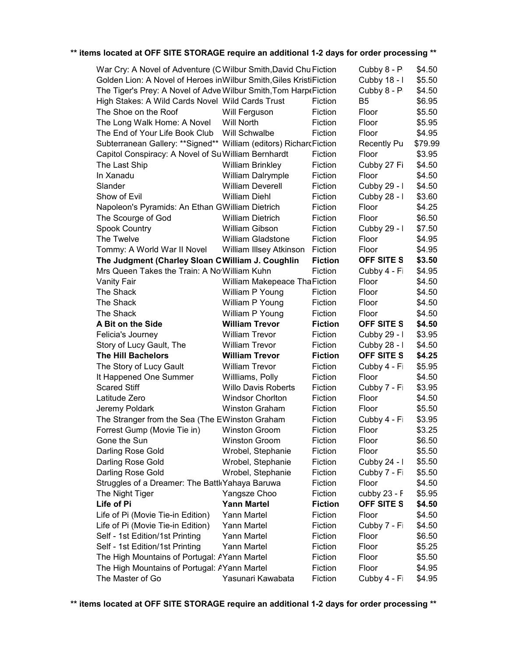| War Cry: A Novel of Adventure (CWilbur Smith, David Chu Fiction<br>Cubby 8 - P<br>\$4.50 |                               |                |                    |         |  |
|------------------------------------------------------------------------------------------|-------------------------------|----------------|--------------------|---------|--|
| Golden Lion: A Novel of Heroes in Wilbur Smith, Giles KristiFiction                      |                               |                | Cubby 18 - I       | \$5.50  |  |
| The Tiger's Prey: A Novel of Adve Wilbur Smith, Tom Harp eFiction                        |                               | Cubby 8 - P    | \$4.50             |         |  |
| High Stakes: A Wild Cards Novel Wild Cards Trust                                         |                               | Fiction        | B5                 | \$6.95  |  |
| The Shoe on the Roof                                                                     | Will Ferguson                 | Fiction        | Floor              | \$5.50  |  |
| The Long Walk Home: A Novel                                                              | Will North                    | Fiction        | Floor              | \$5.95  |  |
| The End of Your Life Book Club                                                           | Will Schwalbe                 | Fiction        | Floor              | \$4.95  |  |
| Subterranean Gallery: **Signed**  William (editors) RicharcFiction                       |                               |                | <b>Recently Pu</b> | \$79.99 |  |
| Capitol Conspiracy: A Novel of Su William Bernhardt                                      |                               | Fiction        | Floor              | \$3.95  |  |
| The Last Ship                                                                            | <b>William Brinkley</b>       | Fiction        | Cubby 27 Fi        | \$4.50  |  |
| In Xanadu                                                                                | William Dalrymple             | Fiction        | Floor              | \$4.50  |  |
| Slander                                                                                  | <b>William Deverell</b>       | Fiction        | Cubby 29 - I       | \$4.50  |  |
| Show of Evil                                                                             | <b>William Diehl</b>          | Fiction        | Cubby 28 - I       | \$3.60  |  |
| Napoleon's Pyramids: An Ethan GWilliam Dietrich                                          |                               | Fiction        | Floor              | \$4.25  |  |
| The Scourge of God                                                                       | <b>William Dietrich</b>       | Fiction        | Floor              | \$6.50  |  |
| <b>Spook Country</b>                                                                     | William Gibson                | Fiction        | Cubby 29 - I       | \$7.50  |  |
| The Twelve                                                                               | <b>William Gladstone</b>      | Fiction        | Floor              | \$4.95  |  |
| Tommy: A World War II Novel                                                              | William Illsey Atkinson       | Fiction        | Floor              | \$4.95  |  |
| The Judgment (Charley Sloan C William J. Coughlin                                        |                               | <b>Fiction</b> | OFF SITE S         | \$3.50  |  |
| Mrs Queen Takes the Train: A No William Kuhn                                             |                               | Fiction        | Cubby 4 - Fi       | \$4.95  |  |
| <b>Vanity Fair</b>                                                                       | William Makepeace Tha Fiction |                | Floor              | \$4.50  |  |
| The Shack                                                                                | William P Young               | Fiction        | Floor              | \$4.50  |  |
| The Shack                                                                                | William P Young               | Fiction        | Floor              | \$4.50  |  |
| The Shack                                                                                | William P Young               | Fiction        | Floor              | \$4.50  |  |
| A Bit on the Side                                                                        | <b>William Trevor</b>         | <b>Fiction</b> | OFF SITE S         | \$4.50  |  |
| Felicia's Journey                                                                        | <b>William Trevor</b>         | Fiction        | Cubby 29 - I       | \$3.95  |  |
| Story of Lucy Gault, The                                                                 | <b>William Trevor</b>         | Fiction        | Cubby 28 - I       | \$4.50  |  |
| <b>The Hill Bachelors</b>                                                                | <b>William Trevor</b>         | <b>Fiction</b> | <b>OFF SITE S</b>  | \$4.25  |  |
| The Story of Lucy Gault                                                                  | <b>William Trevor</b>         | Fiction        | Cubby 4 - Fi       | \$5.95  |  |
| It Happened One Summer                                                                   | Willliams, Polly              | Fiction        | Floor              | \$4.50  |  |
| <b>Scared Stiff</b>                                                                      | <b>Willo Davis Roberts</b>    | Fiction        | Cubby 7 - Fi       | \$3.95  |  |
| Latitude Zero                                                                            | <b>Windsor Chorlton</b>       | Fiction        | Floor              | \$4.50  |  |
| Jeremy Poldark                                                                           | <b>Winston Graham</b>         | Fiction        | Floor              | \$5.50  |  |
| The Stranger from the Sea (The EWinston Graham                                           |                               | Fiction        | Cubby 4 - Fi       | \$3.95  |  |
| Forrest Gump (Movie Tie in)                                                              | <b>Winston Groom</b>          | Fiction        | Floor              | \$3.25  |  |
| Gone the Sun                                                                             | <b>Winston Groom</b>          | Fiction        | Floor              | \$6.50  |  |
| Darling Rose Gold                                                                        | Wrobel, Stephanie             | Fiction        | Floor              | \$5.50  |  |
| Darling Rose Gold                                                                        | Wrobel, Stephanie             | Fiction        | Cubby 24 - I       | \$5.50  |  |
| Darling Rose Gold                                                                        | Wrobel, Stephanie             | Fiction        | Cubby 7 - Fi       | \$5.50  |  |
| Struggles of a Dreamer: The Battl Yahaya Baruwa                                          | Fiction                       | Floor          | \$4.50             |         |  |
| The Night Tiger                                                                          | Yangsze Choo                  | Fiction        | cubby 23 - F       | \$5.95  |  |
| Life of Pi                                                                               | <b>Yann Martel</b>            | <b>Fiction</b> | <b>OFF SITE S</b>  | \$4.50  |  |
| Life of Pi (Movie Tie-in Edition)                                                        | Yann Martel                   | Fiction        | Floor              | \$4.50  |  |
| Life of Pi (Movie Tie-in Edition)                                                        | Yann Martel                   | Fiction        | Cubby 7 - Fi       | \$4.50  |  |
| Self - 1st Edition/1st Printing                                                          | Yann Martel                   | Fiction        | Floor              | \$6.50  |  |
| Self - 1st Edition/1st Printing                                                          |                               |                |                    |         |  |
|                                                                                          | Yann Martel                   | Fiction        | Floor              | \$5.25  |  |
| The High Mountains of Portugal: AYann Martel                                             |                               | Fiction        | Floor              | \$5.50  |  |
| The High Mountains of Portugal: AYann Martel                                             |                               | Fiction        | Floor              | \$4.95  |  |